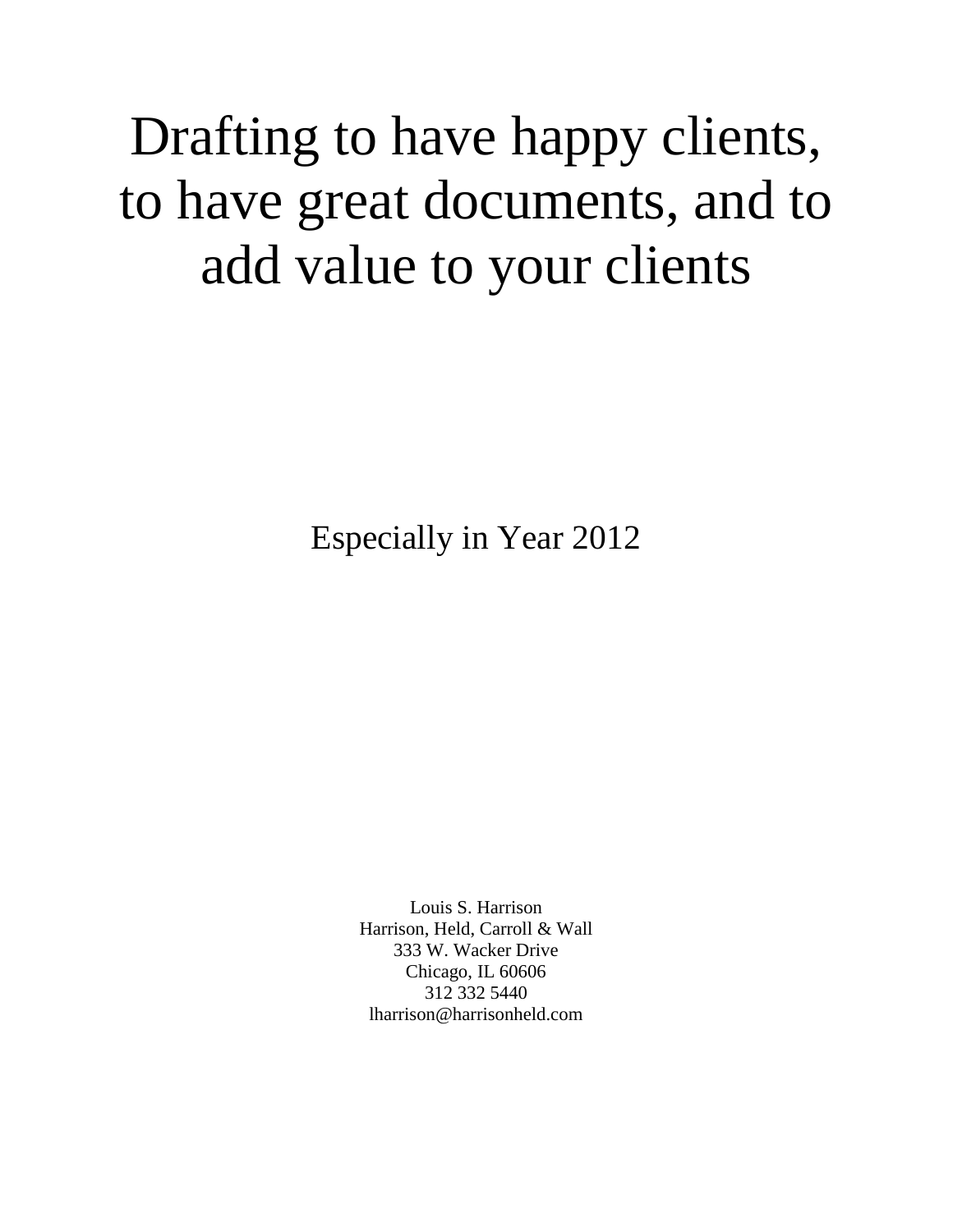# Drafting to have happy clients, to have great documents, and to add value to your clients

Especially in Year 2012

Louis S. Harrison Harrison, Held, Carroll & Wall 333 W. Wacker Drive Chicago, IL 60606 312 332 5440 lharrison@harrisonheld.com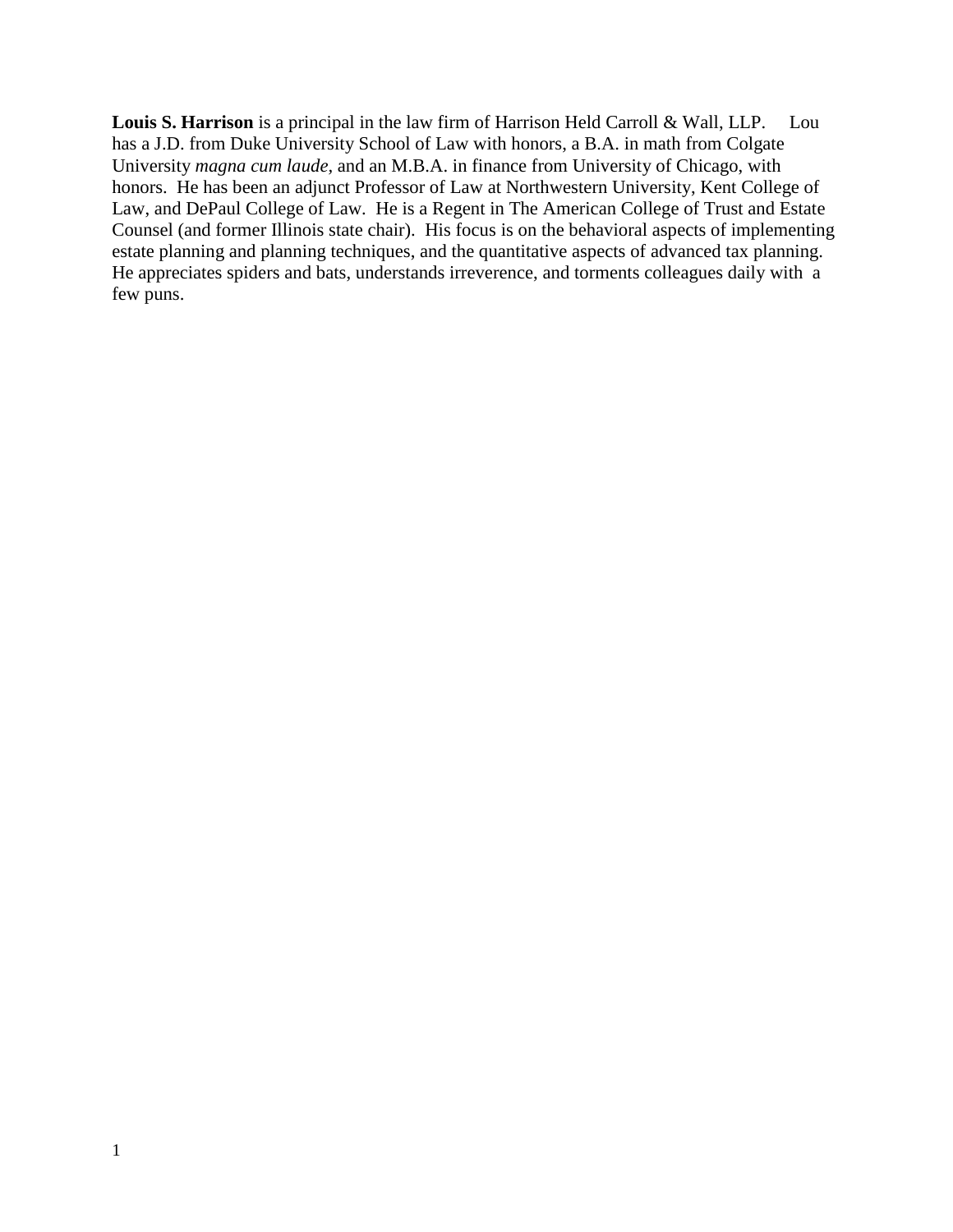**Louis S. Harrison** is a principal in the law firm of Harrison Held Carroll & Wall, LLP. Lou has a J.D. from Duke University School of Law with honors, a B.A. in math from Colgate University *magna cum laude,* and an M.B.A. in finance from University of Chicago, with honors. He has been an adjunct Professor of Law at Northwestern University, Kent College of Law, and DePaul College of Law. He is a Regent in The American College of Trust and Estate Counsel (and former Illinois state chair). His focus is on the behavioral aspects of implementing estate planning and planning techniques, and the quantitative aspects of advanced tax planning. He appreciates spiders and bats, understands irreverence, and torments colleagues daily with a few puns.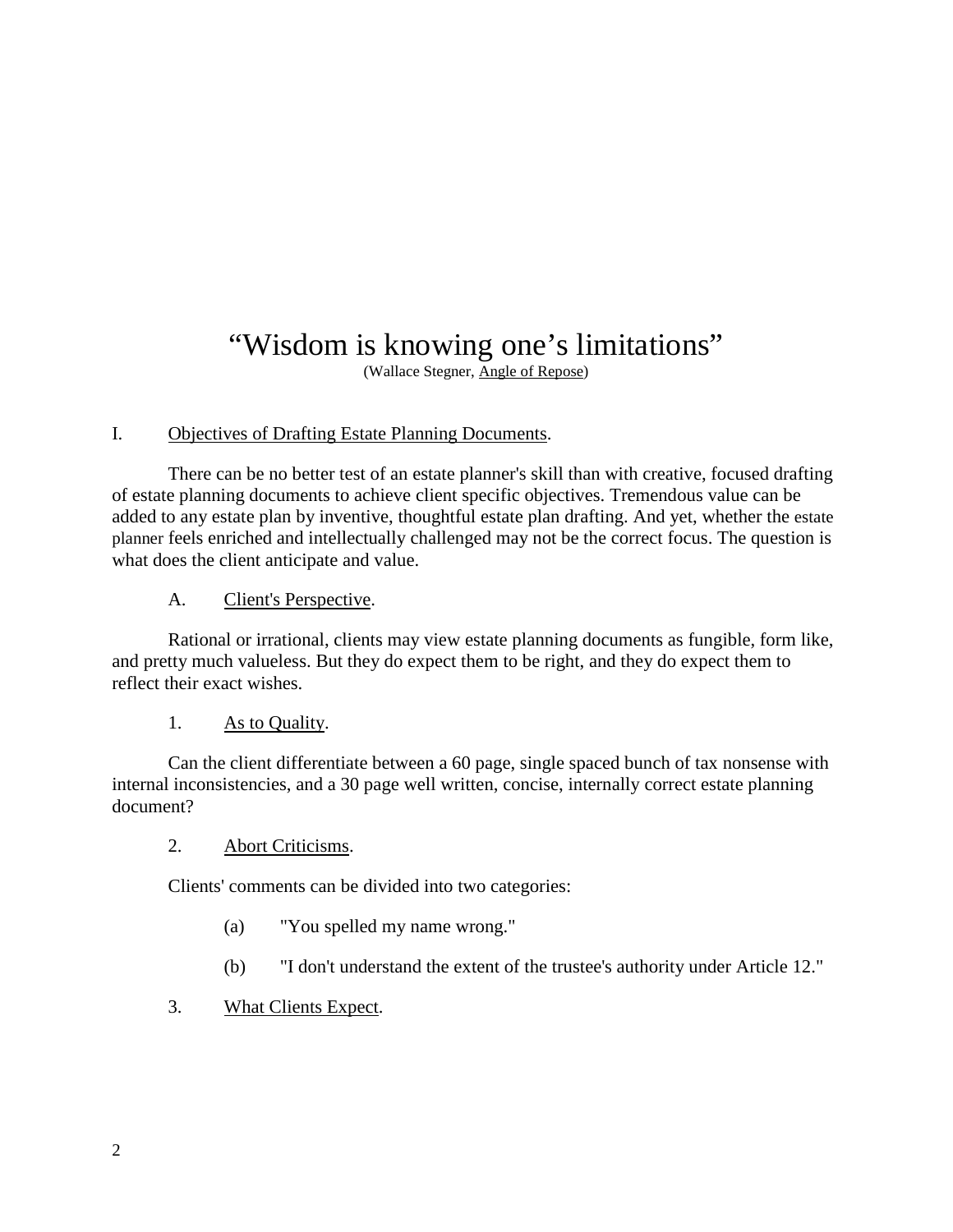## "Wisdom is knowing one's limitations"

(Wallace Stegner, Angle of Repose)

## I. Objectives of Drafting Estate Planning Documents.

There can be no better test of an estate planner's skill than with creative, focused drafting of estate planning documents to achieve client specific objectives. Tremendous value can be added to any estate plan by inventive, thoughtful estate plan drafting. And yet, whether the estate planner feels enriched and intellectually challenged may not be the correct focus. The question is what does the client anticipate and value.

A. Client's Perspective.

Rational or irrational, clients may view estate planning documents as fungible, form like, and pretty much valueless. But they do expect them to be right, and they do expect them to reflect their exact wishes.

## 1. As to Quality.

Can the client differentiate between a 60 page, single spaced bunch of tax nonsense with internal inconsistencies, and a 30 page well written, concise, internally correct estate planning document?

## 2. Abort Criticisms.

Clients' comments can be divided into two categories:

- (a) "You spelled my name wrong."
- (b) "I don't understand the extent of the trustee's authority under Article 12."

## 3. What Clients Expect.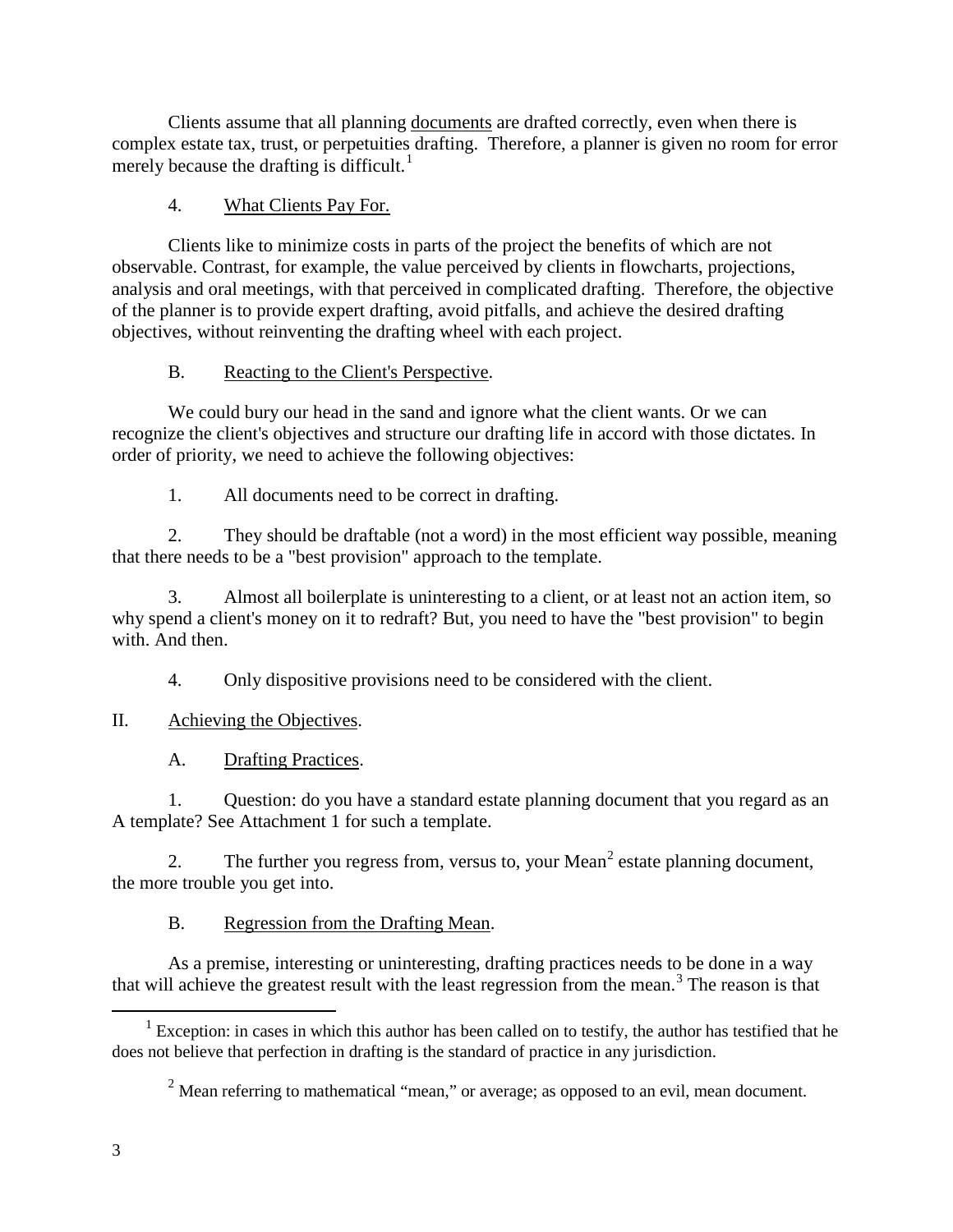Clients assume that all planning documents are drafted correctly, even when there is complex estate tax, trust, or perpetuities drafting. Therefore, a planner is given no room for error merely because the drafting is difficult.<sup>[1](#page-3-0)</sup>

## 4. What Clients Pay For.

Clients like to minimize costs in parts of the project the benefits of which are not observable. Contrast, for example, the value perceived by clients in flowcharts, projections, analysis and oral meetings, with that perceived in complicated drafting. Therefore, the objective of the planner is to provide expert drafting, avoid pitfalls, and achieve the desired drafting objectives, without reinventing the drafting wheel with each project.

## B. Reacting to the Client's Perspective.

We could bury our head in the sand and ignore what the client wants. Or we can recognize the client's objectives and structure our drafting life in accord with those dictates. In order of priority, we need to achieve the following objectives:

1. All documents need to be correct in drafting.

2. They should be draftable (not a word) in the most efficient way possible, meaning that there needs to be a "best provision" approach to the template.

<span id="page-3-2"></span>3. Almost all boilerplate is uninteresting to a client, or at least not an action item, so why spend a client's money on it to redraft? But, you need to have the "best provision" to begin with. And then.

4. Only dispositive provisions need to be considered with the client.

## II. Achieving the Objectives.

A. Drafting Practices.

1. Question: do you have a standard estate planning document that you regard as an A template? See Attachment 1 for such a template.

[2](#page-3-1). The further you regress from, versus to, your Mean<sup>2</sup> estate planning document, the more trouble you get into.

## B. Regression from the Drafting Mean.

As a premise, interesting or uninteresting, drafting practices needs to be done in a way that will achieve the greatest result with the least regression from the mean.[3](#page-3-2) The reason is that

 $\overline{a}$ 

<span id="page-3-1"></span><span id="page-3-0"></span><sup>&</sup>lt;sup>1</sup> Exception: in cases in which this author has been called on to testify, the author has testified that he does not believe that perfection in drafting is the standard of practice in any jurisdiction.

 $2$  Mean referring to mathematical "mean," or average; as opposed to an evil, mean document.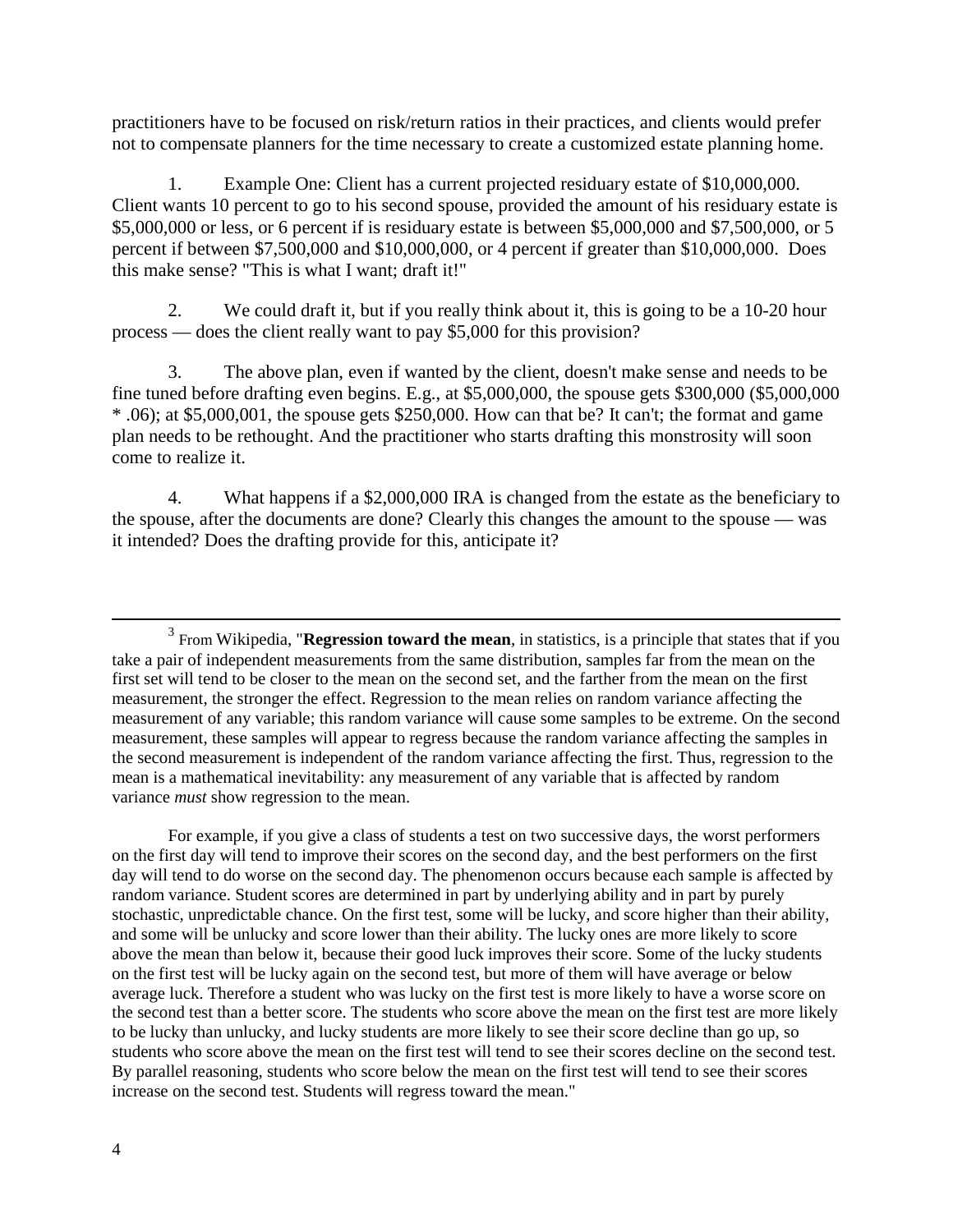practitioners have to be focused on risk/return ratios in their practices, and clients would prefer not to compensate planners for the time necessary to create a customized estate planning home.

1. Example One: Client has a current projected residuary estate of \$10,000,000. Client wants 10 percent to go to his second spouse, provided the amount of his residuary estate is \$5,000,000 or less, or 6 percent if is residuary estate is between \$5,000,000 and \$7,500,000, or 5 percent if between \$7,500,000 and \$10,000,000, or 4 percent if greater than \$10,000,000. Does this make sense? "This is what I want; draft it!"

2. We could draft it, but if you really think about it, this is going to be a 10-20 hour process — does the client really want to pay \$5,000 for this provision?

3. The above plan, even if wanted by the client, doesn't make sense and needs to be fine tuned before drafting even begins. E.g., at \$5,000,000, the spouse gets \$300,000 (\$5,000,000 \* .06); at \$5,000,001, the spouse gets \$250,000. How can that be? It can't; the format and game plan needs to be rethought. And the practitioner who starts drafting this monstrosity will soon come to realize it.

4. What happens if a \$2,000,000 IRA is changed from the estate as the beneficiary to the spouse, after the documents are done? Clearly this changes the amount to the spouse — was it intended? Does the drafting provide for this, anticipate it?

For example, if you give a class of students a test on two successive days, the worst performers on the first day will tend to improve their scores on the second day, and the best performers on the first day will tend to do worse on the second day. The phenomenon occurs because each sample is affected by random variance. Student scores are determined in part by underlying ability and in part by purely stochastic, unpredictable chance. On the first test, some will be lucky, and score higher than their ability, and some will be unlucky and score lower than their ability. The lucky ones are more likely to score above the mean than below it, because their good luck improves their score. Some of the lucky students on the first test will be lucky again on the second test, but more of them will have average or below average luck. Therefore a student who was lucky on the first test is more likely to have a worse score on the second test than a better score. The students who score above the mean on the first test are more likely to be lucky than unlucky, and lucky students are more likely to see their score decline than go up, so students who score above the mean on the first test will tend to see their scores decline on the second test. By parallel reasoning, students who score below the mean on the first test will tend to see their scores increase on the second test. Students will regress toward the mean."

 $\overline{a}$ 

<sup>3</sup> From Wikipedia, "**Regression toward the mean**, in [statistics,](http://en.wikipedia.org/wiki/Statistics) is a principle that states that if you take a pair of independent measurements from the same distribution, samples far from the [mean](http://en.wikipedia.org/wiki/Mean) on the first set will tend to be closer to the mean on the second set, and the farther from the [mean](http://en.wikipedia.org/wiki/Mean) on the first measurement, the stronger the effect. Regression to the mean relies on random variance affecting the measurement of any variable; this random variance will cause some samples to be extreme. On the second measurement, these samples will appear to regress because the random variance affecting the samples in the second measurement is independent of the random variance affecting the first. Thus, regression to the mean is a mathematical inevitability: any measurement of any variable that is affected by random variance *must* show regression to the mean.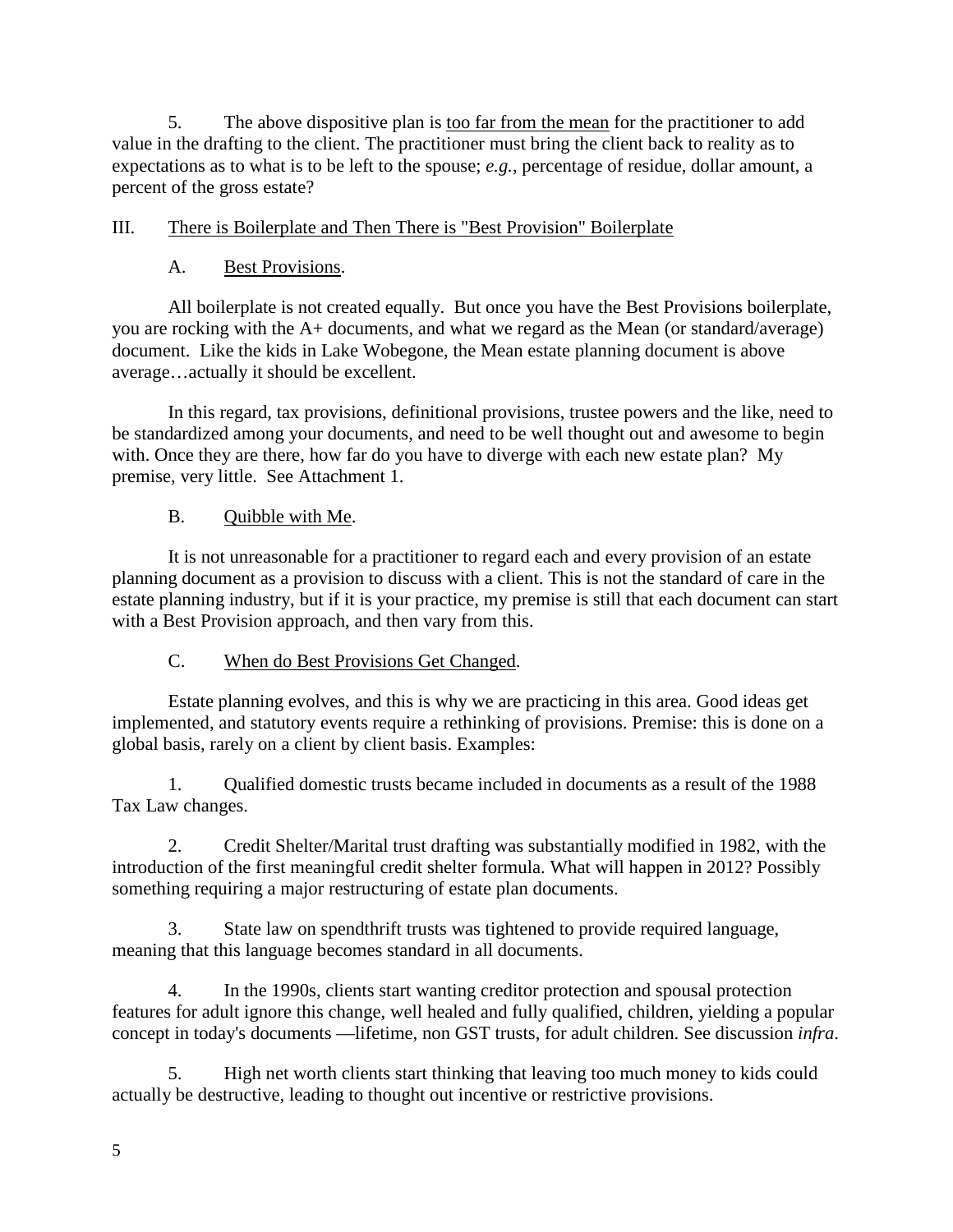5. The above dispositive plan is too far from the mean for the practitioner to add value in the drafting to the client. The practitioner must bring the client back to reality as to expectations as to what is to be left to the spouse; *e.g.*, percentage of residue, dollar amount, a percent of the gross estate?

## III. There is Boilerplate and Then There is "Best Provision" Boilerplate

## A. Best Provisions.

All boilerplate is not created equally. But once you have the Best Provisions boilerplate, you are rocking with the A+ documents, and what we regard as the Mean (or standard/average) document. Like the kids in Lake Wobegone, the Mean estate planning document is above average…actually it should be excellent.

In this regard, tax provisions, definitional provisions, trustee powers and the like, need to be standardized among your documents, and need to be well thought out and awesome to begin with. Once they are there, how far do you have to diverge with each new estate plan? My premise, very little. See Attachment 1.

## B. Quibble with Me.

It is not unreasonable for a practitioner to regard each and every provision of an estate planning document as a provision to discuss with a client. This is not the standard of care in the estate planning industry, but if it is your practice, my premise is still that each document can start with a Best Provision approach, and then vary from this.

## C. When do Best Provisions Get Changed.

Estate planning evolves, and this is why we are practicing in this area. Good ideas get implemented, and statutory events require a rethinking of provisions. Premise: this is done on a global basis, rarely on a client by client basis. Examples:

1. Qualified domestic trusts became included in documents as a result of the 1988 Tax Law changes.

2. Credit Shelter/Marital trust drafting was substantially modified in 1982, with the introduction of the first meaningful credit shelter formula. What will happen in 2012? Possibly something requiring a major restructuring of estate plan documents.

3. State law on spendthrift trusts was tightened to provide required language, meaning that this language becomes standard in all documents.

4. In the 1990s, clients start wanting creditor protection and spousal protection features for adult ignore this change, well healed and fully qualified, children, yielding a popular concept in today's documents —lifetime, non GST trusts, for adult children. See discussion *infra*.

5. High net worth clients start thinking that leaving too much money to kids could actually be destructive, leading to thought out incentive or restrictive provisions.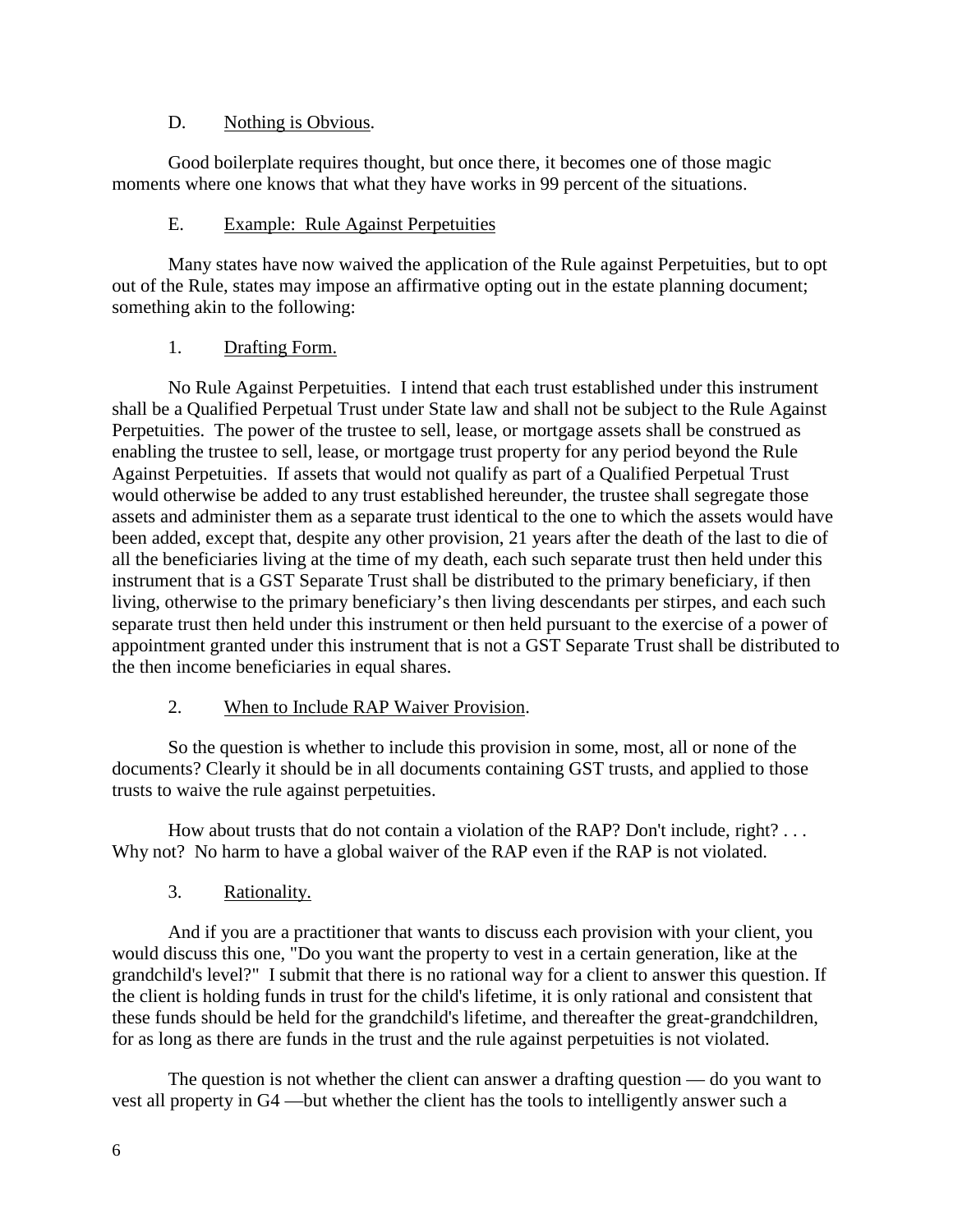## D. Nothing is Obvious.

Good boilerplate requires thought, but once there, it becomes one of those magic moments where one knows that what they have works in 99 percent of the situations.

## E. Example: Rule Against Perpetuities

Many states have now waived the application of the Rule against Perpetuities, but to opt out of the Rule, states may impose an affirmative opting out in the estate planning document; something akin to the following:

## 1. Drafting Form.

No Rule Against Perpetuities. I intend that each trust established under this instrument shall be a Qualified Perpetual Trust under State law and shall not be subject to the Rule Against Perpetuities. The power of the trustee to sell, lease, or mortgage assets shall be construed as enabling the trustee to sell, lease, or mortgage trust property for any period beyond the Rule Against Perpetuities. If assets that would not qualify as part of a Qualified Perpetual Trust would otherwise be added to any trust established hereunder, the trustee shall segregate those assets and administer them as a separate trust identical to the one to which the assets would have been added, except that, despite any other provision, 21 years after the death of the last to die of all the beneficiaries living at the time of my death, each such separate trust then held under this instrument that is a GST Separate Trust shall be distributed to the primary beneficiary, if then living, otherwise to the primary beneficiary's then living descendants per stirpes, and each such separate trust then held under this instrument or then held pursuant to the exercise of a power of appointment granted under this instrument that is not a GST Separate Trust shall be distributed to the then income beneficiaries in equal shares.

## 2. When to Include RAP Waiver Provision.

So the question is whether to include this provision in some, most, all or none of the documents? Clearly it should be in all documents containing GST trusts, and applied to those trusts to waive the rule against perpetuities.

How about trusts that do not contain a violation of the RAP? Don't include, right? . . . Why not? No harm to have a global waiver of the RAP even if the RAP is not violated.

## 3. Rationality.

And if you are a practitioner that wants to discuss each provision with your client, you would discuss this one, "Do you want the property to vest in a certain generation, like at the grandchild's level?" I submit that there is no rational way for a client to answer this question. If the client is holding funds in trust for the child's lifetime, it is only rational and consistent that these funds should be held for the grandchild's lifetime, and thereafter the great-grandchildren, for as long as there are funds in the trust and the rule against perpetuities is not violated.

The question is not whether the client can answer a drafting question — do you want to vest all property in G4 —but whether the client has the tools to intelligently answer such a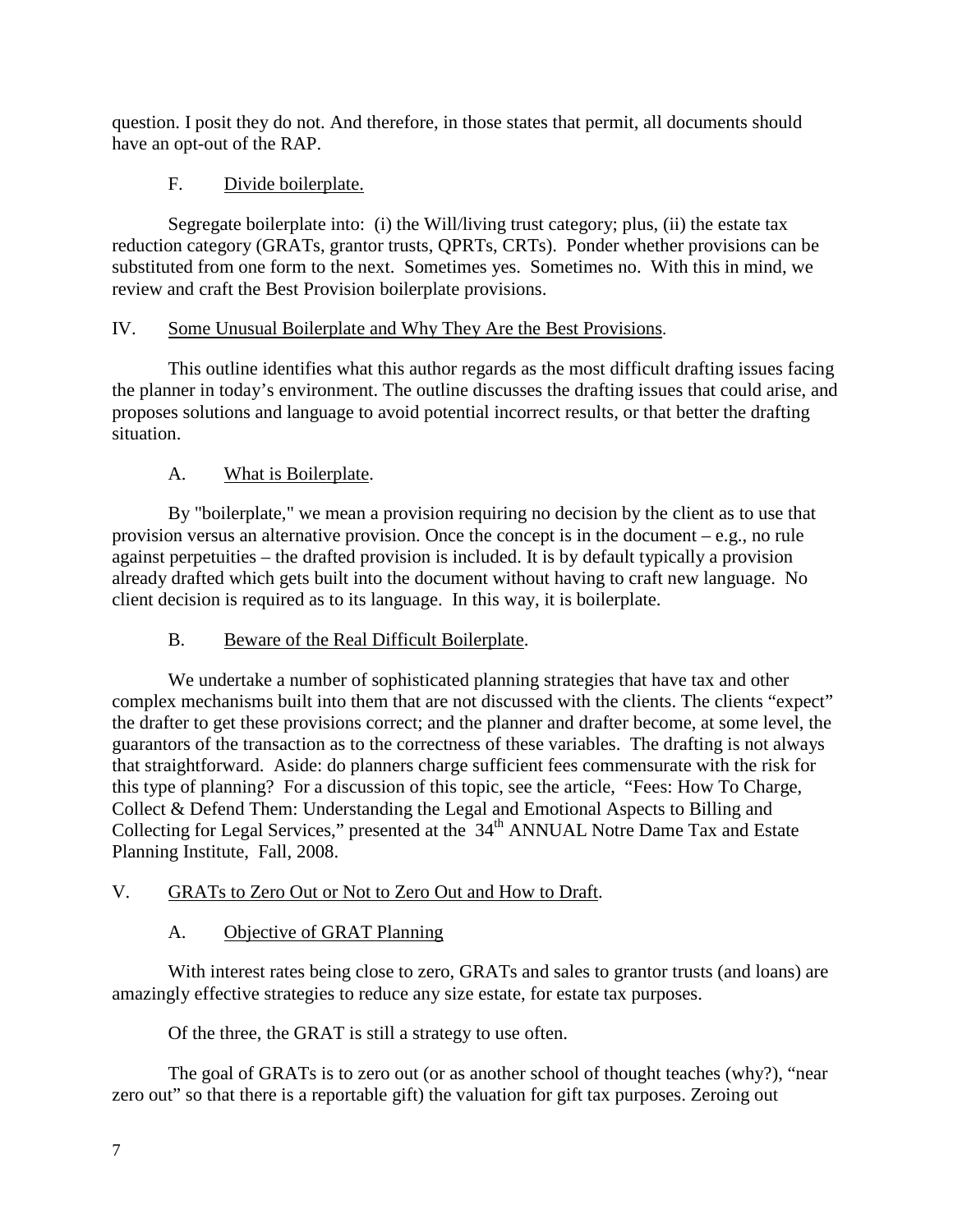question. I posit they do not. And therefore, in those states that permit, all documents should have an opt-out of the RAP.

## F. Divide boilerplate.

Segregate boilerplate into: (i) the Will/living trust category; plus, (ii) the estate tax reduction category (GRATs, grantor trusts, QPRTs, CRTs). Ponder whether provisions can be substituted from one form to the next. Sometimes yes. Sometimes no. With this in mind, we review and craft the Best Provision boilerplate provisions.

## IV. Some Unusual Boilerplate and Why They Are the Best Provisions.

This outline identifies what this author regards as the most difficult drafting issues facing the planner in today's environment. The outline discusses the drafting issues that could arise, and proposes solutions and language to avoid potential incorrect results, or that better the drafting situation.

## A. What is Boilerplate.

By "boilerplate," we mean a provision requiring no decision by the client as to use that provision versus an alternative provision. Once the concept is in the document – e.g., no rule against perpetuities – the drafted provision is included. It is by default typically a provision already drafted which gets built into the document without having to craft new language. No client decision is required as to its language. In this way, it is boilerplate.

## B. Beware of the Real Difficult Boilerplate.

We undertake a number of sophisticated planning strategies that have tax and other complex mechanisms built into them that are not discussed with the clients. The clients "expect" the drafter to get these provisions correct; and the planner and drafter become, at some level, the guarantors of the transaction as to the correctness of these variables. The drafting is not always that straightforward. Aside: do planners charge sufficient fees commensurate with the risk for this type of planning? For a discussion of this topic, see the article, "Fees: How To Charge, Collect & Defend Them: Understanding the Legal and Emotional Aspects to Billing and Collecting for Legal Services," presented at the 34<sup>th</sup> ANNUAL Notre Dame Tax and Estate Planning Institute, Fall, 2008.

## V. GRATs to Zero Out or Not to Zero Out and How to Draft.

## A. Objective of GRAT Planning

With interest rates being close to zero, GRATs and sales to grantor trusts (and loans) are amazingly effective strategies to reduce any size estate, for estate tax purposes.

Of the three, the GRAT is still a strategy to use often.

The goal of GRATs is to zero out (or as another school of thought teaches (why?), "near zero out" so that there is a reportable gift) the valuation for gift tax purposes. Zeroing out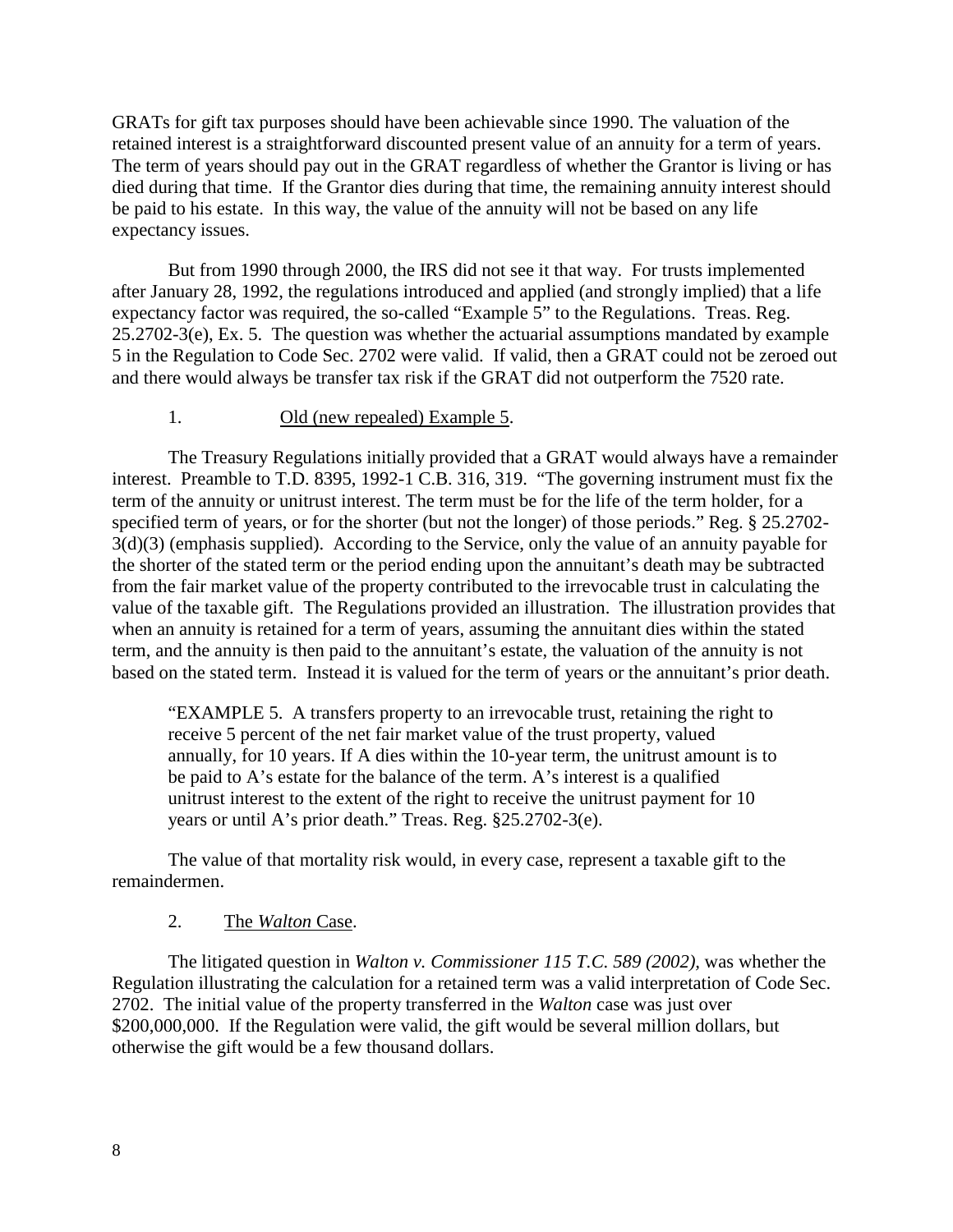GRATs for gift tax purposes should have been achievable since 1990. The valuation of the retained interest is a straightforward discounted present value of an annuity for a term of years. The term of years should pay out in the GRAT regardless of whether the Grantor is living or has died during that time. If the Grantor dies during that time, the remaining annuity interest should be paid to his estate. In this way, the value of the annuity will not be based on any life expectancy issues.

But from 1990 through 2000, the IRS did not see it that way. For trusts implemented after January 28, 1992, the regulations introduced and applied (and strongly implied) that a life expectancy factor was required, the so-called "Example 5" to the Regulations. Treas. Reg. 25.2702-3(e), Ex. 5. The question was whether the actuarial assumptions mandated by example 5 in the Regulation to Code Sec. 2702 were valid. If valid, then a GRAT could not be zeroed out and there would always be transfer tax risk if the GRAT did not outperform the 7520 rate.

#### 1. Old (new repealed) Example 5.

The Treasury Regulations initially provided that a GRAT would always have a remainder interest. Preamble to T.D. 8395, 1992-1 C.B. 316, 319. "The governing instrument must fix the term of the annuity or unitrust interest. The term must be for the life of the term holder, for a specified term of years, or for the shorter (but not the longer) of those periods." Reg. § 25.2702- 3(d)(3) (emphasis supplied). According to the Service, only the value of an annuity payable for the shorter of the stated term or the period ending upon the annuitant's death may be subtracted from the fair market value of the property contributed to the irrevocable trust in calculating the value of the taxable gift. The Regulations provided an illustration. The illustration provides that when an annuity is retained for a term of years, assuming the annuitant dies within the stated term, and the annuity is then paid to the annuitant's estate, the valuation of the annuity is not based on the stated term. Instead it is valued for the term of years or the annuitant's prior death.

"EXAMPLE 5. A transfers property to an irrevocable trust, retaining the right to receive 5 percent of the net fair market value of the trust property, valued annually, for 10 years. If A dies within the 10-year term, the unitrust amount is to be paid to A's estate for the balance of the term. A's interest is a qualified unitrust interest to the extent of the right to receive the unitrust payment for 10 years or until A's prior death." Treas. Reg. §25.2702-3(e).

The value of that mortality risk would, in every case, represent a taxable gift to the remaindermen.

#### 2. The *Walton* Case.

The litigated question in *Walton v. Commissioner 115 T.C. 589 (2002),* was whether the Regulation illustrating the calculation for a retained term was a valid interpretation of Code Sec. 2702. The initial value of the property transferred in the *Walton* case was just over \$200,000,000. If the Regulation were valid, the gift would be several million dollars, but otherwise the gift would be a few thousand dollars.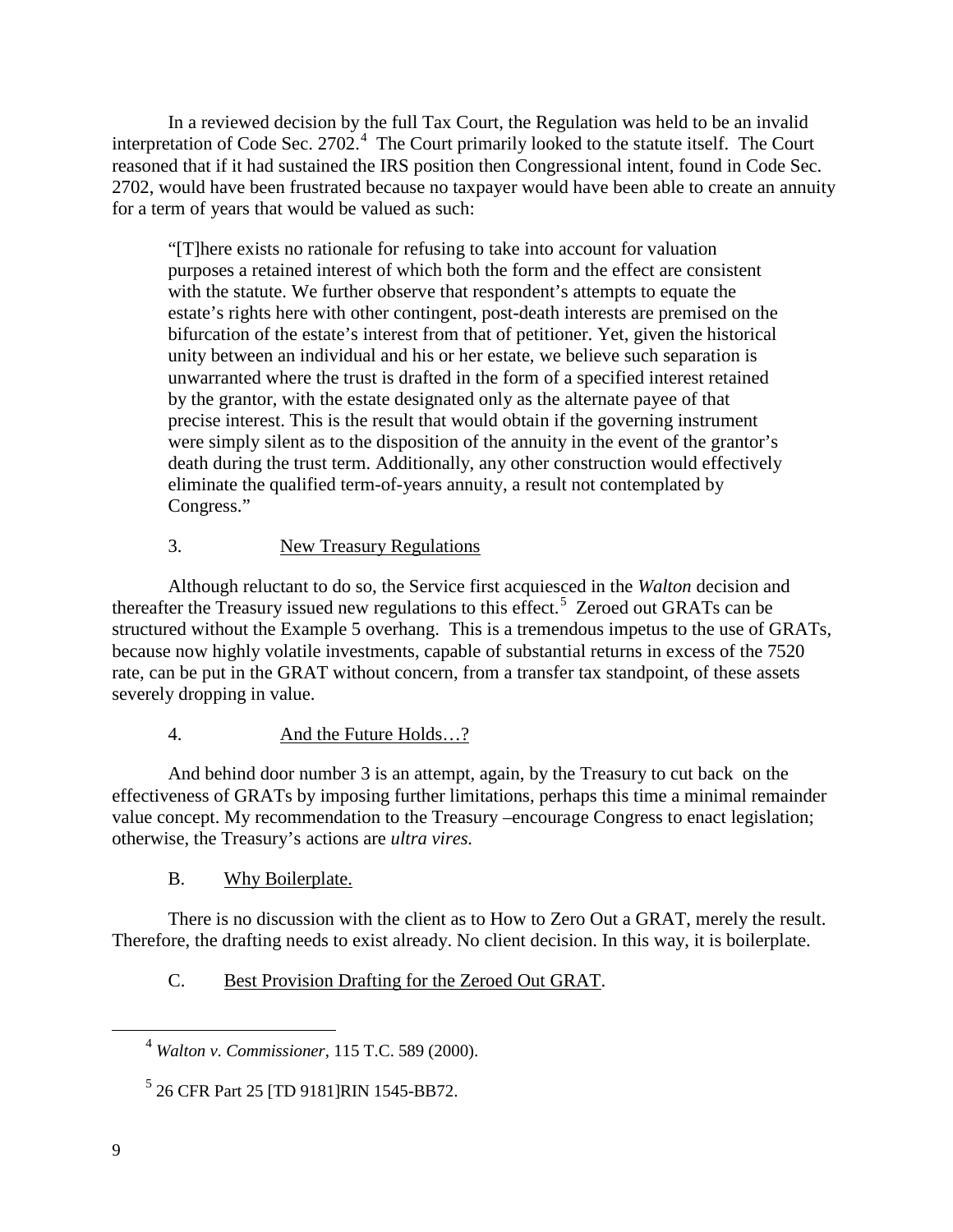In a reviewed decision by the full Tax Court, the Regulation was held to be an invalid interpretation of Code Sec. 2702.<sup>[4](#page-9-0)</sup> The Court primarily looked to the statute itself. The Court reasoned that if it had sustained the IRS position then Congressional intent, found in Code Sec. 2702, would have been frustrated because no taxpayer would have been able to create an annuity for a term of years that would be valued as such:

"[T]here exists no rationale for refusing to take into account for valuation purposes a retained interest of which both the form and the effect are consistent with the statute. We further observe that respondent's attempts to equate the estate's rights here with other contingent, post-death interests are premised on the bifurcation of the estate's interest from that of petitioner. Yet, given the historical unity between an individual and his or her estate, we believe such separation is unwarranted where the trust is drafted in the form of a specified interest retained by the grantor, with the estate designated only as the alternate payee of that precise interest. This is the result that would obtain if the governing instrument were simply silent as to the disposition of the annuity in the event of the grantor's death during the trust term. Additionally, any other construction would effectively eliminate the qualified term-of-years annuity, a result not contemplated by Congress."

## 3. New Treasury Regulations

Although reluctant to do so, the Service first acquiesced in the *Walton* decision and thereafter the Treasury issued new regulations to this effect.<sup>[5](#page-9-1)</sup> Zeroed out GRATs can be structured without the Example 5 overhang. This is a tremendous impetus to the use of GRATs, because now highly volatile investments, capable of substantial returns in excess of the 7520 rate, can be put in the GRAT without concern, from a transfer tax standpoint, of these assets severely dropping in value.

## 4. And the Future Holds…?

And behind door number 3 is an attempt, again, by the Treasury to cut back on the effectiveness of GRATs by imposing further limitations, perhaps this time a minimal remainder value concept. My recommendation to the Treasury –encourage Congress to enact legislation; otherwise, the Treasury's actions are *ultra vires.*

## B. Why Boilerplate.

There is no discussion with the client as to How to Zero Out a GRAT, merely the result. Therefore, the drafting needs to exist already. No client decision. In this way, it is boilerplate.

## C. Best Provision Drafting for the Zeroed Out GRAT.

<span id="page-9-1"></span><span id="page-9-0"></span> $\overline{a}$ 

<sup>4</sup> *Walton v. Commissioner*, 115 T.C. 589 (2000).

<sup>5</sup> 26 CFR Part 25 [TD 9181]RIN 1545-BB72.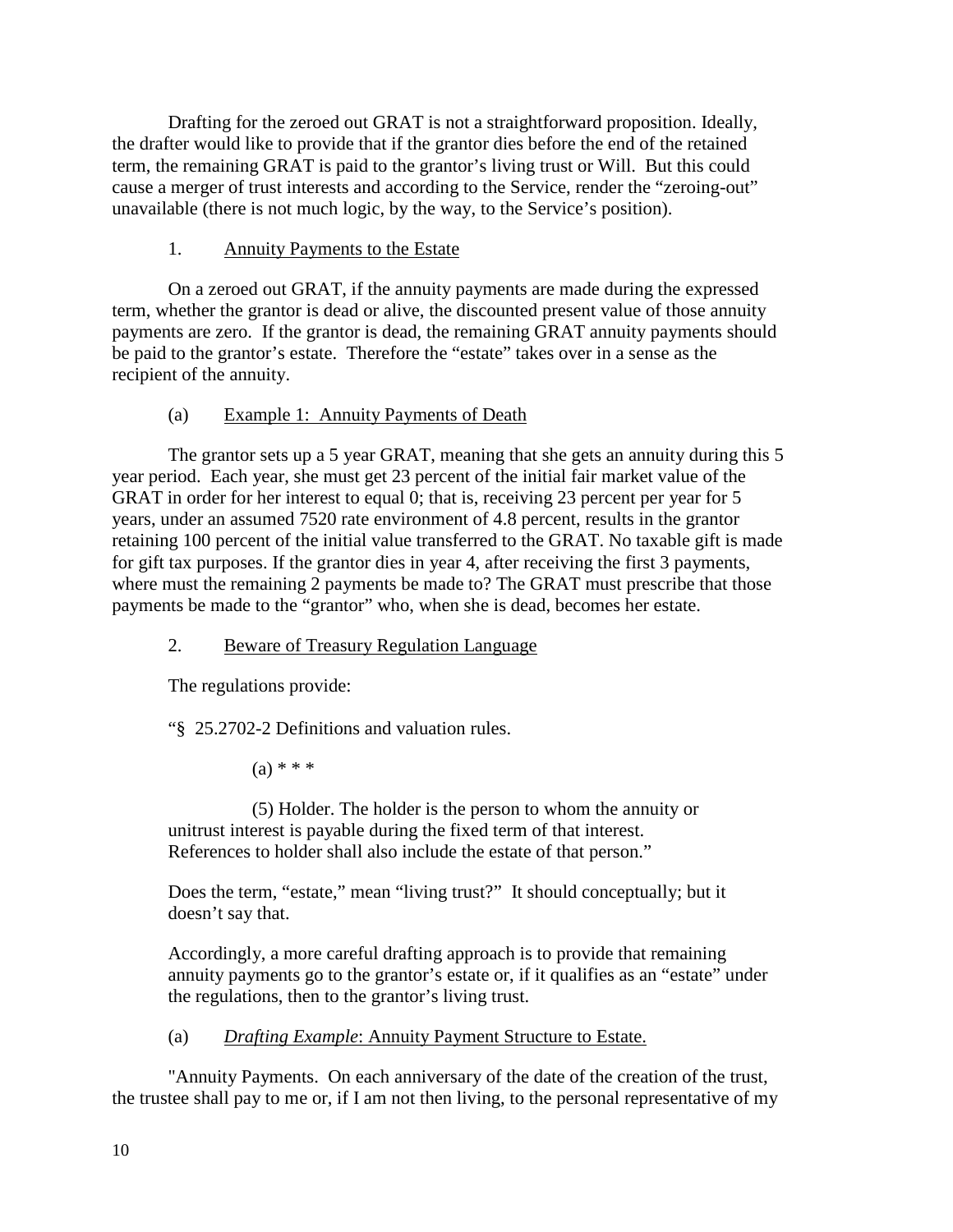Drafting for the zeroed out GRAT is not a straightforward proposition. Ideally, the drafter would like to provide that if the grantor dies before the end of the retained term, the remaining GRAT is paid to the grantor's living trust or Will. But this could cause a merger of trust interests and according to the Service, render the "zeroing-out" unavailable (there is not much logic, by the way, to the Service's position).

## 1. Annuity Payments to the Estate

On a zeroed out GRAT, if the annuity payments are made during the expressed term, whether the grantor is dead or alive, the discounted present value of those annuity payments are zero. If the grantor is dead, the remaining GRAT annuity payments should be paid to the grantor's estate. Therefore the "estate" takes over in a sense as the recipient of the annuity.

## (a) Example 1: Annuity Payments of Death

The grantor sets up a 5 year GRAT, meaning that she gets an annuity during this 5 year period. Each year, she must get 23 percent of the initial fair market value of the GRAT in order for her interest to equal 0; that is, receiving 23 percent per year for 5 years, under an assumed 7520 rate environment of 4.8 percent, results in the grantor retaining 100 percent of the initial value transferred to the GRAT. No taxable gift is made for gift tax purposes. If the grantor dies in year 4, after receiving the first 3 payments, where must the remaining 2 payments be made to? The GRAT must prescribe that those payments be made to the "grantor" who, when she is dead, becomes her estate.

## 2. Beware of Treasury Regulation Language

The regulations provide:

"§ 25.2702-2 Definitions and valuation rules.

 $(a) * * *$ 

(5) Holder. The holder is the person to whom the annuity or unitrust interest is payable during the fixed term of that interest. References to holder shall also include the estate of that person."

Does the term, "estate," mean "living trust?" It should conceptually; but it doesn't say that.

Accordingly, a more careful drafting approach is to provide that remaining annuity payments go to the grantor's estate or, if it qualifies as an "estate" under the regulations, then to the grantor's living trust.

(a) *Drafting Example*: Annuity Payment Structure to Estate.

"Annuity Payments. On each anniversary of the date of the creation of the trust, the trustee shall pay to me or, if I am not then living, to the personal representative of my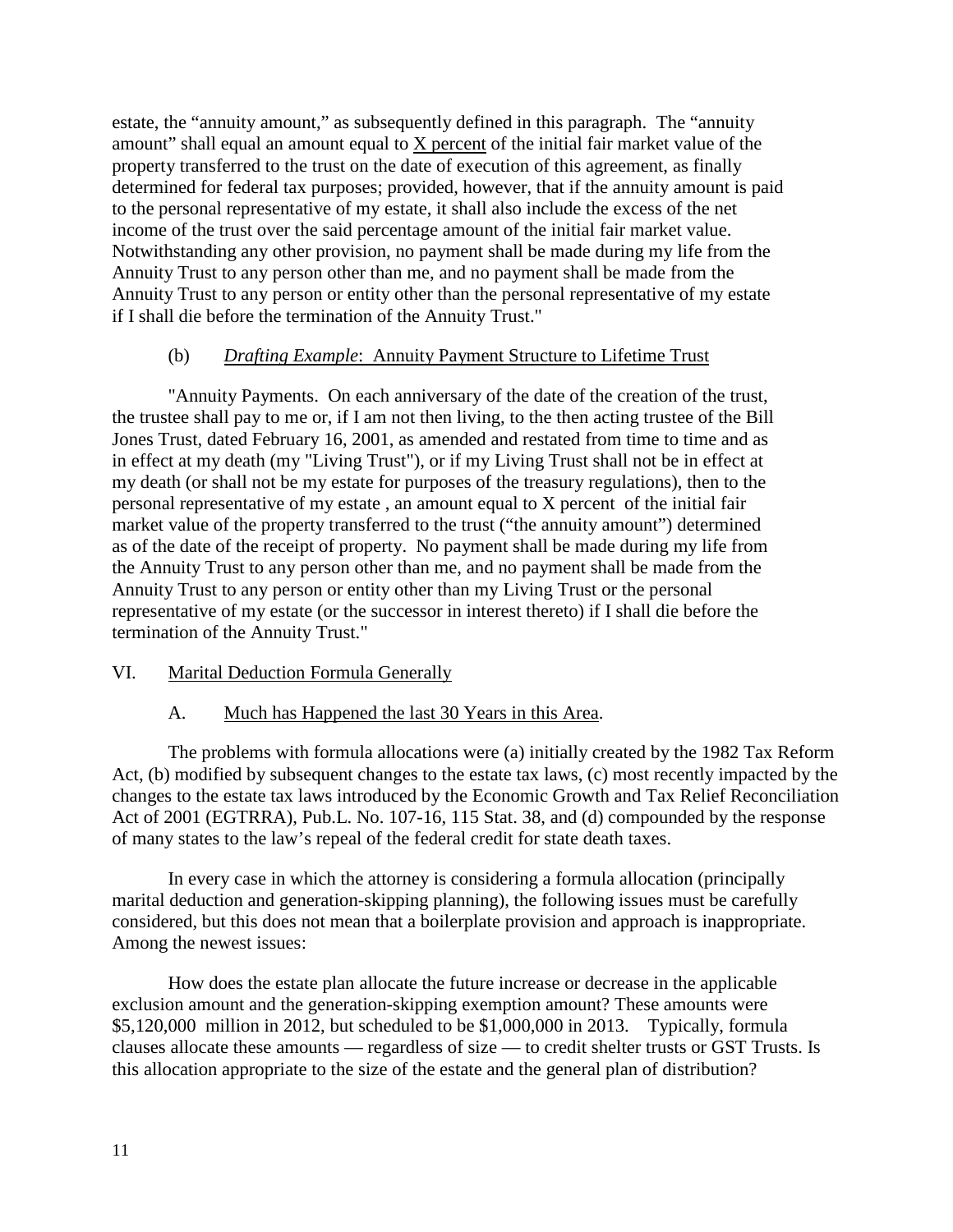estate, the "annuity amount," as subsequently defined in this paragraph. The "annuity amount" shall equal an amount equal to  $X$  percent of the initial fair market value of the property transferred to the trust on the date of execution of this agreement, as finally determined for federal tax purposes; provided, however, that if the annuity amount is paid to the personal representative of my estate, it shall also include the excess of the net income of the trust over the said percentage amount of the initial fair market value. Notwithstanding any other provision, no payment shall be made during my life from the Annuity Trust to any person other than me, and no payment shall be made from the Annuity Trust to any person or entity other than the personal representative of my estate if I shall die before the termination of the Annuity Trust."

## (b) *Drafting Example*: Annuity Payment Structure to Lifetime Trust

"Annuity Payments. On each anniversary of the date of the creation of the trust, the trustee shall pay to me or, if I am not then living, to the then acting trustee of the Bill Jones Trust, dated February 16, 2001, as amended and restated from time to time and as in effect at my death (my "Living Trust"), or if my Living Trust shall not be in effect at my death (or shall not be my estate for purposes of the treasury regulations), then to the personal representative of my estate , an amount equal to X percent of the initial fair market value of the property transferred to the trust ("the annuity amount") determined as of the date of the receipt of property. No payment shall be made during my life from the Annuity Trust to any person other than me, and no payment shall be made from the Annuity Trust to any person or entity other than my Living Trust or the personal representative of my estate (or the successor in interest thereto) if I shall die before the termination of the Annuity Trust."

## VI. Marital Deduction Formula Generally

## A. Much has Happened the last 30 Years in this Area.

The problems with formula allocations were (a) initially created by the 1982 Tax Reform Act, (b) modified by subsequent changes to the estate tax laws, (c) most recently impacted by the changes to the estate tax laws introduced by the Economic Growth and Tax Relief Reconciliation Act of 2001 (EGTRRA), Pub.L. No. 107-16, 115 Stat. 38, and (d) compounded by the response of many states to the law's repeal of the federal credit for state death taxes.

In every case in which the attorney is considering a formula allocation (principally marital deduction and generation-skipping planning), the following issues must be carefully considered, but this does not mean that a boilerplate provision and approach is inappropriate. Among the newest issues:

How does the estate plan allocate the future increase or decrease in the applicable exclusion amount and the generation-skipping exemption amount? These amounts were \$5,120,000 million in 2012, but scheduled to be \$1,000,000 in 2013. Typically, formula clauses allocate these amounts — regardless of size — to credit shelter trusts or GST Trusts. Is this allocation appropriate to the size of the estate and the general plan of distribution?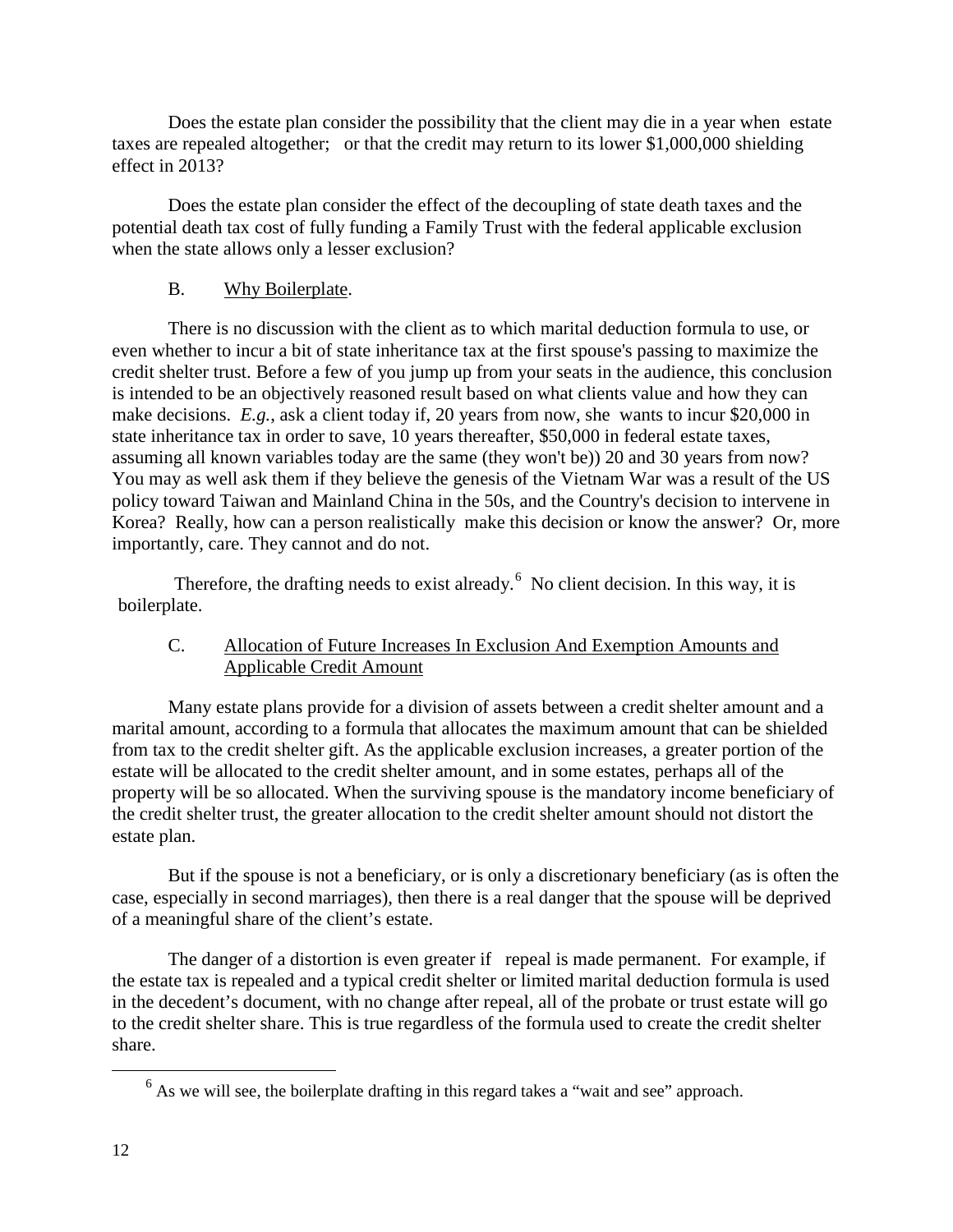Does the estate plan consider the possibility that the client may die in a year when estate taxes are repealed altogether; or that the credit may return to its lower \$1,000,000 shielding effect in 2013?

Does the estate plan consider the effect of the decoupling of state death taxes and the potential death tax cost of fully funding a Family Trust with the federal applicable exclusion when the state allows only a lesser exclusion?

## B. Why Boilerplate.

There is no discussion with the client as to which marital deduction formula to use, or even whether to incur a bit of state inheritance tax at the first spouse's passing to maximize the credit shelter trust. Before a few of you jump up from your seats in the audience, this conclusion is intended to be an objectively reasoned result based on what clients value and how they can make decisions. *E.g.*, ask a client today if, 20 years from now, she wants to incur \$20,000 in state inheritance tax in order to save, 10 years thereafter, \$50,000 in federal estate taxes, assuming all known variables today are the same (they won't be)) 20 and 30 years from now? You may as well ask them if they believe the genesis of the Vietnam War was a result of the US policy toward Taiwan and Mainland China in the 50s, and the Country's decision to intervene in Korea? Really, how can a person realistically make this decision or know the answer? Or, more importantly, care. They cannot and do not.

Therefore, the drafting needs to exist already. $6\degree$  $6\degree$  No client decision. In this way, it is boilerplate.

## C. Allocation of Future Increases In Exclusion And Exemption Amounts and Applicable Credit Amount

Many estate plans provide for a division of assets between a credit shelter amount and a marital amount, according to a formula that allocates the maximum amount that can be shielded from tax to the credit shelter gift. As the applicable exclusion increases, a greater portion of the estate will be allocated to the credit shelter amount, and in some estates, perhaps all of the property will be so allocated. When the surviving spouse is the mandatory income beneficiary of the credit shelter trust, the greater allocation to the credit shelter amount should not distort the estate plan.

But if the spouse is not a beneficiary, or is only a discretionary beneficiary (as is often the case, especially in second marriages), then there is a real danger that the spouse will be deprived of a meaningful share of the client's estate.

The danger of a distortion is even greater if repeal is made permanent. For example, if the estate tax is repealed and a typical credit shelter or limited marital deduction formula is used in the decedent's document, with no change after repeal, all of the probate or trust estate will go to the credit shelter share. This is true regardless of the formula used to create the credit shelter share.

<span id="page-12-0"></span> $\overline{a}$ 

 $<sup>6</sup>$  As we will see, the boilerplate drafting in this regard takes a "wait and see" approach.</sup>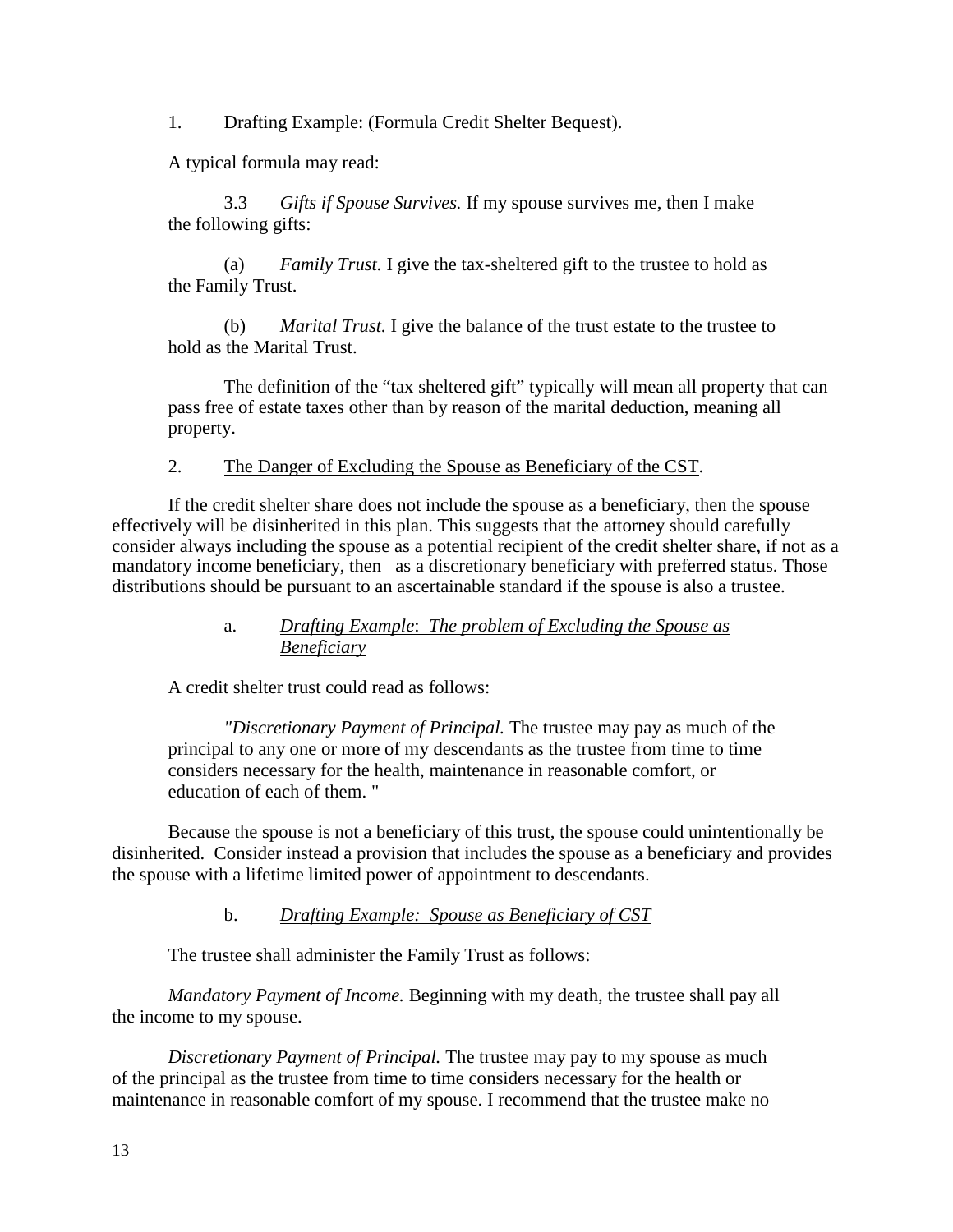1. Drafting Example: (Formula Credit Shelter Bequest).

A typical formula may read:

3.3 *Gifts if Spouse Survives.* If my spouse survives me, then I make the following gifts:

(a) *Family Trust.* I give the tax-sheltered gift to the trustee to hold as the Family Trust.

(b) *Marital Trust.* I give the balance of the trust estate to the trustee to hold as the Marital Trust.

The definition of the "tax sheltered gift" typically will mean all property that can pass free of estate taxes other than by reason of the marital deduction, meaning all property.

## 2. The Danger of Excluding the Spouse as Beneficiary of the CST.

If the credit shelter share does not include the spouse as a beneficiary, then the spouse effectively will be disinherited in this plan. This suggests that the attorney should carefully consider always including the spouse as a potential recipient of the credit shelter share, if not as a mandatory income beneficiary, then as a discretionary beneficiary with preferred status. Those distributions should be pursuant to an ascertainable standard if the spouse is also a trustee.

## a. *Drafting Example*: *The problem of Excluding the Spouse as Beneficiary*

A credit shelter trust could read as follows:

*"Discretionary Payment of Principal.* The trustee may pay as much of the principal to any one or more of my descendants as the trustee from time to time considers necessary for the health, maintenance in reasonable comfort, or education of each of them. "

Because the spouse is not a beneficiary of this trust, the spouse could unintentionally be disinherited. Consider instead a provision that includes the spouse as a beneficiary and provides the spouse with a lifetime limited power of appointment to descendants.

## b. *Drafting Example: Spouse as Beneficiary of CST*

The trustee shall administer the Family Trust as follows:

*Mandatory Payment of Income.* Beginning with my death, the trustee shall pay all the income to my spouse.

*Discretionary Payment of Principal.* The trustee may pay to my spouse as much of the principal as the trustee from time to time considers necessary for the health or maintenance in reasonable comfort of my spouse. I recommend that the trustee make no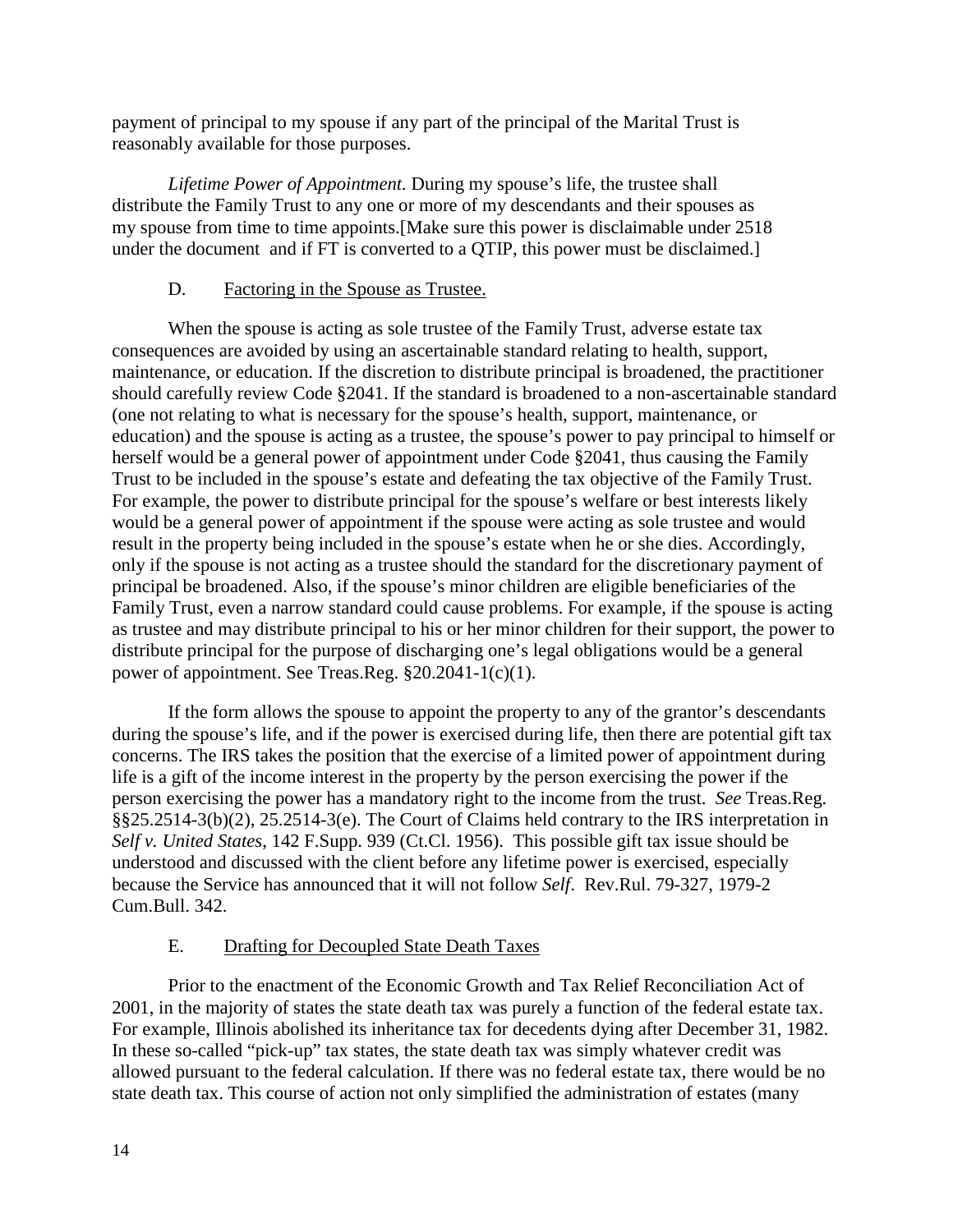payment of principal to my spouse if any part of the principal of the Marital Trust is reasonably available for those purposes.

*Lifetime Power of Appointment.* During my spouse's life, the trustee shall distribute the Family Trust to any one or more of my descendants and their spouses as my spouse from time to time appoints.[Make sure this power is disclaimable under 2518 under the document and if FT is converted to a QTIP, this power must be disclaimed.]

## D. Factoring in the Spouse as Trustee.

When the spouse is acting as sole trustee of the Family Trust, adverse estate tax consequences are avoided by using an ascertainable standard relating to health, support, maintenance, or education. If the discretion to distribute principal is broadened, the practitioner should carefully review Code §2041. If the standard is broadened to a non-ascertainable standard (one not relating to what is necessary for the spouse's health, support, maintenance, or education) and the spouse is acting as a trustee, the spouse's power to pay principal to himself or herself would be a general power of appointment under Code §2041, thus causing the Family Trust to be included in the spouse's estate and defeating the tax objective of the Family Trust. For example, the power to distribute principal for the spouse's welfare or best interests likely would be a general power of appointment if the spouse were acting as sole trustee and would result in the property being included in the spouse's estate when he or she dies. Accordingly, only if the spouse is not acting as a trustee should the standard for the discretionary payment of principal be broadened. Also, if the spouse's minor children are eligible beneficiaries of the Family Trust, even a narrow standard could cause problems. For example, if the spouse is acting as trustee and may distribute principal to his or her minor children for their support, the power to distribute principal for the purpose of discharging one's legal obligations would be a general power of appointment. See Treas.Reg. §20.2041-1(c)(1).

If the form allows the spouse to appoint the property to any of the grantor's descendants during the spouse's life, and if the power is exercised during life, then there are potential gift tax concerns. The IRS takes the position that the exercise of a limited power of appointment during life is a gift of the income interest in the property by the person exercising the power if the person exercising the power has a mandatory right to the income from the trust. *See* Treas.Reg. §§25.2514-3(b)(2), 25.2514-3(e). The Court of Claims held contrary to the IRS interpretation in *Self v. United States*, 142 F.Supp. 939 (Ct.Cl. 1956). This possible gift tax issue should be understood and discussed with the client before any lifetime power is exercised, especially because the Service has announced that it will not follow *Self*. Rev.Rul. 79-327, 1979-2 Cum.Bull. 342.

## E. Drafting for Decoupled State Death Taxes

Prior to the enactment of the Economic Growth and Tax Relief Reconciliation Act of 2001, in the majority of states the state death tax was purely a function of the federal estate tax. For example, Illinois abolished its inheritance tax for decedents dying after December 31, 1982. In these so-called "pick-up" tax states, the state death tax was simply whatever credit was allowed pursuant to the federal calculation. If there was no federal estate tax, there would be no state death tax. This course of action not only simplified the administration of estates (many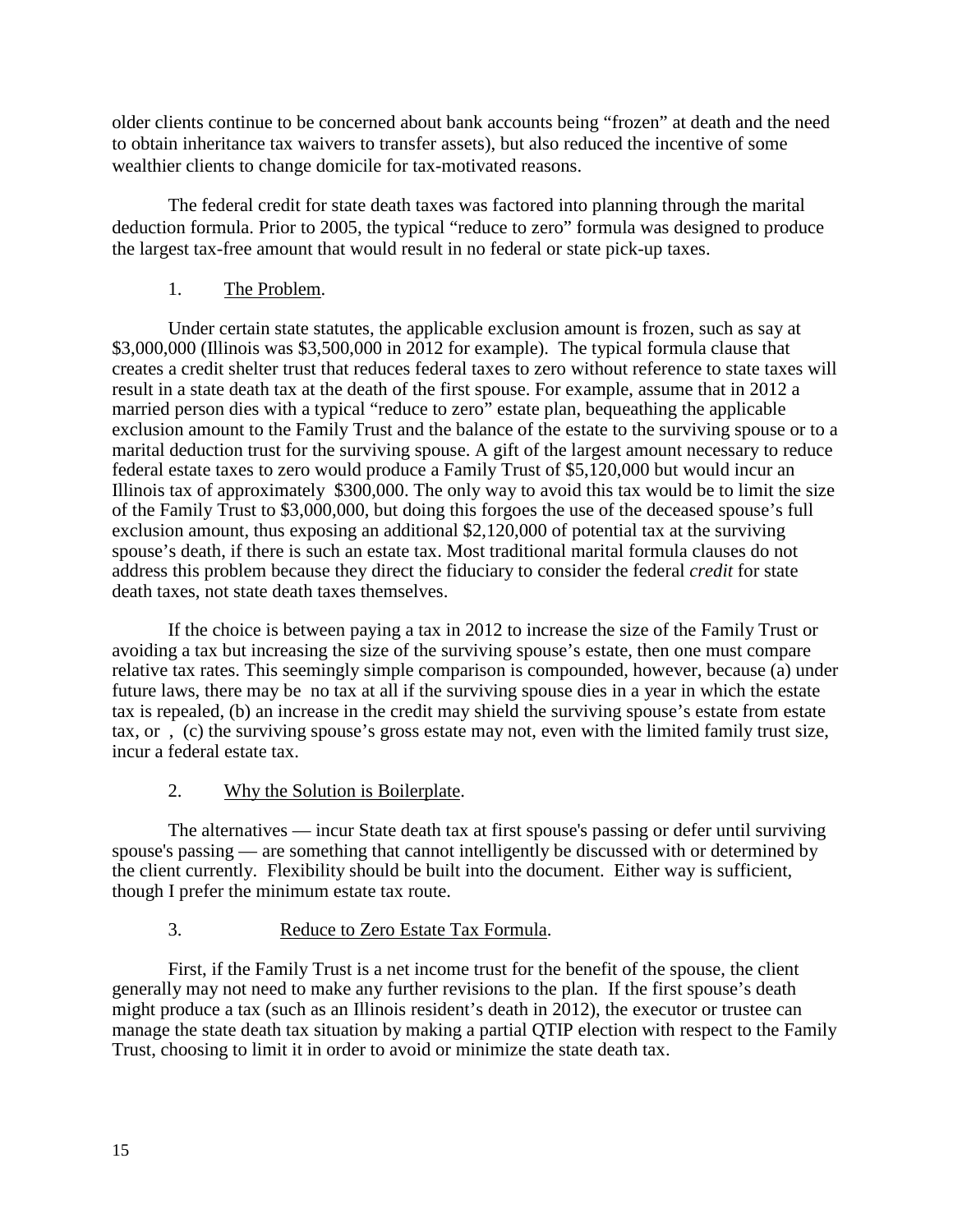older clients continue to be concerned about bank accounts being "frozen" at death and the need to obtain inheritance tax waivers to transfer assets), but also reduced the incentive of some wealthier clients to change domicile for tax-motivated reasons.

The federal credit for state death taxes was factored into planning through the marital deduction formula. Prior to 2005, the typical "reduce to zero" formula was designed to produce the largest tax-free amount that would result in no federal or state pick-up taxes.

## 1. The Problem.

Under certain state statutes, the applicable exclusion amount is frozen, such as say at \$3,000,000 (Illinois was \$3,500,000 in 2012 for example). The typical formula clause that creates a credit shelter trust that reduces federal taxes to zero without reference to state taxes will result in a state death tax at the death of the first spouse. For example, assume that in 2012 a married person dies with a typical "reduce to zero" estate plan, bequeathing the applicable exclusion amount to the Family Trust and the balance of the estate to the surviving spouse or to a marital deduction trust for the surviving spouse. A gift of the largest amount necessary to reduce federal estate taxes to zero would produce a Family Trust of \$5,120,000 but would incur an Illinois tax of approximately \$300,000. The only way to avoid this tax would be to limit the size of the Family Trust to \$3,000,000, but doing this forgoes the use of the deceased spouse's full exclusion amount, thus exposing an additional \$2,120,000 of potential tax at the surviving spouse's death, if there is such an estate tax. Most traditional marital formula clauses do not address this problem because they direct the fiduciary to consider the federal *credit* for state death taxes, not state death taxes themselves.

If the choice is between paying a tax in 2012 to increase the size of the Family Trust or avoiding a tax but increasing the size of the surviving spouse's estate, then one must compare relative tax rates. This seemingly simple comparison is compounded, however, because (a) under future laws, there may be no tax at all if the surviving spouse dies in a year in which the estate tax is repealed, (b) an increase in the credit may shield the surviving spouse's estate from estate tax, or , (c) the surviving spouse's gross estate may not, even with the limited family trust size, incur a federal estate tax.

## 2. Why the Solution is Boilerplate.

The alternatives — incur State death tax at first spouse's passing or defer until surviving spouse's passing — are something that cannot intelligently be discussed with or determined by the client currently. Flexibility should be built into the document. Either way is sufficient, though I prefer the minimum estate tax route.

## 3. Reduce to Zero Estate Tax Formula.

First, if the Family Trust is a net income trust for the benefit of the spouse, the client generally may not need to make any further revisions to the plan. If the first spouse's death might produce a tax (such as an Illinois resident's death in 2012), the executor or trustee can manage the state death tax situation by making a partial QTIP election with respect to the Family Trust, choosing to limit it in order to avoid or minimize the state death tax.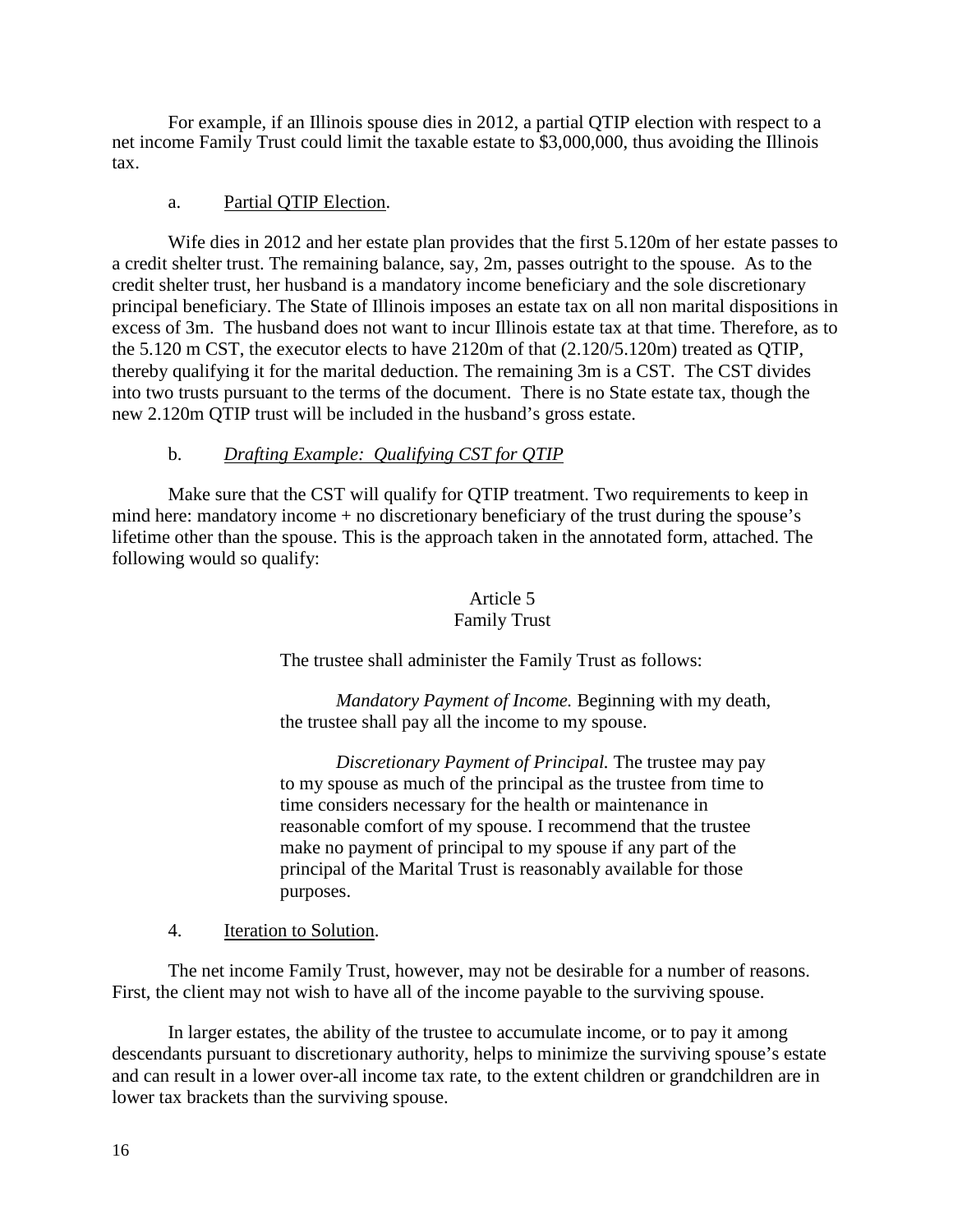For example, if an Illinois spouse dies in 2012, a partial QTIP election with respect to a net income Family Trust could limit the taxable estate to \$3,000,000, thus avoiding the Illinois tax.

## a. Partial QTIP Election.

Wife dies in 2012 and her estate plan provides that the first 5.120m of her estate passes to a credit shelter trust. The remaining balance, say, 2m, passes outright to the spouse. As to the credit shelter trust, her husband is a mandatory income beneficiary and the sole discretionary principal beneficiary. The State of Illinois imposes an estate tax on all non marital dispositions in excess of 3m. The husband does not want to incur Illinois estate tax at that time. Therefore, as to the 5.120 m CST, the executor elects to have 2120m of that (2.120/5.120m) treated as QTIP, thereby qualifying it for the marital deduction. The remaining 3m is a CST. The CST divides into two trusts pursuant to the terms of the document. There is no State estate tax, though the new 2.120m QTIP trust will be included in the husband's gross estate.

## b. *Drafting Example: Qualifying CST for QTIP*

Make sure that the CST will qualify for QTIP treatment. Two requirements to keep in mind here: mandatory income + no discretionary beneficiary of the trust during the spouse's lifetime other than the spouse. This is the approach taken in the annotated form, attached. The following would so qualify:

## Article 5

## Family Trust

The trustee shall administer the Family Trust as follows:

*Mandatory Payment of Income.* Beginning with my death, the trustee shall pay all the income to my spouse.

*Discretionary Payment of Principal.* The trustee may pay to my spouse as much of the principal as the trustee from time to time considers necessary for the health or maintenance in reasonable comfort of my spouse. I recommend that the trustee make no payment of principal to my spouse if any part of the principal of the Marital Trust is reasonably available for those purposes.

## 4. Iteration to Solution.

The net income Family Trust, however, may not be desirable for a number of reasons. First, the client may not wish to have all of the income payable to the surviving spouse.

In larger estates, the ability of the trustee to accumulate income, or to pay it among descendants pursuant to discretionary authority, helps to minimize the surviving spouse's estate and can result in a lower over-all income tax rate, to the extent children or grandchildren are in lower tax brackets than the surviving spouse.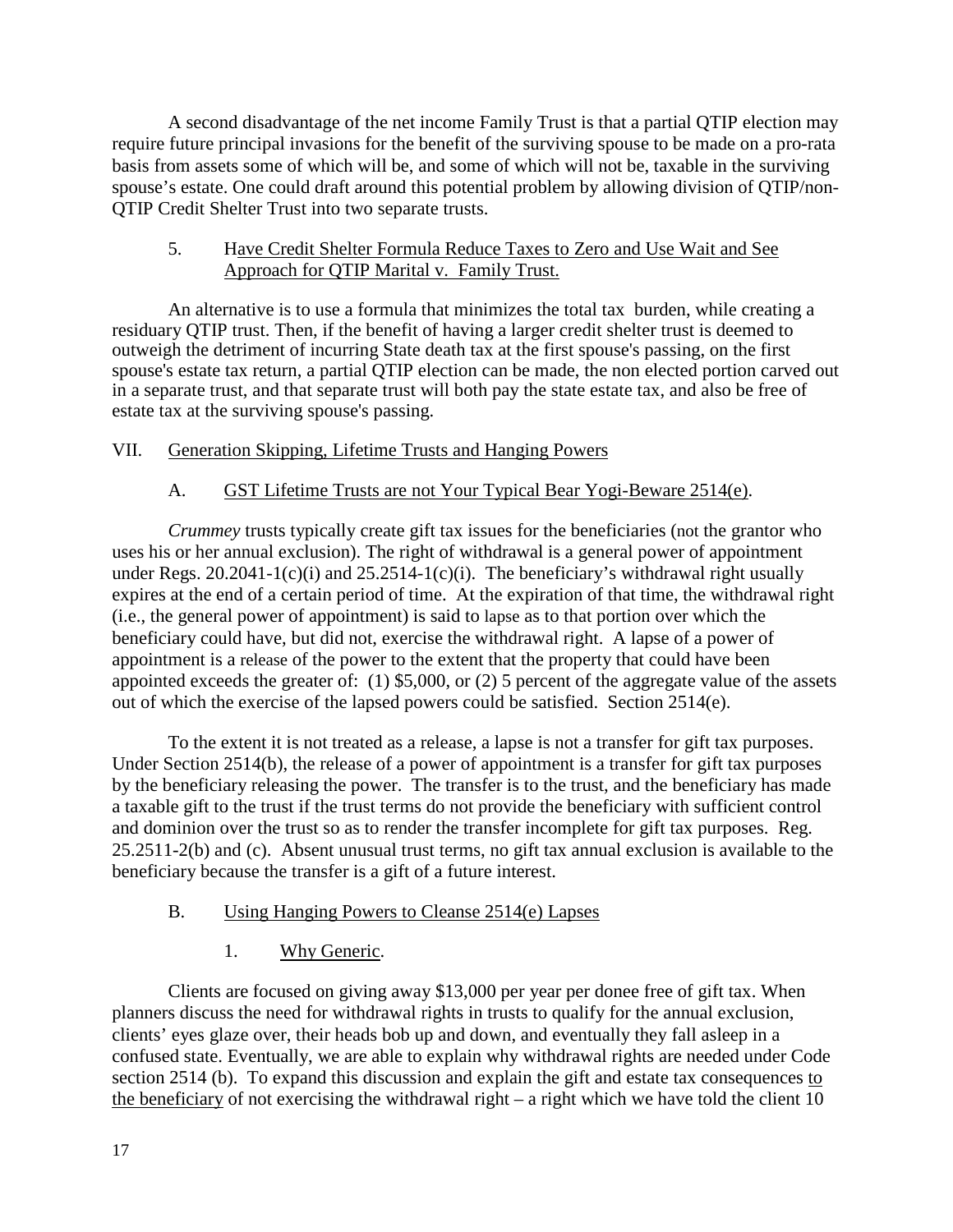A second disadvantage of the net income Family Trust is that a partial QTIP election may require future principal invasions for the benefit of the surviving spouse to be made on a pro-rata basis from assets some of which will be, and some of which will not be, taxable in the surviving spouse's estate. One could draft around this potential problem by allowing division of QTIP/non-QTIP Credit Shelter Trust into two separate trusts.

## 5. Have Credit Shelter Formula Reduce Taxes to Zero and Use Wait and See Approach for QTIP Marital v. Family Trust.

An alternative is to use a formula that minimizes the total tax burden, while creating a residuary QTIP trust. Then, if the benefit of having a larger credit shelter trust is deemed to outweigh the detriment of incurring State death tax at the first spouse's passing, on the first spouse's estate tax return, a partial QTIP election can be made, the non elected portion carved out in a separate trust, and that separate trust will both pay the state estate tax, and also be free of estate tax at the surviving spouse's passing.

## VII. Generation Skipping, Lifetime Trusts and Hanging Powers

## A. GST Lifetime Trusts are not Your Typical Bear Yogi-Beware 2514(e).

*Crummey* trusts typically create gift tax issues for the beneficiaries (not the grantor who uses his or her annual exclusion). The right of withdrawal is a general power of appointment under Regs.  $20.2041-1(c)(i)$  and  $25.2514-1(c)(i)$ . The beneficiary's withdrawal right usually expires at the end of a certain period of time. At the expiration of that time, the withdrawal right (i.e., the general power of appointment) is said to lapse as to that portion over which the beneficiary could have, but did not, exercise the withdrawal right. A lapse of a power of appointment is a release of the power to the extent that the property that could have been appointed exceeds the greater of: (1) \$5,000, or (2) 5 percent of the aggregate value of the assets out of which the exercise of the lapsed powers could be satisfied. Section 2514(e).

To the extent it is not treated as a release, a lapse is not a transfer for gift tax purposes. Under Section 2514(b), the release of a power of appointment is a transfer for gift tax purposes by the beneficiary releasing the power. The transfer is to the trust, and the beneficiary has made a taxable gift to the trust if the trust terms do not provide the beneficiary with sufficient control and dominion over the trust so as to render the transfer incomplete for gift tax purposes. Reg. 25.2511-2(b) and (c). Absent unusual trust terms, no gift tax annual exclusion is available to the beneficiary because the transfer is a gift of a future interest.

## B. Using Hanging Powers to Cleanse 2514(e) Lapses

1. Why Generic.

Clients are focused on giving away \$13,000 per year per donee free of gift tax. When planners discuss the need for withdrawal rights in trusts to qualify for the annual exclusion, clients' eyes glaze over, their heads bob up and down, and eventually they fall asleep in a confused state. Eventually, we are able to explain why withdrawal rights are needed under Code section 2514 (b). To expand this discussion and explain the gift and estate tax consequences to the beneficiary of not exercising the withdrawal right – a right which we have told the client 10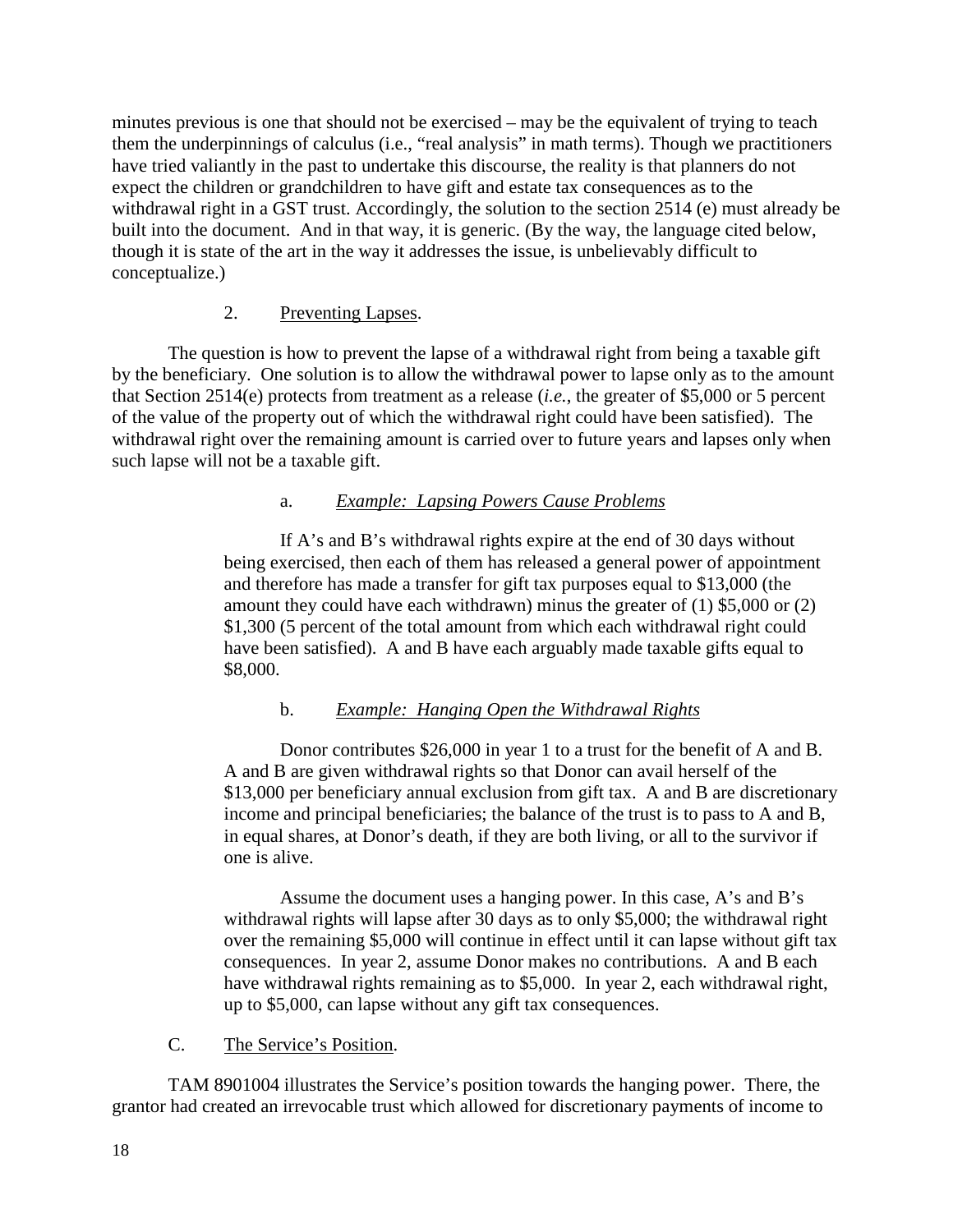minutes previous is one that should not be exercised – may be the equivalent of trying to teach them the underpinnings of calculus (i.e., "real analysis" in math terms). Though we practitioners have tried valiantly in the past to undertake this discourse, the reality is that planners do not expect the children or grandchildren to have gift and estate tax consequences as to the withdrawal right in a GST trust. Accordingly, the solution to the section 2514 (e) must already be built into the document. And in that way, it is generic. (By the way, the language cited below, though it is state of the art in the way it addresses the issue, is unbelievably difficult to conceptualize.)

## 2. Preventing Lapses.

The question is how to prevent the lapse of a withdrawal right from being a taxable gift by the beneficiary. One solution is to allow the withdrawal power to lapse only as to the amount that Section 2514(e) protects from treatment as a release (*i.e.*, the greater of \$5,000 or 5 percent of the value of the property out of which the withdrawal right could have been satisfied). The withdrawal right over the remaining amount is carried over to future years and lapses only when such lapse will not be a taxable gift.

## a. *Example: Lapsing Powers Cause Problems*

If A's and B's withdrawal rights expire at the end of 30 days without being exercised, then each of them has released a general power of appointment and therefore has made a transfer for gift tax purposes equal to \$13,000 (the amount they could have each withdrawn) minus the greater of (1) \$5,000 or (2) \$1,300 (5 percent of the total amount from which each withdrawal right could have been satisfied). A and B have each arguably made taxable gifts equal to \$8,000.

## b. *Example: Hanging Open the Withdrawal Rights*

Donor contributes \$26,000 in year 1 to a trust for the benefit of A and B. A and B are given withdrawal rights so that Donor can avail herself of the \$13,000 per beneficiary annual exclusion from gift tax. A and B are discretionary income and principal beneficiaries; the balance of the trust is to pass to A and B, in equal shares, at Donor's death, if they are both living, or all to the survivor if one is alive.

Assume the document uses a hanging power. In this case, A's and B's withdrawal rights will lapse after 30 days as to only \$5,000; the withdrawal right over the remaining \$5,000 will continue in effect until it can lapse without gift tax consequences. In year 2, assume Donor makes no contributions. A and B each have withdrawal rights remaining as to \$5,000. In year 2, each withdrawal right, up to \$5,000, can lapse without any gift tax consequences.

C. The Service's Position.

TAM 8901004 illustrates the Service's position towards the hanging power. There, the grantor had created an irrevocable trust which allowed for discretionary payments of income to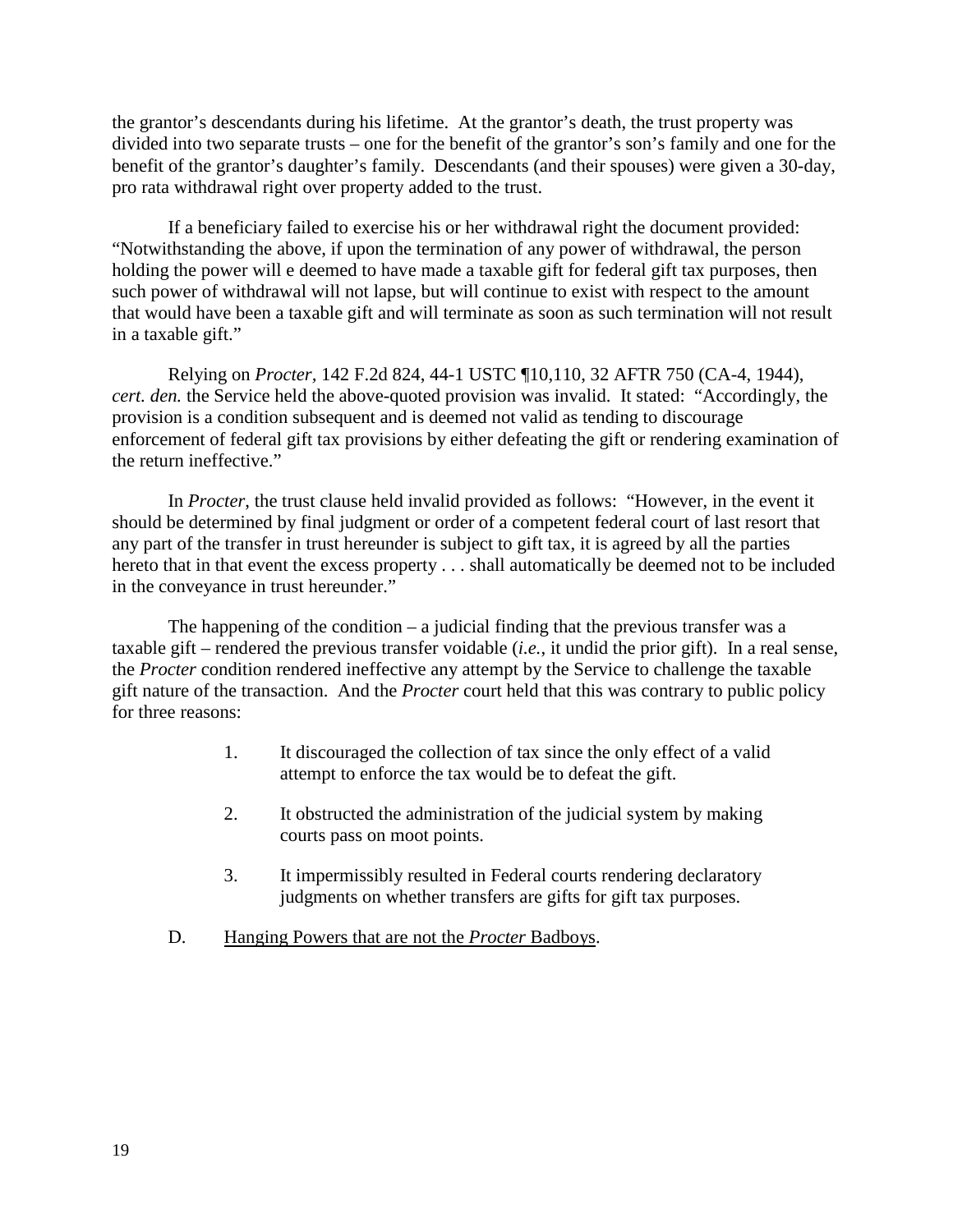the grantor's descendants during his lifetime. At the grantor's death, the trust property was divided into two separate trusts – one for the benefit of the grantor's son's family and one for the benefit of the grantor's daughter's family. Descendants (and their spouses) were given a 30-day, pro rata withdrawal right over property added to the trust.

If a beneficiary failed to exercise his or her withdrawal right the document provided: "Notwithstanding the above, if upon the termination of any power of withdrawal, the person holding the power will e deemed to have made a taxable gift for federal gift tax purposes, then such power of withdrawal will not lapse, but will continue to exist with respect to the amount that would have been a taxable gift and will terminate as soon as such termination will not result in a taxable gift."

Relying on *Procter,* 142 F.2d 824, 44-1 USTC ¶10,110, 32 AFTR 750 (CA-4, 1944), *cert. den.* the Service held the above-quoted provision was invalid. It stated: "Accordingly, the provision is a condition subsequent and is deemed not valid as tending to discourage enforcement of federal gift tax provisions by either defeating the gift or rendering examination of the return ineffective."

In *Procter*, the trust clause held invalid provided as follows: "However, in the event it should be determined by final judgment or order of a competent federal court of last resort that any part of the transfer in trust hereunder is subject to gift tax, it is agreed by all the parties hereto that in that event the excess property . . . shall automatically be deemed not to be included in the conveyance in trust hereunder."

The happening of the condition  $-\overline{a}$  judicial finding that the previous transfer was a taxable gift – rendered the previous transfer voidable (*i.e.*, it undid the prior gift). In a real sense, the *Procter* condition rendered ineffective any attempt by the Service to challenge the taxable gift nature of the transaction. And the *Procter* court held that this was contrary to public policy for three reasons:

- 1. It discouraged the collection of tax since the only effect of a valid attempt to enforce the tax would be to defeat the gift.
- 2. It obstructed the administration of the judicial system by making courts pass on moot points.
- 3. It impermissibly resulted in Federal courts rendering declaratory judgments on whether transfers are gifts for gift tax purposes.
- D. Hanging Powers that are not the *Procter* Badboys.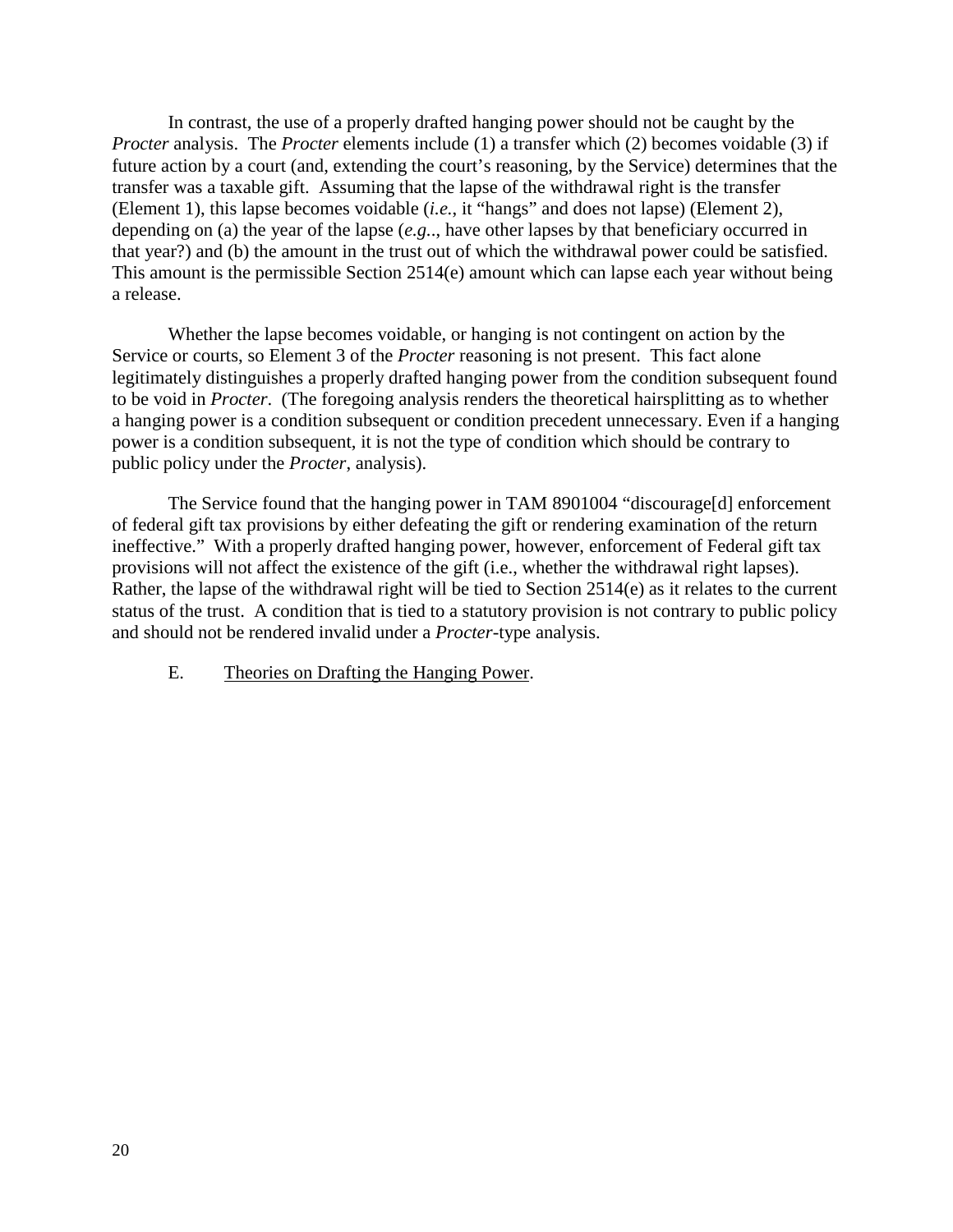In contrast, the use of a properly drafted hanging power should not be caught by the *Procter* analysis. The *Procter* elements include (1) a transfer which (2) becomes voidable (3) if future action by a court (and, extending the court's reasoning, by the Service) determines that the transfer was a taxable gift. Assuming that the lapse of the withdrawal right is the transfer (Element 1), this lapse becomes voidable (*i.e.*, it "hangs" and does not lapse) (Element 2), depending on (a) the year of the lapse (*e.g.*., have other lapses by that beneficiary occurred in that year?) and (b) the amount in the trust out of which the withdrawal power could be satisfied. This amount is the permissible Section 2514(e) amount which can lapse each year without being a release.

Whether the lapse becomes voidable, or hanging is not contingent on action by the Service or courts, so Element 3 of the *Procter* reasoning is not present. This fact alone legitimately distinguishes a properly drafted hanging power from the condition subsequent found to be void in *Procter*. (The foregoing analysis renders the theoretical hairsplitting as to whether a hanging power is a condition subsequent or condition precedent unnecessary. Even if a hanging power is a condition subsequent, it is not the type of condition which should be contrary to public policy under the *Procter*, analysis).

The Service found that the hanging power in TAM 8901004 "discourage[d] enforcement of federal gift tax provisions by either defeating the gift or rendering examination of the return ineffective." With a properly drafted hanging power, however, enforcement of Federal gift tax provisions will not affect the existence of the gift (i.e., whether the withdrawal right lapses). Rather, the lapse of the withdrawal right will be tied to Section 2514(e) as it relates to the current status of the trust. A condition that is tied to a statutory provision is not contrary to public policy and should not be rendered invalid under a *Procter*-type analysis.

E. Theories on Drafting the Hanging Power.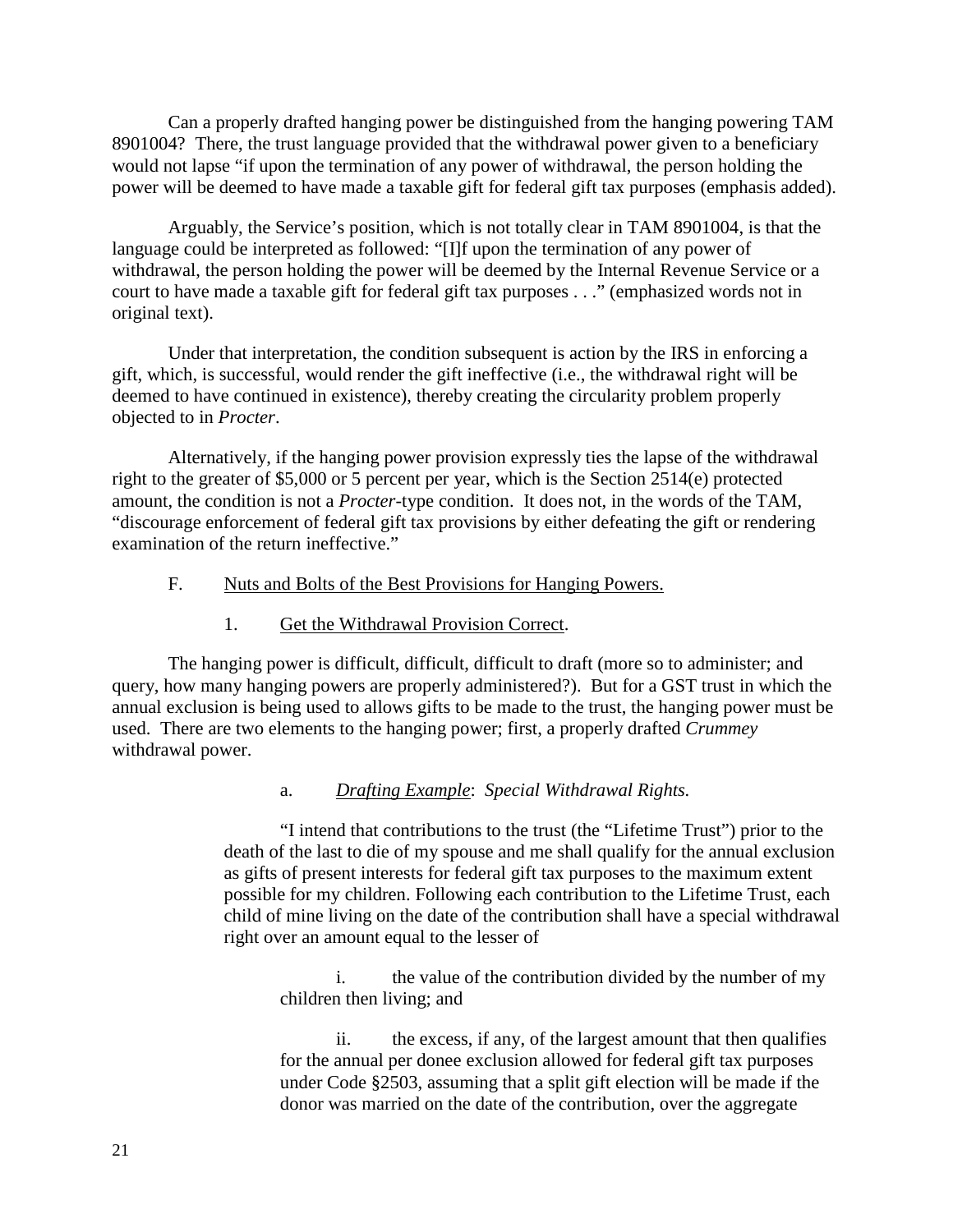Can a properly drafted hanging power be distinguished from the hanging powering TAM 8901004? There, the trust language provided that the withdrawal power given to a beneficiary would not lapse "if upon the termination of any power of withdrawal, the person holding the power will be deemed to have made a taxable gift for federal gift tax purposes (emphasis added).

Arguably, the Service's position, which is not totally clear in TAM 8901004, is that the language could be interpreted as followed: "[I]f upon the termination of any power of withdrawal, the person holding the power will be deemed by the Internal Revenue Service or a court to have made a taxable gift for federal gift tax purposes . . ." (emphasized words not in original text).

Under that interpretation, the condition subsequent is action by the IRS in enforcing a gift, which, is successful, would render the gift ineffective (i.e., the withdrawal right will be deemed to have continued in existence), thereby creating the circularity problem properly objected to in *Procter*.

Alternatively, if the hanging power provision expressly ties the lapse of the withdrawal right to the greater of \$5,000 or 5 percent per year, which is the Section 2514(e) protected amount, the condition is not a *Procter*-type condition. It does not, in the words of the TAM, "discourage enforcement of federal gift tax provisions by either defeating the gift or rendering examination of the return ineffective."

## F. Nuts and Bolts of the Best Provisions for Hanging Powers.

## 1. Get the Withdrawal Provision Correct.

The hanging power is difficult, difficult, difficult to draft (more so to administer; and query, how many hanging powers are properly administered?). But for a GST trust in which the annual exclusion is being used to allows gifts to be made to the trust, the hanging power must be used. There are two elements to the hanging power; first, a properly drafted *Crummey* withdrawal power.

## a. *Drafting Example*: *Special Withdrawal Rights.*

"I intend that contributions to the trust (the "Lifetime Trust") prior to the death of the last to die of my spouse and me shall qualify for the annual exclusion as gifts of present interests for federal gift tax purposes to the maximum extent possible for my children. Following each contribution to the Lifetime Trust, each child of mine living on the date of the contribution shall have a special withdrawal right over an amount equal to the lesser of

i. the value of the contribution divided by the number of my children then living; and

ii. the excess, if any, of the largest amount that then qualifies for the annual per donee exclusion allowed for federal gift tax purposes under Code §2503, assuming that a split gift election will be made if the donor was married on the date of the contribution, over the aggregate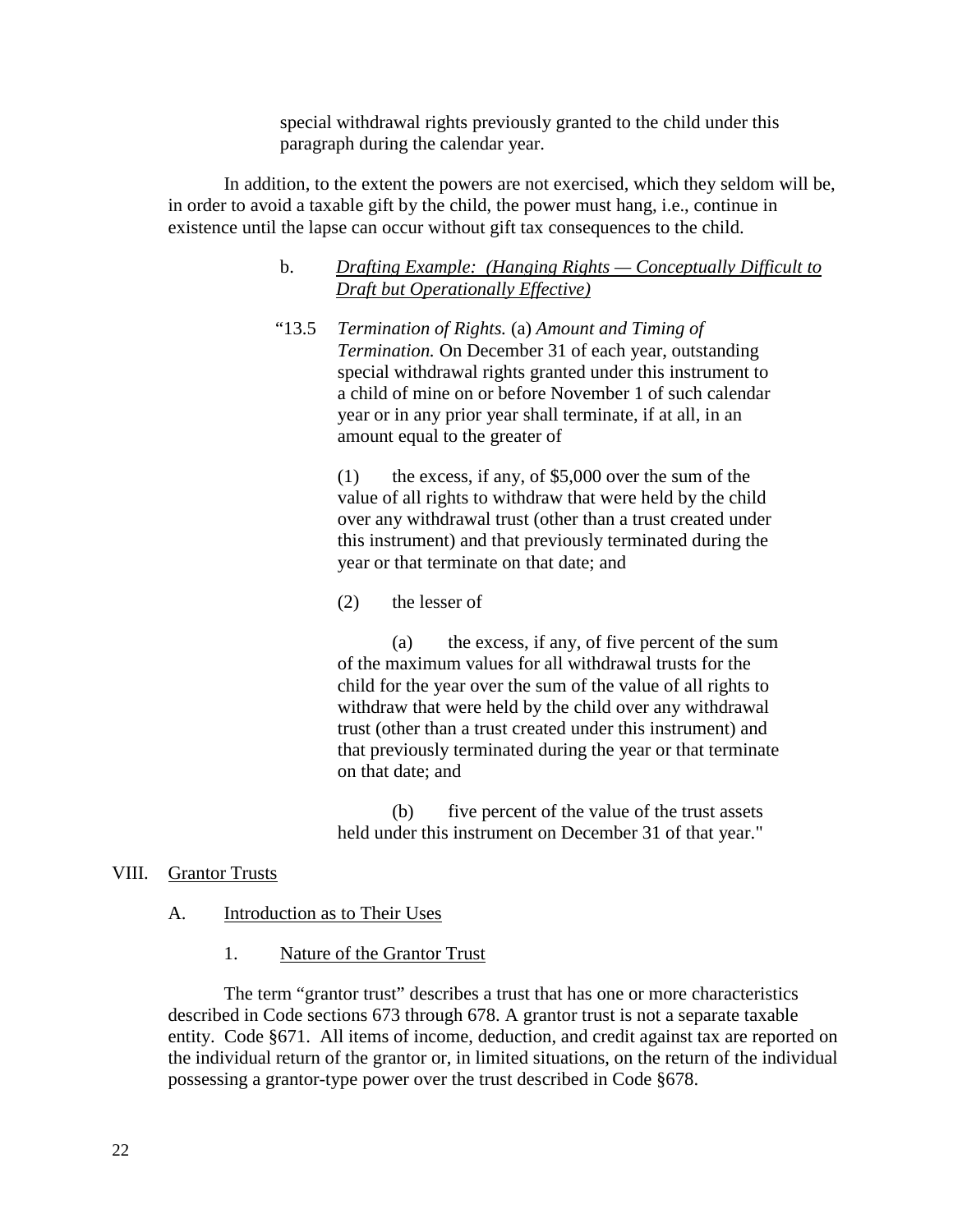special withdrawal rights previously granted to the child under this paragraph during the calendar year.

In addition, to the extent the powers are not exercised, which they seldom will be, in order to avoid a taxable gift by the child, the power must hang, i.e., continue in existence until the lapse can occur without gift tax consequences to the child.

## b. *Drafting Example: (Hanging Rights — Conceptually Difficult to Draft but Operationally Effective)*

"13.5 *Termination of Rights.* (a) *Amount and Timing of Termination.* On December 31 of each year, outstanding special withdrawal rights granted under this instrument to a child of mine on or before November 1 of such calendar year or in any prior year shall terminate, if at all, in an amount equal to the greater of

> (1) the excess, if any, of \$5,000 over the sum of the value of all rights to withdraw that were held by the child over any withdrawal trust (other than a trust created under this instrument) and that previously terminated during the year or that terminate on that date; and

(2) the lesser of

(a) the excess, if any, of five percent of the sum of the maximum values for all withdrawal trusts for the child for the year over the sum of the value of all rights to withdraw that were held by the child over any withdrawal trust (other than a trust created under this instrument) and that previously terminated during the year or that terminate on that date; and

(b) five percent of the value of the trust assets held under this instrument on December 31 of that year."

## VIII. Grantor Trusts

## A. Introduction as to Their Uses

1. Nature of the Grantor Trust

The term "grantor trust" describes a trust that has one or more characteristics described in Code sections 673 through 678. A grantor trust is not a separate taxable entity. Code §671. All items of income, deduction, and credit against tax are reported on the individual return of the grantor or, in limited situations, on the return of the individual possessing a grantor-type power over the trust described in Code §678.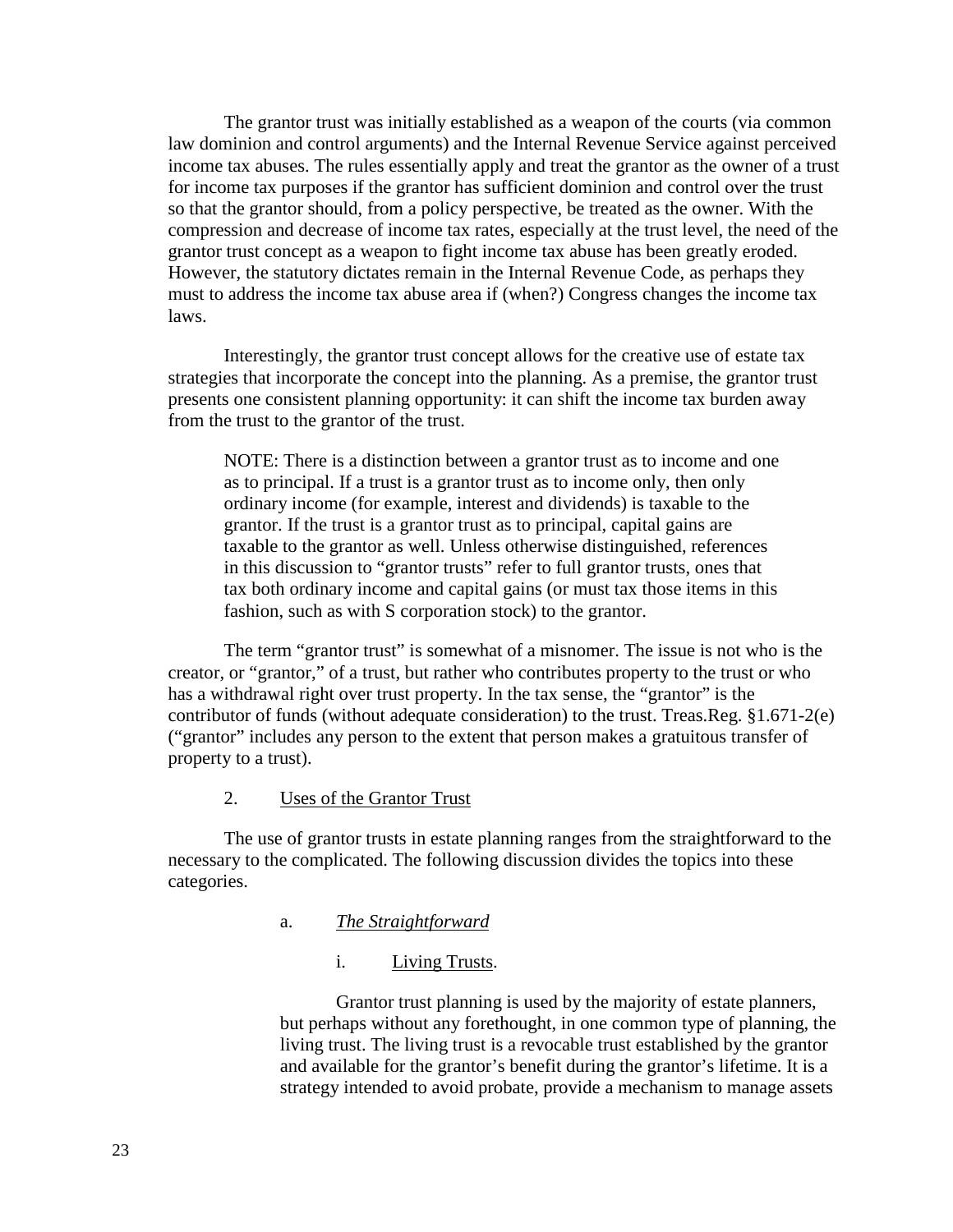The grantor trust was initially established as a weapon of the courts (via common law dominion and control arguments) and the Internal Revenue Service against perceived income tax abuses. The rules essentially apply and treat the grantor as the owner of a trust for income tax purposes if the grantor has sufficient dominion and control over the trust so that the grantor should, from a policy perspective, be treated as the owner. With the compression and decrease of income tax rates, especially at the trust level, the need of the grantor trust concept as a weapon to fight income tax abuse has been greatly eroded. However, the statutory dictates remain in the Internal Revenue Code, as perhaps they must to address the income tax abuse area if (when?) Congress changes the income tax laws.

Interestingly, the grantor trust concept allows for the creative use of estate tax strategies that incorporate the concept into the planning. As a premise, the grantor trust presents one consistent planning opportunity: it can shift the income tax burden away from the trust to the grantor of the trust.

NOTE: There is a distinction between a grantor trust as to income and one as to principal. If a trust is a grantor trust as to income only, then only ordinary income (for example, interest and dividends) is taxable to the grantor. If the trust is a grantor trust as to principal, capital gains are taxable to the grantor as well. Unless otherwise distinguished, references in this discussion to "grantor trusts" refer to full grantor trusts, ones that tax both ordinary income and capital gains (or must tax those items in this fashion, such as with S corporation stock) to the grantor.

The term "grantor trust" is somewhat of a misnomer. The issue is not who is the creator, or "grantor," of a trust, but rather who contributes property to the trust or who has a withdrawal right over trust property. In the tax sense, the "grantor" is the contributor of funds (without adequate consideration) to the trust. Treas.Reg. §1.671-2(e) ("grantor" includes any person to the extent that person makes a gratuitous transfer of property to a trust).

## 2. Uses of the Grantor Trust

The use of grantor trusts in estate planning ranges from the straightforward to the necessary to the complicated. The following discussion divides the topics into these categories.

## a. *The Straightforward*

#### i. Living Trusts.

Grantor trust planning is used by the majority of estate planners, but perhaps without any forethought, in one common type of planning, the living trust. The living trust is a revocable trust established by the grantor and available for the grantor's benefit during the grantor's lifetime. It is a strategy intended to avoid probate, provide a mechanism to manage assets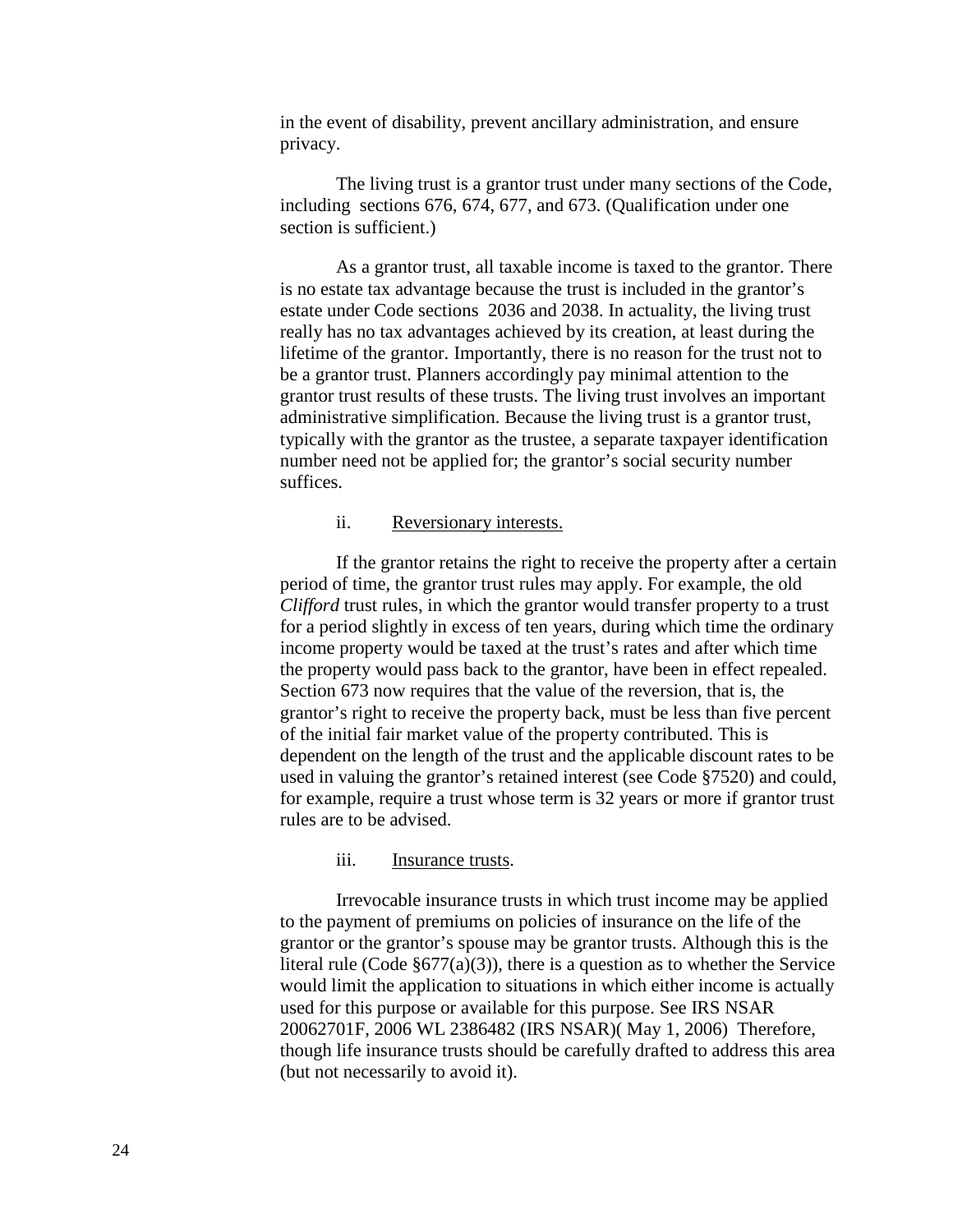in the event of disability, prevent ancillary administration, and ensure privacy.

The living trust is a grantor trust under many sections of the Code, including sections 676, 674, 677, and 673. (Qualification under one section is sufficient.)

As a grantor trust, all taxable income is taxed to the grantor. There is no estate tax advantage because the trust is included in the grantor's estate under Code sections 2036 and 2038. In actuality, the living trust really has no tax advantages achieved by its creation, at least during the lifetime of the grantor. Importantly, there is no reason for the trust not to be a grantor trust. Planners accordingly pay minimal attention to the grantor trust results of these trusts. The living trust involves an important administrative simplification. Because the living trust is a grantor trust, typically with the grantor as the trustee, a separate taxpayer identification number need not be applied for; the grantor's social security number suffices.

#### ii. Reversionary interests.

If the grantor retains the right to receive the property after a certain period of time, the grantor trust rules may apply. For example, the old *Clifford* trust rules, in which the grantor would transfer property to a trust for a period slightly in excess of ten years, during which time the ordinary income property would be taxed at the trust's rates and after which time the property would pass back to the grantor, have been in effect repealed. Section 673 now requires that the value of the reversion, that is, the grantor's right to receive the property back, must be less than five percent of the initial fair market value of the property contributed. This is dependent on the length of the trust and the applicable discount rates to be used in valuing the grantor's retained interest (see Code §7520) and could, for example, require a trust whose term is 32 years or more if grantor trust rules are to be advised.

#### iii. Insurance trusts.

Irrevocable insurance trusts in which trust income may be applied to the payment of premiums on policies of insurance on the life of the grantor or the grantor's spouse may be grantor trusts. Although this is the literal rule (Code  $\S677(a)(3)$ ), there is a question as to whether the Service would limit the application to situations in which either income is actually used for this purpose or available for this purpose. See IRS NSAR 20062701F, 2006 WL 2386482 (IRS NSAR)( May 1, 2006) Therefore, though life insurance trusts should be carefully drafted to address this area (but not necessarily to avoid it).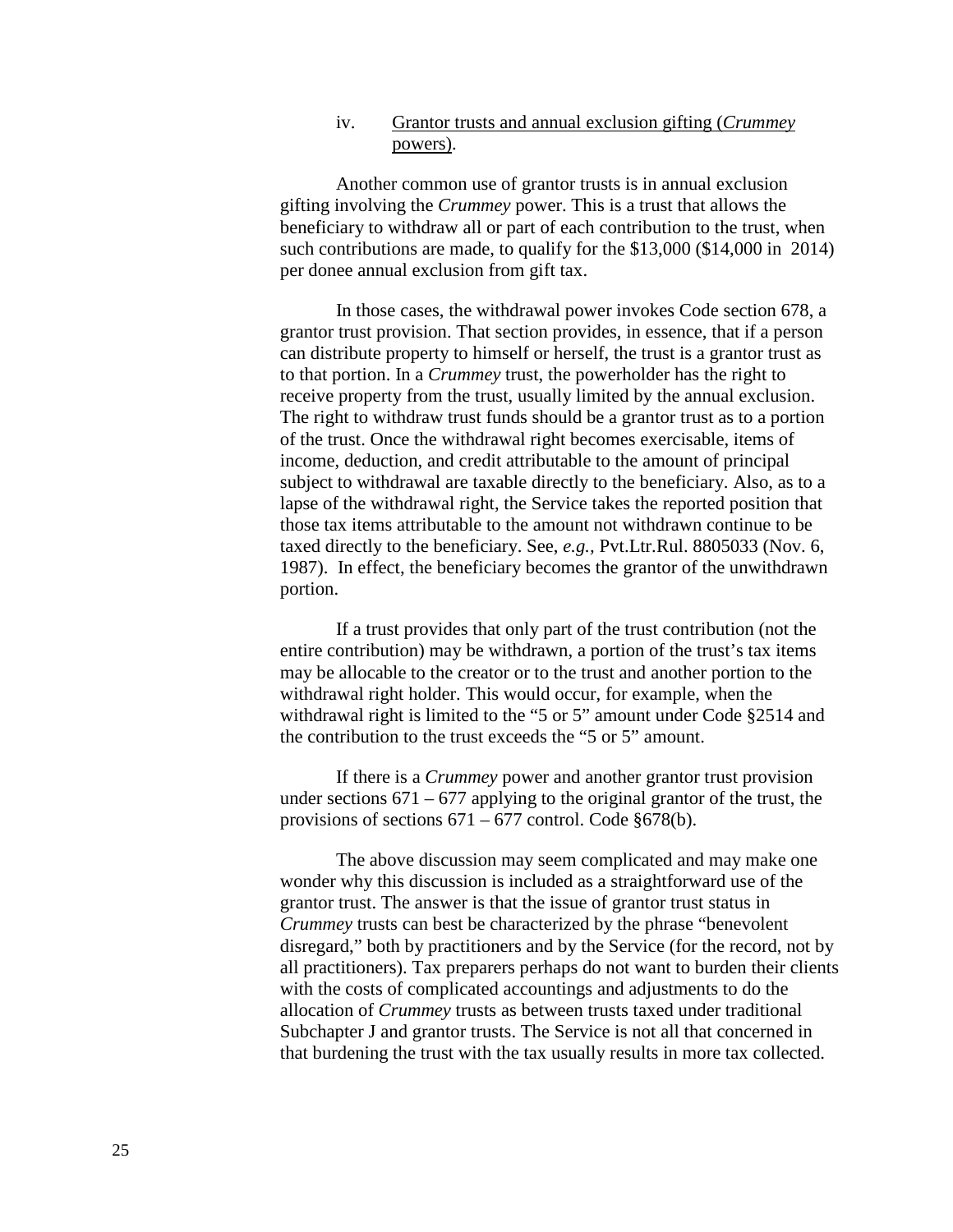## iv. Grantor trusts and annual exclusion gifting (*Crummey* powers).

Another common use of grantor trusts is in annual exclusion gifting involving the *Crummey* power. This is a trust that allows the beneficiary to withdraw all or part of each contribution to the trust, when such contributions are made, to qualify for the \$13,000 (\$14,000 in 2014) per donee annual exclusion from gift tax.

In those cases, the withdrawal power invokes Code section 678, a grantor trust provision. That section provides, in essence, that if a person can distribute property to himself or herself, the trust is a grantor trust as to that portion. In a *Crummey* trust, the powerholder has the right to receive property from the trust, usually limited by the annual exclusion. The right to withdraw trust funds should be a grantor trust as to a portion of the trust. Once the withdrawal right becomes exercisable, items of income, deduction, and credit attributable to the amount of principal subject to withdrawal are taxable directly to the beneficiary. Also, as to a lapse of the withdrawal right, the Service takes the reported position that those tax items attributable to the amount not withdrawn continue to be taxed directly to the beneficiary. See, *e.g.,* Pvt.Ltr.Rul. 8805033 (Nov. 6, 1987). In effect, the beneficiary becomes the grantor of the unwithdrawn portion.

If a trust provides that only part of the trust contribution (not the entire contribution) may be withdrawn, a portion of the trust's tax items may be allocable to the creator or to the trust and another portion to the withdrawal right holder. This would occur, for example, when the withdrawal right is limited to the "5 or 5" amount under Code §2514 and the contribution to the trust exceeds the "5 or 5" amount.

If there is a *Crummey* power and another grantor trust provision under sections  $671 - 677$  applying to the original grantor of the trust, the provisions of sections  $671 - 677$  control. Code §678(b).

The above discussion may seem complicated and may make one wonder why this discussion is included as a straightforward use of the grantor trust. The answer is that the issue of grantor trust status in *Crummey* trusts can best be characterized by the phrase "benevolent disregard," both by practitioners and by the Service (for the record, not by all practitioners). Tax preparers perhaps do not want to burden their clients with the costs of complicated accountings and adjustments to do the allocation of *Crummey* trusts as between trusts taxed under traditional Subchapter J and grantor trusts. The Service is not all that concerned in that burdening the trust with the tax usually results in more tax collected.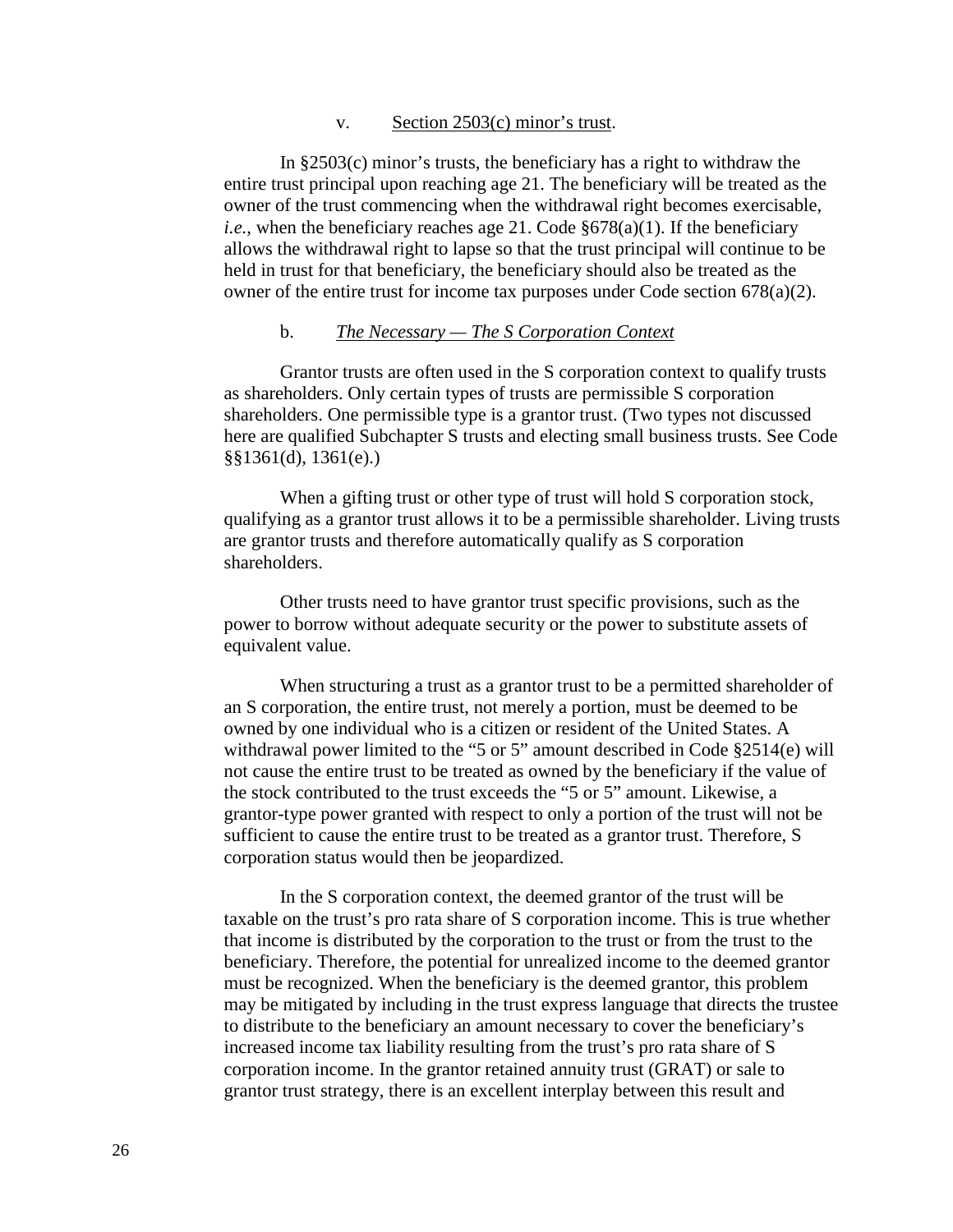#### v. Section 2503(c) minor's trust.

In §2503(c) minor's trusts, the beneficiary has a right to withdraw the entire trust principal upon reaching age 21. The beneficiary will be treated as the owner of the trust commencing when the withdrawal right becomes exercisable, *i.e.*, when the beneficiary reaches age 21. Code §678(a)(1). If the beneficiary allows the withdrawal right to lapse so that the trust principal will continue to be held in trust for that beneficiary, the beneficiary should also be treated as the owner of the entire trust for income tax purposes under Code section  $678(a)(2)$ .

#### b. *The Necessary — The S Corporation Context*

Grantor trusts are often used in the S corporation context to qualify trusts as shareholders. Only certain types of trusts are permissible S corporation shareholders. One permissible type is a grantor trust. (Two types not discussed here are qualified Subchapter S trusts and electing small business trusts. See Code §§1361(d), 1361(e).)

When a gifting trust or other type of trust will hold S corporation stock, qualifying as a grantor trust allows it to be a permissible shareholder. Living trusts are grantor trusts and therefore automatically qualify as S corporation shareholders.

Other trusts need to have grantor trust specific provisions, such as the power to borrow without adequate security or the power to substitute assets of equivalent value.

When structuring a trust as a grantor trust to be a permitted shareholder of an S corporation, the entire trust, not merely a portion, must be deemed to be owned by one individual who is a citizen or resident of the United States. A withdrawal power limited to the "5 or 5" amount described in Code §2514(e) will not cause the entire trust to be treated as owned by the beneficiary if the value of the stock contributed to the trust exceeds the "5 or 5" amount. Likewise, a grantor-type power granted with respect to only a portion of the trust will not be sufficient to cause the entire trust to be treated as a grantor trust. Therefore, S corporation status would then be jeopardized.

In the S corporation context, the deemed grantor of the trust will be taxable on the trust's pro rata share of S corporation income. This is true whether that income is distributed by the corporation to the trust or from the trust to the beneficiary. Therefore, the potential for unrealized income to the deemed grantor must be recognized. When the beneficiary is the deemed grantor, this problem may be mitigated by including in the trust express language that directs the trustee to distribute to the beneficiary an amount necessary to cover the beneficiary's increased income tax liability resulting from the trust's pro rata share of S corporation income. In the grantor retained annuity trust (GRAT) or sale to grantor trust strategy, there is an excellent interplay between this result and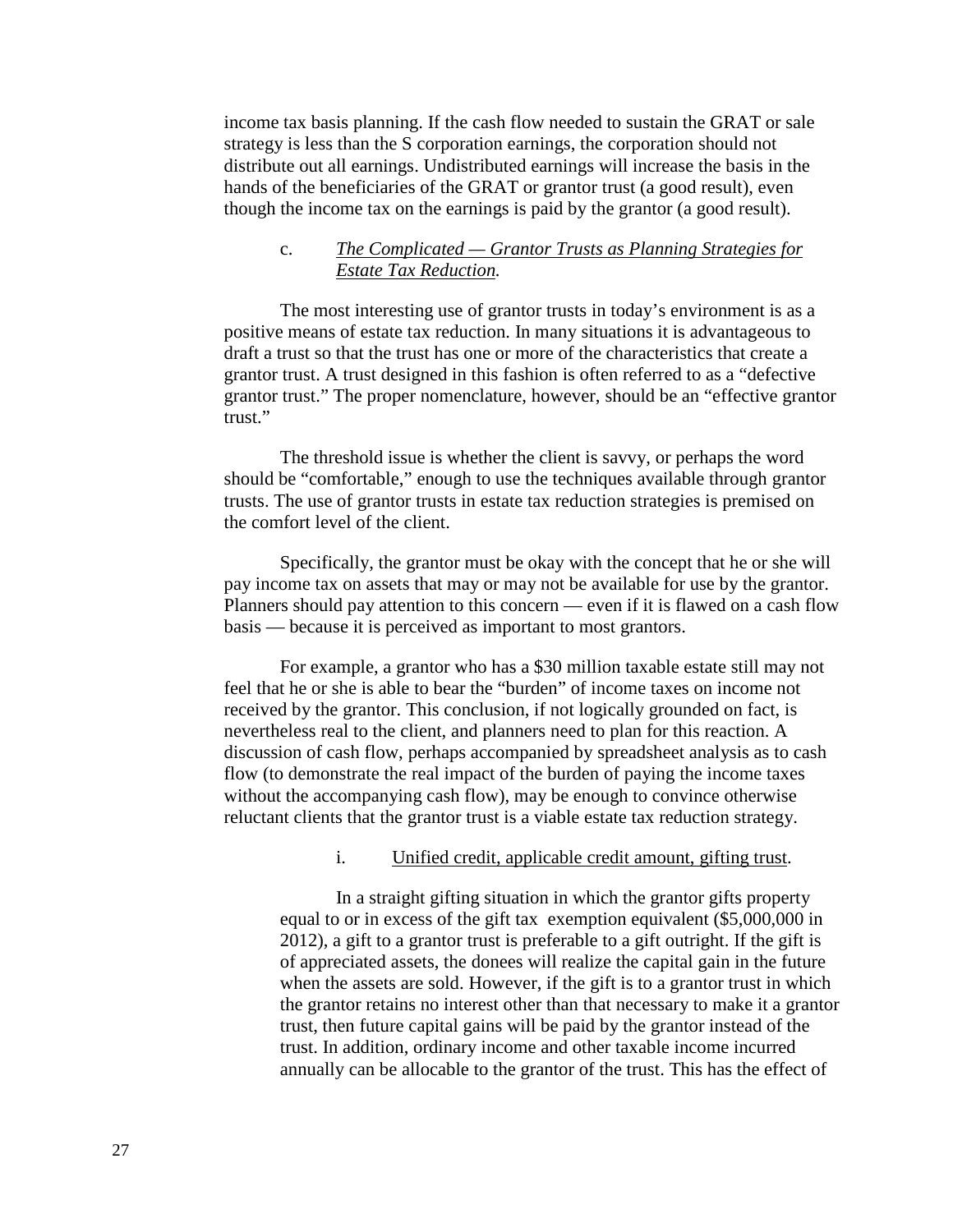income tax basis planning. If the cash flow needed to sustain the GRAT or sale strategy is less than the S corporation earnings, the corporation should not distribute out all earnings. Undistributed earnings will increase the basis in the hands of the beneficiaries of the GRAT or grantor trust (a good result), even though the income tax on the earnings is paid by the grantor (a good result).

## c. *The Complicated — Grantor Trusts as Planning Strategies for Estate Tax Reduction.*

The most interesting use of grantor trusts in today's environment is as a positive means of estate tax reduction. In many situations it is advantageous to draft a trust so that the trust has one or more of the characteristics that create a grantor trust. A trust designed in this fashion is often referred to as a "defective grantor trust." The proper nomenclature, however, should be an "effective grantor trust."

The threshold issue is whether the client is savvy, or perhaps the word should be "comfortable," enough to use the techniques available through grantor trusts. The use of grantor trusts in estate tax reduction strategies is premised on the comfort level of the client.

Specifically, the grantor must be okay with the concept that he or she will pay income tax on assets that may or may not be available for use by the grantor. Planners should pay attention to this concern — even if it is flawed on a cash flow basis — because it is perceived as important to most grantors.

For example, a grantor who has a \$30 million taxable estate still may not feel that he or she is able to bear the "burden" of income taxes on income not received by the grantor. This conclusion, if not logically grounded on fact, is nevertheless real to the client, and planners need to plan for this reaction. A discussion of cash flow, perhaps accompanied by spreadsheet analysis as to cash flow (to demonstrate the real impact of the burden of paying the income taxes without the accompanying cash flow), may be enough to convince otherwise reluctant clients that the grantor trust is a viable estate tax reduction strategy.

#### i. Unified credit, applicable credit amount, gifting trust.

In a straight gifting situation in which the grantor gifts property equal to or in excess of the gift tax exemption equivalent (\$5,000,000 in 2012), a gift to a grantor trust is preferable to a gift outright. If the gift is of appreciated assets, the donees will realize the capital gain in the future when the assets are sold. However, if the gift is to a grantor trust in which the grantor retains no interest other than that necessary to make it a grantor trust, then future capital gains will be paid by the grantor instead of the trust. In addition, ordinary income and other taxable income incurred annually can be allocable to the grantor of the trust. This has the effect of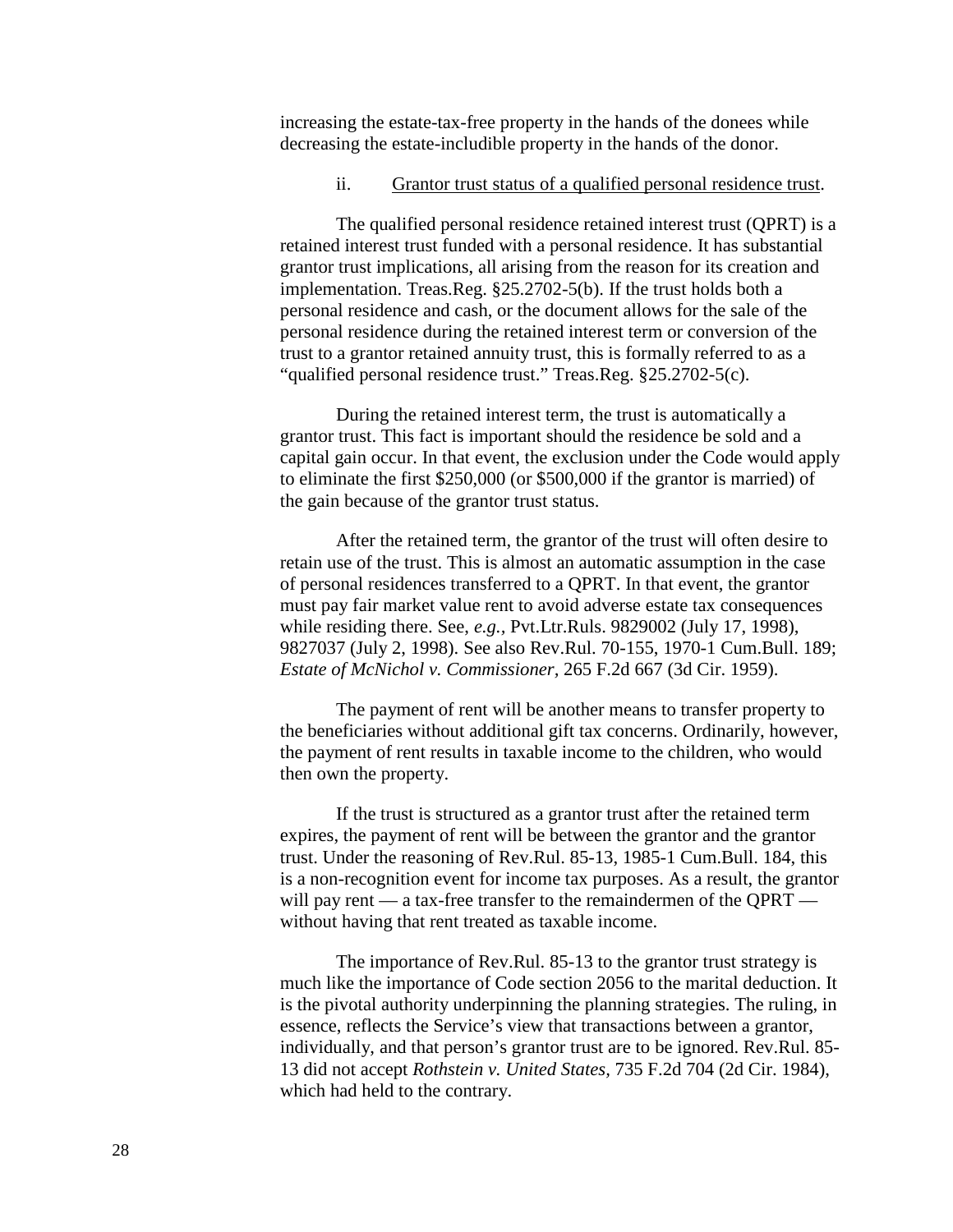increasing the estate-tax-free property in the hands of the donees while decreasing the estate-includible property in the hands of the donor.

#### ii. Grantor trust status of a qualified personal residence trust.

The qualified personal residence retained interest trust (QPRT) is a retained interest trust funded with a personal residence. It has substantial grantor trust implications, all arising from the reason for its creation and implementation. Treas.Reg. §25.2702-5(b). If the trust holds both a personal residence and cash, or the document allows for the sale of the personal residence during the retained interest term or conversion of the trust to a grantor retained annuity trust, this is formally referred to as a "qualified personal residence trust." Treas.Reg. §25.2702-5(c).

During the retained interest term, the trust is automatically a grantor trust. This fact is important should the residence be sold and a capital gain occur. In that event, the exclusion under the Code would apply to eliminate the first \$250,000 (or \$500,000 if the grantor is married) of the gain because of the grantor trust status.

After the retained term, the grantor of the trust will often desire to retain use of the trust. This is almost an automatic assumption in the case of personal residences transferred to a QPRT. In that event, the grantor must pay fair market value rent to avoid adverse estate tax consequences while residing there. See, *e.g.,* Pvt.Ltr.Ruls. 9829002 (July 17, 1998), 9827037 (July 2, 1998). See also Rev.Rul. 70-155, 1970-1 Cum.Bull. 189; *Estate of McNichol v. Commissioner,* 265 F.2d 667 (3d Cir. 1959).

The payment of rent will be another means to transfer property to the beneficiaries without additional gift tax concerns. Ordinarily, however, the payment of rent results in taxable income to the children, who would then own the property.

If the trust is structured as a grantor trust after the retained term expires, the payment of rent will be between the grantor and the grantor trust. Under the reasoning of Rev.Rul. 85-13, 1985-1 Cum.Bull. 184, this is a non-recognition event for income tax purposes. As a result, the grantor will pay rent — a tax-free transfer to the remaindermen of the QPRT without having that rent treated as taxable income.

The importance of Rev.Rul. 85-13 to the grantor trust strategy is much like the importance of Code section 2056 to the marital deduction. It is the pivotal authority underpinning the planning strategies. The ruling, in essence, reflects the Service's view that transactions between a grantor, individually, and that person's grantor trust are to be ignored. Rev.Rul. 85- 13 did not accept *Rothstein v. United States,* 735 F.2d 704 (2d Cir. 1984), which had held to the contrary.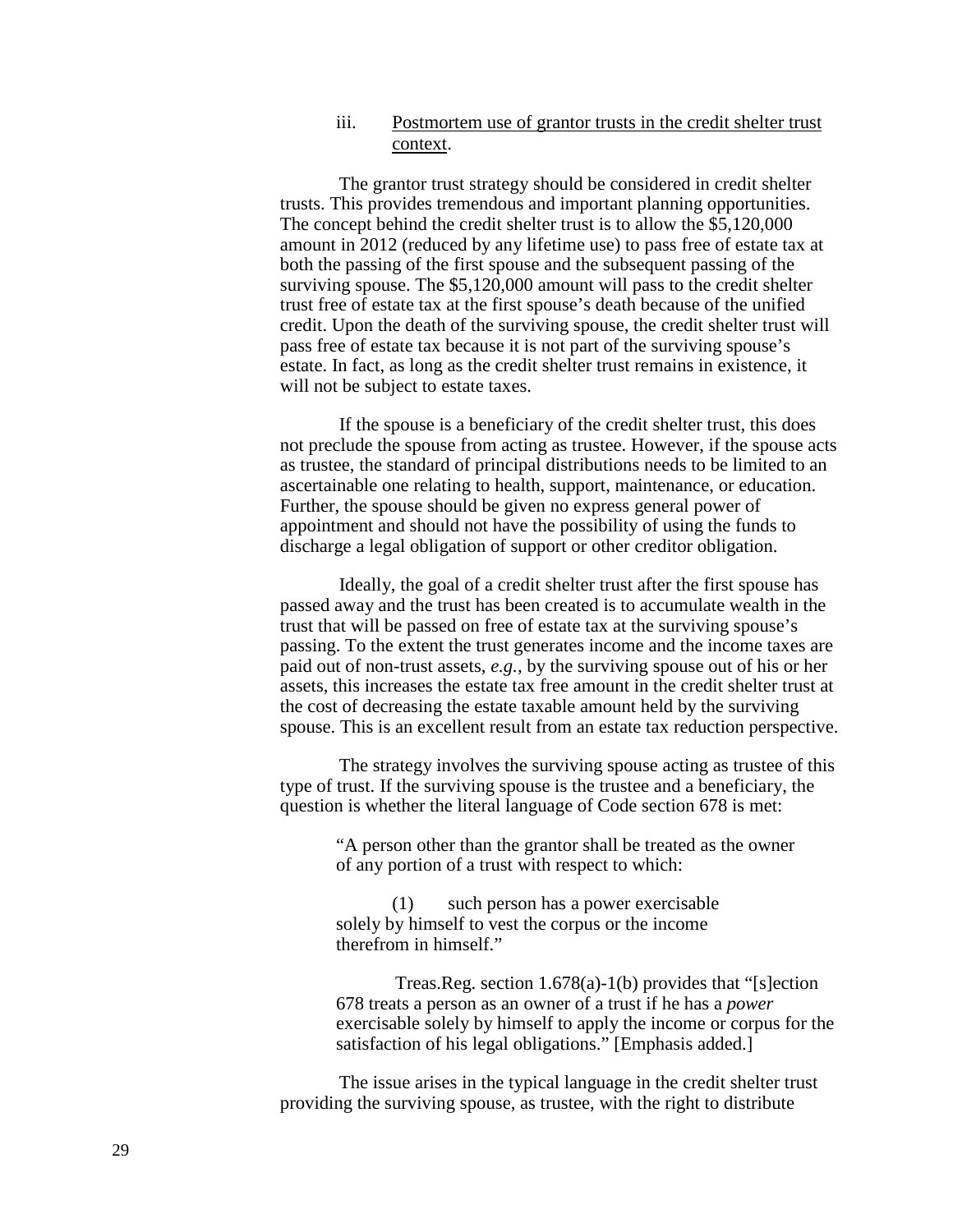#### iii. Postmortem use of grantor trusts in the credit shelter trust context.

The grantor trust strategy should be considered in credit shelter trusts. This provides tremendous and important planning opportunities. The concept behind the credit shelter trust is to allow the \$5,120,000 amount in 2012 (reduced by any lifetime use) to pass free of estate tax at both the passing of the first spouse and the subsequent passing of the surviving spouse. The \$5,120,000 amount will pass to the credit shelter trust free of estate tax at the first spouse's death because of the unified credit. Upon the death of the surviving spouse, the credit shelter trust will pass free of estate tax because it is not part of the surviving spouse's estate. In fact, as long as the credit shelter trust remains in existence, it will not be subject to estate taxes.

If the spouse is a beneficiary of the credit shelter trust, this does not preclude the spouse from acting as trustee. However, if the spouse acts as trustee, the standard of principal distributions needs to be limited to an ascertainable one relating to health, support, maintenance, or education. Further, the spouse should be given no express general power of appointment and should not have the possibility of using the funds to discharge a legal obligation of support or other creditor obligation.

Ideally, the goal of a credit shelter trust after the first spouse has passed away and the trust has been created is to accumulate wealth in the trust that will be passed on free of estate tax at the surviving spouse's passing. To the extent the trust generates income and the income taxes are paid out of non-trust assets, *e.g.,* by the surviving spouse out of his or her assets, this increases the estate tax free amount in the credit shelter trust at the cost of decreasing the estate taxable amount held by the surviving spouse. This is an excellent result from an estate tax reduction perspective.

The strategy involves the surviving spouse acting as trustee of this type of trust. If the surviving spouse is the trustee and a beneficiary, the question is whether the literal language of Code section 678 is met:

"A person other than the grantor shall be treated as the owner of any portion of a trust with respect to which:

(1) such person has a power exercisable solely by himself to vest the corpus or the income therefrom in himself."

Treas.Reg. section 1.678(a)-1(b) provides that "[s]ection 678 treats a person as an owner of a trust if he has a *power* exercisable solely by himself to apply the income or corpus for the satisfaction of his legal obligations." [Emphasis added.]

The issue arises in the typical language in the credit shelter trust providing the surviving spouse, as trustee, with the right to distribute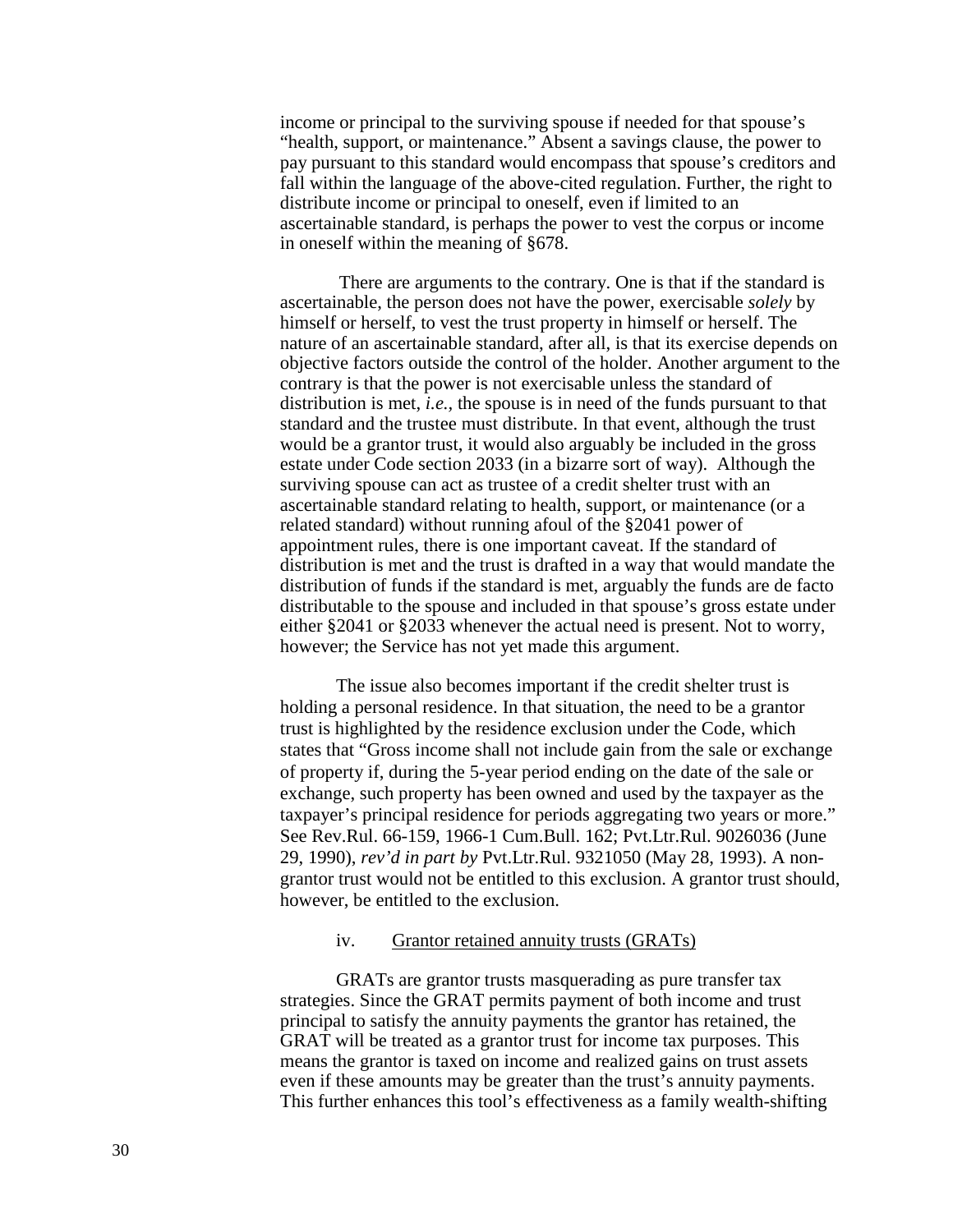income or principal to the surviving spouse if needed for that spouse's "health, support, or maintenance." Absent a savings clause, the power to pay pursuant to this standard would encompass that spouse's creditors and fall within the language of the above-cited regulation. Further, the right to distribute income or principal to oneself, even if limited to an ascertainable standard, is perhaps the power to vest the corpus or income in oneself within the meaning of §678.

There are arguments to the contrary. One is that if the standard is ascertainable, the person does not have the power, exercisable *solely* by himself or herself, to vest the trust property in himself or herself. The nature of an ascertainable standard, after all, is that its exercise depends on objective factors outside the control of the holder. Another argument to the contrary is that the power is not exercisable unless the standard of distribution is met, *i.e.,* the spouse is in need of the funds pursuant to that standard and the trustee must distribute. In that event, although the trust would be a grantor trust, it would also arguably be included in the gross estate under Code section 2033 (in a bizarre sort of way). Although the surviving spouse can act as trustee of a credit shelter trust with an ascertainable standard relating to health, support, or maintenance (or a related standard) without running afoul of the §2041 power of appointment rules, there is one important caveat. If the standard of distribution is met and the trust is drafted in a way that would mandate the distribution of funds if the standard is met, arguably the funds are de facto distributable to the spouse and included in that spouse's gross estate under either §2041 or §2033 whenever the actual need is present. Not to worry, however; the Service has not yet made this argument.

The issue also becomes important if the credit shelter trust is holding a personal residence. In that situation, the need to be a grantor trust is highlighted by the residence exclusion under the Code, which states that "Gross income shall not include gain from the sale or exchange of property if, during the 5-year period ending on the date of the sale or exchange, such property has been owned and used by the taxpayer as the taxpayer's principal residence for periods aggregating two years or more." See Rev.Rul. 66-159, 1966-1 Cum.Bull. 162; Pvt.Ltr.Rul. 9026036 (June 29, 1990), *rev'd in part by* Pvt.Ltr.Rul. 9321050 (May 28, 1993). A nongrantor trust would not be entitled to this exclusion. A grantor trust should, however, be entitled to the exclusion.

#### iv. Grantor retained annuity trusts (GRATs)

GRATs are grantor trusts masquerading as pure transfer tax strategies. Since the GRAT permits payment of both income and trust principal to satisfy the annuity payments the grantor has retained, the GRAT will be treated as a grantor trust for income tax purposes. This means the grantor is taxed on income and realized gains on trust assets even if these amounts may be greater than the trust's annuity payments. This further enhances this tool's effectiveness as a family wealth-shifting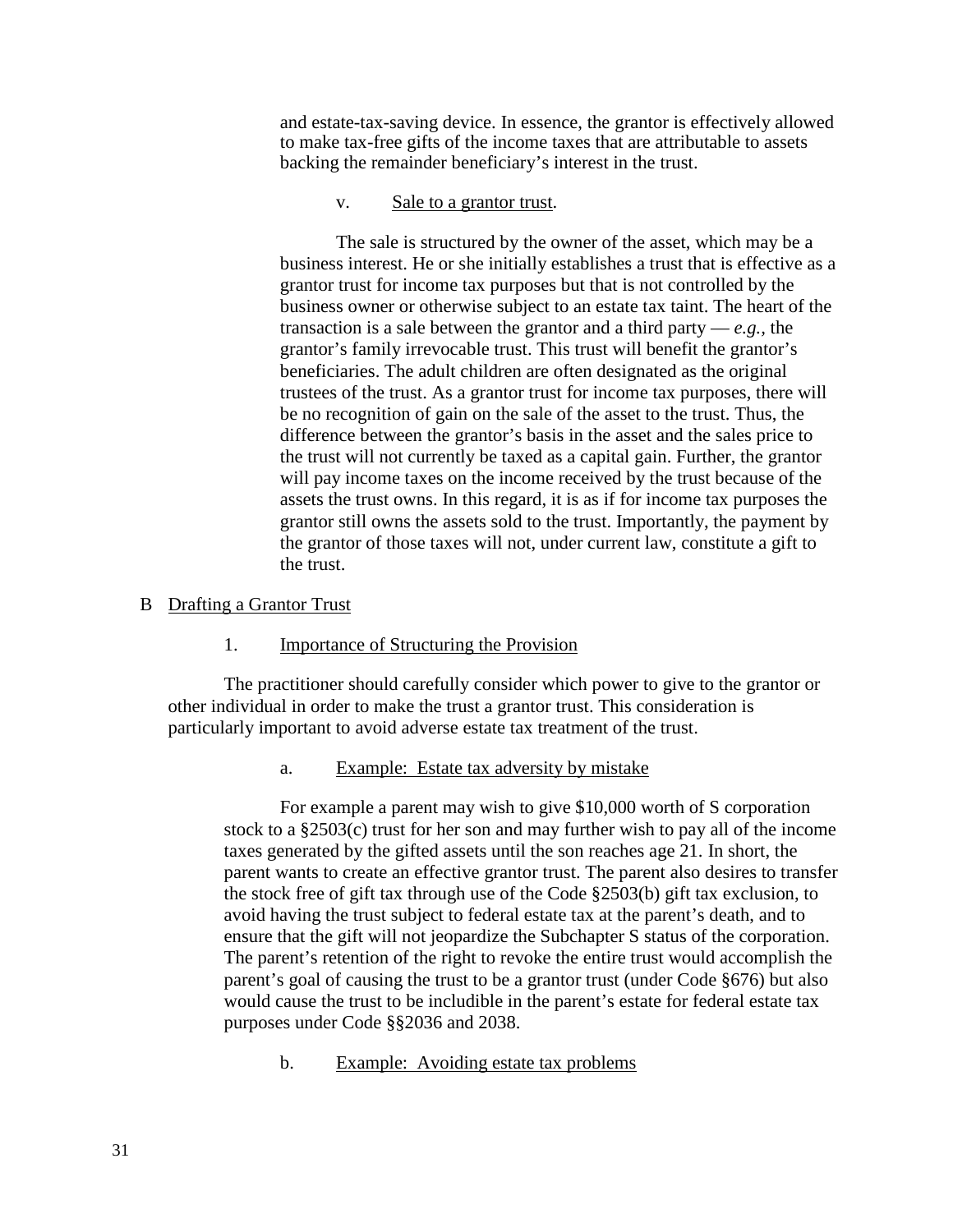and estate-tax-saving device. In essence, the grantor is effectively allowed to make tax-free gifts of the income taxes that are attributable to assets backing the remainder beneficiary's interest in the trust.

#### v. Sale to a grantor trust.

The sale is structured by the owner of the asset, which may be a business interest. He or she initially establishes a trust that is effective as a grantor trust for income tax purposes but that is not controlled by the business owner or otherwise subject to an estate tax taint. The heart of the transaction is a sale between the grantor and a third party — *e.g.,* the grantor's family irrevocable trust. This trust will benefit the grantor's beneficiaries. The adult children are often designated as the original trustees of the trust. As a grantor trust for income tax purposes, there will be no recognition of gain on the sale of the asset to the trust. Thus, the difference between the grantor's basis in the asset and the sales price to the trust will not currently be taxed as a capital gain. Further, the grantor will pay income taxes on the income received by the trust because of the assets the trust owns. In this regard, it is as if for income tax purposes the grantor still owns the assets sold to the trust. Importantly, the payment by the grantor of those taxes will not, under current law, constitute a gift to the trust.

## B Drafting a Grantor Trust

## 1. Importance of Structuring the Provision

The practitioner should carefully consider which power to give to the grantor or other individual in order to make the trust a grantor trust. This consideration is particularly important to avoid adverse estate tax treatment of the trust.

## a. Example: Estate tax adversity by mistake

For example a parent may wish to give \$10,000 worth of S corporation stock to a §2503(c) trust for her son and may further wish to pay all of the income taxes generated by the gifted assets until the son reaches age 21. In short, the parent wants to create an effective grantor trust. The parent also desires to transfer the stock free of gift tax through use of the Code §2503(b) gift tax exclusion, to avoid having the trust subject to federal estate tax at the parent's death, and to ensure that the gift will not jeopardize the Subchapter S status of the corporation. The parent's retention of the right to revoke the entire trust would accomplish the parent's goal of causing the trust to be a grantor trust (under Code §676) but also would cause the trust to be includible in the parent's estate for federal estate tax purposes under Code §§2036 and 2038.

b. Example: Avoiding estate tax problems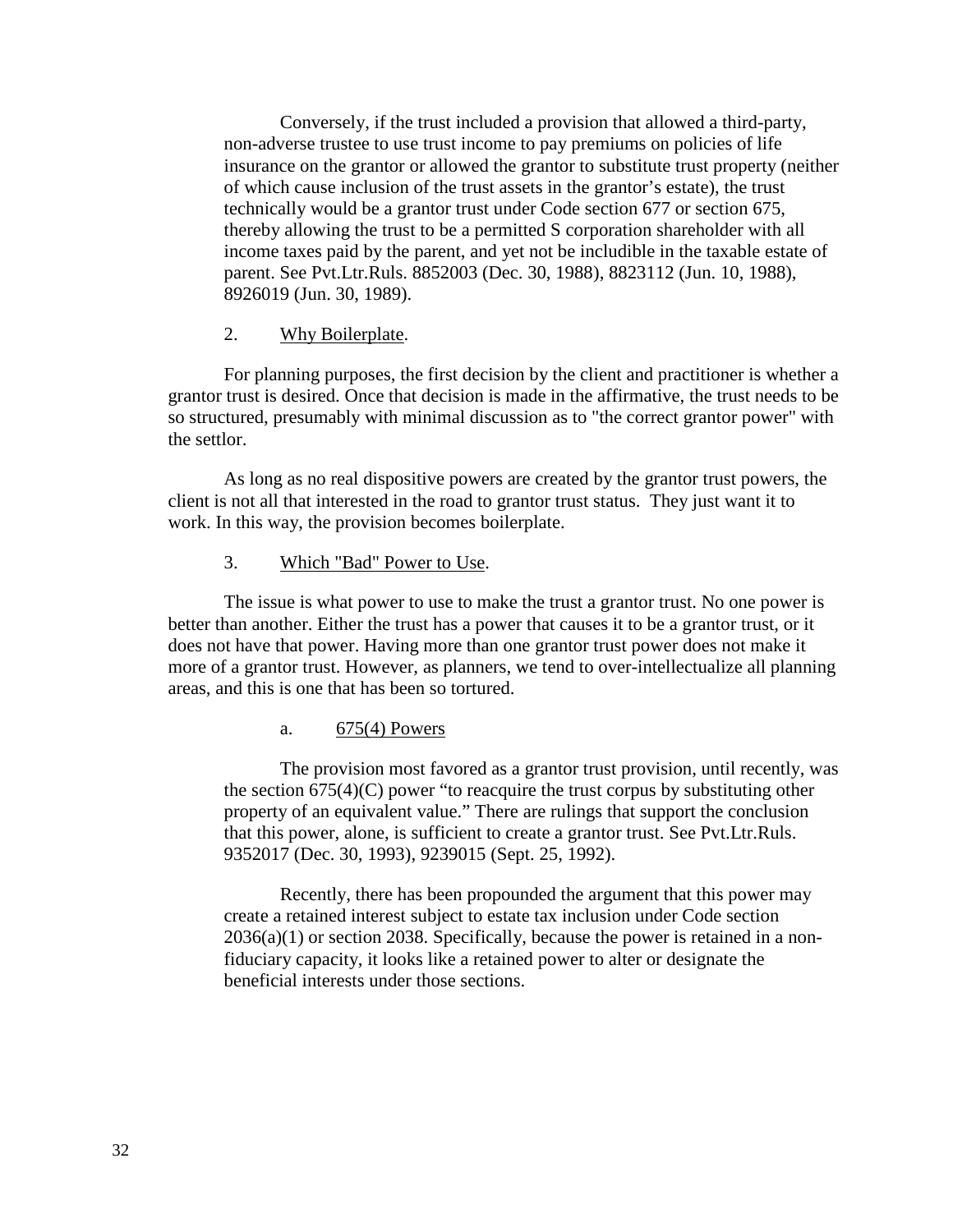Conversely, if the trust included a provision that allowed a third-party, non-adverse trustee to use trust income to pay premiums on policies of life insurance on the grantor or allowed the grantor to substitute trust property (neither of which cause inclusion of the trust assets in the grantor's estate), the trust technically would be a grantor trust under Code section 677 or section 675, thereby allowing the trust to be a permitted S corporation shareholder with all income taxes paid by the parent, and yet not be includible in the taxable estate of parent. See Pvt.Ltr.Ruls. 8852003 (Dec. 30, 1988), 8823112 (Jun. 10, 1988), 8926019 (Jun. 30, 1989).

#### 2. Why Boilerplate.

For planning purposes, the first decision by the client and practitioner is whether a grantor trust is desired. Once that decision is made in the affirmative, the trust needs to be so structured, presumably with minimal discussion as to "the correct grantor power" with the settlor.

As long as no real dispositive powers are created by the grantor trust powers, the client is not all that interested in the road to grantor trust status. They just want it to work. In this way, the provision becomes boilerplate.

#### 3. Which "Bad" Power to Use.

The issue is what power to use to make the trust a grantor trust. No one power is better than another. Either the trust has a power that causes it to be a grantor trust, or it does not have that power. Having more than one grantor trust power does not make it more of a grantor trust. However, as planners, we tend to over-intellectualize all planning areas, and this is one that has been so tortured.

## a. 675(4) Powers

The provision most favored as a grantor trust provision, until recently, was the section 675(4)(C) power "to reacquire the trust corpus by substituting other property of an equivalent value." There are rulings that support the conclusion that this power, alone, is sufficient to create a grantor trust. See Pvt.Ltr.Ruls. 9352017 (Dec. 30, 1993), 9239015 (Sept. 25, 1992).

Recently, there has been propounded the argument that this power may create a retained interest subject to estate tax inclusion under Code section 2036(a)(1) or section 2038. Specifically, because the power is retained in a nonfiduciary capacity, it looks like a retained power to alter or designate the beneficial interests under those sections.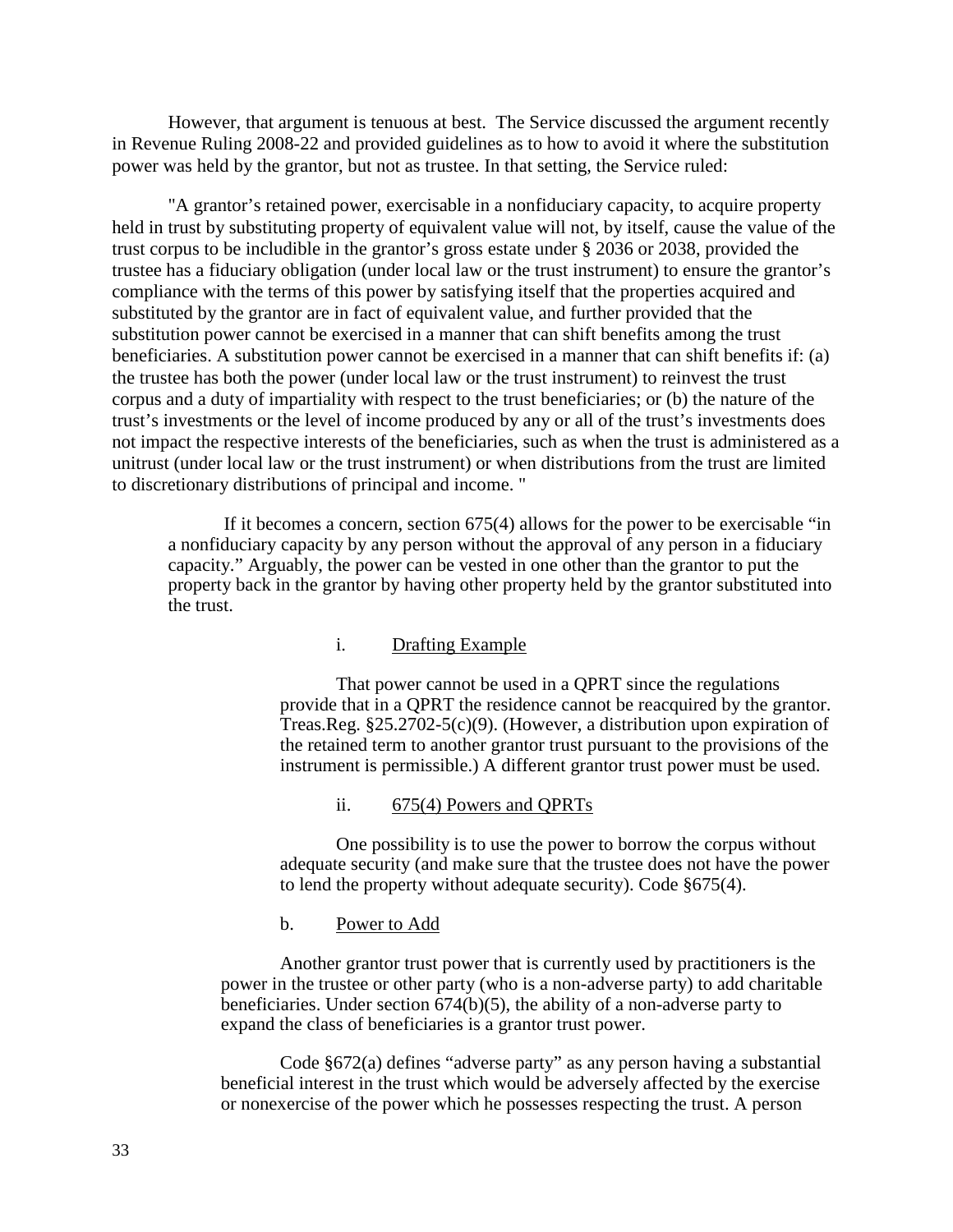However, that argument is tenuous at best. The Service discussed the argument recently in Revenue Ruling 2008-22 and provided guidelines as to how to avoid it where the substitution power was held by the grantor, but not as trustee. In that setting, the Service ruled:

"A grantor's retained power, exercisable in a nonfiduciary capacity, to acquire property held in trust by substituting property of equivalent value will not, by itself, cause the value of the trust corpus to be includible in the grantor's gross estate under § 2036 or 2038, provided the trustee has a fiduciary obligation (under local law or the trust instrument) to ensure the grantor's compliance with the terms of this power by satisfying itself that the properties acquired and substituted by the grantor are in fact of equivalent value, and further provided that the substitution power cannot be exercised in a manner that can shift benefits among the trust beneficiaries. A substitution power cannot be exercised in a manner that can shift benefits if: (a) the trustee has both the power (under local law or the trust instrument) to reinvest the trust corpus and a duty of impartiality with respect to the trust beneficiaries; or (b) the nature of the trust's investments or the level of income produced by any or all of the trust's investments does not impact the respective interests of the beneficiaries, such as when the trust is administered as a unitrust (under local law or the trust instrument) or when distributions from the trust are limited to discretionary distributions of principal and income. "

If it becomes a concern, section 675(4) allows for the power to be exercisable "in a nonfiduciary capacity by any person without the approval of any person in a fiduciary capacity." Arguably, the power can be vested in one other than the grantor to put the property back in the grantor by having other property held by the grantor substituted into the trust.

#### i. Drafting Example

That power cannot be used in a QPRT since the regulations provide that in a QPRT the residence cannot be reacquired by the grantor. Treas.Reg. §25.2702-5(c)(9). (However, a distribution upon expiration of the retained term to another grantor trust pursuant to the provisions of the instrument is permissible.) A different grantor trust power must be used.

## ii. 675(4) Powers and QPRTs

One possibility is to use the power to borrow the corpus without adequate security (and make sure that the trustee does not have the power to lend the property without adequate security). Code §675(4).

#### b. Power to Add

Another grantor trust power that is currently used by practitioners is the power in the trustee or other party (who is a non-adverse party) to add charitable beneficiaries. Under section 674(b)(5), the ability of a non-adverse party to expand the class of beneficiaries is a grantor trust power.

Code §672(a) defines "adverse party" as any person having a substantial beneficial interest in the trust which would be adversely affected by the exercise or nonexercise of the power which he possesses respecting the trust. A person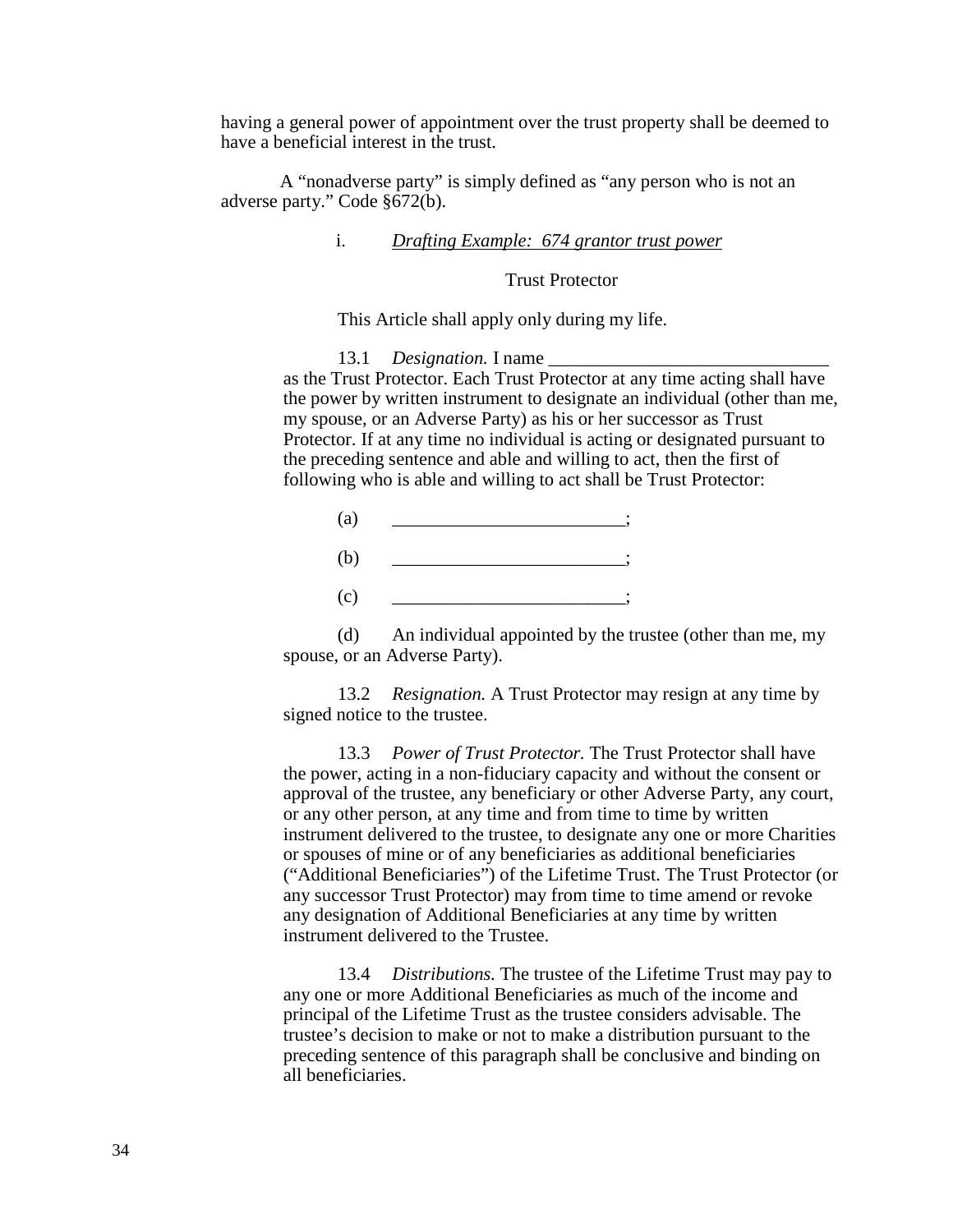having a general power of appointment over the trust property shall be deemed to have a beneficial interest in the trust.

A "nonadverse party" is simply defined as "any person who is not an adverse party." Code §672(b).

## i. *Drafting Example: 674 grantor trust power*

Trust Protector

This Article shall apply only during my life.

13.1 *Designation.* I name as the Trust Protector. Each Trust Protector at any time acting shall have the power by written instrument to designate an individual (other than me, my spouse, or an Adverse Party) as his or her successor as Trust Protector. If at any time no individual is acting or designated pursuant to the preceding sentence and able and willing to act, then the first of following who is able and willing to act shall be Trust Protector:



(d) An individual appointed by the trustee (other than me, my spouse, or an Adverse Party).

13.2 *Resignation.* A Trust Protector may resign at any time by signed notice to the trustee.

13.3 *Power of Trust Protector.* The Trust Protector shall have the power, acting in a non-fiduciary capacity and without the consent or approval of the trustee, any beneficiary or other Adverse Party, any court, or any other person, at any time and from time to time by written instrument delivered to the trustee, to designate any one or more Charities or spouses of mine or of any beneficiaries as additional beneficiaries ("Additional Beneficiaries") of the Lifetime Trust. The Trust Protector (or any successor Trust Protector) may from time to time amend or revoke any designation of Additional Beneficiaries at any time by written instrument delivered to the Trustee.

13.4 *Distributions.* The trustee of the Lifetime Trust may pay to any one or more Additional Beneficiaries as much of the income and principal of the Lifetime Trust as the trustee considers advisable. The trustee's decision to make or not to make a distribution pursuant to the preceding sentence of this paragraph shall be conclusive and binding on all beneficiaries.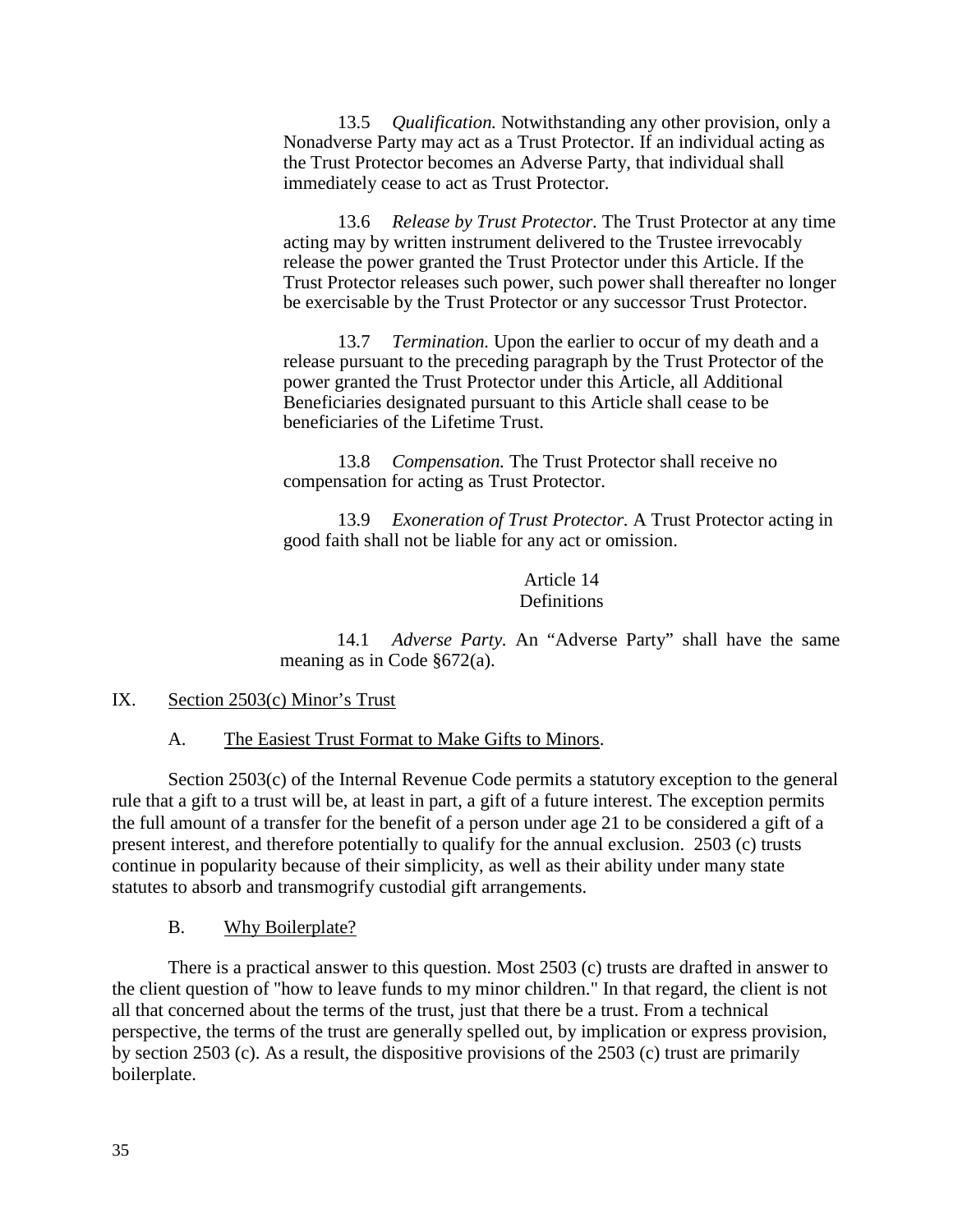13.5 *Qualification.* Notwithstanding any other provision, only a Nonadverse Party may act as a Trust Protector. If an individual acting as the Trust Protector becomes an Adverse Party, that individual shall immediately cease to act as Trust Protector.

13.6 *Release by Trust Protector.* The Trust Protector at any time acting may by written instrument delivered to the Trustee irrevocably release the power granted the Trust Protector under this Article. If the Trust Protector releases such power, such power shall thereafter no longer be exercisable by the Trust Protector or any successor Trust Protector.

13.7 *Termination.* Upon the earlier to occur of my death and a release pursuant to the preceding paragraph by the Trust Protector of the power granted the Trust Protector under this Article, all Additional Beneficiaries designated pursuant to this Article shall cease to be beneficiaries of the Lifetime Trust.

13.8 *Compensation.* The Trust Protector shall receive no compensation for acting as Trust Protector.

13.9 *Exoneration of Trust Protector.* A Trust Protector acting in good faith shall not be liable for any act or omission.

> Article 14 **Definitions**

14.1 *Adverse Party.* An "Adverse Party" shall have the same meaning as in Code §672(a).

#### IX. Section 2503(c) Minor's Trust

A. The Easiest Trust Format to Make Gifts to Minors.

Section 2503(c) of the Internal Revenue Code permits a statutory exception to the general rule that a gift to a trust will be, at least in part, a gift of a future interest. The exception permits the full amount of a transfer for the benefit of a person under age 21 to be considered a gift of a present interest, and therefore potentially to qualify for the annual exclusion. 2503 (c) trusts continue in popularity because of their simplicity, as well as their ability under many state statutes to absorb and transmogrify custodial gift arrangements.

## B. Why Boilerplate?

There is a practical answer to this question. Most 2503 (c) trusts are drafted in answer to the client question of "how to leave funds to my minor children." In that regard, the client is not all that concerned about the terms of the trust, just that there be a trust. From a technical perspective, the terms of the trust are generally spelled out, by implication or express provision, by section 2503 (c). As a result, the dispositive provisions of the 2503 (c) trust are primarily boilerplate.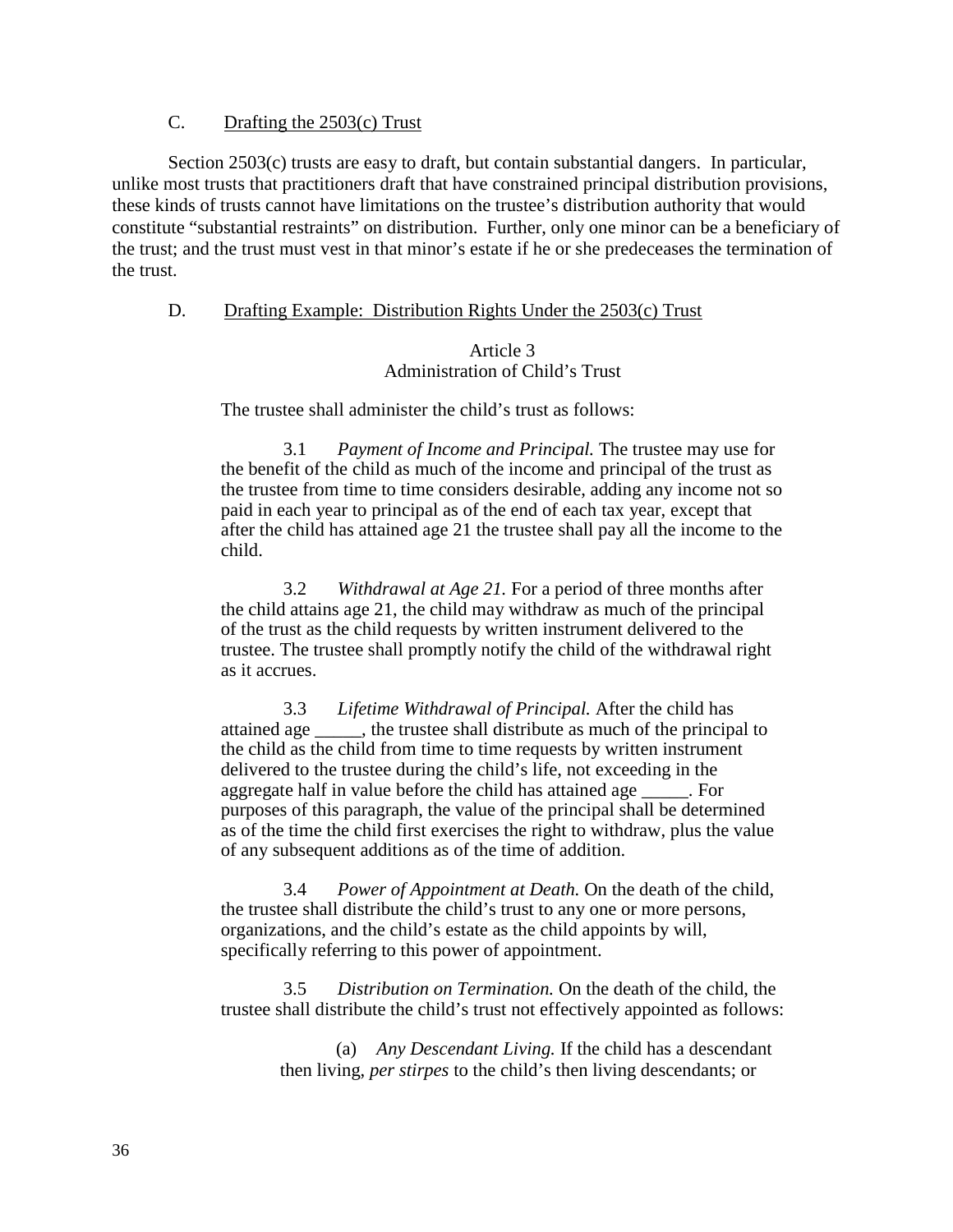# C. Drafting the 2503(c) Trust

Section 2503(c) trusts are easy to draft, but contain substantial dangers. In particular, unlike most trusts that practitioners draft that have constrained principal distribution provisions, these kinds of trusts cannot have limitations on the trustee's distribution authority that would constitute "substantial restraints" on distribution. Further, only one minor can be a beneficiary of the trust; and the trust must vest in that minor's estate if he or she predeceases the termination of the trust.

## D. Drafting Example: Distribution Rights Under the 2503(c) Trust

# Article 3 Administration of Child's Trust

The trustee shall administer the child's trust as follows:

3.1 *Payment of Income and Principal.* The trustee may use for the benefit of the child as much of the income and principal of the trust as the trustee from time to time considers desirable, adding any income not so paid in each year to principal as of the end of each tax year, except that after the child has attained age 21 the trustee shall pay all the income to the child.

3.2 *Withdrawal at Age 21.* For a period of three months after the child attains age 21, the child may withdraw as much of the principal of the trust as the child requests by written instrument delivered to the trustee. The trustee shall promptly notify the child of the withdrawal right as it accrues.

3.3 *Lifetime Withdrawal of Principal.* After the child has attained age \_\_\_\_\_, the trustee shall distribute as much of the principal to the child as the child from time to time requests by written instrument delivered to the trustee during the child's life, not exceeding in the aggregate half in value before the child has attained age For purposes of this paragraph, the value of the principal shall be determined as of the time the child first exercises the right to withdraw, plus the value of any subsequent additions as of the time of addition.

3.4 *Power of Appointment at Death.* On the death of the child, the trustee shall distribute the child's trust to any one or more persons, organizations, and the child's estate as the child appoints by will, specifically referring to this power of appointment.

3.5 *Distribution on Termination.* On the death of the child, the trustee shall distribute the child's trust not effectively appointed as follows:

> (a) *Any Descendant Living.* If the child has a descendant then living, *per stirpes* to the child's then living descendants; or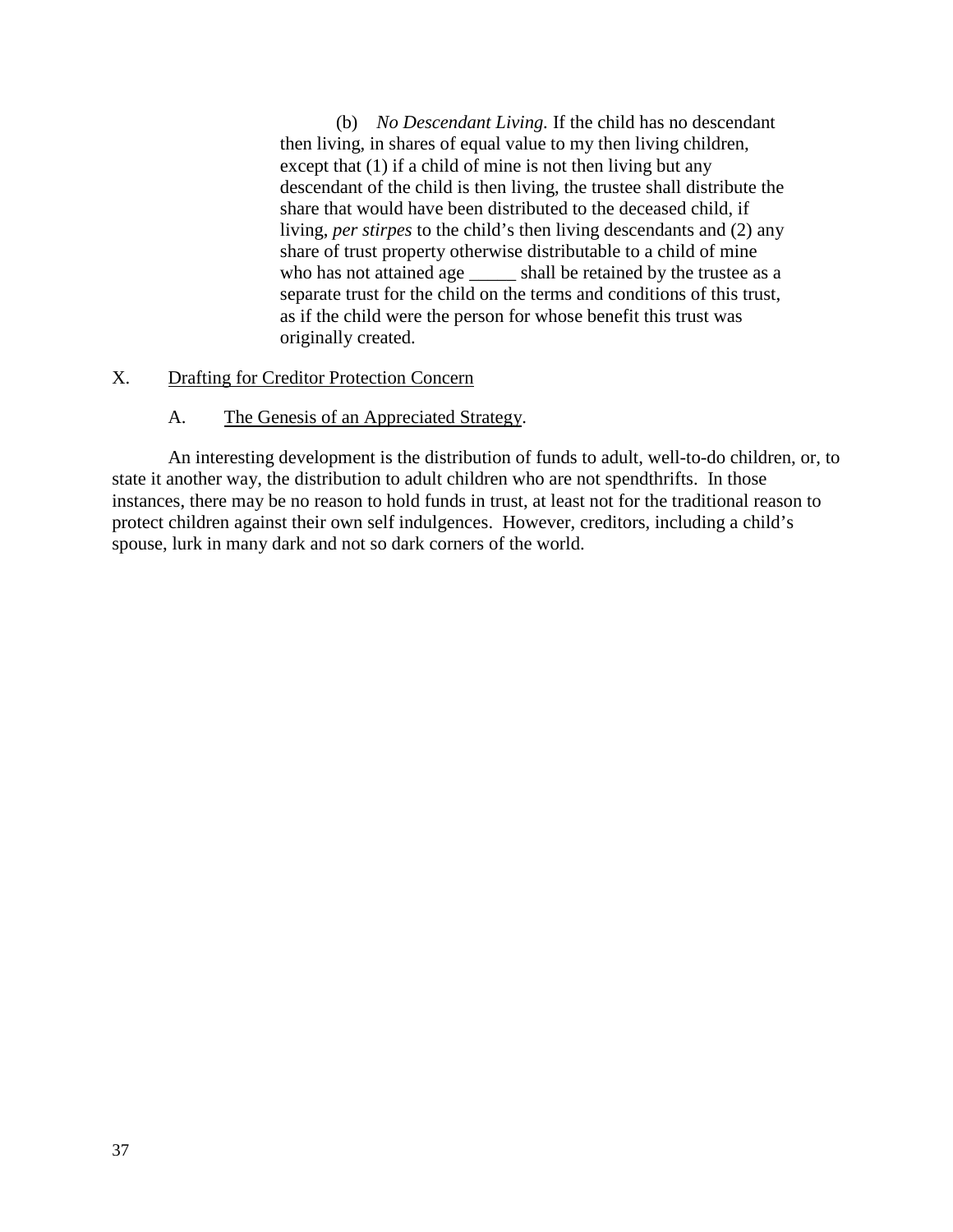(b) *No Descendant Living.* If the child has no descendant then living, in shares of equal value to my then living children, except that (1) if a child of mine is not then living but any descendant of the child is then living, the trustee shall distribute the share that would have been distributed to the deceased child, if living, *per stirpes* to the child's then living descendants and (2) any share of trust property otherwise distributable to a child of mine who has not attained age \_\_\_\_\_ shall be retained by the trustee as a separate trust for the child on the terms and conditions of this trust, as if the child were the person for whose benefit this trust was originally created.

# X. Drafting for Creditor Protection Concern

## A. The Genesis of an Appreciated Strategy.

An interesting development is the distribution of funds to adult, well-to-do children, or, to state it another way, the distribution to adult children who are not spendthrifts. In those instances, there may be no reason to hold funds in trust, at least not for the traditional reason to protect children against their own self indulgences. However, creditors, including a child's spouse, lurk in many dark and not so dark corners of the world.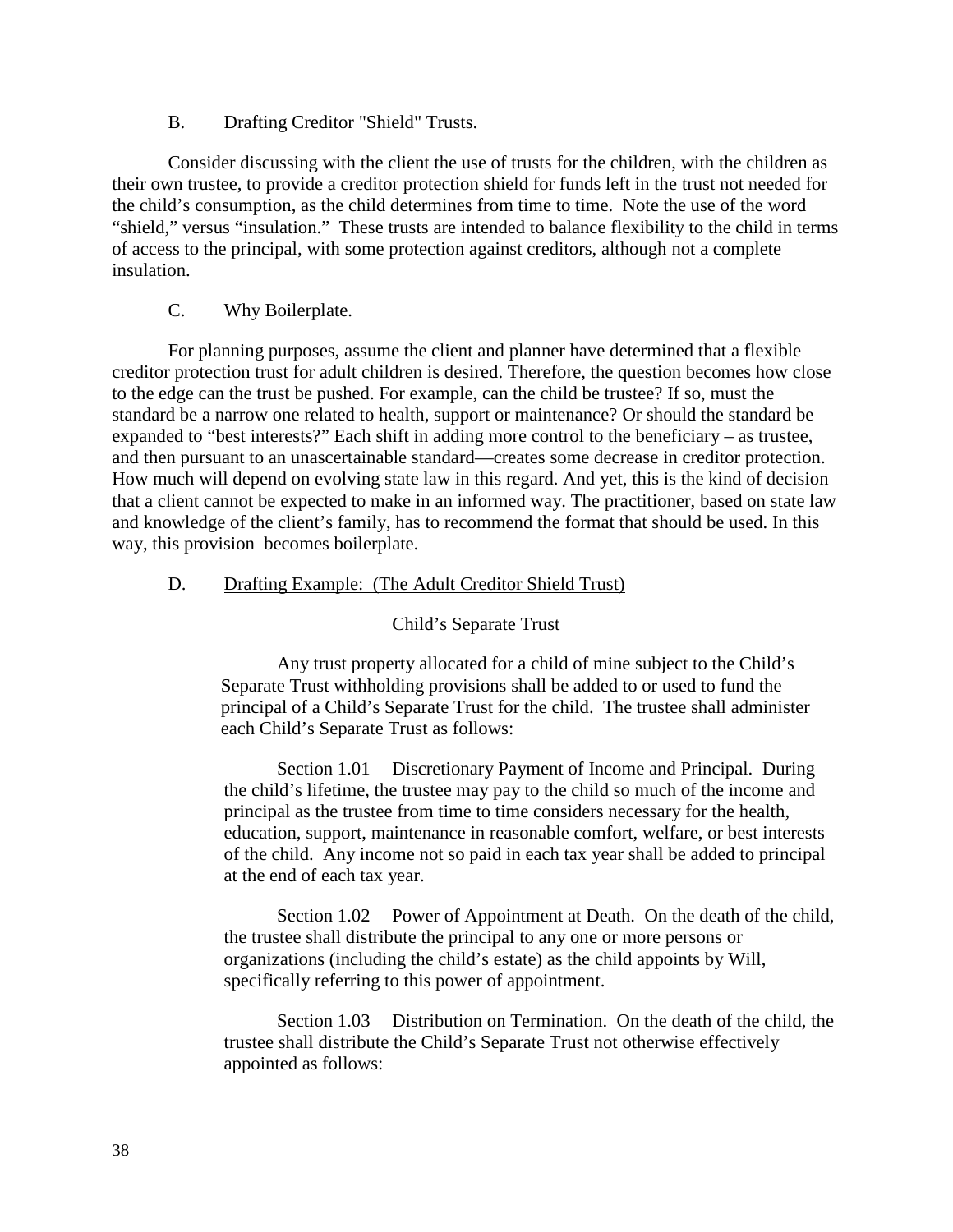# B. Drafting Creditor "Shield" Trusts.

Consider discussing with the client the use of trusts for the children, with the children as their own trustee, to provide a creditor protection shield for funds left in the trust not needed for the child's consumption, as the child determines from time to time. Note the use of the word "shield," versus "insulation." These trusts are intended to balance flexibility to the child in terms of access to the principal, with some protection against creditors, although not a complete insulation.

# C. Why Boilerplate.

For planning purposes, assume the client and planner have determined that a flexible creditor protection trust for adult children is desired. Therefore, the question becomes how close to the edge can the trust be pushed. For example, can the child be trustee? If so, must the standard be a narrow one related to health, support or maintenance? Or should the standard be expanded to "best interests?" Each shift in adding more control to the beneficiary – as trustee, and then pursuant to an unascertainable standard—creates some decrease in creditor protection. How much will depend on evolving state law in this regard. And yet, this is the kind of decision that a client cannot be expected to make in an informed way. The practitioner, based on state law and knowledge of the client's family, has to recommend the format that should be used. In this way, this provision becomes boilerplate.

# D. Drafting Example: (The Adult Creditor Shield Trust)

# Child's Separate Trust

Any trust property allocated for a child of mine subject to the Child's Separate Trust withholding provisions shall be added to or used to fund the principal of a Child's Separate Trust for the child. The trustee shall administer each Child's Separate Trust as follows:

Section 1.01 Discretionary Payment of Income and Principal. During the child's lifetime, the trustee may pay to the child so much of the income and principal as the trustee from time to time considers necessary for the health, education, support, maintenance in reasonable comfort, welfare, or best interests of the child. Any income not so paid in each tax year shall be added to principal at the end of each tax year.

Section 1.02 Power of Appointment at Death. On the death of the child, the trustee shall distribute the principal to any one or more persons or organizations (including the child's estate) as the child appoints by Will, specifically referring to this power of appointment.

Section 1.03 Distribution on Termination. On the death of the child, the trustee shall distribute the Child's Separate Trust not otherwise effectively appointed as follows: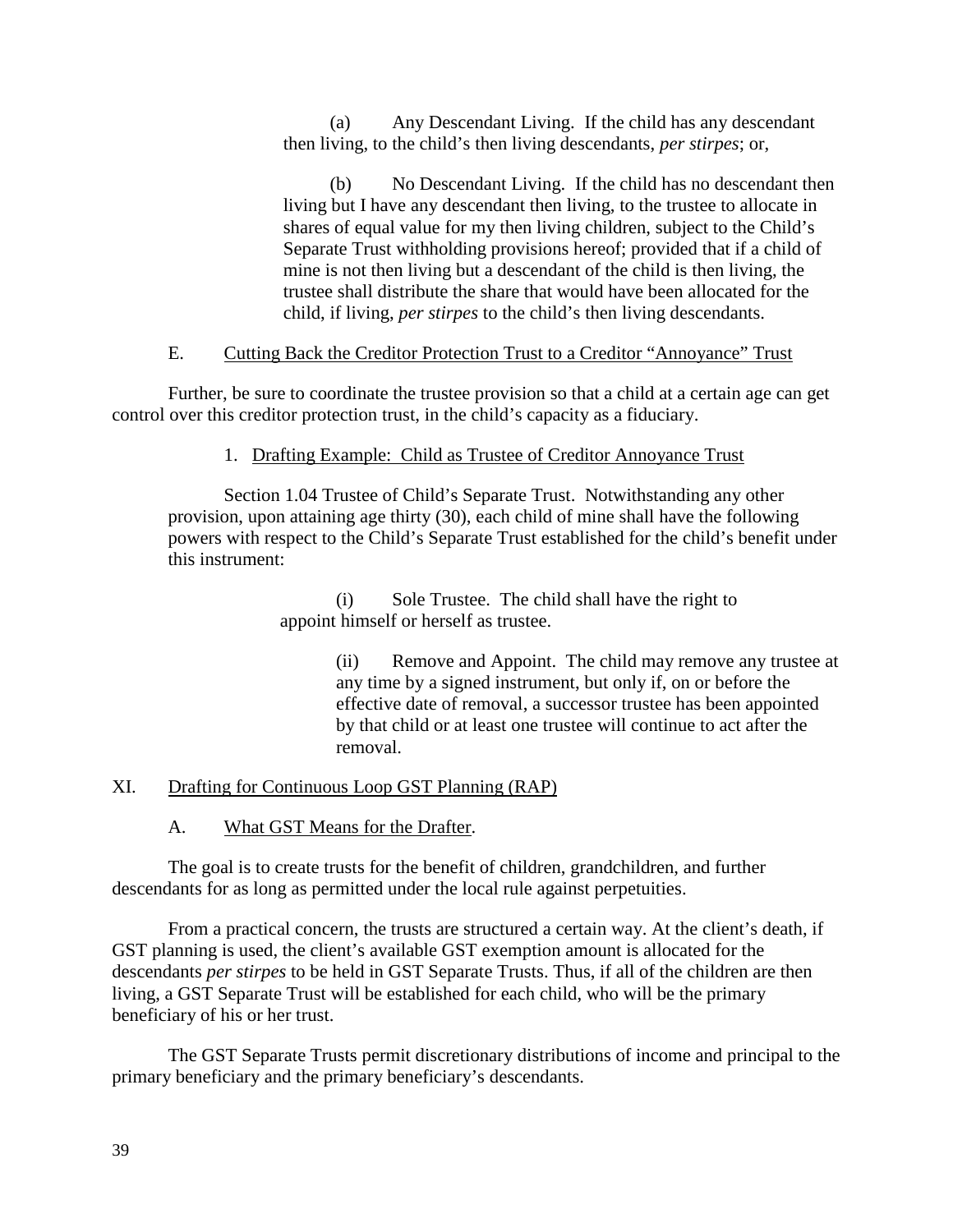(a) Any Descendant Living. If the child has any descendant then living, to the child's then living descendants, *per stirpes*; or,

(b) No Descendant Living. If the child has no descendant then living but I have any descendant then living, to the trustee to allocate in shares of equal value for my then living children, subject to the Child's Separate Trust withholding provisions hereof; provided that if a child of mine is not then living but a descendant of the child is then living, the trustee shall distribute the share that would have been allocated for the child, if living, *per stirpes* to the child's then living descendants.

# E. Cutting Back the Creditor Protection Trust to a Creditor "Annoyance" Trust

Further, be sure to coordinate the trustee provision so that a child at a certain age can get control over this creditor protection trust, in the child's capacity as a fiduciary.

# 1. Drafting Example: Child as Trustee of Creditor Annoyance Trust

Section 1.04 Trustee of Child's Separate Trust. Notwithstanding any other provision, upon attaining age thirty (30), each child of mine shall have the following powers with respect to the Child's Separate Trust established for the child's benefit under this instrument:

> (i) Sole Trustee. The child shall have the right to appoint himself or herself as trustee.

> > (ii) Remove and Appoint. The child may remove any trustee at any time by a signed instrument, but only if, on or before the effective date of removal, a successor trustee has been appointed by that child or at least one trustee will continue to act after the removal.

# XI. Drafting for Continuous Loop GST Planning (RAP)

A. What GST Means for the Drafter.

The goal is to create trusts for the benefit of children, grandchildren, and further descendants for as long as permitted under the local rule against perpetuities.

From a practical concern, the trusts are structured a certain way. At the client's death, if GST planning is used, the client's available GST exemption amount is allocated for the descendants *per stirpes* to be held in GST Separate Trusts. Thus, if all of the children are then living, a GST Separate Trust will be established for each child, who will be the primary beneficiary of his or her trust.

The GST Separate Trusts permit discretionary distributions of income and principal to the primary beneficiary and the primary beneficiary's descendants.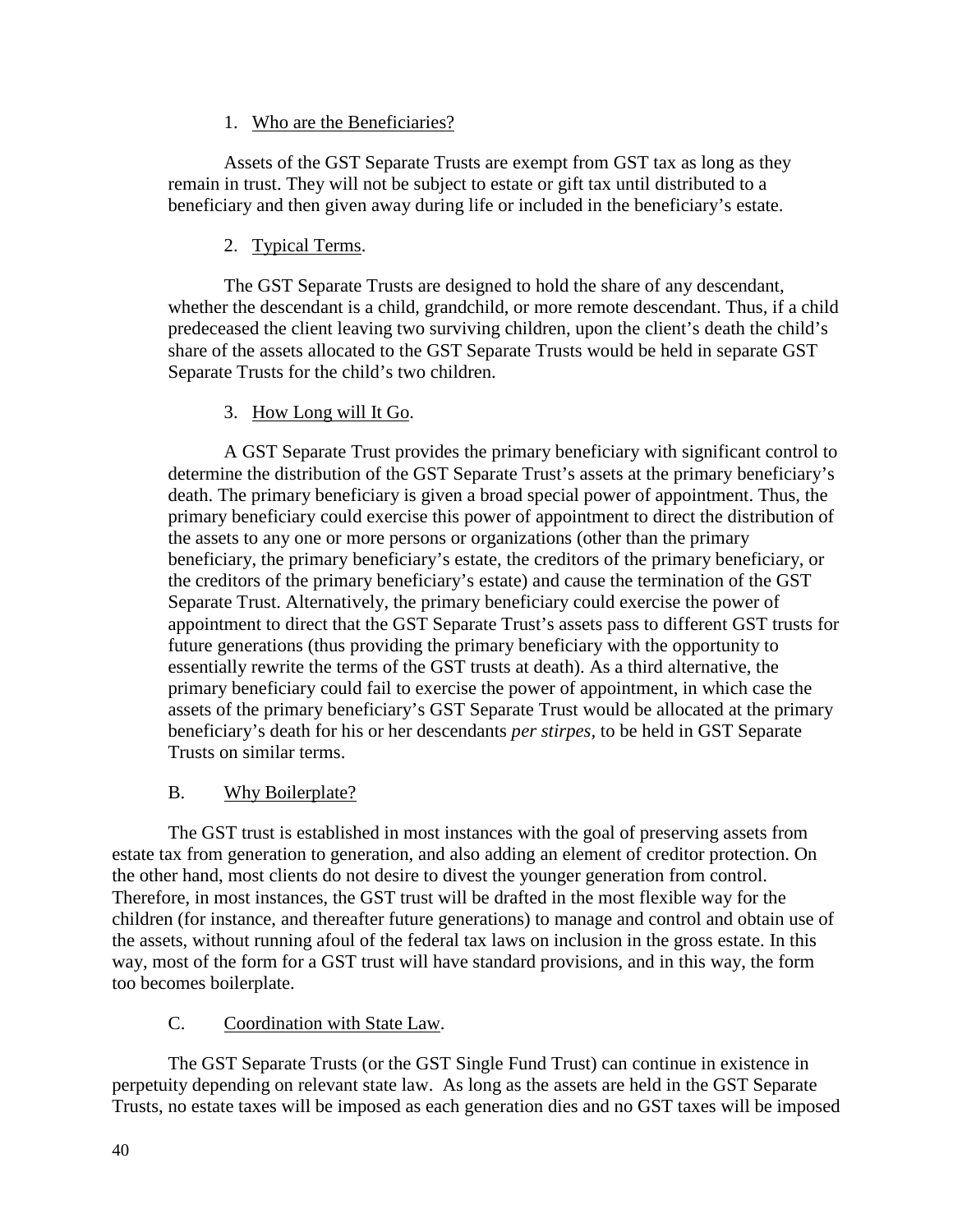# 1. Who are the Beneficiaries?

Assets of the GST Separate Trusts are exempt from GST tax as long as they remain in trust. They will not be subject to estate or gift tax until distributed to a beneficiary and then given away during life or included in the beneficiary's estate.

# 2. Typical Terms.

The GST Separate Trusts are designed to hold the share of any descendant, whether the descendant is a child, grandchild, or more remote descendant. Thus, if a child predeceased the client leaving two surviving children, upon the client's death the child's share of the assets allocated to the GST Separate Trusts would be held in separate GST Separate Trusts for the child's two children.

# 3. How Long will It Go.

A GST Separate Trust provides the primary beneficiary with significant control to determine the distribution of the GST Separate Trust's assets at the primary beneficiary's death. The primary beneficiary is given a broad special power of appointment. Thus, the primary beneficiary could exercise this power of appointment to direct the distribution of the assets to any one or more persons or organizations (other than the primary beneficiary, the primary beneficiary's estate, the creditors of the primary beneficiary, or the creditors of the primary beneficiary's estate) and cause the termination of the GST Separate Trust. Alternatively, the primary beneficiary could exercise the power of appointment to direct that the GST Separate Trust's assets pass to different GST trusts for future generations (thus providing the primary beneficiary with the opportunity to essentially rewrite the terms of the GST trusts at death). As a third alternative, the primary beneficiary could fail to exercise the power of appointment, in which case the assets of the primary beneficiary's GST Separate Trust would be allocated at the primary beneficiary's death for his or her descendants *per stirpes,* to be held in GST Separate Trusts on similar terms.

# B. Why Boilerplate?

The GST trust is established in most instances with the goal of preserving assets from estate tax from generation to generation, and also adding an element of creditor protection. On the other hand, most clients do not desire to divest the younger generation from control. Therefore, in most instances, the GST trust will be drafted in the most flexible way for the children (for instance, and thereafter future generations) to manage and control and obtain use of the assets, without running afoul of the federal tax laws on inclusion in the gross estate. In this way, most of the form for a GST trust will have standard provisions, and in this way, the form too becomes boilerplate.

# C. Coordination with State Law.

The GST Separate Trusts (or the GST Single Fund Trust) can continue in existence in perpetuity depending on relevant state law. As long as the assets are held in the GST Separate Trusts, no estate taxes will be imposed as each generation dies and no GST taxes will be imposed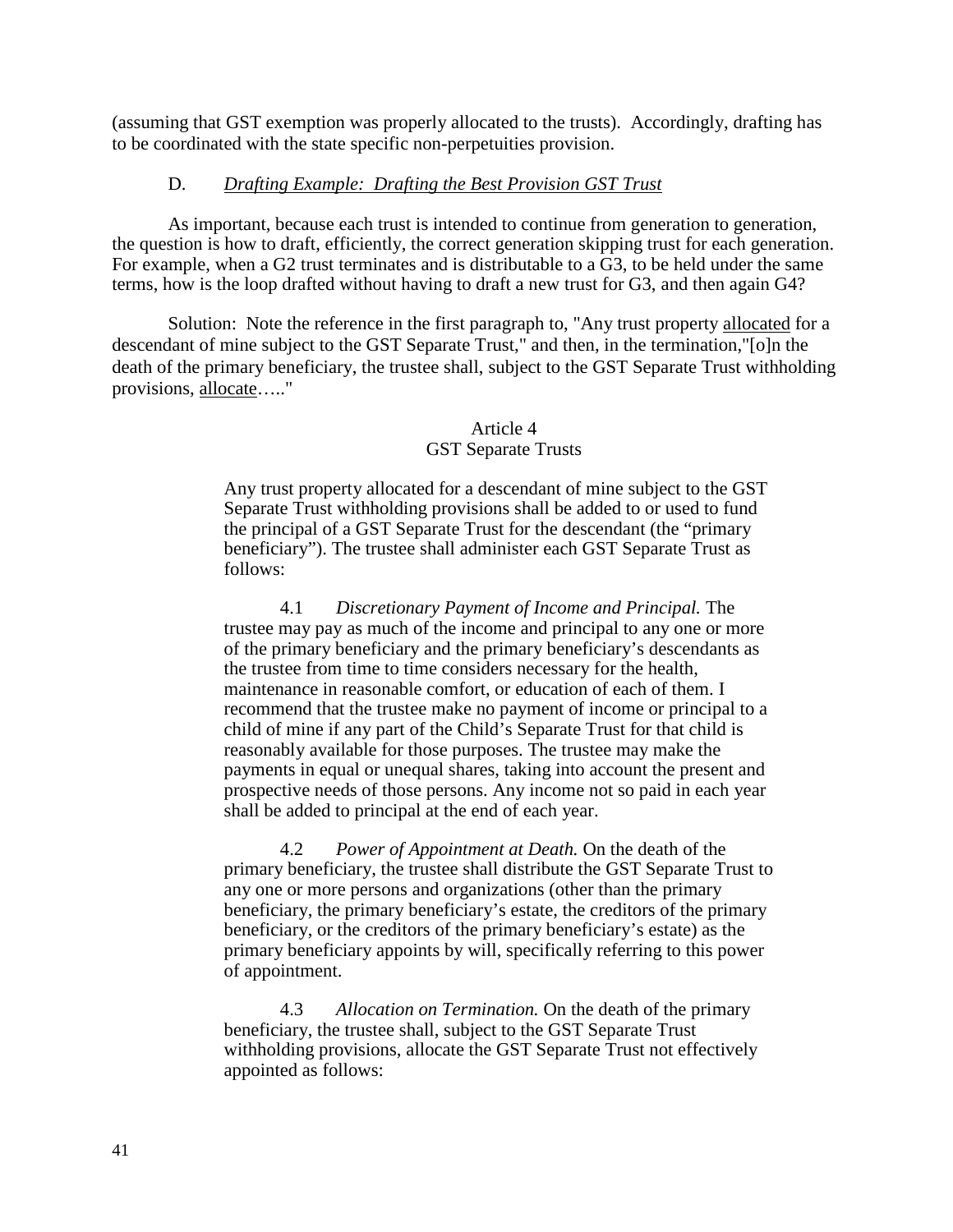(assuming that GST exemption was properly allocated to the trusts). Accordingly, drafting has to be coordinated with the state specific non-perpetuities provision.

# D. *Drafting Example: Drafting the Best Provision GST Trust*

As important, because each trust is intended to continue from generation to generation, the question is how to draft, efficiently, the correct generation skipping trust for each generation. For example, when a G2 trust terminates and is distributable to a G3, to be held under the same terms, how is the loop drafted without having to draft a new trust for G3, and then again G4?

Solution: Note the reference in the first paragraph to, "Any trust property allocated for a descendant of mine subject to the GST Separate Trust," and then, in the termination,"[o]n the death of the primary beneficiary, the trustee shall, subject to the GST Separate Trust withholding provisions, allocate….."

## Article 4 GST Separate Trusts

Any trust property allocated for a descendant of mine subject to the GST Separate Trust withholding provisions shall be added to or used to fund the principal of a GST Separate Trust for the descendant (the "primary beneficiary"). The trustee shall administer each GST Separate Trust as follows:

4.1 *Discretionary Payment of Income and Principal.* The trustee may pay as much of the income and principal to any one or more of the primary beneficiary and the primary beneficiary's descendants as the trustee from time to time considers necessary for the health, maintenance in reasonable comfort, or education of each of them. I recommend that the trustee make no payment of income or principal to a child of mine if any part of the Child's Separate Trust for that child is reasonably available for those purposes. The trustee may make the payments in equal or unequal shares, taking into account the present and prospective needs of those persons. Any income not so paid in each year shall be added to principal at the end of each year.

4.2 *Power of Appointment at Death.* On the death of the primary beneficiary, the trustee shall distribute the GST Separate Trust to any one or more persons and organizations (other than the primary beneficiary, the primary beneficiary's estate, the creditors of the primary beneficiary, or the creditors of the primary beneficiary's estate) as the primary beneficiary appoints by will, specifically referring to this power of appointment.

4.3 *Allocation on Termination.* On the death of the primary beneficiary, the trustee shall, subject to the GST Separate Trust withholding provisions, allocate the GST Separate Trust not effectively appointed as follows: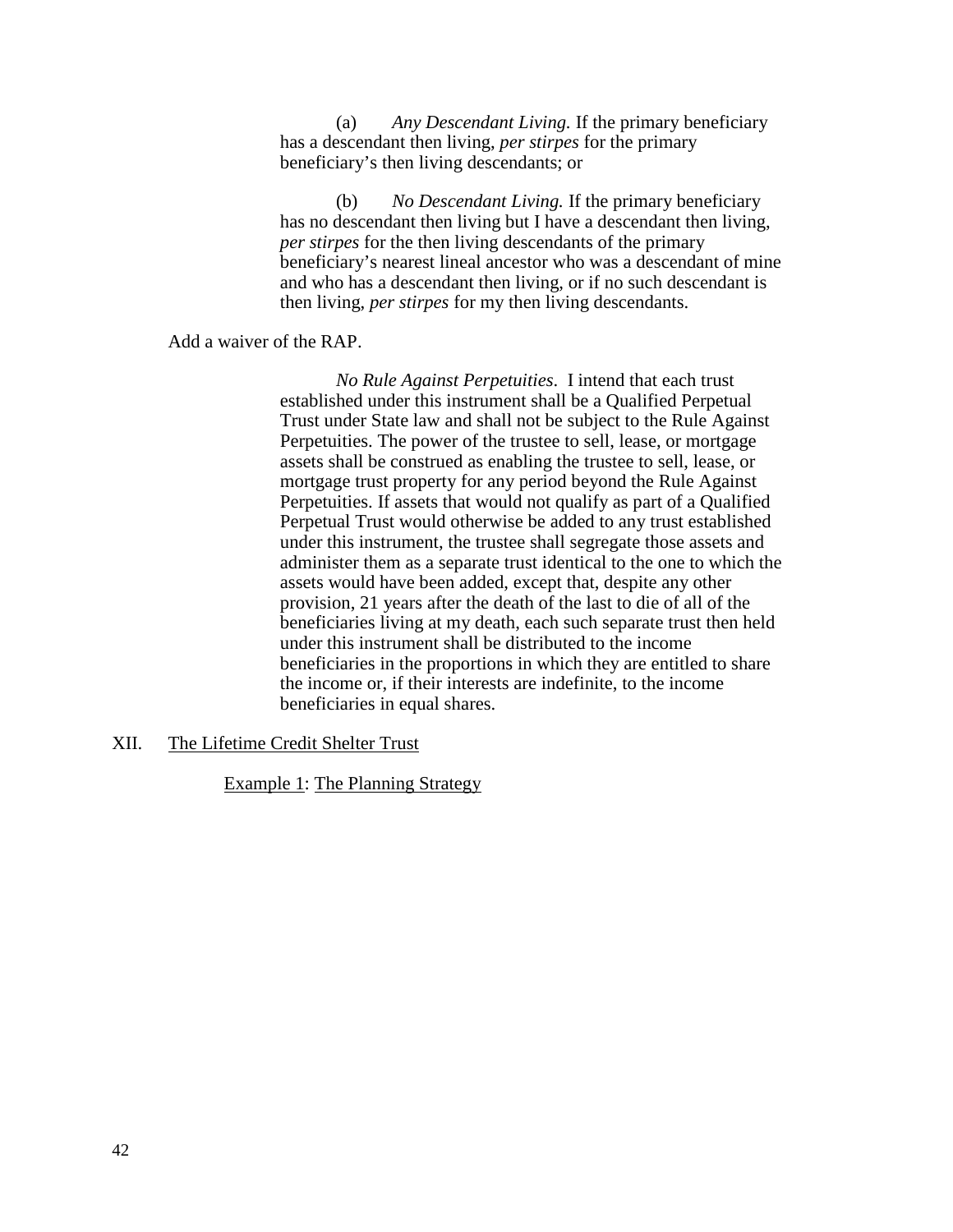(a) *Any Descendant Living.* If the primary beneficiary has a descendant then living, *per stirpes* for the primary beneficiary's then living descendants; or

(b) *No Descendant Living.* If the primary beneficiary has no descendant then living but I have a descendant then living, *per stirpes* for the then living descendants of the primary beneficiary's nearest lineal ancestor who was a descendant of mine and who has a descendant then living, or if no such descendant is then living, *per stirpes* for my then living descendants.

Add a waiver of the RAP.

*No Rule Against Perpetuities*. I intend that each trust established under this instrument shall be a Qualified Perpetual Trust under State law and shall not be subject to the Rule Against Perpetuities. The power of the trustee to sell, lease, or mortgage assets shall be construed as enabling the trustee to sell, lease, or mortgage trust property for any period beyond the Rule Against Perpetuities. If assets that would not qualify as part of a Qualified Perpetual Trust would otherwise be added to any trust established under this instrument, the trustee shall segregate those assets and administer them as a separate trust identical to the one to which the assets would have been added, except that, despite any other provision, 21 years after the death of the last to die of all of the beneficiaries living at my death, each such separate trust then held under this instrument shall be distributed to the income beneficiaries in the proportions in which they are entitled to share the income or, if their interests are indefinite, to the income beneficiaries in equal shares.

## XII. The Lifetime Credit Shelter Trust

Example 1: The Planning Strategy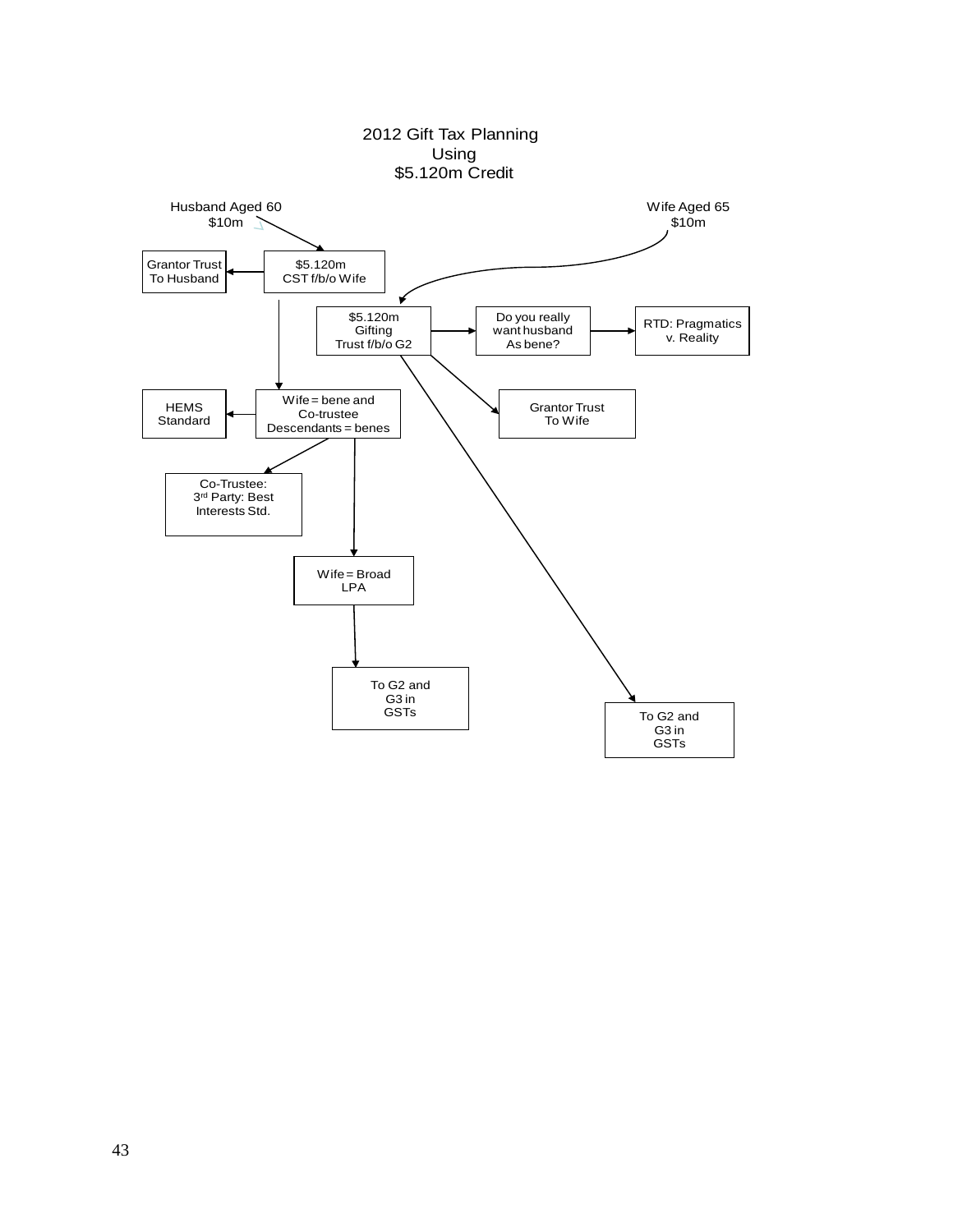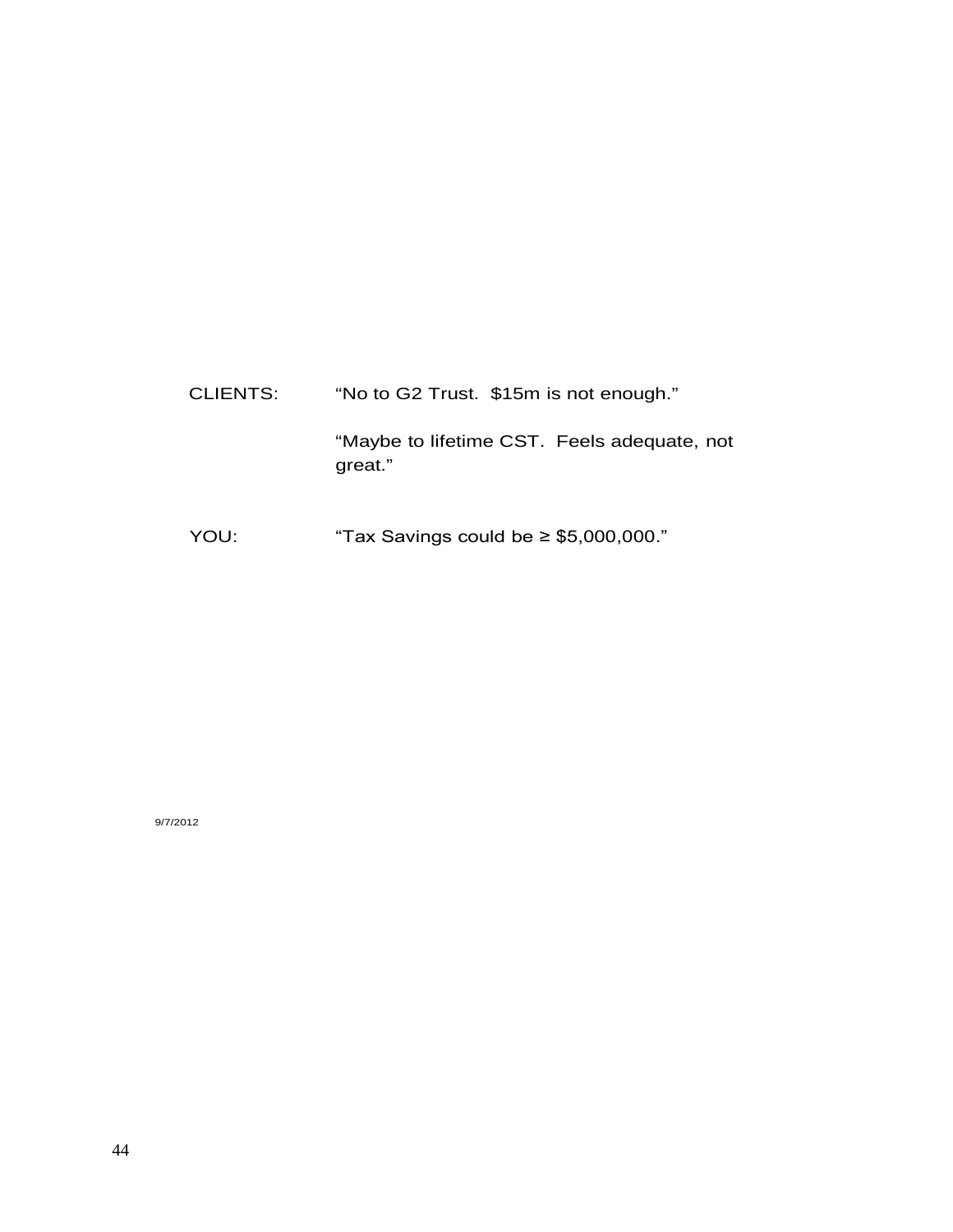CLIENTS: "No to G2 Trust. \$15m is not enough." "Maybe to lifetime CST. Feels adequate, not great."

YOU: "Tax Savings could be ≥ \$5,000,000."

9/7/2012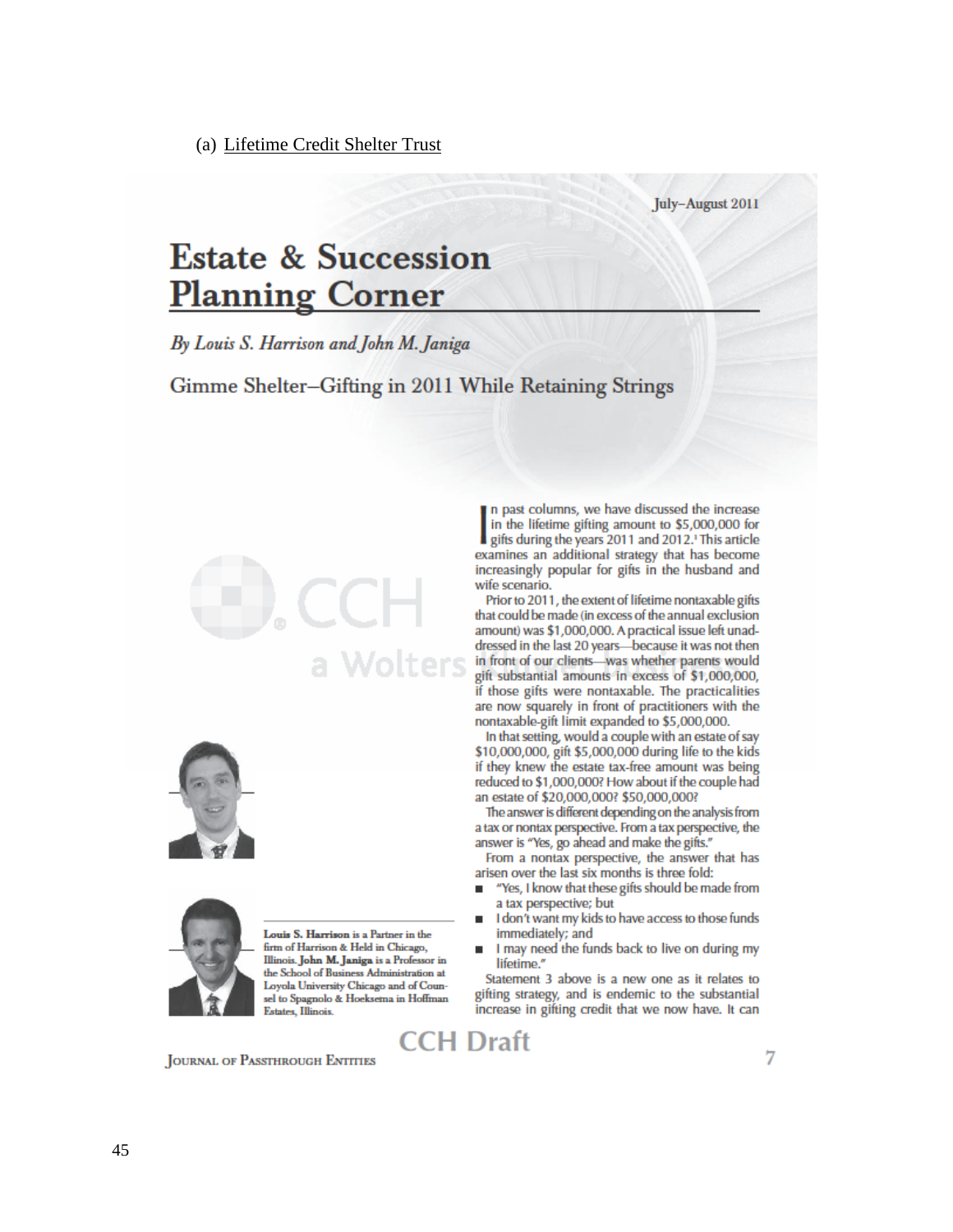(a) Lifetime Credit Shelter Trust

#### July-August 2011

# **Estate & Succession Planning Corner**

By Louis S. Harrison and John M. Janiga

Gimme Shelter-Gifting in 2011 While Retaining Strings







Louis S. Harrison is a Partner in the firm of Harrison & Held in Chicago, Illinois. John M. Janiga is a Professor in the School of Business Administration at Loyola University Chicago and of Counsel to Spagnolo & Hoeksema in Hoffman Estates, Illinois.

**JOURNAL OF PASSTHROUGH ENTITIES** 

n past columns, we have discussed the increase in the lifetime gifting amount to \$5,000,000 for gifts during the years 2011 and 2012. This article examines an additional strategy that has become increasingly popular for gifts in the husband and wife scenario.

Prior to 2011, the extent of lifetime nontaxable gifts that could be made (in excess of the annual exclusion amount) was \$1,000,000. A practical issue left unaddressed in the last 20 years-because it was not then  $W$ olters in front of our clients—was whether parents would gift substantial amounts in excess of \$1,000,000, if those gifts were nontaxable. The practicalities are now squarely in front of practitioners with the nontaxable-gift limit expanded to \$5,000,000.

In that setting, would a couple with an estate of say \$10,000,000, gift \$5,000,000 during life to the kids if they knew the estate tax-free amount was being reduced to \$1,000,000? How about if the couple had an estate of \$20,000,000? \$50,000,000?

The answer is different depending on the analysis from a tax or nontax perspective. From a tax perspective, the answer is "Yes, go ahead and make the gifts."

From a nontax perspective, the answer that has arisen over the last six months is three fold:

- "Yes, I know that these gifts should be made from ٠ a tax perspective; but
- I don't want my kids to have access to those funds immediately; and
- I may need the funds back to live on during my lifetime."

Statement 3 above is a new one as it relates to gifting strategy, and is endemic to the substantial increase in gifting credit that we now have. It can

**CCH Draft**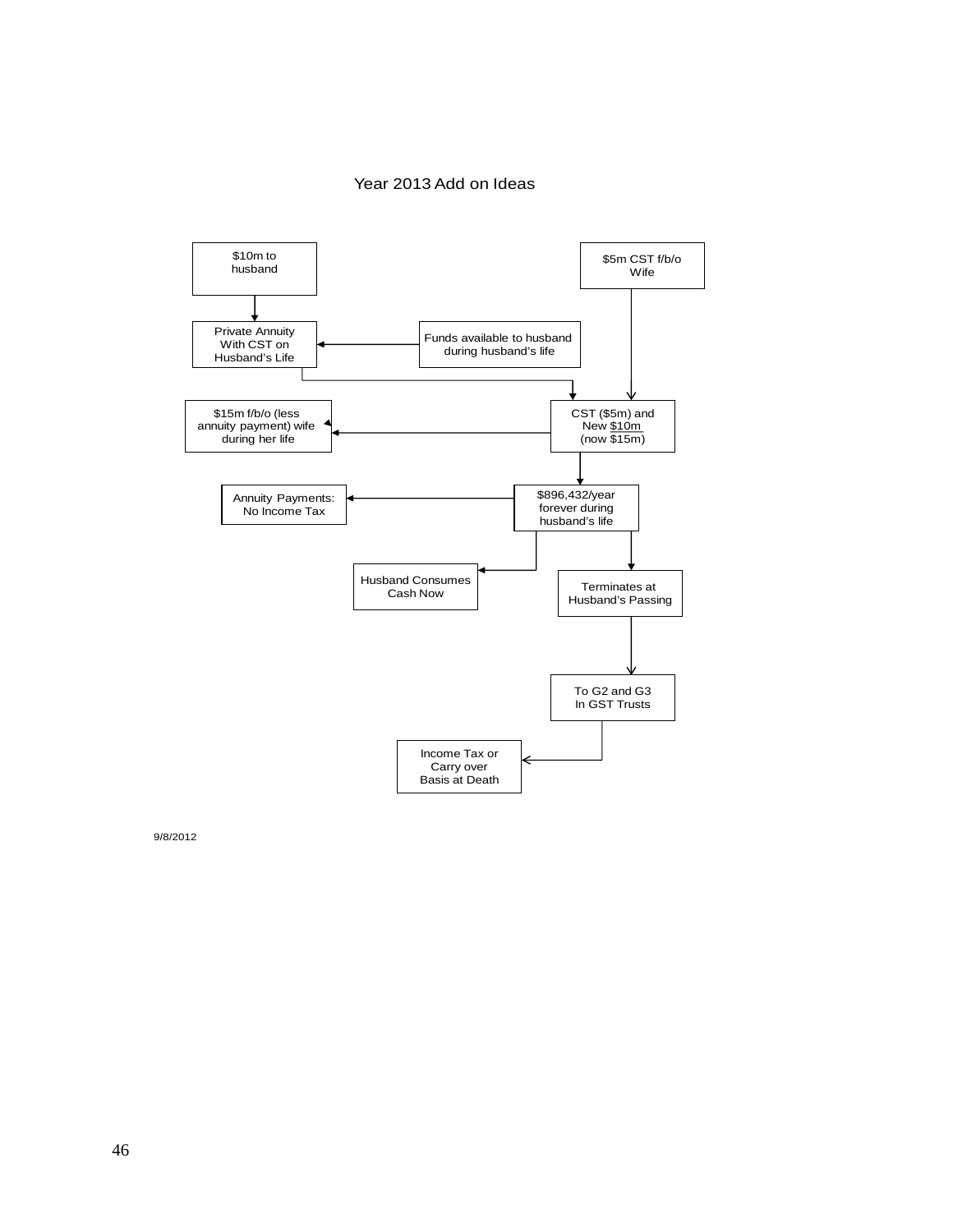#### Year 2013 Add on Ideas



9/8/2012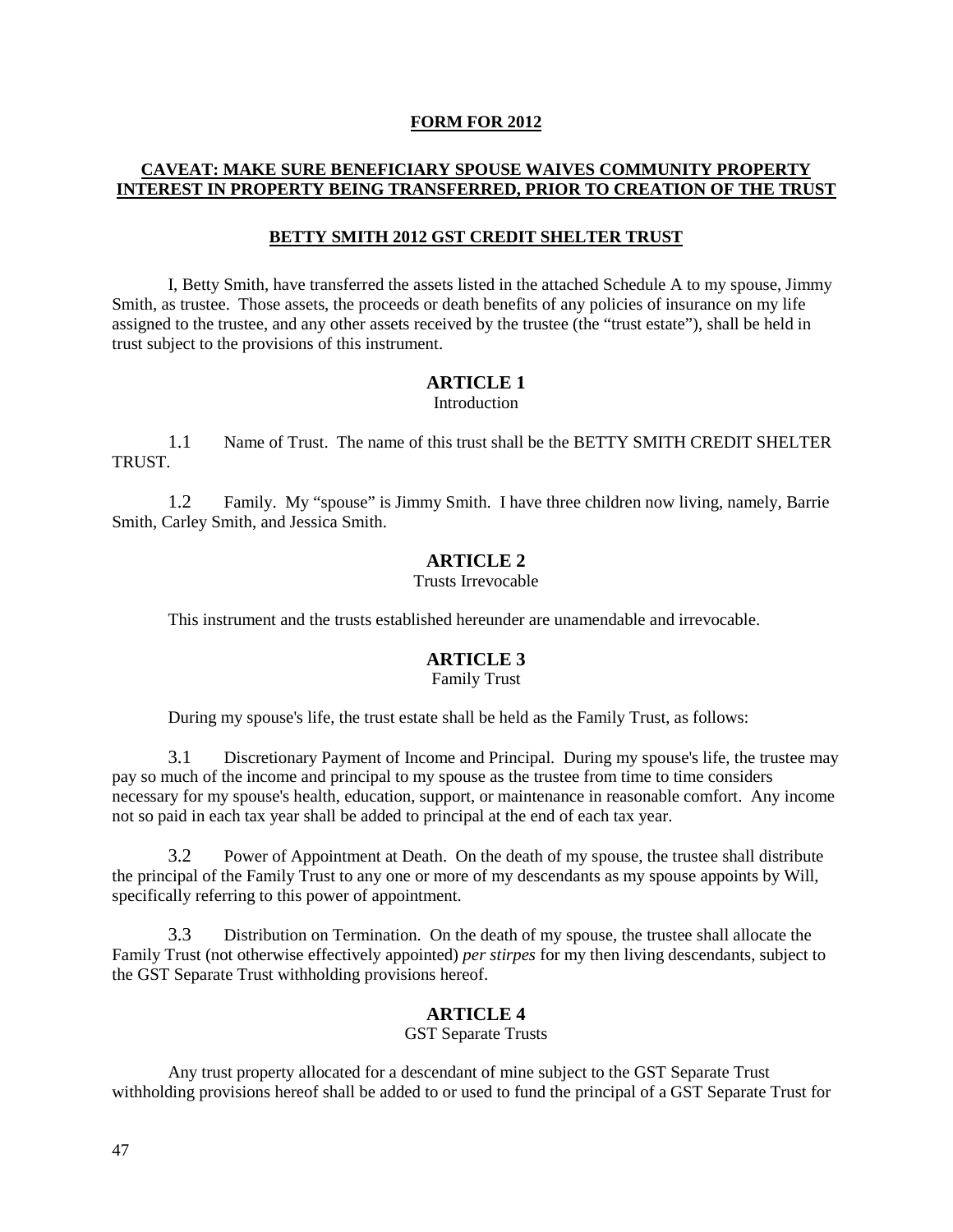## **FORM FOR 2012**

# **CAVEAT: MAKE SURE BENEFICIARY SPOUSE WAIVES COMMUNITY PROPERTY INTEREST IN PROPERTY BEING TRANSFERRED, PRIOR TO CREATION OF THE TRUST**

#### **BETTY SMITH 2012 GST CREDIT SHELTER TRUST**

I, Betty Smith, have transferred the assets listed in the attached Schedule A to my spouse, Jimmy Smith, as trustee. Those assets, the proceeds or death benefits of any policies of insurance on my life assigned to the trustee, and any other assets received by the trustee (the "trust estate"), shall be held in trust subject to the provisions of this instrument.

## **ARTICLE 1**

Introduction

1.1 Name of Trust. The name of this trust shall be the BETTY SMITH CREDIT SHELTER **TRUST** 

1.2 Family. My "spouse" is Jimmy Smith. I have three children now living, namely, Barrie Smith, Carley Smith, and Jessica Smith.

## **ARTICLE 2**

Trusts Irrevocable

This instrument and the trusts established hereunder are unamendable and irrevocable.

# **ARTICLE 3**

Family Trust

During my spouse's life, the trust estate shall be held as the Family Trust, as follows:

3.1 Discretionary Payment of Income and Principal. During my spouse's life, the trustee may pay so much of the income and principal to my spouse as the trustee from time to time considers necessary for my spouse's health, education, support, or maintenance in reasonable comfort. Any income not so paid in each tax year shall be added to principal at the end of each tax year.

3.2 Power of Appointment at Death. On the death of my spouse, the trustee shall distribute the principal of the Family Trust to any one or more of my descendants as my spouse appoints by Will, specifically referring to this power of appointment.

3.3 Distribution on Termination. On the death of my spouse, the trustee shall allocate the Family Trust (not otherwise effectively appointed) *per stirpes* for my then living descendants, subject to the GST Separate Trust withholding provisions hereof.

## **ARTICLE 4**

GST Separate Trusts

Any trust property allocated for a descendant of mine subject to the GST Separate Trust withholding provisions hereof shall be added to or used to fund the principal of a GST Separate Trust for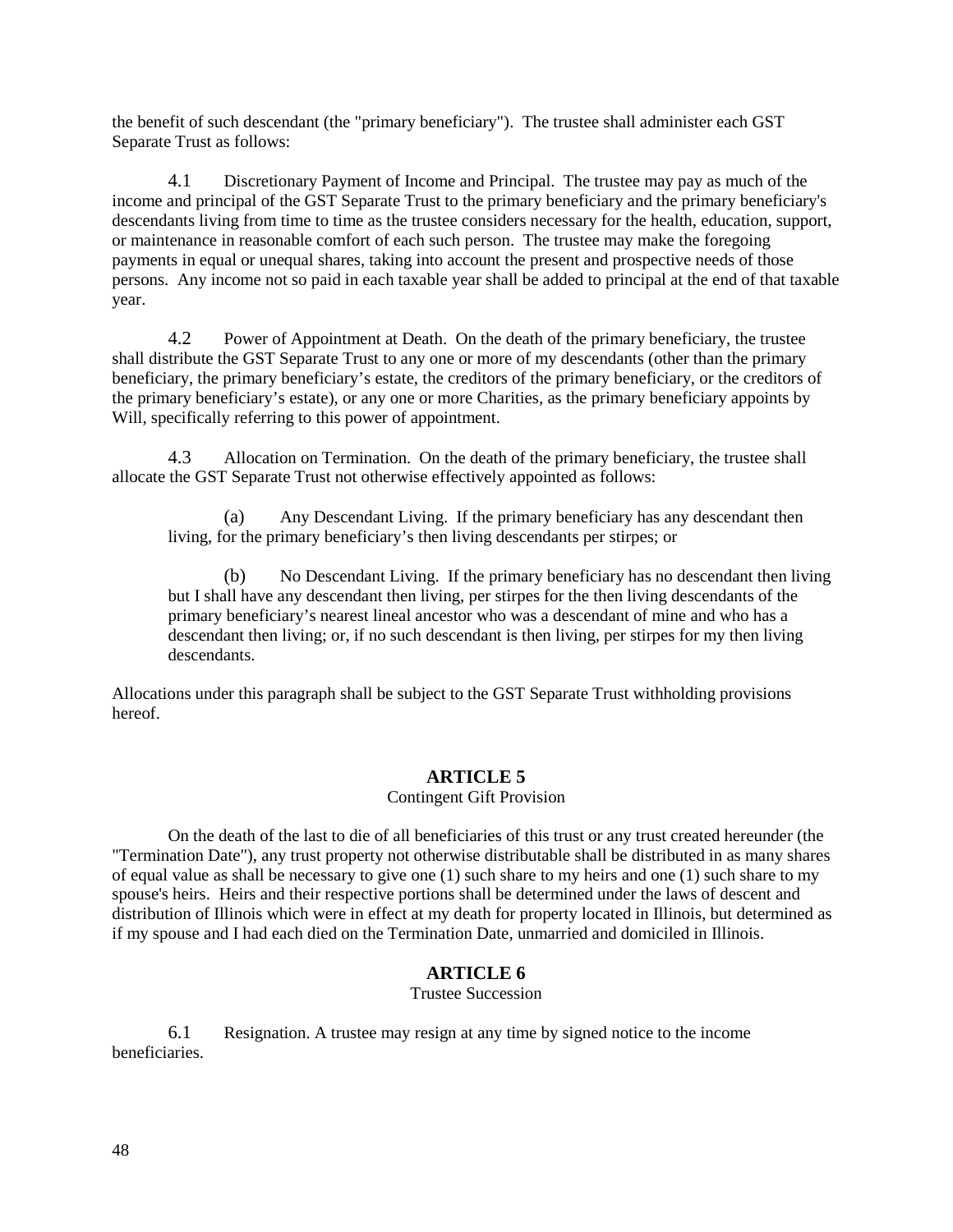the benefit of such descendant (the "primary beneficiary"). The trustee shall administer each GST Separate Trust as follows:

4.1 Discretionary Payment of Income and Principal. The trustee may pay as much of the income and principal of the GST Separate Trust to the primary beneficiary and the primary beneficiary's descendants living from time to time as the trustee considers necessary for the health, education, support, or maintenance in reasonable comfort of each such person. The trustee may make the foregoing payments in equal or unequal shares, taking into account the present and prospective needs of those persons. Any income not so paid in each taxable year shall be added to principal at the end of that taxable year.

4.2 Power of Appointment at Death. On the death of the primary beneficiary, the trustee shall distribute the GST Separate Trust to any one or more of my descendants (other than the primary beneficiary, the primary beneficiary's estate, the creditors of the primary beneficiary, or the creditors of the primary beneficiary's estate), or any one or more Charities, as the primary beneficiary appoints by Will, specifically referring to this power of appointment.

4.3 Allocation on Termination. On the death of the primary beneficiary, the trustee shall allocate the GST Separate Trust not otherwise effectively appointed as follows:

(a) Any Descendant Living. If the primary beneficiary has any descendant then living, for the primary beneficiary's then living descendants per stirpes; or

(b) No Descendant Living. If the primary beneficiary has no descendant then living but I shall have any descendant then living, per stirpes for the then living descendants of the primary beneficiary's nearest lineal ancestor who was a descendant of mine and who has a descendant then living; or, if no such descendant is then living, per stirpes for my then living descendants.

Allocations under this paragraph shall be subject to the GST Separate Trust withholding provisions hereof.

#### **ARTICLE 5**

## Contingent Gift Provision

On the death of the last to die of all beneficiaries of this trust or any trust created hereunder (the "Termination Date"), any trust property not otherwise distributable shall be distributed in as many shares of equal value as shall be necessary to give one (1) such share to my heirs and one (1) such share to my spouse's heirs. Heirs and their respective portions shall be determined under the laws of descent and distribution of Illinois which were in effect at my death for property located in Illinois, but determined as if my spouse and I had each died on the Termination Date, unmarried and domiciled in Illinois.

## **ARTICLE 6**

Trustee Succession

6.1 Resignation. A trustee may resign at any time by signed notice to the income beneficiaries.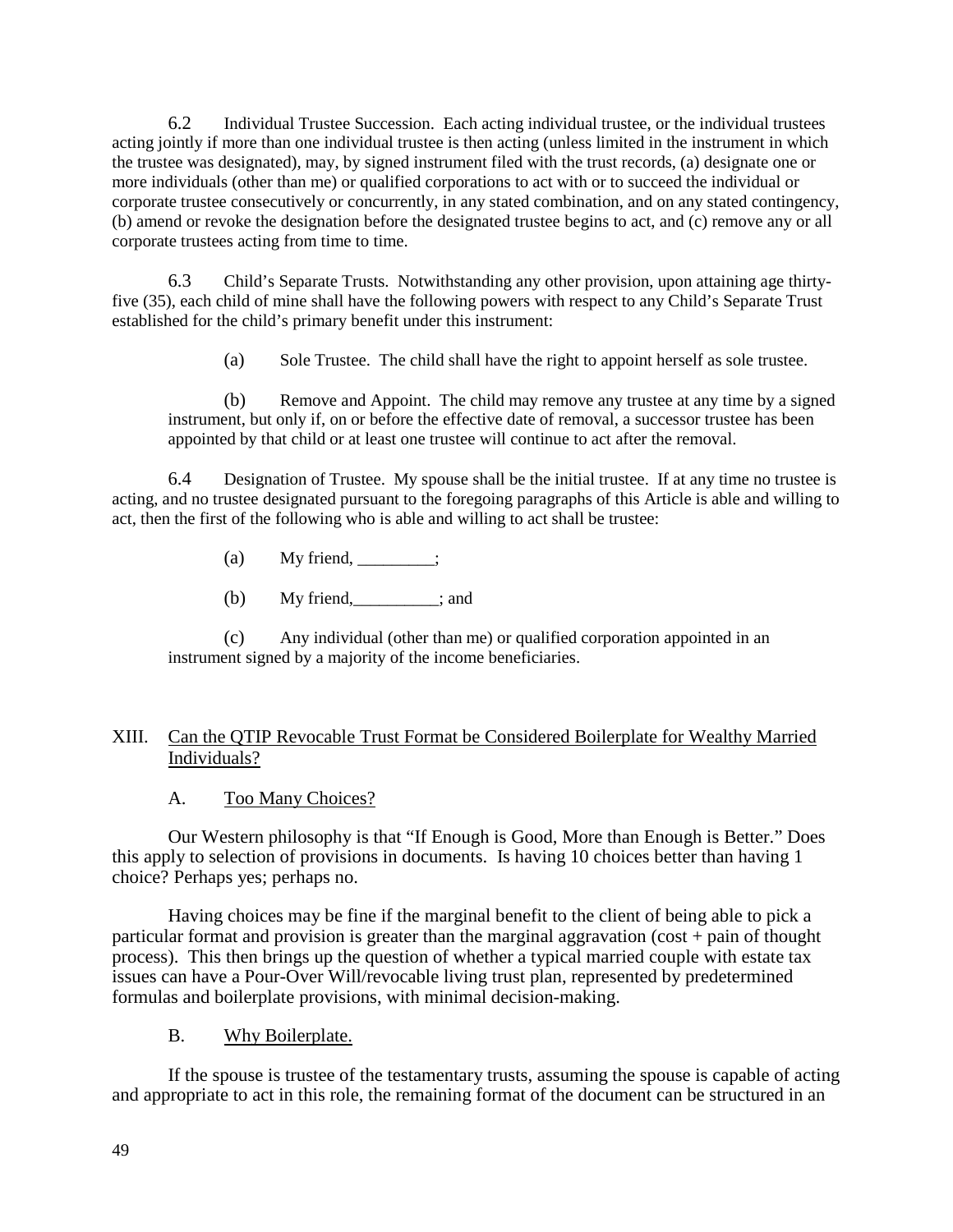6.2 Individual Trustee Succession. Each acting individual trustee, or the individual trustees acting jointly if more than one individual trustee is then acting (unless limited in the instrument in which the trustee was designated), may, by signed instrument filed with the trust records, (a) designate one or more individuals (other than me) or qualified corporations to act with or to succeed the individual or corporate trustee consecutively or concurrently, in any stated combination, and on any stated contingency, (b) amend or revoke the designation before the designated trustee begins to act, and (c) remove any or all corporate trustees acting from time to time.

6.3 Child's Separate Trusts. Notwithstanding any other provision, upon attaining age thirtyfive (35), each child of mine shall have the following powers with respect to any Child's Separate Trust established for the child's primary benefit under this instrument:

(a) Sole Trustee. The child shall have the right to appoint herself as sole trustee.

(b) Remove and Appoint. The child may remove any trustee at any time by a signed instrument, but only if, on or before the effective date of removal, a successor trustee has been appointed by that child or at least one trustee will continue to act after the removal.

6.4 Designation of Trustee. My spouse shall be the initial trustee. If at any time no trustee is acting, and no trustee designated pursuant to the foregoing paragraphs of this Article is able and willing to act, then the first of the following who is able and willing to act shall be trustee:

- (a) My friend,  $\frac{\ }{\ }$
- (b)  $My friend,$  ; and

(c) Any individual (other than me) or qualified corporation appointed in an instrument signed by a majority of the income beneficiaries.

# XIII. Can the QTIP Revocable Trust Format be Considered Boilerplate for Wealthy Married Individuals?

A. Too Many Choices?

Our Western philosophy is that "If Enough is Good, More than Enough is Better." Does this apply to selection of provisions in documents. Is having 10 choices better than having 1 choice? Perhaps yes; perhaps no.

Having choices may be fine if the marginal benefit to the client of being able to pick a particular format and provision is greater than the marginal aggravation (cost + pain of thought process). This then brings up the question of whether a typical married couple with estate tax issues can have a Pour-Over Will/revocable living trust plan, represented by predetermined formulas and boilerplate provisions, with minimal decision-making.

# B. Why Boilerplate.

If the spouse is trustee of the testamentary trusts, assuming the spouse is capable of acting and appropriate to act in this role, the remaining format of the document can be structured in an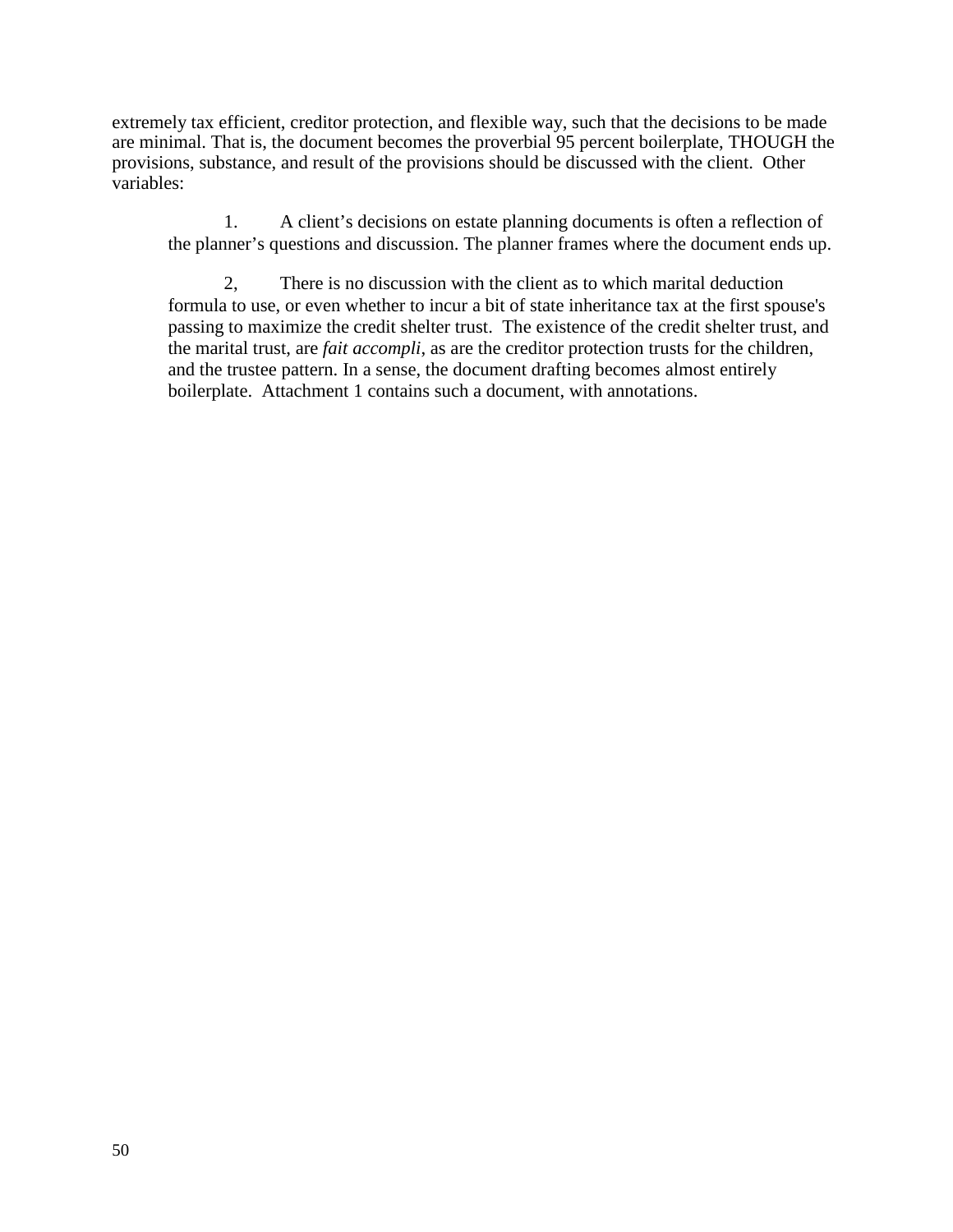extremely tax efficient, creditor protection, and flexible way, such that the decisions to be made are minimal. That is, the document becomes the proverbial 95 percent boilerplate, THOUGH the provisions, substance, and result of the provisions should be discussed with the client. Other variables:

1. A client's decisions on estate planning documents is often a reflection of the planner's questions and discussion. The planner frames where the document ends up.

2, There is no discussion with the client as to which marital deduction formula to use, or even whether to incur a bit of state inheritance tax at the first spouse's passing to maximize the credit shelter trust. The existence of the credit shelter trust, and the marital trust, are *fait accompli*, as are the creditor protection trusts for the children, and the trustee pattern. In a sense, the document drafting becomes almost entirely boilerplate. Attachment 1 contains such a document, with annotations.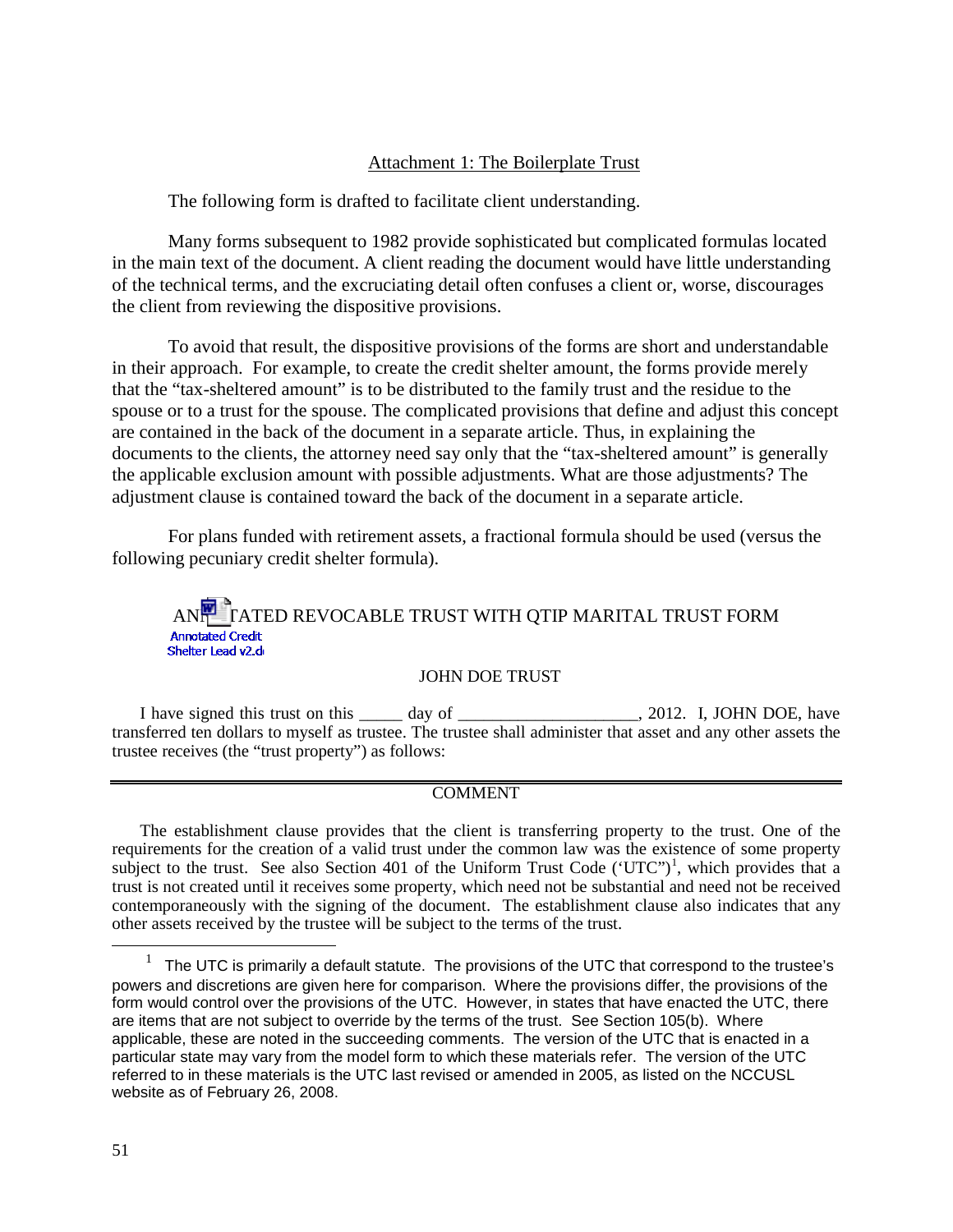# Attachment 1: The Boilerplate Trust

The following form is drafted to facilitate client understanding.

Many forms subsequent to 1982 provide sophisticated but complicated formulas located in the main text of the document. A client reading the document would have little understanding of the technical terms, and the excruciating detail often confuses a client or, worse, discourages the client from reviewing the dispositive provisions.

To avoid that result, the dispositive provisions of the forms are short and understandable in their approach. For example, to create the credit shelter amount, the forms provide merely that the "tax-sheltered amount" is to be distributed to the family trust and the residue to the spouse or to a trust for the spouse. The complicated provisions that define and adjust this concept are contained in the back of the document in a separate article. Thus, in explaining the documents to the clients, the attorney need say only that the "tax-sheltered amount" is generally the applicable exclusion amount with possible adjustments. What are those adjustments? The adjustment clause is contained toward the back of the document in a separate article.

For plans funded with retirement assets, a fractional formula should be used (versus the following pecuniary credit shelter formula).

ANNOT TATED REVOCABLE TRUST WITH QTIP MARITAL TRUST FORM Shelter Lead v2.di

## JOHN DOE TRUST

I have signed this trust on this \_\_\_\_\_ day of \_\_\_\_\_\_\_\_\_\_\_\_\_\_\_\_\_\_\_\_, 2012. I, JOHN DOE, have transferred ten dollars to myself as trustee. The trustee shall administer that asset and any other assets the trustee receives (the "trust property") as follows:

#### **COMMENT**

The establishment clause provides that the client is transferring property to the trust. One of the requirements for the creation of a valid trust under the common law was the existence of some property subject to the trust. See also Section 40[1](#page-51-0) of the Uniform Trust Code ('UTC")<sup>1</sup>, which provides that a trust is not created until it receives some property, which need not be substantial and need not be received contemporaneously with the signing of the document. The establishment clause also indicates that any other assets received by the trustee will be subject to the terms of the trust.

 $\overline{a}$ 

<span id="page-51-0"></span><sup>1</sup> The UTC is primarily a default statute. The provisions of the UTC that correspond to the trustee's powers and discretions are given here for comparison. Where the provisions differ, the provisions of the form would control over the provisions of the UTC. However, in states that have enacted the UTC, there are items that are not subject to override by the terms of the trust. See Section 105(b). Where applicable, these are noted in the succeeding comments. The version of the UTC that is enacted in a particular state may vary from the model form to which these materials refer. The version of the UTC referred to in these materials is the UTC last revised or amended in 2005, as listed on the NCCUSL website as of February 26, 2008.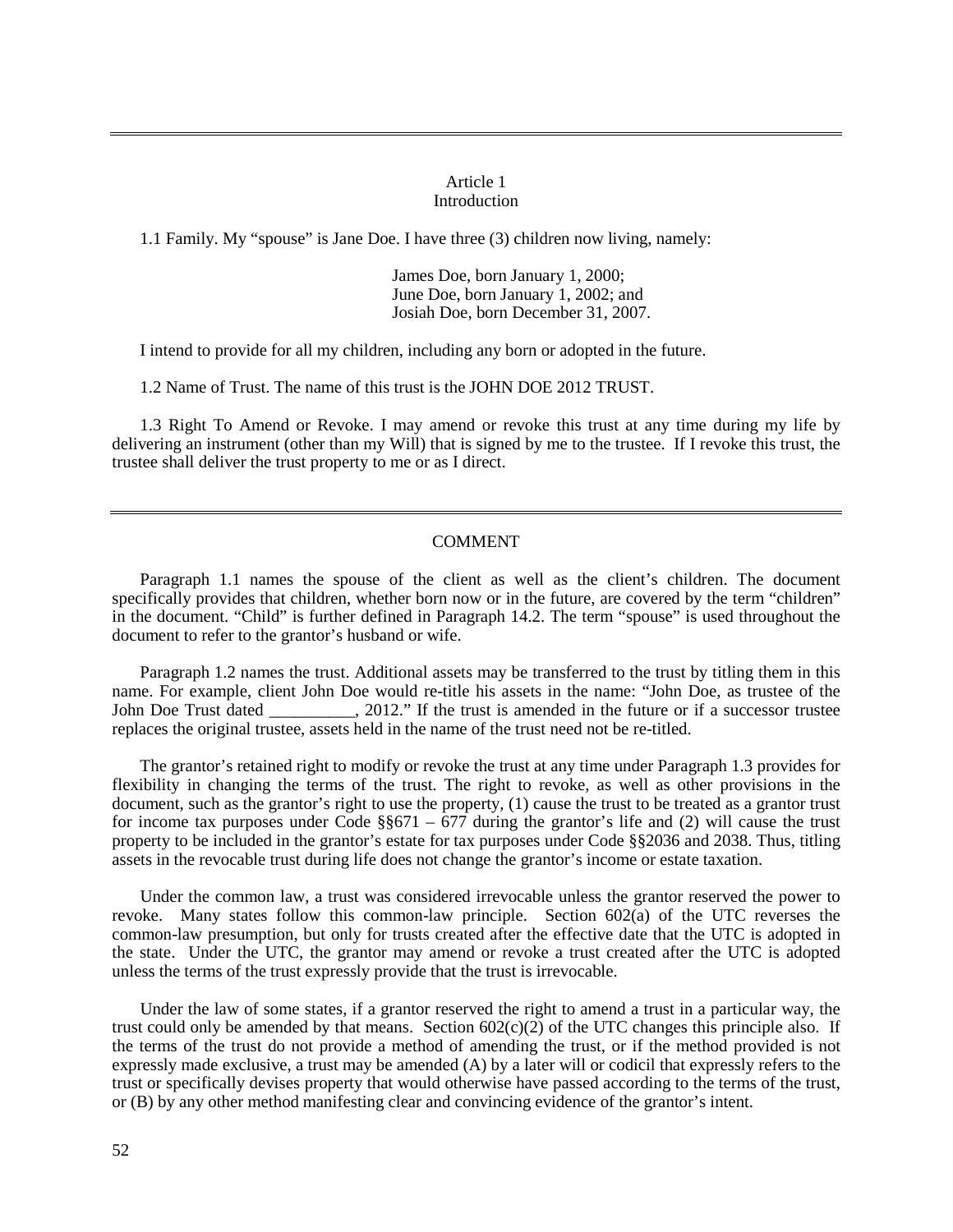#### Article 1 Introduction

1.1 Family. My "spouse" is Jane Doe. I have three (3) children now living, namely:

James Doe, born January 1, 2000; June Doe, born January 1, 2002; and Josiah Doe, born December 31, 2007.

I intend to provide for all my children, including any born or adopted in the future.

1.2 Name of Trust. The name of this trust is the JOHN DOE 2012 TRUST.

1.3 Right To Amend or Revoke. I may amend or revoke this trust at any time during my life by delivering an instrument (other than my Will) that is signed by me to the trustee. If I revoke this trust, the trustee shall deliver the trust property to me or as I direct.

## COMMENT

Paragraph 1.1 names the spouse of the client as well as the client's children. The document specifically provides that children, whether born now or in the future, are covered by the term "children" in the document. "Child" is further defined in Paragraph 14.2. The term "spouse" is used throughout the document to refer to the grantor's husband or wife.

Paragraph 1.2 names the trust. Additional assets may be transferred to the trust by titling them in this name. For example, client John Doe would re-title his assets in the name: "John Doe, as trustee of the John Doe Trust dated 2012." If the trust is amended in the future or if a successor trustee , 2012." If the trust is amended in the future or if a successor trustee replaces the original trustee, assets held in the name of the trust need not be re-titled.

The grantor's retained right to modify or revoke the trust at any time under Paragraph 1.3 provides for flexibility in changing the terms of the trust. The right to revoke, as well as other provisions in the document, such as the grantor's right to use the property, (1) cause the trust to be treated as a grantor trust for income tax purposes under Code  $\S$ §671 – 677 during the grantor's life and (2) will cause the trust property to be included in the grantor's estate for tax purposes under Code §§2036 and 2038. Thus, titling assets in the revocable trust during life does not change the grantor's income or estate taxation.

Under the common law, a trust was considered irrevocable unless the grantor reserved the power to revoke. Many states follow this common-law principle. Section 602(a) of the UTC reverses the common-law presumption, but only for trusts created after the effective date that the UTC is adopted in the state. Under the UTC, the grantor may amend or revoke a trust created after the UTC is adopted unless the terms of the trust expressly provide that the trust is irrevocable.

Under the law of some states, if a grantor reserved the right to amend a trust in a particular way, the trust could only be amended by that means. Section  $602(c)(2)$  of the UTC changes this principle also. If the terms of the trust do not provide a method of amending the trust, or if the method provided is not expressly made exclusive, a trust may be amended (A) by a later will or codicil that expressly refers to the trust or specifically devises property that would otherwise have passed according to the terms of the trust, or (B) by any other method manifesting clear and convincing evidence of the grantor's intent.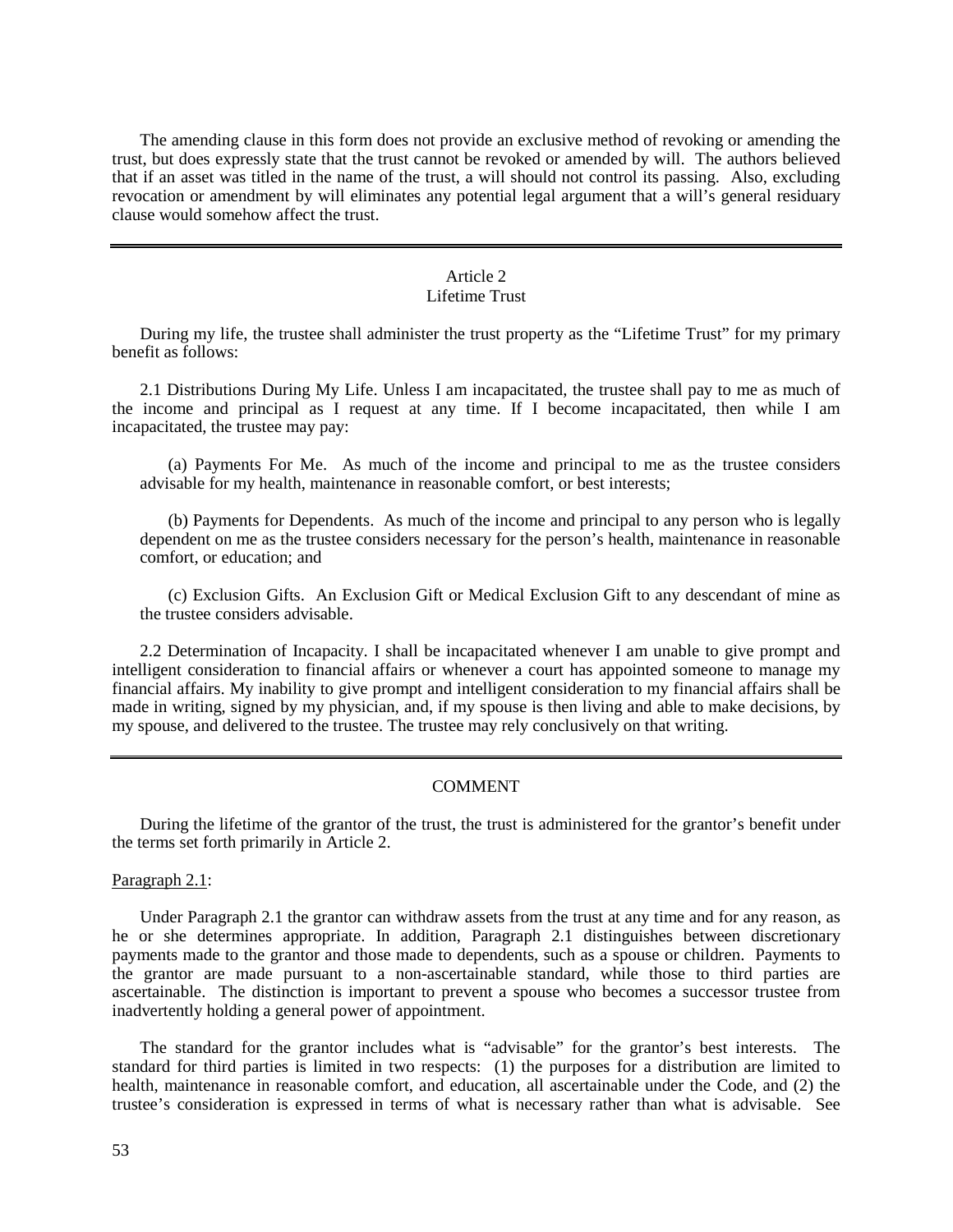The amending clause in this form does not provide an exclusive method of revoking or amending the trust, but does expressly state that the trust cannot be revoked or amended by will. The authors believed that if an asset was titled in the name of the trust, a will should not control its passing. Also, excluding revocation or amendment by will eliminates any potential legal argument that a will's general residuary clause would somehow affect the trust.

# Article 2

# Lifetime Trust

During my life, the trustee shall administer the trust property as the "Lifetime Trust" for my primary benefit as follows:

2.1 Distributions During My Life. Unless I am incapacitated, the trustee shall pay to me as much of the income and principal as I request at any time. If I become incapacitated, then while I am incapacitated, the trustee may pay:

(a) Payments For Me. As much of the income and principal to me as the trustee considers advisable for my health, maintenance in reasonable comfort, or best interests;

(b) Payments for Dependents. As much of the income and principal to any person who is legally dependent on me as the trustee considers necessary for the person's health, maintenance in reasonable comfort, or education; and

(c) Exclusion Gifts. An Exclusion Gift or Medical Exclusion Gift to any descendant of mine as the trustee considers advisable.

2.2 Determination of Incapacity. I shall be incapacitated whenever I am unable to give prompt and intelligent consideration to financial affairs or whenever a court has appointed someone to manage my financial affairs. My inability to give prompt and intelligent consideration to my financial affairs shall be made in writing, signed by my physician, and, if my spouse is then living and able to make decisions, by my spouse, and delivered to the trustee. The trustee may rely conclusively on that writing.

## COMMENT

During the lifetime of the grantor of the trust, the trust is administered for the grantor's benefit under the terms set forth primarily in Article 2.

Paragraph 2.1:

Under Paragraph 2.1 the grantor can withdraw assets from the trust at any time and for any reason, as he or she determines appropriate. In addition, Paragraph 2.1 distinguishes between discretionary payments made to the grantor and those made to dependents, such as a spouse or children. Payments to the grantor are made pursuant to a non-ascertainable standard, while those to third parties are ascertainable. The distinction is important to prevent a spouse who becomes a successor trustee from inadvertently holding a general power of appointment.

The standard for the grantor includes what is "advisable" for the grantor's best interests. The standard for third parties is limited in two respects: (1) the purposes for a distribution are limited to health, maintenance in reasonable comfort, and education, all ascertainable under the Code, and (2) the trustee's consideration is expressed in terms of what is necessary rather than what is advisable. See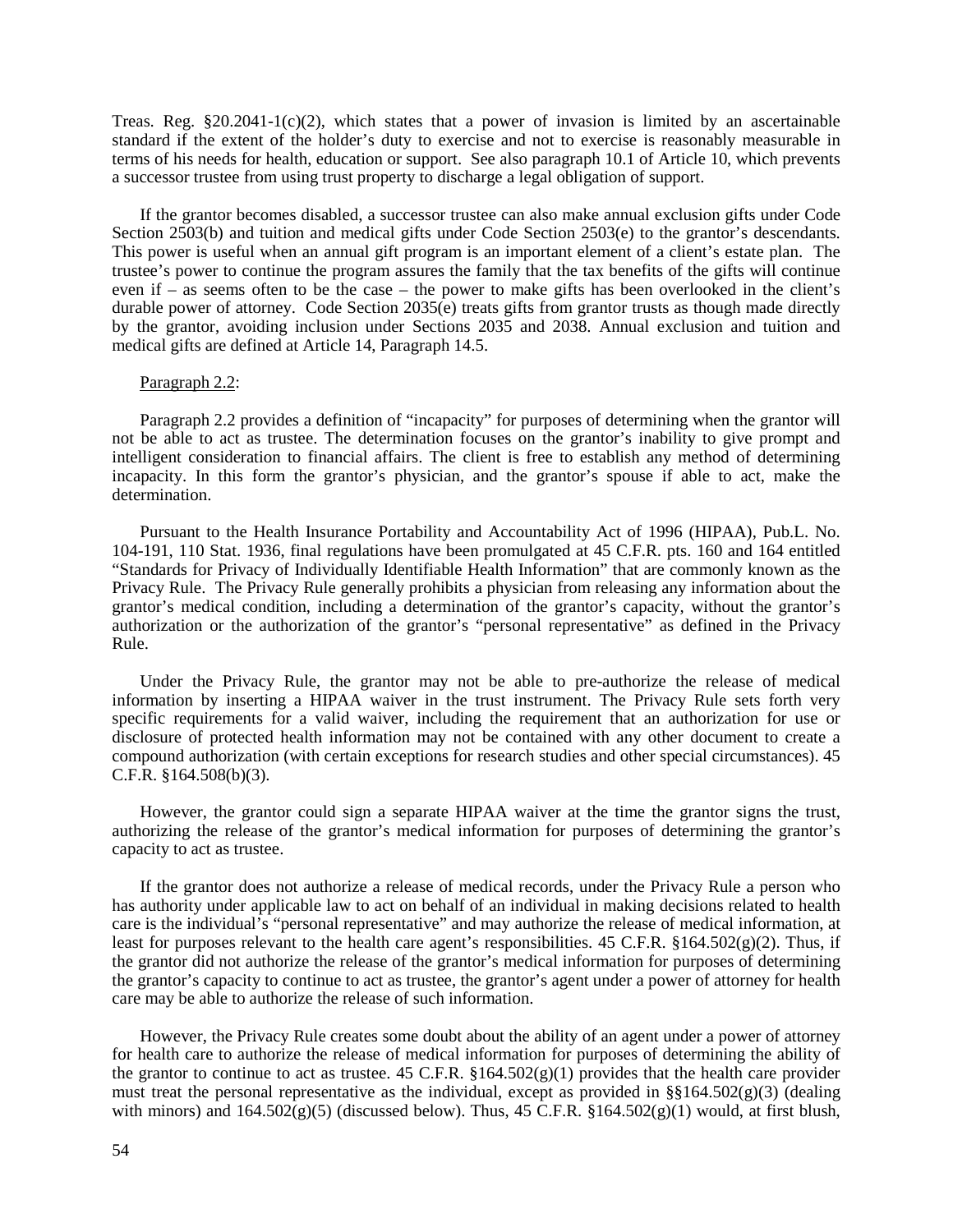Treas. Reg.  $\S20.2041-1(c)(2)$ , which states that a power of invasion is limited by an ascertainable standard if the extent of the holder's duty to exercise and not to exercise is reasonably measurable in terms of his needs for health, education or support. See also paragraph 10.1 of Article 10, which prevents a successor trustee from using trust property to discharge a legal obligation of support.

If the grantor becomes disabled, a successor trustee can also make annual exclusion gifts under Code Section 2503(b) and tuition and medical gifts under Code Section 2503(e) to the grantor's descendants. This power is useful when an annual gift program is an important element of a client's estate plan. The trustee's power to continue the program assures the family that the tax benefits of the gifts will continue even if – as seems often to be the case – the power to make gifts has been overlooked in the client's durable power of attorney. Code Section 2035(e) treats gifts from grantor trusts as though made directly by the grantor, avoiding inclusion under Sections 2035 and 2038. Annual exclusion and tuition and medical gifts are defined at Article 14, Paragraph 14.5.

#### Paragraph 2.2:

Paragraph 2.2 provides a definition of "incapacity" for purposes of determining when the grantor will not be able to act as trustee. The determination focuses on the grantor's inability to give prompt and intelligent consideration to financial affairs. The client is free to establish any method of determining incapacity. In this form the grantor's physician, and the grantor's spouse if able to act, make the determination.

Pursuant to the Health Insurance Portability and Accountability Act of 1996 (HIPAA), Pub.L. No. 104-191, 110 Stat. 1936, final regulations have been promulgated at 45 C.F.R. pts. 160 and 164 entitled "Standards for Privacy of Individually Identifiable Health Information" that are commonly known as the Privacy Rule. The Privacy Rule generally prohibits a physician from releasing any information about the grantor's medical condition, including a determination of the grantor's capacity, without the grantor's authorization or the authorization of the grantor's "personal representative" as defined in the Privacy Rule.

Under the Privacy Rule, the grantor may not be able to pre-authorize the release of medical information by inserting a HIPAA waiver in the trust instrument. The Privacy Rule sets forth very specific requirements for a valid waiver, including the requirement that an authorization for use or disclosure of protected health information may not be contained with any other document to create a compound authorization (with certain exceptions for research studies and other special circumstances). 45 C.F.R. §164.508(b)(3).

However, the grantor could sign a separate HIPAA waiver at the time the grantor signs the trust, authorizing the release of the grantor's medical information for purposes of determining the grantor's capacity to act as trustee.

If the grantor does not authorize a release of medical records, under the Privacy Rule a person who has authority under applicable law to act on behalf of an individual in making decisions related to health care is the individual's "personal representative" and may authorize the release of medical information, at least for purposes relevant to the health care agent's responsibilities. 45 C.F.R.  $\S164.502(g)(2)$ . Thus, if the grantor did not authorize the release of the grantor's medical information for purposes of determining the grantor's capacity to continue to act as trustee, the grantor's agent under a power of attorney for health care may be able to authorize the release of such information.

However, the Privacy Rule creates some doubt about the ability of an agent under a power of attorney for health care to authorize the release of medical information for purposes of determining the ability of the grantor to continue to act as trustee. 45 C.F.R.  $$164.502(g)(1)$  provides that the health care provider must treat the personal representative as the individual, except as provided in  $\S(164.502(g)(3))$  (dealing with minors) and  $164.502(g)(5)$  (discussed below). Thus,  $45 \text{ C.F.R. }$  §164.502(g)(1) would, at first blush,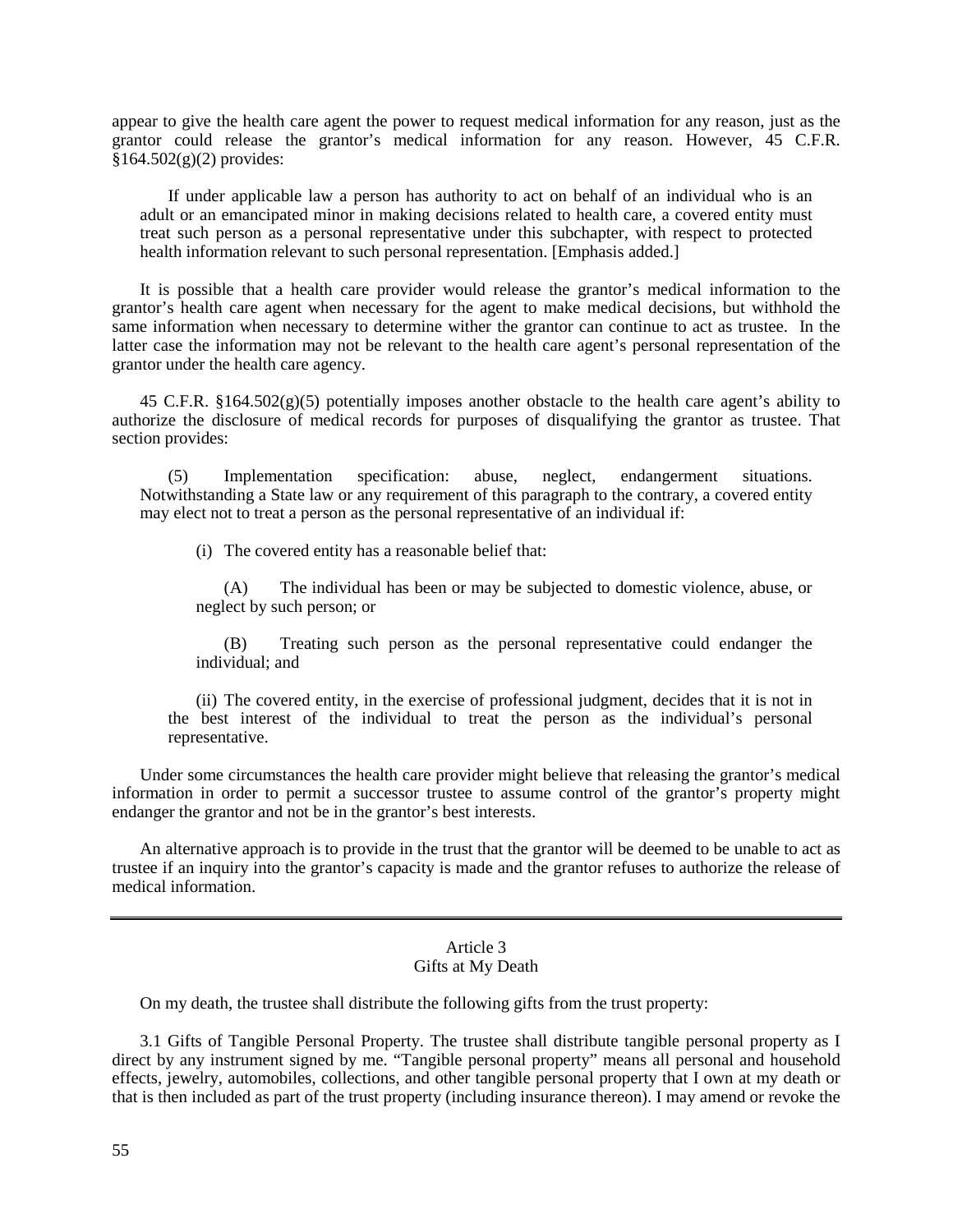appear to give the health care agent the power to request medical information for any reason, just as the grantor could release the grantor's medical information for any reason. However, 45 C.F.R.  $§164.502(g)(2)$  provides:

If under applicable law a person has authority to act on behalf of an individual who is an adult or an emancipated minor in making decisions related to health care, a covered entity must treat such person as a personal representative under this subchapter, with respect to protected health information relevant to such personal representation. [Emphasis added.]

It is possible that a health care provider would release the grantor's medical information to the grantor's health care agent when necessary for the agent to make medical decisions, but withhold the same information when necessary to determine wither the grantor can continue to act as trustee. In the latter case the information may not be relevant to the health care agent's personal representation of the grantor under the health care agency.

45 C.F.R.  $\S 164.502(g)(5)$  potentially imposes another obstacle to the health care agent's ability to authorize the disclosure of medical records for purposes of disqualifying the grantor as trustee. That section provides:

(5) Implementation specification: abuse, neglect, endangerment situations. Notwithstanding a State law or any requirement of this paragraph to the contrary, a covered entity may elect not to treat a person as the personal representative of an individual if:

(i) The covered entity has a reasonable belief that:

(A) The individual has been or may be subjected to domestic violence, abuse, or neglect by such person; or

(B) Treating such person as the personal representative could endanger the individual; and

(ii) The covered entity, in the exercise of professional judgment, decides that it is not in the best interest of the individual to treat the person as the individual's personal representative.

Under some circumstances the health care provider might believe that releasing the grantor's medical information in order to permit a successor trustee to assume control of the grantor's property might endanger the grantor and not be in the grantor's best interests.

An alternative approach is to provide in the trust that the grantor will be deemed to be unable to act as trustee if an inquiry into the grantor's capacity is made and the grantor refuses to authorize the release of medical information.

#### Article 3 Gifts at My Death

On my death, the trustee shall distribute the following gifts from the trust property:

3.1 Gifts of Tangible Personal Property. The trustee shall distribute tangible personal property as I direct by any instrument signed by me. "Tangible personal property" means all personal and household effects, jewelry, automobiles, collections, and other tangible personal property that I own at my death or that is then included as part of the trust property (including insurance thereon). I may amend or revoke the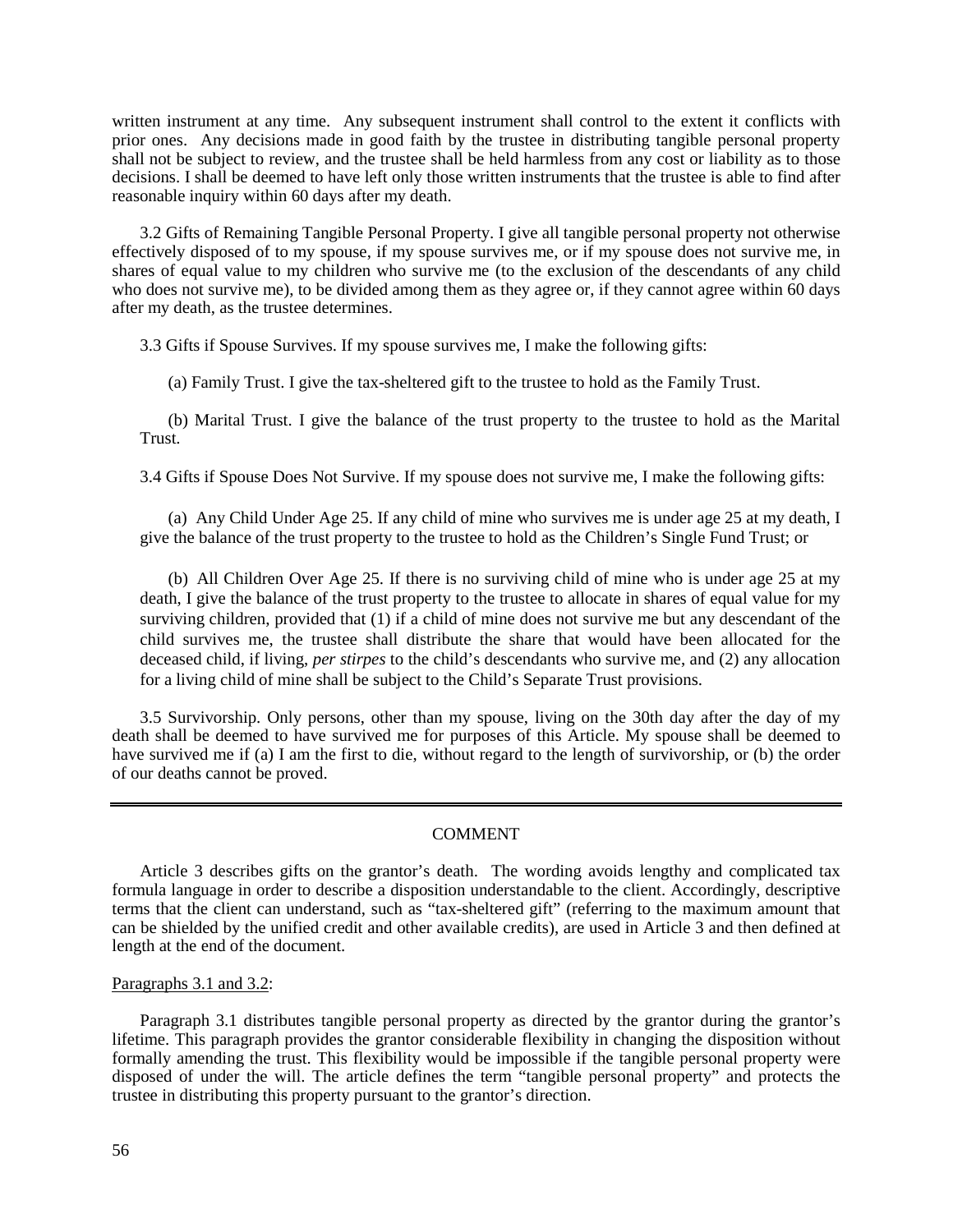written instrument at any time. Any subsequent instrument shall control to the extent it conflicts with prior ones. Any decisions made in good faith by the trustee in distributing tangible personal property shall not be subject to review, and the trustee shall be held harmless from any cost or liability as to those decisions. I shall be deemed to have left only those written instruments that the trustee is able to find after reasonable inquiry within 60 days after my death.

3.2 Gifts of Remaining Tangible Personal Property. I give all tangible personal property not otherwise effectively disposed of to my spouse, if my spouse survives me, or if my spouse does not survive me, in shares of equal value to my children who survive me (to the exclusion of the descendants of any child who does not survive me), to be divided among them as they agree or, if they cannot agree within 60 days after my death, as the trustee determines.

3.3 Gifts if Spouse Survives. If my spouse survives me, I make the following gifts:

(a) Family Trust. I give the tax-sheltered gift to the trustee to hold as the Family Trust.

(b) Marital Trust. I give the balance of the trust property to the trustee to hold as the Marital Trust.

3.4 Gifts if Spouse Does Not Survive. If my spouse does not survive me, I make the following gifts:

(a) Any Child Under Age 25. If any child of mine who survives me is under age 25 at my death, I give the balance of the trust property to the trustee to hold as the Children's Single Fund Trust; or

(b) All Children Over Age 25. If there is no surviving child of mine who is under age 25 at my death, I give the balance of the trust property to the trustee to allocate in shares of equal value for my surviving children, provided that (1) if a child of mine does not survive me but any descendant of the child survives me, the trustee shall distribute the share that would have been allocated for the deceased child, if living, *per stirpes* to the child's descendants who survive me, and (2) any allocation for a living child of mine shall be subject to the Child's Separate Trust provisions.

3.5 Survivorship. Only persons, other than my spouse, living on the 30th day after the day of my death shall be deemed to have survived me for purposes of this Article. My spouse shall be deemed to have survived me if (a) I am the first to die, without regard to the length of survivorship, or (b) the order of our deaths cannot be proved.

## COMMENT

Article 3 describes gifts on the grantor's death. The wording avoids lengthy and complicated tax formula language in order to describe a disposition understandable to the client. Accordingly, descriptive terms that the client can understand, such as "tax-sheltered gift" (referring to the maximum amount that can be shielded by the unified credit and other available credits), are used in Article 3 and then defined at length at the end of the document.

#### Paragraphs 3.1 and 3.2:

Paragraph 3.1 distributes tangible personal property as directed by the grantor during the grantor's lifetime. This paragraph provides the grantor considerable flexibility in changing the disposition without formally amending the trust. This flexibility would be impossible if the tangible personal property were disposed of under the will. The article defines the term "tangible personal property" and protects the trustee in distributing this property pursuant to the grantor's direction.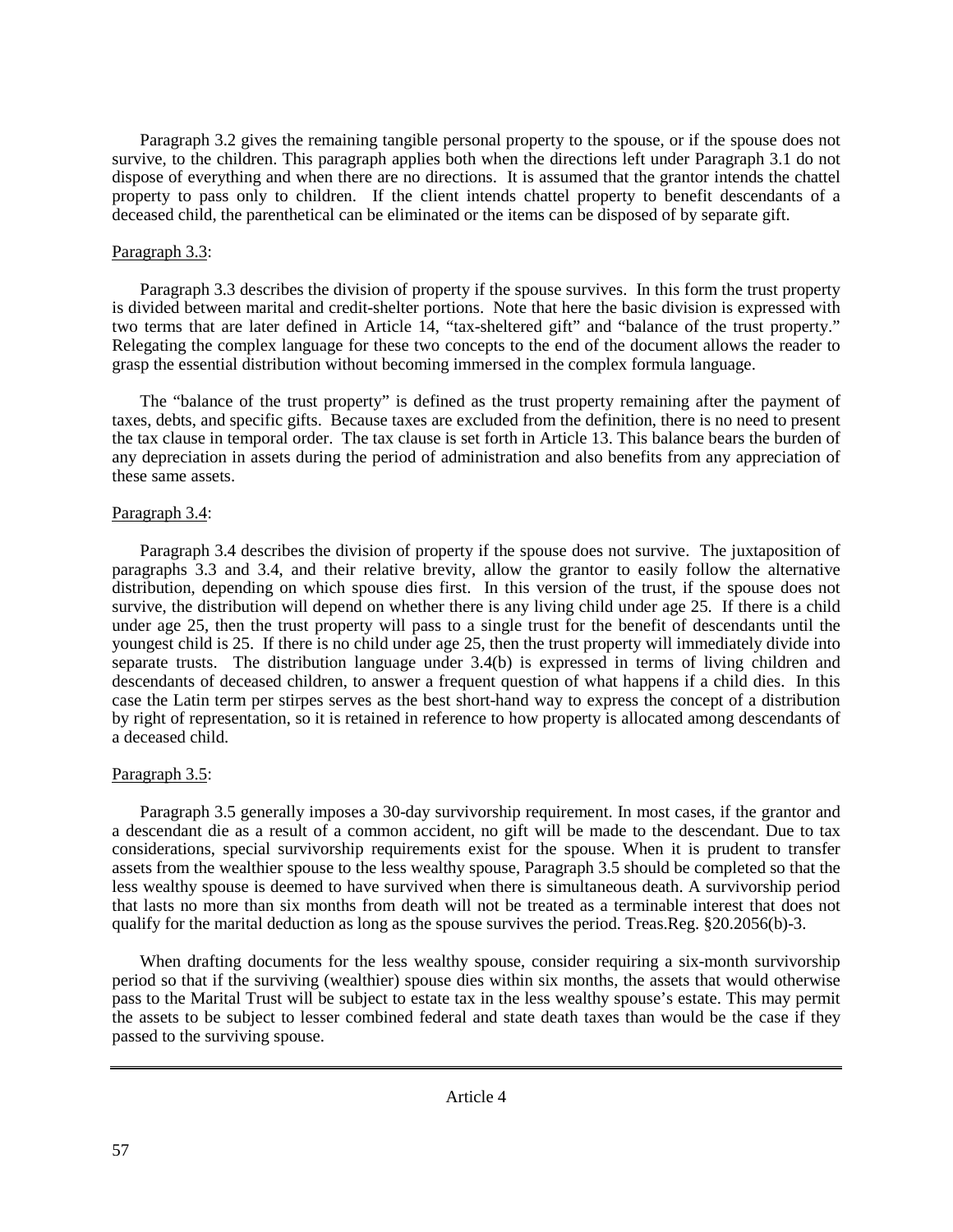Paragraph 3.2 gives the remaining tangible personal property to the spouse, or if the spouse does not survive, to the children. This paragraph applies both when the directions left under Paragraph 3.1 do not dispose of everything and when there are no directions. It is assumed that the grantor intends the chattel property to pass only to children. If the client intends chattel property to benefit descendants of a deceased child, the parenthetical can be eliminated or the items can be disposed of by separate gift.

## Paragraph 3.3:

Paragraph 3.3 describes the division of property if the spouse survives. In this form the trust property is divided between marital and credit-shelter portions. Note that here the basic division is expressed with two terms that are later defined in Article 14, "tax-sheltered gift" and "balance of the trust property." Relegating the complex language for these two concepts to the end of the document allows the reader to grasp the essential distribution without becoming immersed in the complex formula language.

The "balance of the trust property" is defined as the trust property remaining after the payment of taxes, debts, and specific gifts. Because taxes are excluded from the definition, there is no need to present the tax clause in temporal order. The tax clause is set forth in Article 13. This balance bears the burden of any depreciation in assets during the period of administration and also benefits from any appreciation of these same assets.

## Paragraph 3.4:

Paragraph 3.4 describes the division of property if the spouse does not survive. The juxtaposition of paragraphs 3.3 and 3.4, and their relative brevity, allow the grantor to easily follow the alternative distribution, depending on which spouse dies first. In this version of the trust, if the spouse does not survive, the distribution will depend on whether there is any living child under age 25. If there is a child under age 25, then the trust property will pass to a single trust for the benefit of descendants until the youngest child is 25. If there is no child under age 25, then the trust property will immediately divide into separate trusts. The distribution language under 3.4(b) is expressed in terms of living children and descendants of deceased children, to answer a frequent question of what happens if a child dies. In this case the Latin term per stirpes serves as the best short-hand way to express the concept of a distribution by right of representation, so it is retained in reference to how property is allocated among descendants of a deceased child.

## Paragraph 3.5:

Paragraph 3.5 generally imposes a 30-day survivorship requirement. In most cases, if the grantor and a descendant die as a result of a common accident, no gift will be made to the descendant. Due to tax considerations, special survivorship requirements exist for the spouse. When it is prudent to transfer assets from the wealthier spouse to the less wealthy spouse, Paragraph 3.5 should be completed so that the less wealthy spouse is deemed to have survived when there is simultaneous death. A survivorship period that lasts no more than six months from death will not be treated as a terminable interest that does not qualify for the marital deduction as long as the spouse survives the period. Treas.Reg. §20.2056(b)-3.

When drafting documents for the less wealthy spouse, consider requiring a six-month survivorship period so that if the surviving (wealthier) spouse dies within six months, the assets that would otherwise pass to the Marital Trust will be subject to estate tax in the less wealthy spouse's estate. This may permit the assets to be subject to lesser combined federal and state death taxes than would be the case if they passed to the surviving spouse.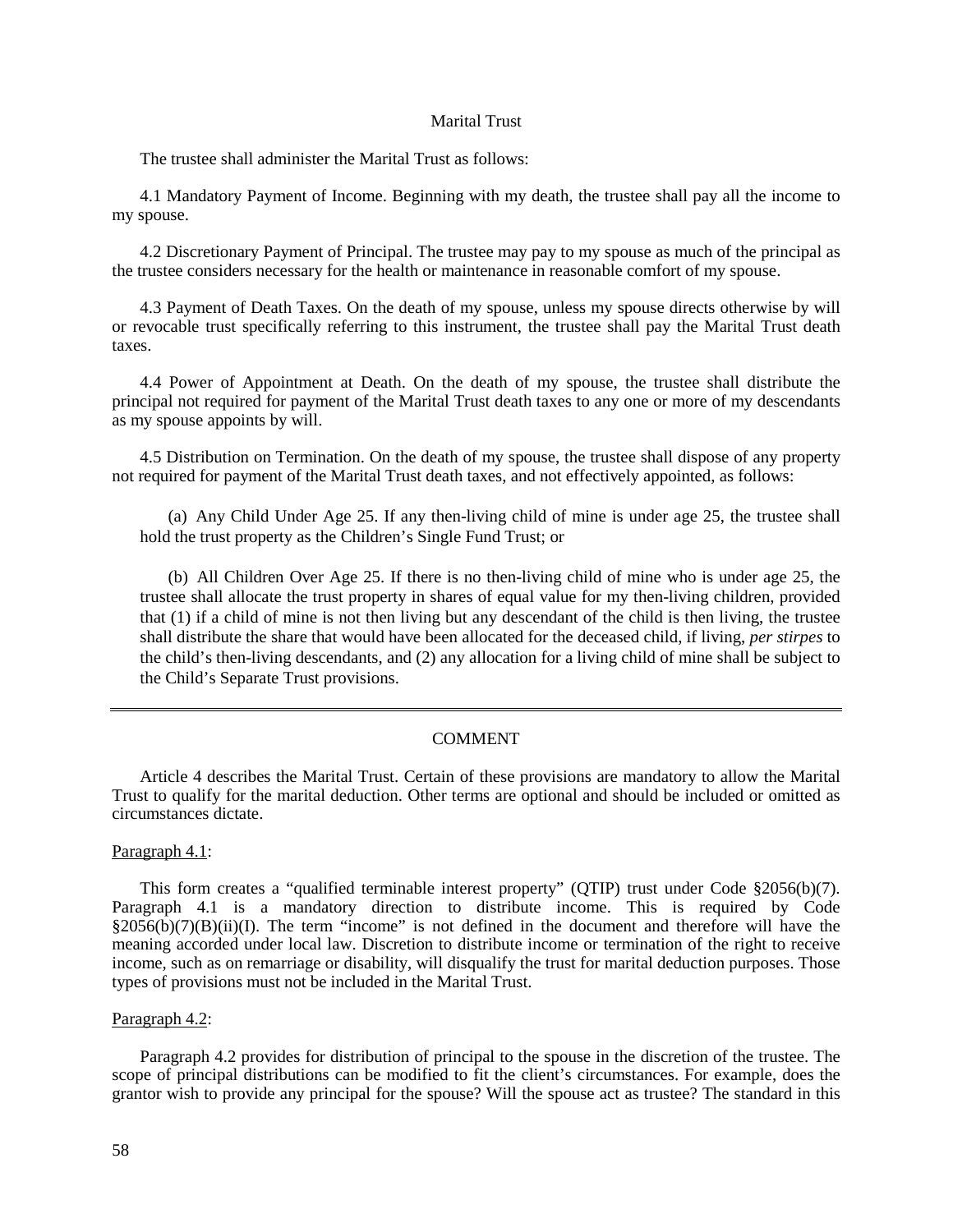#### Marital Trust

The trustee shall administer the Marital Trust as follows:

4.1 Mandatory Payment of Income. Beginning with my death, the trustee shall pay all the income to my spouse.

4.2 Discretionary Payment of Principal. The trustee may pay to my spouse as much of the principal as the trustee considers necessary for the health or maintenance in reasonable comfort of my spouse.

4.3 Payment of Death Taxes. On the death of my spouse, unless my spouse directs otherwise by will or revocable trust specifically referring to this instrument, the trustee shall pay the Marital Trust death taxes.

4.4 Power of Appointment at Death. On the death of my spouse, the trustee shall distribute the principal not required for payment of the Marital Trust death taxes to any one or more of my descendants as my spouse appoints by will.

4.5 Distribution on Termination. On the death of my spouse, the trustee shall dispose of any property not required for payment of the Marital Trust death taxes, and not effectively appointed, as follows:

(a) Any Child Under Age 25. If any then-living child of mine is under age 25, the trustee shall hold the trust property as the Children's Single Fund Trust; or

(b) All Children Over Age 25. If there is no then-living child of mine who is under age 25, the trustee shall allocate the trust property in shares of equal value for my then-living children, provided that (1) if a child of mine is not then living but any descendant of the child is then living, the trustee shall distribute the share that would have been allocated for the deceased child, if living, *per stirpes* to the child's then-living descendants, and (2) any allocation for a living child of mine shall be subject to the Child's Separate Trust provisions.

#### COMMENT

Article 4 describes the Marital Trust. Certain of these provisions are mandatory to allow the Marital Trust to qualify for the marital deduction. Other terms are optional and should be included or omitted as circumstances dictate.

#### Paragraph 4.1:

This form creates a "qualified terminable interest property" (QTIP) trust under Code §2056(b)(7). Paragraph 4.1 is a mandatory direction to distribute income. This is required by Code  $\S2056(b)(7)(B)(ii)(I)$ . The term "income" is not defined in the document and therefore will have the meaning accorded under local law. Discretion to distribute income or termination of the right to receive income, such as on remarriage or disability, will disqualify the trust for marital deduction purposes. Those types of provisions must not be included in the Marital Trust.

#### Paragraph 4.2:

Paragraph 4.2 provides for distribution of principal to the spouse in the discretion of the trustee. The scope of principal distributions can be modified to fit the client's circumstances. For example, does the grantor wish to provide any principal for the spouse? Will the spouse act as trustee? The standard in this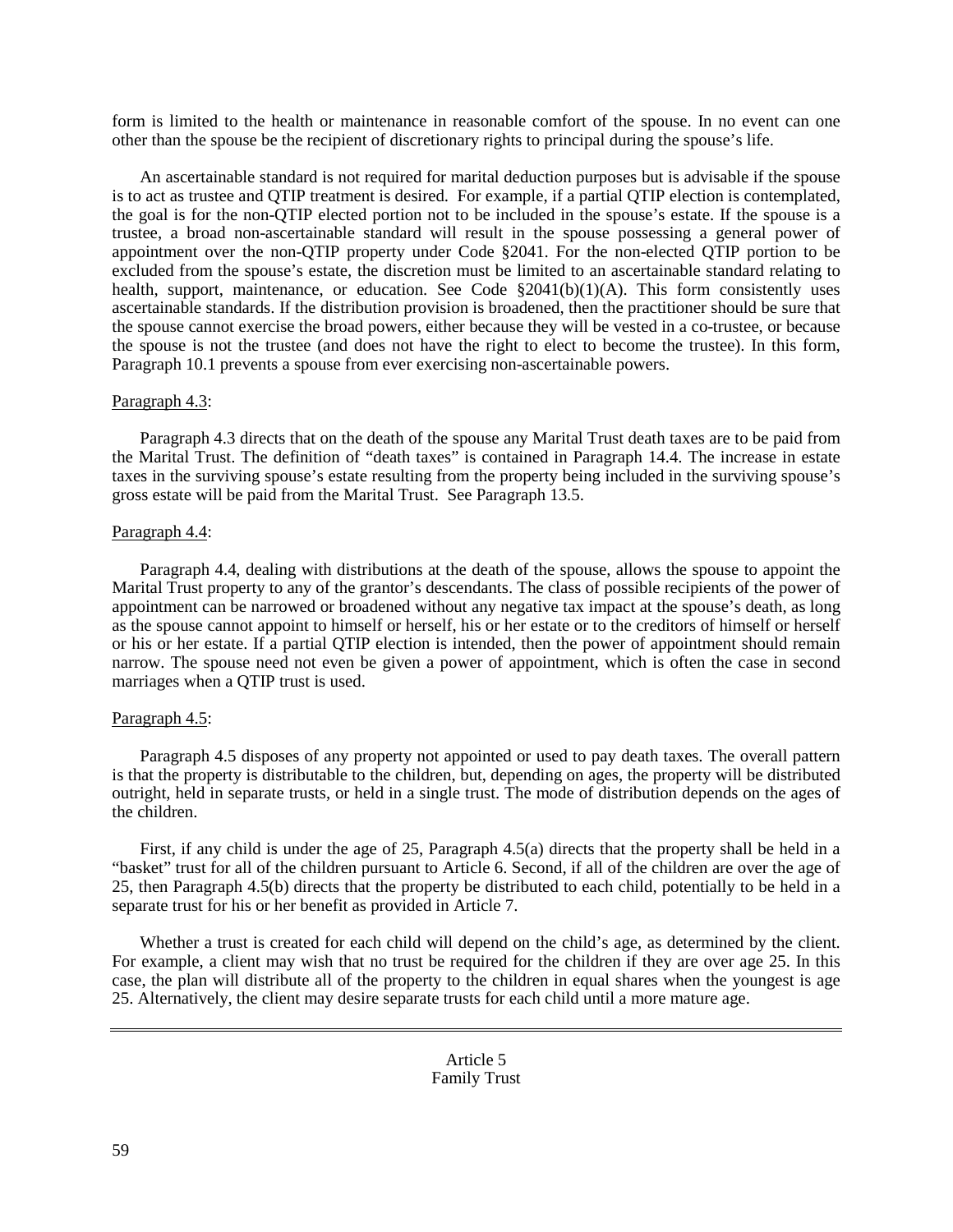form is limited to the health or maintenance in reasonable comfort of the spouse. In no event can one other than the spouse be the recipient of discretionary rights to principal during the spouse's life.

An ascertainable standard is not required for marital deduction purposes but is advisable if the spouse is to act as trustee and QTIP treatment is desired. For example, if a partial QTIP election is contemplated, the goal is for the non-QTIP elected portion not to be included in the spouse's estate. If the spouse is a trustee, a broad non-ascertainable standard will result in the spouse possessing a general power of appointment over the non-QTIP property under Code §2041. For the non-elected QTIP portion to be excluded from the spouse's estate, the discretion must be limited to an ascertainable standard relating to health, support, maintenance, or education. See Code §2041(b)(1)(A). This form consistently uses ascertainable standards. If the distribution provision is broadened, then the practitioner should be sure that the spouse cannot exercise the broad powers, either because they will be vested in a co-trustee, or because the spouse is not the trustee (and does not have the right to elect to become the trustee). In this form, Paragraph 10.1 prevents a spouse from ever exercising non-ascertainable powers.

## Paragraph 4.3:

Paragraph 4.3 directs that on the death of the spouse any Marital Trust death taxes are to be paid from the Marital Trust. The definition of "death taxes" is contained in Paragraph 14.4. The increase in estate taxes in the surviving spouse's estate resulting from the property being included in the surviving spouse's gross estate will be paid from the Marital Trust. See Paragraph 13.5.

## Paragraph 4.4:

Paragraph 4.4, dealing with distributions at the death of the spouse, allows the spouse to appoint the Marital Trust property to any of the grantor's descendants. The class of possible recipients of the power of appointment can be narrowed or broadened without any negative tax impact at the spouse's death, as long as the spouse cannot appoint to himself or herself, his or her estate or to the creditors of himself or herself or his or her estate. If a partial QTIP election is intended, then the power of appointment should remain narrow. The spouse need not even be given a power of appointment, which is often the case in second marriages when a QTIP trust is used.

## Paragraph 4.5:

Paragraph 4.5 disposes of any property not appointed or used to pay death taxes. The overall pattern is that the property is distributable to the children, but, depending on ages, the property will be distributed outright, held in separate trusts, or held in a single trust. The mode of distribution depends on the ages of the children.

First, if any child is under the age of 25, Paragraph 4.5(a) directs that the property shall be held in a "basket" trust for all of the children pursuant to Article 6. Second, if all of the children are over the age of 25, then Paragraph 4.5(b) directs that the property be distributed to each child, potentially to be held in a separate trust for his or her benefit as provided in Article 7.

Whether a trust is created for each child will depend on the child's age, as determined by the client. For example, a client may wish that no trust be required for the children if they are over age 25. In this case, the plan will distribute all of the property to the children in equal shares when the youngest is age 25. Alternatively, the client may desire separate trusts for each child until a more mature age.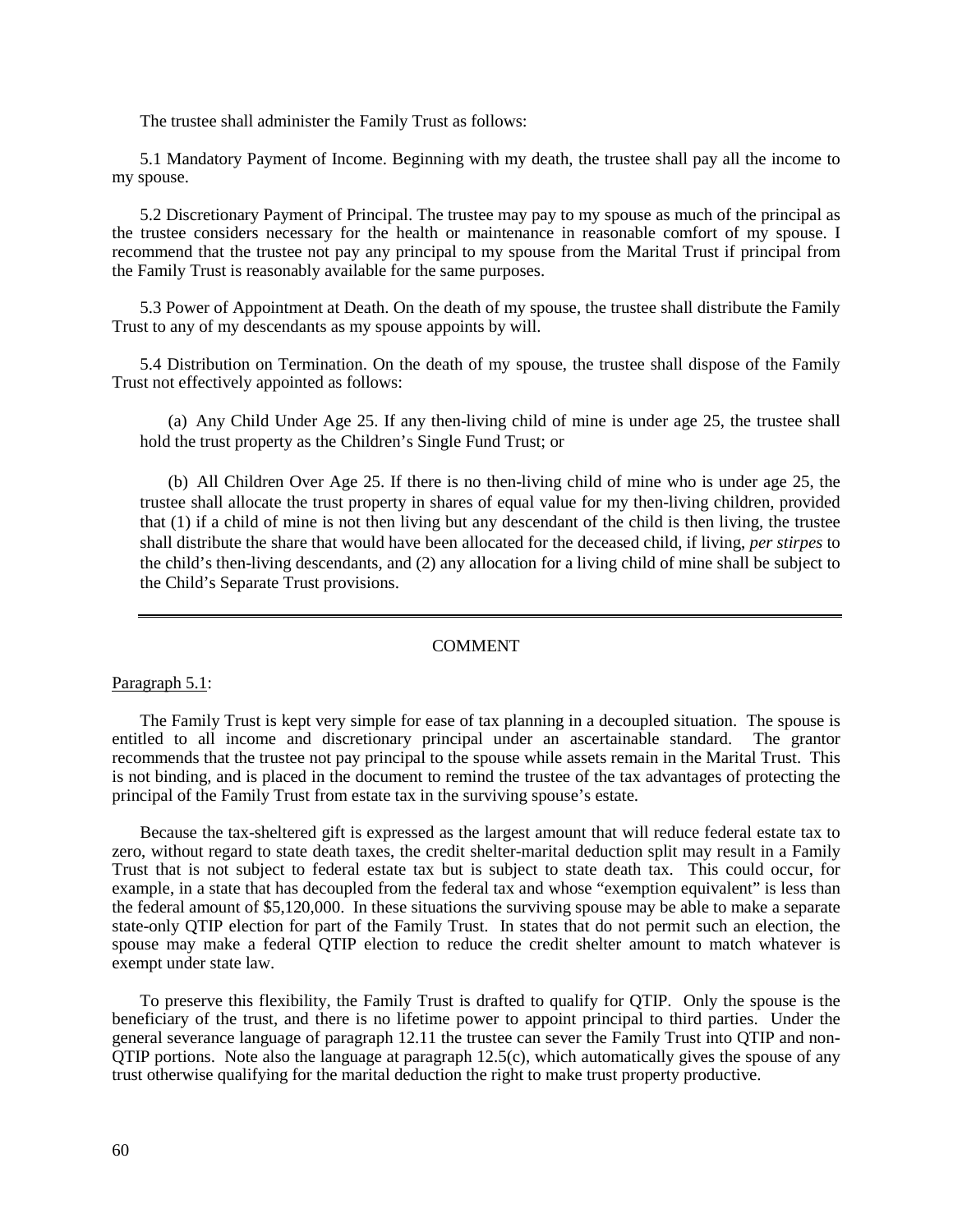The trustee shall administer the Family Trust as follows:

5.1 Mandatory Payment of Income. Beginning with my death, the trustee shall pay all the income to my spouse.

5.2 Discretionary Payment of Principal. The trustee may pay to my spouse as much of the principal as the trustee considers necessary for the health or maintenance in reasonable comfort of my spouse. I recommend that the trustee not pay any principal to my spouse from the Marital Trust if principal from the Family Trust is reasonably available for the same purposes.

5.3 Power of Appointment at Death. On the death of my spouse, the trustee shall distribute the Family Trust to any of my descendants as my spouse appoints by will.

5.4 Distribution on Termination. On the death of my spouse, the trustee shall dispose of the Family Trust not effectively appointed as follows:

(a) Any Child Under Age 25. If any then-living child of mine is under age 25, the trustee shall hold the trust property as the Children's Single Fund Trust; or

(b) All Children Over Age 25. If there is no then-living child of mine who is under age 25, the trustee shall allocate the trust property in shares of equal value for my then-living children, provided that (1) if a child of mine is not then living but any descendant of the child is then living, the trustee shall distribute the share that would have been allocated for the deceased child, if living, *per stirpes* to the child's then-living descendants, and (2) any allocation for a living child of mine shall be subject to the Child's Separate Trust provisions.

#### COMMENT

#### Paragraph 5.1:

The Family Trust is kept very simple for ease of tax planning in a decoupled situation. The spouse is entitled to all income and discretionary principal under an ascertainable standard. The grantor recommends that the trustee not pay principal to the spouse while assets remain in the Marital Trust. This is not binding, and is placed in the document to remind the trustee of the tax advantages of protecting the principal of the Family Trust from estate tax in the surviving spouse's estate.

Because the tax-sheltered gift is expressed as the largest amount that will reduce federal estate tax to zero, without regard to state death taxes, the credit shelter-marital deduction split may result in a Family Trust that is not subject to federal estate tax but is subject to state death tax. This could occur, for example, in a state that has decoupled from the federal tax and whose "exemption equivalent" is less than the federal amount of \$5,120,000. In these situations the surviving spouse may be able to make a separate state-only QTIP election for part of the Family Trust. In states that do not permit such an election, the spouse may make a federal OTIP election to reduce the credit shelter amount to match whatever is exempt under state law.

To preserve this flexibility, the Family Trust is drafted to qualify for QTIP. Only the spouse is the beneficiary of the trust, and there is no lifetime power to appoint principal to third parties. Under the general severance language of paragraph 12.11 the trustee can sever the Family Trust into QTIP and non-QTIP portions. Note also the language at paragraph 12.5(c), which automatically gives the spouse of any trust otherwise qualifying for the marital deduction the right to make trust property productive.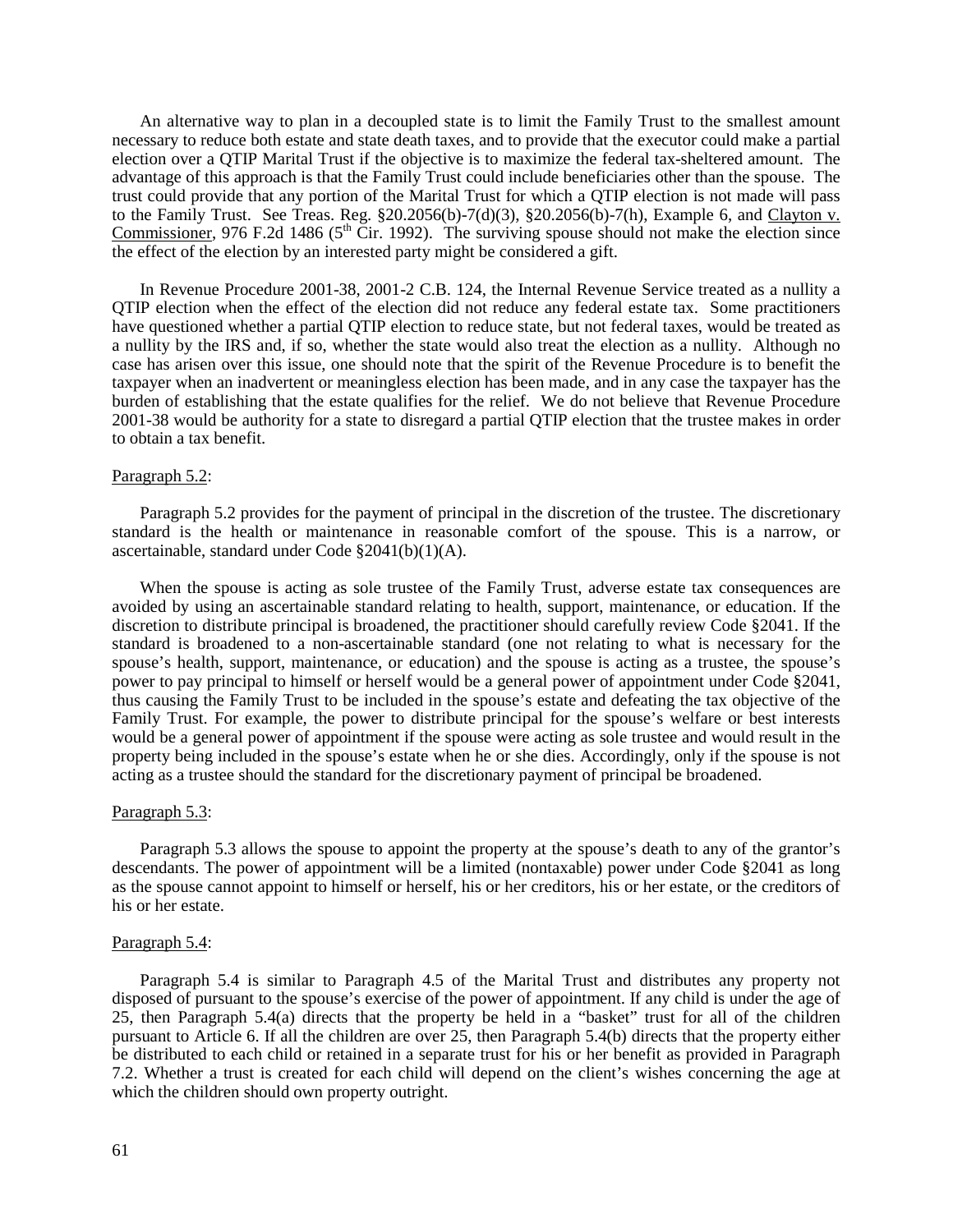An alternative way to plan in a decoupled state is to limit the Family Trust to the smallest amount necessary to reduce both estate and state death taxes, and to provide that the executor could make a partial election over a QTIP Marital Trust if the objective is to maximize the federal tax-sheltered amount. The advantage of this approach is that the Family Trust could include beneficiaries other than the spouse. The trust could provide that any portion of the Marital Trust for which a QTIP election is not made will pass to the Family Trust. See Treas. Reg.  $$20.2056(b)-7(d)(3)$ ,  $$20.2056(b)-7(h)$ , Example 6, and Clayton v. Commissioner, 976 F.2d 1486 ( $5<sup>th</sup>$  Cir. 1992). The surviving spouse should not make the election since the effect of the election by an interested party might be considered a gift.

In Revenue Procedure 2001-38, 2001-2 C.B. 124, the Internal Revenue Service treated as a nullity a QTIP election when the effect of the election did not reduce any federal estate tax. Some practitioners have questioned whether a partial QTIP election to reduce state, but not federal taxes, would be treated as a nullity by the IRS and, if so, whether the state would also treat the election as a nullity. Although no case has arisen over this issue, one should note that the spirit of the Revenue Procedure is to benefit the taxpayer when an inadvertent or meaningless election has been made, and in any case the taxpayer has the burden of establishing that the estate qualifies for the relief. We do not believe that Revenue Procedure 2001-38 would be authority for a state to disregard a partial QTIP election that the trustee makes in order to obtain a tax benefit.

#### Paragraph 5.2:

Paragraph 5.2 provides for the payment of principal in the discretion of the trustee. The discretionary standard is the health or maintenance in reasonable comfort of the spouse. This is a narrow, or ascertainable, standard under Code §2041(b)(1)(A).

When the spouse is acting as sole trustee of the Family Trust, adverse estate tax consequences are avoided by using an ascertainable standard relating to health, support, maintenance, or education. If the discretion to distribute principal is broadened, the practitioner should carefully review Code §2041. If the standard is broadened to a non-ascertainable standard (one not relating to what is necessary for the spouse's health, support, maintenance, or education) and the spouse is acting as a trustee, the spouse's power to pay principal to himself or herself would be a general power of appointment under Code §2041, thus causing the Family Trust to be included in the spouse's estate and defeating the tax objective of the Family Trust. For example, the power to distribute principal for the spouse's welfare or best interests would be a general power of appointment if the spouse were acting as sole trustee and would result in the property being included in the spouse's estate when he or she dies. Accordingly, only if the spouse is not acting as a trustee should the standard for the discretionary payment of principal be broadened.

## Paragraph 5.3:

Paragraph 5.3 allows the spouse to appoint the property at the spouse's death to any of the grantor's descendants. The power of appointment will be a limited (nontaxable) power under Code §2041 as long as the spouse cannot appoint to himself or herself, his or her creditors, his or her estate, or the creditors of his or her estate.

#### Paragraph 5.4:

Paragraph 5.4 is similar to Paragraph 4.5 of the Marital Trust and distributes any property not disposed of pursuant to the spouse's exercise of the power of appointment. If any child is under the age of 25, then Paragraph 5.4(a) directs that the property be held in a "basket" trust for all of the children pursuant to Article 6. If all the children are over 25, then Paragraph 5.4(b) directs that the property either be distributed to each child or retained in a separate trust for his or her benefit as provided in Paragraph 7.2. Whether a trust is created for each child will depend on the client's wishes concerning the age at which the children should own property outright.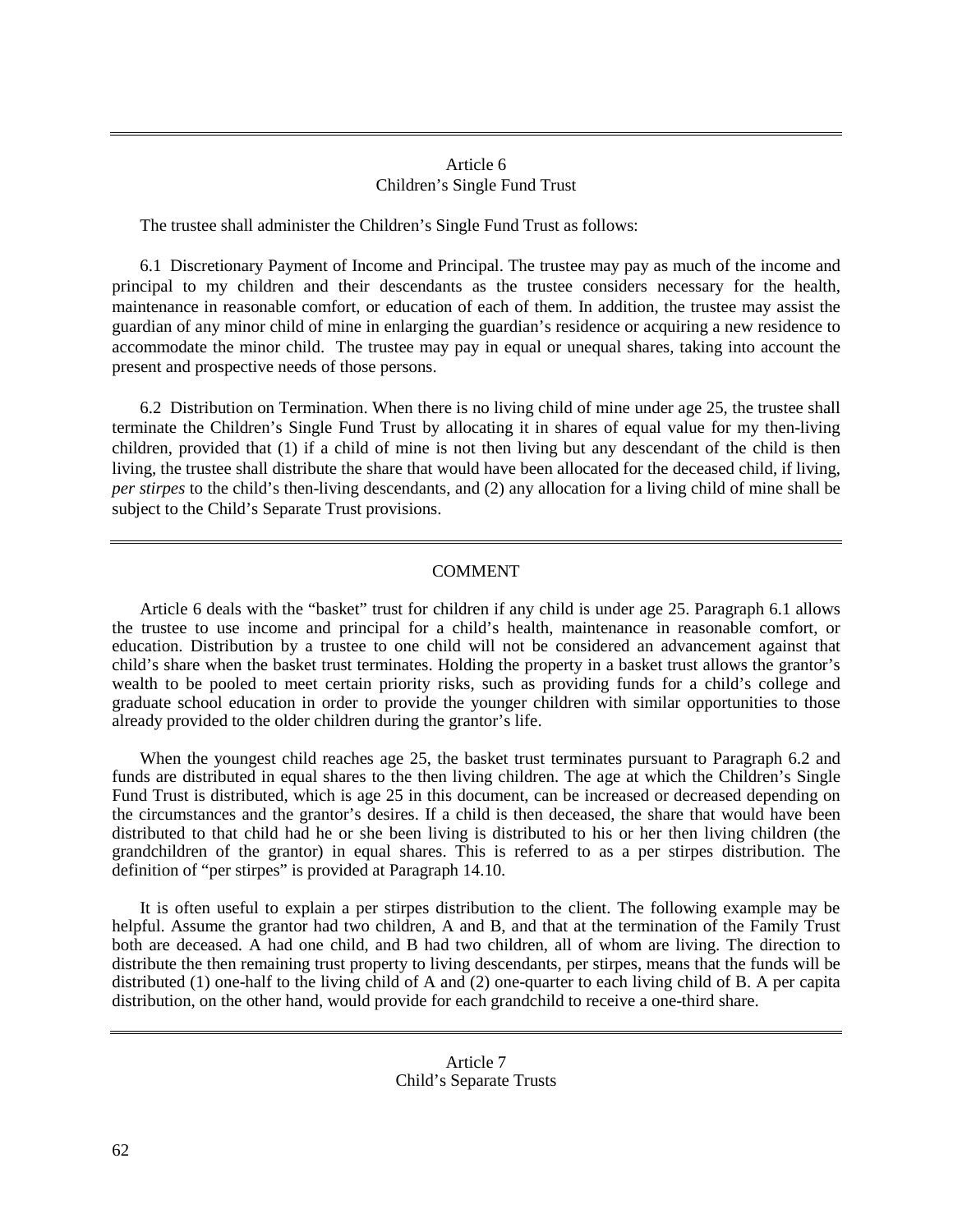## Article 6 Children's Single Fund Trust

The trustee shall administer the Children's Single Fund Trust as follows:

6.1 Discretionary Payment of Income and Principal. The trustee may pay as much of the income and principal to my children and their descendants as the trustee considers necessary for the health, maintenance in reasonable comfort, or education of each of them. In addition, the trustee may assist the guardian of any minor child of mine in enlarging the guardian's residence or acquiring a new residence to accommodate the minor child. The trustee may pay in equal or unequal shares, taking into account the present and prospective needs of those persons.

6.2 Distribution on Termination. When there is no living child of mine under age 25, the trustee shall terminate the Children's Single Fund Trust by allocating it in shares of equal value for my then-living children, provided that (1) if a child of mine is not then living but any descendant of the child is then living, the trustee shall distribute the share that would have been allocated for the deceased child, if living, *per stirpes* to the child's then-living descendants, and (2) any allocation for a living child of mine shall be subject to the Child's Separate Trust provisions.

# COMMENT

Article 6 deals with the "basket" trust for children if any child is under age 25. Paragraph 6.1 allows the trustee to use income and principal for a child's health, maintenance in reasonable comfort, or education. Distribution by a trustee to one child will not be considered an advancement against that child's share when the basket trust terminates. Holding the property in a basket trust allows the grantor's wealth to be pooled to meet certain priority risks, such as providing funds for a child's college and graduate school education in order to provide the younger children with similar opportunities to those already provided to the older children during the grantor's life.

When the youngest child reaches age 25, the basket trust terminates pursuant to Paragraph 6.2 and funds are distributed in equal shares to the then living children. The age at which the Children's Single Fund Trust is distributed, which is age 25 in this document, can be increased or decreased depending on the circumstances and the grantor's desires. If a child is then deceased, the share that would have been distributed to that child had he or she been living is distributed to his or her then living children (the grandchildren of the grantor) in equal shares. This is referred to as a per stirpes distribution. The definition of "per stirpes" is provided at Paragraph 14.10.

It is often useful to explain a per stirpes distribution to the client. The following example may be helpful. Assume the grantor had two children, A and B, and that at the termination of the Family Trust both are deceased. A had one child, and B had two children, all of whom are living. The direction to distribute the then remaining trust property to living descendants, per stirpes, means that the funds will be distributed (1) one-half to the living child of A and (2) one-quarter to each living child of B. A per capita distribution, on the other hand, would provide for each grandchild to receive a one-third share.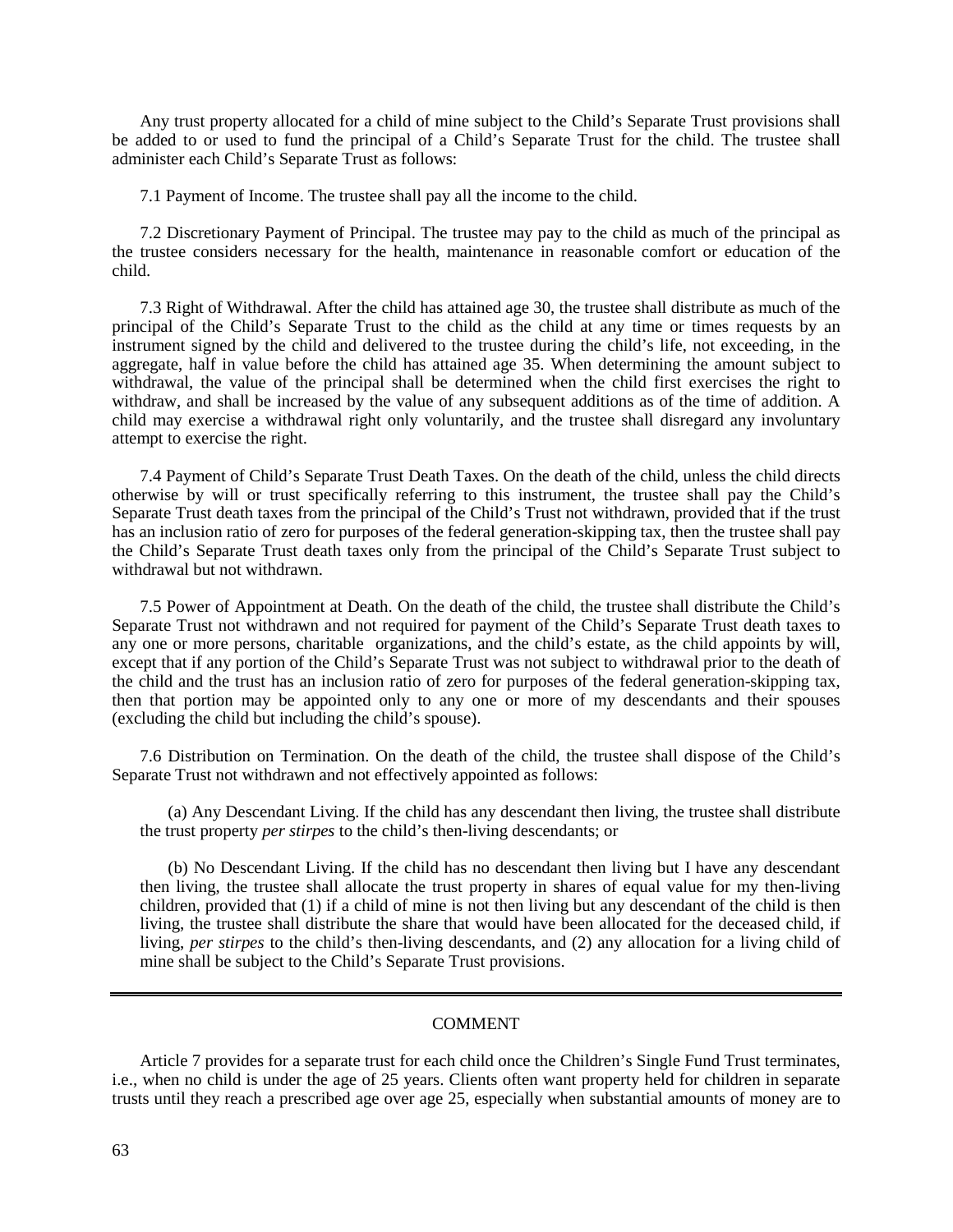Any trust property allocated for a child of mine subject to the Child's Separate Trust provisions shall be added to or used to fund the principal of a Child's Separate Trust for the child. The trustee shall administer each Child's Separate Trust as follows:

7.1 Payment of Income. The trustee shall pay all the income to the child.

7.2 Discretionary Payment of Principal. The trustee may pay to the child as much of the principal as the trustee considers necessary for the health, maintenance in reasonable comfort or education of the child.

7.3 Right of Withdrawal. After the child has attained age 30, the trustee shall distribute as much of the principal of the Child's Separate Trust to the child as the child at any time or times requests by an instrument signed by the child and delivered to the trustee during the child's life, not exceeding, in the aggregate, half in value before the child has attained age 35. When determining the amount subject to withdrawal, the value of the principal shall be determined when the child first exercises the right to withdraw, and shall be increased by the value of any subsequent additions as of the time of addition. A child may exercise a withdrawal right only voluntarily, and the trustee shall disregard any involuntary attempt to exercise the right.

7.4 Payment of Child's Separate Trust Death Taxes. On the death of the child, unless the child directs otherwise by will or trust specifically referring to this instrument, the trustee shall pay the Child's Separate Trust death taxes from the principal of the Child's Trust not withdrawn, provided that if the trust has an inclusion ratio of zero for purposes of the federal generation-skipping tax, then the trustee shall pay the Child's Separate Trust death taxes only from the principal of the Child's Separate Trust subject to withdrawal but not withdrawn.

7.5 Power of Appointment at Death. On the death of the child, the trustee shall distribute the Child's Separate Trust not withdrawn and not required for payment of the Child's Separate Trust death taxes to any one or more persons, charitable organizations, and the child's estate, as the child appoints by will, except that if any portion of the Child's Separate Trust was not subject to withdrawal prior to the death of the child and the trust has an inclusion ratio of zero for purposes of the federal generation-skipping tax, then that portion may be appointed only to any one or more of my descendants and their spouses (excluding the child but including the child's spouse).

7.6 Distribution on Termination. On the death of the child, the trustee shall dispose of the Child's Separate Trust not withdrawn and not effectively appointed as follows:

(a) Any Descendant Living. If the child has any descendant then living, the trustee shall distribute the trust property *per stirpes* to the child's then-living descendants; or

(b) No Descendant Living. If the child has no descendant then living but I have any descendant then living, the trustee shall allocate the trust property in shares of equal value for my then-living children, provided that (1) if a child of mine is not then living but any descendant of the child is then living, the trustee shall distribute the share that would have been allocated for the deceased child, if living, *per stirpes* to the child's then-living descendants, and (2) any allocation for a living child of mine shall be subject to the Child's Separate Trust provisions.

#### COMMENT

Article 7 provides for a separate trust for each child once the Children's Single Fund Trust terminates, i.e., when no child is under the age of 25 years. Clients often want property held for children in separate trusts until they reach a prescribed age over age 25, especially when substantial amounts of money are to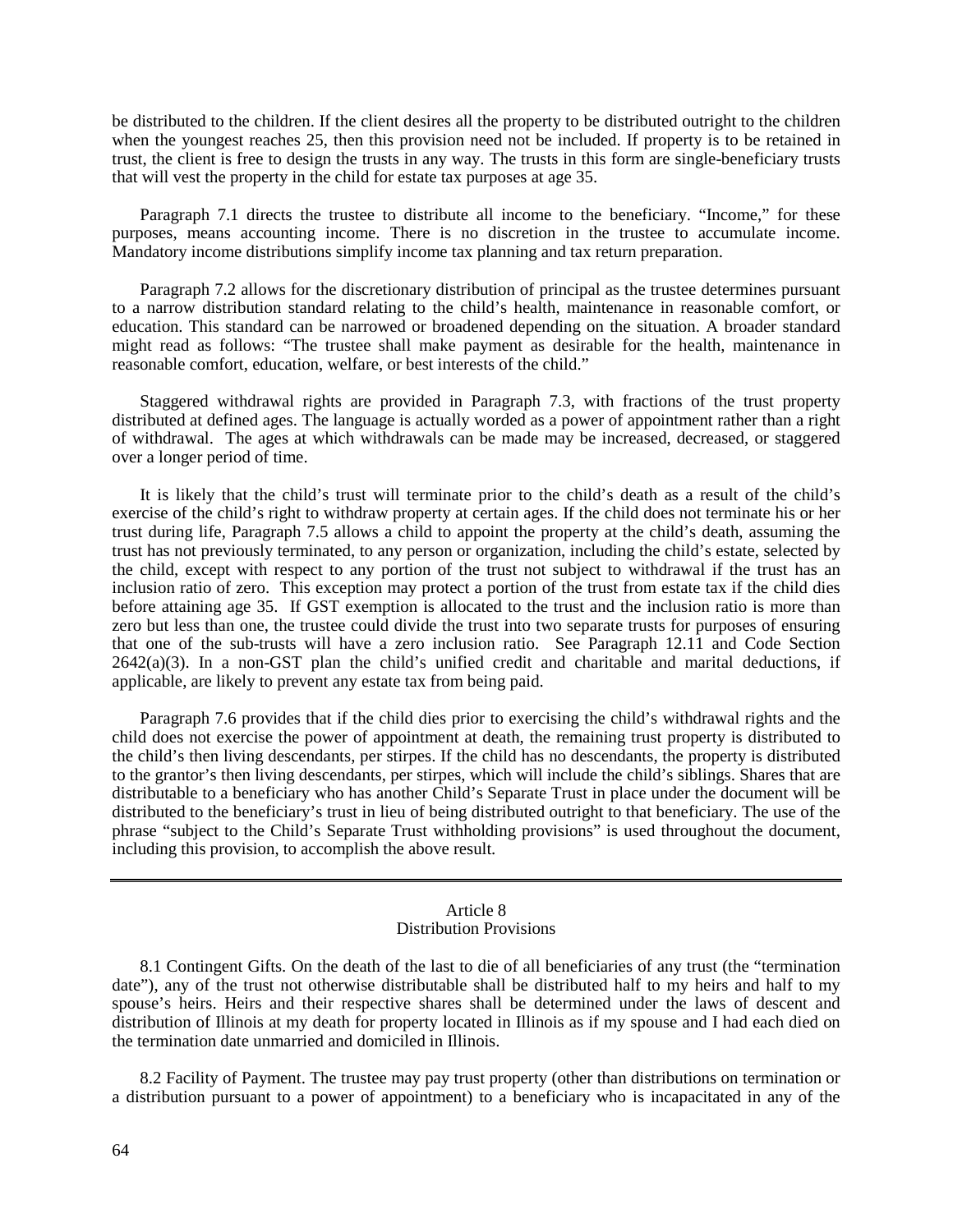be distributed to the children. If the client desires all the property to be distributed outright to the children when the youngest reaches 25, then this provision need not be included. If property is to be retained in trust, the client is free to design the trusts in any way. The trusts in this form are single-beneficiary trusts that will vest the property in the child for estate tax purposes at age 35.

Paragraph 7.1 directs the trustee to distribute all income to the beneficiary. "Income," for these purposes, means accounting income. There is no discretion in the trustee to accumulate income. Mandatory income distributions simplify income tax planning and tax return preparation.

Paragraph 7.2 allows for the discretionary distribution of principal as the trustee determines pursuant to a narrow distribution standard relating to the child's health, maintenance in reasonable comfort, or education. This standard can be narrowed or broadened depending on the situation. A broader standard might read as follows: "The trustee shall make payment as desirable for the health, maintenance in reasonable comfort, education, welfare, or best interests of the child."

Staggered withdrawal rights are provided in Paragraph 7.3, with fractions of the trust property distributed at defined ages. The language is actually worded as a power of appointment rather than a right of withdrawal. The ages at which withdrawals can be made may be increased, decreased, or staggered over a longer period of time.

It is likely that the child's trust will terminate prior to the child's death as a result of the child's exercise of the child's right to withdraw property at certain ages. If the child does not terminate his or her trust during life, Paragraph 7.5 allows a child to appoint the property at the child's death, assuming the trust has not previously terminated, to any person or organization, including the child's estate, selected by the child, except with respect to any portion of the trust not subject to withdrawal if the trust has an inclusion ratio of zero. This exception may protect a portion of the trust from estate tax if the child dies before attaining age 35. If GST exemption is allocated to the trust and the inclusion ratio is more than zero but less than one, the trustee could divide the trust into two separate trusts for purposes of ensuring that one of the sub-trusts will have a zero inclusion ratio. See Paragraph 12.11 and Code Section  $2642(a)(3)$ . In a non-GST plan the child's unified credit and charitable and marital deductions, if applicable, are likely to prevent any estate tax from being paid.

Paragraph 7.6 provides that if the child dies prior to exercising the child's withdrawal rights and the child does not exercise the power of appointment at death, the remaining trust property is distributed to the child's then living descendants, per stirpes. If the child has no descendants, the property is distributed to the grantor's then living descendants, per stirpes, which will include the child's siblings. Shares that are distributable to a beneficiary who has another Child's Separate Trust in place under the document will be distributed to the beneficiary's trust in lieu of being distributed outright to that beneficiary. The use of the phrase "subject to the Child's Separate Trust withholding provisions" is used throughout the document, including this provision, to accomplish the above result.

#### Article 8 Distribution Provisions

8.1 Contingent Gifts. On the death of the last to die of all beneficiaries of any trust (the "termination date"), any of the trust not otherwise distributable shall be distributed half to my heirs and half to my spouse's heirs. Heirs and their respective shares shall be determined under the laws of descent and distribution of Illinois at my death for property located in Illinois as if my spouse and I had each died on the termination date unmarried and domiciled in Illinois.

8.2 Facility of Payment. The trustee may pay trust property (other than distributions on termination or a distribution pursuant to a power of appointment) to a beneficiary who is incapacitated in any of the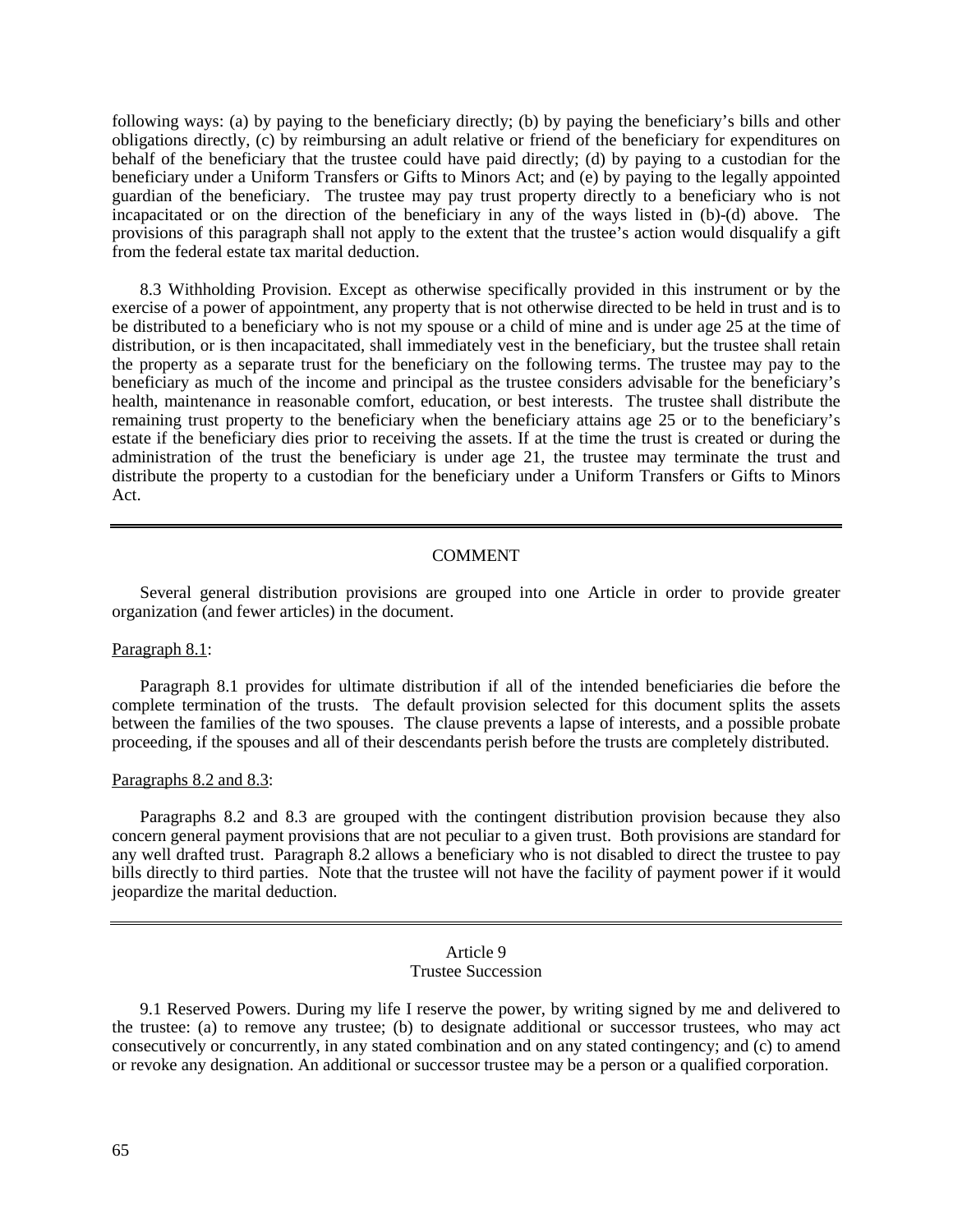following ways: (a) by paying to the beneficiary directly; (b) by paying the beneficiary's bills and other obligations directly, (c) by reimbursing an adult relative or friend of the beneficiary for expenditures on behalf of the beneficiary that the trustee could have paid directly; (d) by paying to a custodian for the beneficiary under a Uniform Transfers or Gifts to Minors Act; and (e) by paying to the legally appointed guardian of the beneficiary. The trustee may pay trust property directly to a beneficiary who is not incapacitated or on the direction of the beneficiary in any of the ways listed in (b)-(d) above. The provisions of this paragraph shall not apply to the extent that the trustee's action would disqualify a gift from the federal estate tax marital deduction.

8.3 Withholding Provision. Except as otherwise specifically provided in this instrument or by the exercise of a power of appointment, any property that is not otherwise directed to be held in trust and is to be distributed to a beneficiary who is not my spouse or a child of mine and is under age 25 at the time of distribution, or is then incapacitated, shall immediately vest in the beneficiary, but the trustee shall retain the property as a separate trust for the beneficiary on the following terms. The trustee may pay to the beneficiary as much of the income and principal as the trustee considers advisable for the beneficiary's health, maintenance in reasonable comfort, education, or best interests. The trustee shall distribute the remaining trust property to the beneficiary when the beneficiary attains age 25 or to the beneficiary's estate if the beneficiary dies prior to receiving the assets. If at the time the trust is created or during the administration of the trust the beneficiary is under age 21, the trustee may terminate the trust and distribute the property to a custodian for the beneficiary under a Uniform Transfers or Gifts to Minors Act.

## COMMENT

Several general distribution provisions are grouped into one Article in order to provide greater organization (and fewer articles) in the document.

#### Paragraph 8.1:

Paragraph 8.1 provides for ultimate distribution if all of the intended beneficiaries die before the complete termination of the trusts. The default provision selected for this document splits the assets between the families of the two spouses. The clause prevents a lapse of interests, and a possible probate proceeding, if the spouses and all of their descendants perish before the trusts are completely distributed.

#### Paragraphs 8.2 and 8.3:

Paragraphs 8.2 and 8.3 are grouped with the contingent distribution provision because they also concern general payment provisions that are not peculiar to a given trust. Both provisions are standard for any well drafted trust. Paragraph 8.2 allows a beneficiary who is not disabled to direct the trustee to pay bills directly to third parties. Note that the trustee will not have the facility of payment power if it would jeopardize the marital deduction.

#### Article 9 Trustee Succession

9.1 Reserved Powers. During my life I reserve the power, by writing signed by me and delivered to the trustee: (a) to remove any trustee; (b) to designate additional or successor trustees, who may act consecutively or concurrently, in any stated combination and on any stated contingency; and (c) to amend or revoke any designation. An additional or successor trustee may be a person or a qualified corporation.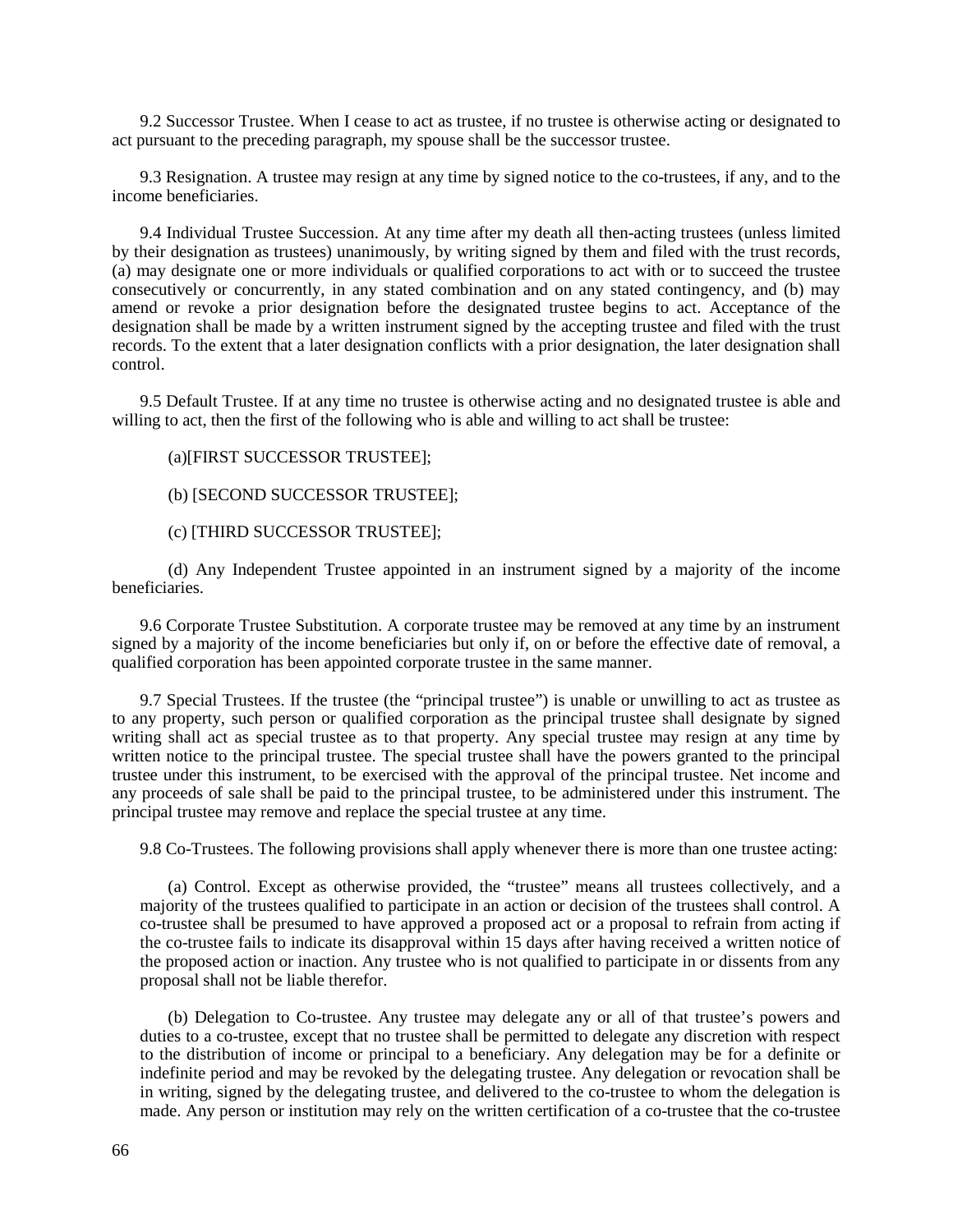9.2 Successor Trustee. When I cease to act as trustee, if no trustee is otherwise acting or designated to act pursuant to the preceding paragraph, my spouse shall be the successor trustee.

9.3 Resignation. A trustee may resign at any time by signed notice to the co-trustees, if any, and to the income beneficiaries.

9.4 Individual Trustee Succession. At any time after my death all then-acting trustees (unless limited by their designation as trustees) unanimously, by writing signed by them and filed with the trust records, (a) may designate one or more individuals or qualified corporations to act with or to succeed the trustee consecutively or concurrently, in any stated combination and on any stated contingency, and (b) may amend or revoke a prior designation before the designated trustee begins to act. Acceptance of the designation shall be made by a written instrument signed by the accepting trustee and filed with the trust records. To the extent that a later designation conflicts with a prior designation, the later designation shall control.

9.5 Default Trustee. If at any time no trustee is otherwise acting and no designated trustee is able and willing to act, then the first of the following who is able and willing to act shall be trustee:

(a)[FIRST SUCCESSOR TRUSTEE];

(b) [SECOND SUCCESSOR TRUSTEE];

(c) [THIRD SUCCESSOR TRUSTEE];

(d) Any Independent Trustee appointed in an instrument signed by a majority of the income beneficiaries.

9.6 Corporate Trustee Substitution. A corporate trustee may be removed at any time by an instrument signed by a majority of the income beneficiaries but only if, on or before the effective date of removal, a qualified corporation has been appointed corporate trustee in the same manner.

9.7 Special Trustees. If the trustee (the "principal trustee") is unable or unwilling to act as trustee as to any property, such person or qualified corporation as the principal trustee shall designate by signed writing shall act as special trustee as to that property. Any special trustee may resign at any time by written notice to the principal trustee. The special trustee shall have the powers granted to the principal trustee under this instrument, to be exercised with the approval of the principal trustee. Net income and any proceeds of sale shall be paid to the principal trustee, to be administered under this instrument. The principal trustee may remove and replace the special trustee at any time.

9.8 Co-Trustees. The following provisions shall apply whenever there is more than one trustee acting:

(a) Control. Except as otherwise provided, the "trustee" means all trustees collectively, and a majority of the trustees qualified to participate in an action or decision of the trustees shall control. A co-trustee shall be presumed to have approved a proposed act or a proposal to refrain from acting if the co-trustee fails to indicate its disapproval within 15 days after having received a written notice of the proposed action or inaction. Any trustee who is not qualified to participate in or dissents from any proposal shall not be liable therefor.

(b) Delegation to Co-trustee. Any trustee may delegate any or all of that trustee's powers and duties to a co-trustee, except that no trustee shall be permitted to delegate any discretion with respect to the distribution of income or principal to a beneficiary. Any delegation may be for a definite or indefinite period and may be revoked by the delegating trustee. Any delegation or revocation shall be in writing, signed by the delegating trustee, and delivered to the co-trustee to whom the delegation is made. Any person or institution may rely on the written certification of a co-trustee that the co-trustee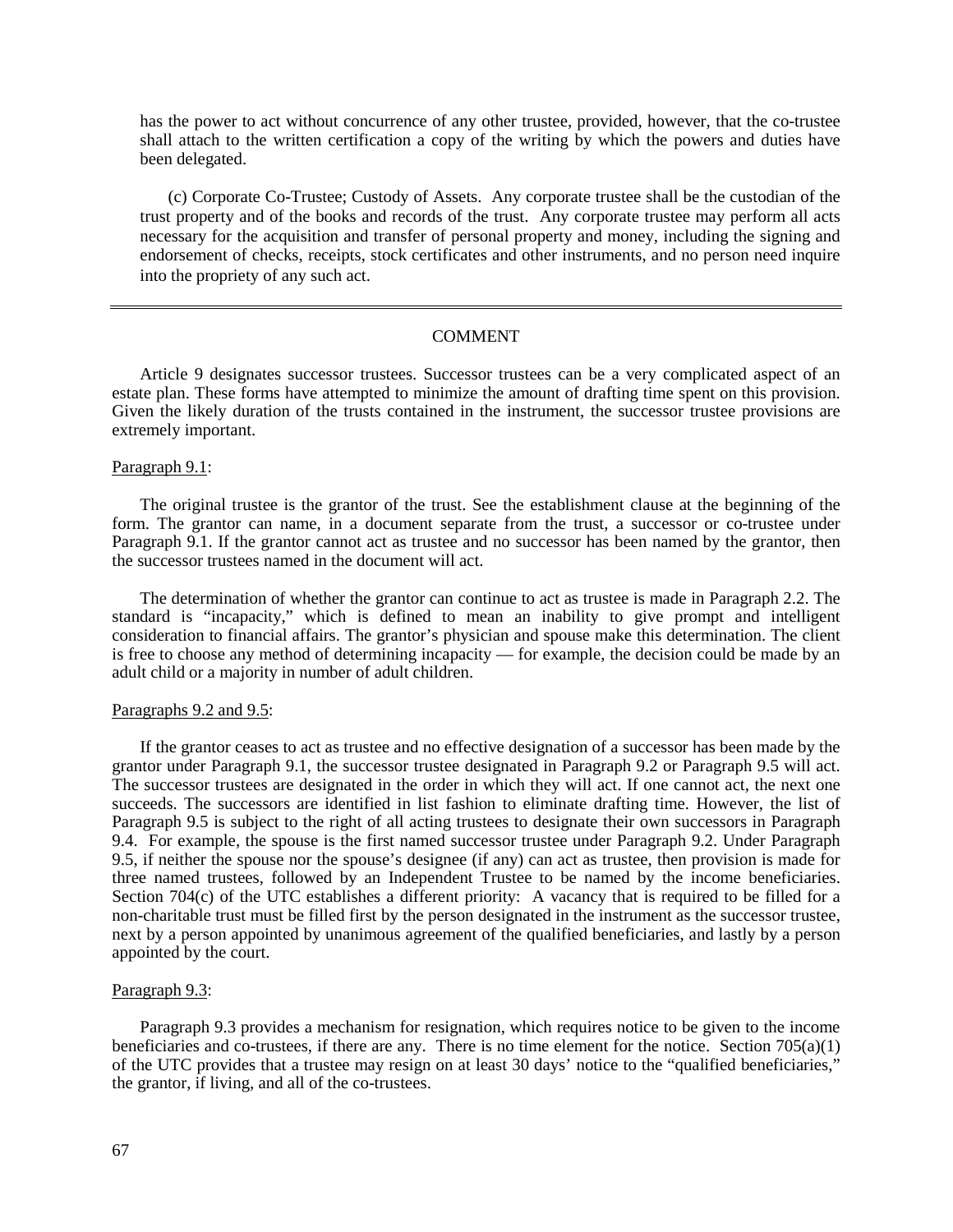has the power to act without concurrence of any other trustee, provided, however, that the co-trustee shall attach to the written certification a copy of the writing by which the powers and duties have been delegated.

(c) Corporate Co-Trustee; Custody of Assets. Any corporate trustee shall be the custodian of the trust property and of the books and records of the trust. Any corporate trustee may perform all acts necessary for the acquisition and transfer of personal property and money, including the signing and endorsement of checks, receipts, stock certificates and other instruments, and no person need inquire into the propriety of any such act.

#### COMMENT

Article 9 designates successor trustees. Successor trustees can be a very complicated aspect of an estate plan. These forms have attempted to minimize the amount of drafting time spent on this provision. Given the likely duration of the trusts contained in the instrument, the successor trustee provisions are extremely important.

#### Paragraph 9.1:

The original trustee is the grantor of the trust. See the establishment clause at the beginning of the form. The grantor can name, in a document separate from the trust, a successor or co-trustee under Paragraph 9.1. If the grantor cannot act as trustee and no successor has been named by the grantor, then the successor trustees named in the document will act.

The determination of whether the grantor can continue to act as trustee is made in Paragraph 2.2. The standard is "incapacity," which is defined to mean an inability to give prompt and intelligent consideration to financial affairs. The grantor's physician and spouse make this determination. The client is free to choose any method of determining incapacity — for example, the decision could be made by an adult child or a majority in number of adult children.

#### Paragraphs 9.2 and 9.5:

If the grantor ceases to act as trustee and no effective designation of a successor has been made by the grantor under Paragraph 9.1, the successor trustee designated in Paragraph 9.2 or Paragraph 9.5 will act. The successor trustees are designated in the order in which they will act. If one cannot act, the next one succeeds. The successors are identified in list fashion to eliminate drafting time. However, the list of Paragraph 9.5 is subject to the right of all acting trustees to designate their own successors in Paragraph 9.4. For example, the spouse is the first named successor trustee under Paragraph 9.2. Under Paragraph 9.5, if neither the spouse nor the spouse's designee (if any) can act as trustee, then provision is made for three named trustees, followed by an Independent Trustee to be named by the income beneficiaries. Section 704(c) of the UTC establishes a different priority: A vacancy that is required to be filled for a non-charitable trust must be filled first by the person designated in the instrument as the successor trustee, next by a person appointed by unanimous agreement of the qualified beneficiaries, and lastly by a person appointed by the court.

#### Paragraph 9.3:

Paragraph 9.3 provides a mechanism for resignation, which requires notice to be given to the income beneficiaries and co-trustees, if there are any. There is no time element for the notice. Section  $705(a)(1)$ of the UTC provides that a trustee may resign on at least 30 days' notice to the "qualified beneficiaries," the grantor, if living, and all of the co-trustees.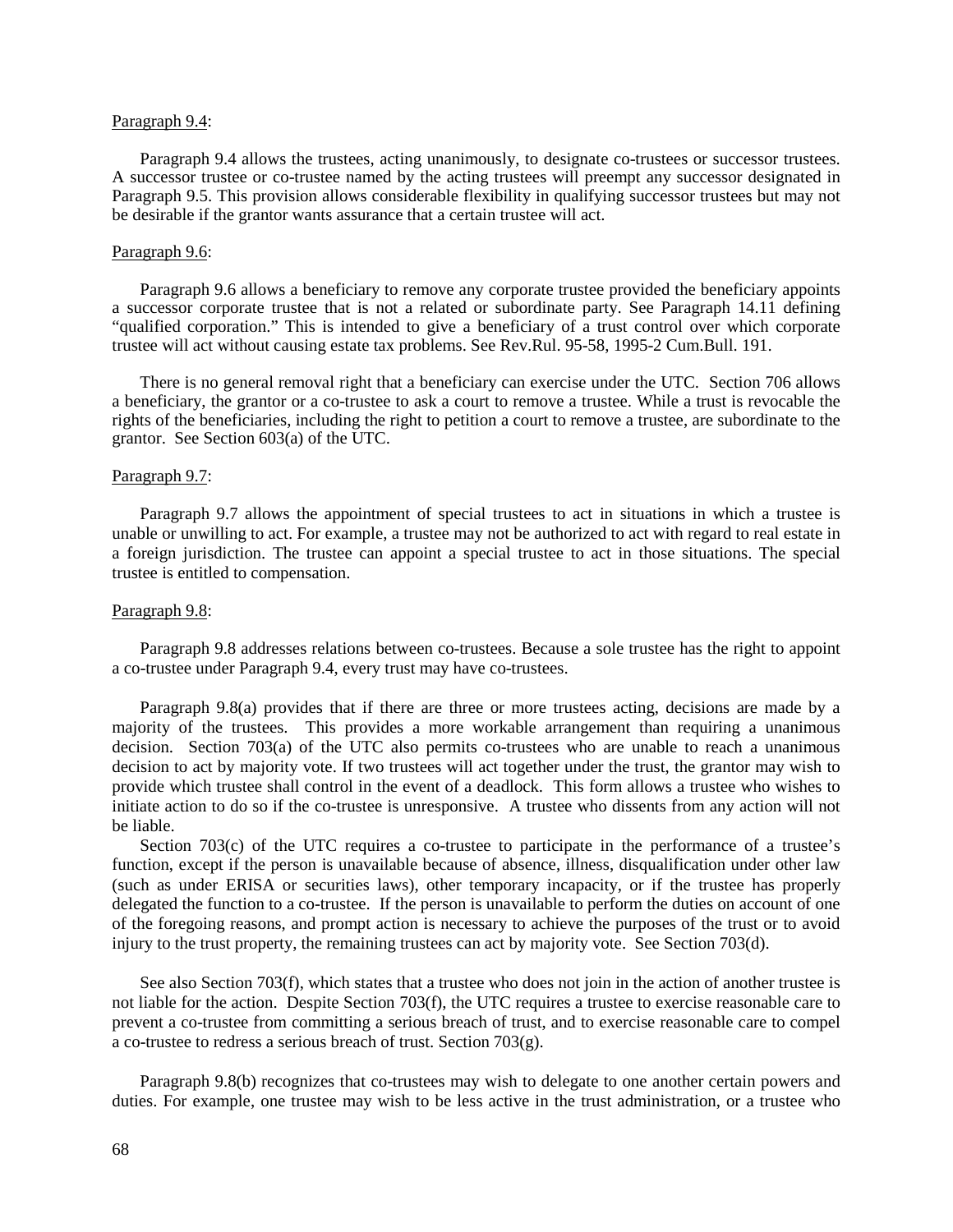#### Paragraph 9.4:

Paragraph 9.4 allows the trustees, acting unanimously, to designate co-trustees or successor trustees. A successor trustee or co-trustee named by the acting trustees will preempt any successor designated in Paragraph 9.5. This provision allows considerable flexibility in qualifying successor trustees but may not be desirable if the grantor wants assurance that a certain trustee will act.

#### Paragraph 9.6:

Paragraph 9.6 allows a beneficiary to remove any corporate trustee provided the beneficiary appoints a successor corporate trustee that is not a related or subordinate party. See Paragraph 14.11 defining "qualified corporation." This is intended to give a beneficiary of a trust control over which corporate trustee will act without causing estate tax problems. See Rev.Rul. 95-58, 1995-2 Cum.Bull. 191.

There is no general removal right that a beneficiary can exercise under the UTC. Section 706 allows a beneficiary, the grantor or a co-trustee to ask a court to remove a trustee. While a trust is revocable the rights of the beneficiaries, including the right to petition a court to remove a trustee, are subordinate to the grantor. See Section 603(a) of the UTC.

#### Paragraph 9.7:

Paragraph 9.7 allows the appointment of special trustees to act in situations in which a trustee is unable or unwilling to act. For example, a trustee may not be authorized to act with regard to real estate in a foreign jurisdiction. The trustee can appoint a special trustee to act in those situations. The special trustee is entitled to compensation.

#### Paragraph 9.8:

Paragraph 9.8 addresses relations between co-trustees. Because a sole trustee has the right to appoint a co-trustee under Paragraph 9.4, every trust may have co-trustees.

Paragraph 9.8(a) provides that if there are three or more trustees acting, decisions are made by a majority of the trustees. This provides a more workable arrangement than requiring a unanimous decision. Section 703(a) of the UTC also permits co-trustees who are unable to reach a unanimous decision to act by majority vote. If two trustees will act together under the trust, the grantor may wish to provide which trustee shall control in the event of a deadlock. This form allows a trustee who wishes to initiate action to do so if the co-trustee is unresponsive. A trustee who dissents from any action will not be liable.

Section 703(c) of the UTC requires a co-trustee to participate in the performance of a trustee's function, except if the person is unavailable because of absence, illness, disqualification under other law (such as under ERISA or securities laws), other temporary incapacity, or if the trustee has properly delegated the function to a co-trustee. If the person is unavailable to perform the duties on account of one of the foregoing reasons, and prompt action is necessary to achieve the purposes of the trust or to avoid injury to the trust property, the remaining trustees can act by majority vote. See Section 703(d).

See also Section 703(f), which states that a trustee who does not join in the action of another trustee is not liable for the action. Despite Section 703(f), the UTC requires a trustee to exercise reasonable care to prevent a co-trustee from committing a serious breach of trust, and to exercise reasonable care to compel a co-trustee to redress a serious breach of trust. Section 703(g).

Paragraph 9.8(b) recognizes that co-trustees may wish to delegate to one another certain powers and duties. For example, one trustee may wish to be less active in the trust administration, or a trustee who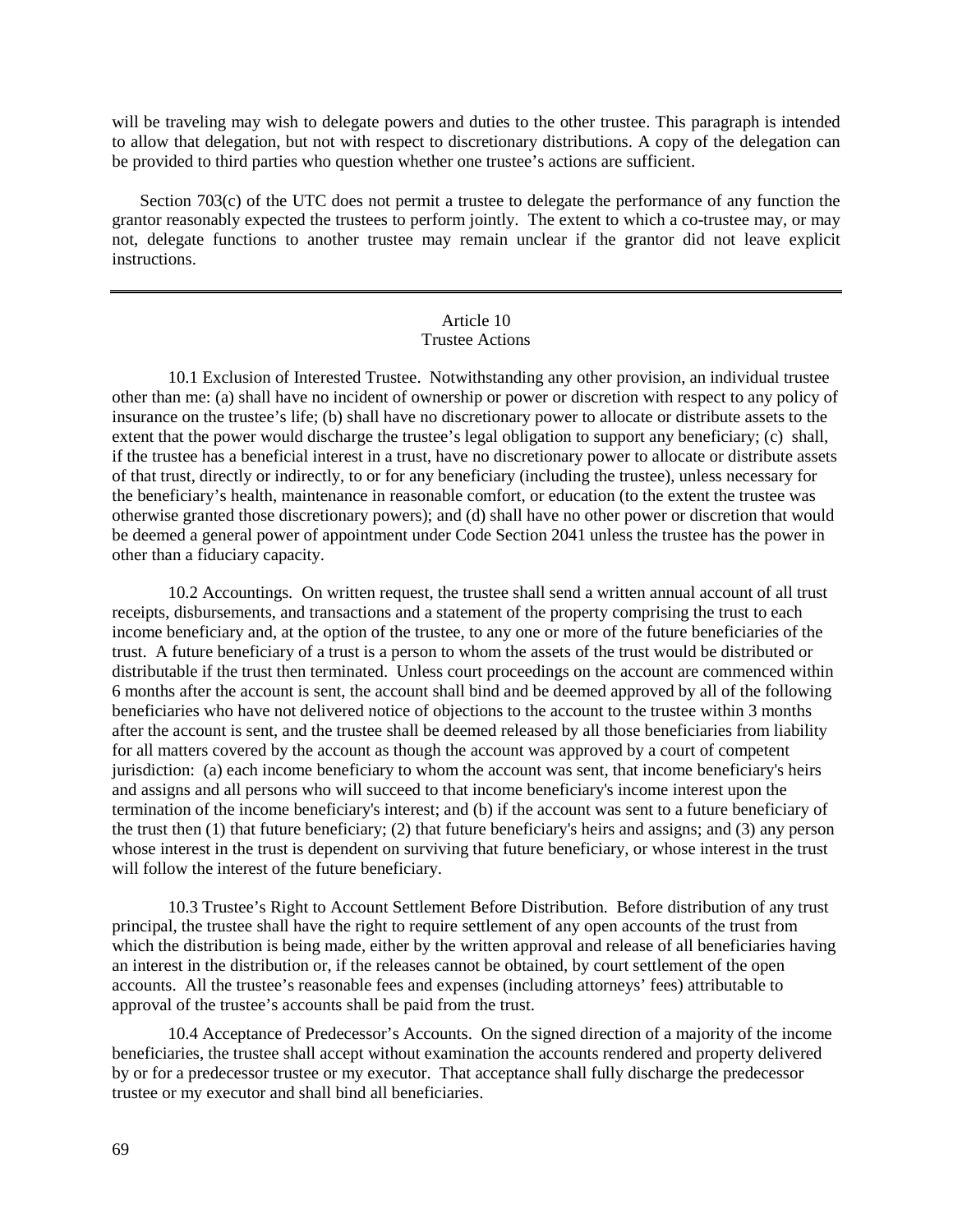will be traveling may wish to delegate powers and duties to the other trustee. This paragraph is intended to allow that delegation, but not with respect to discretionary distributions. A copy of the delegation can be provided to third parties who question whether one trustee's actions are sufficient.

Section 703(c) of the UTC does not permit a trustee to delegate the performance of any function the grantor reasonably expected the trustees to perform jointly. The extent to which a co-trustee may, or may not, delegate functions to another trustee may remain unclear if the grantor did not leave explicit instructions.

#### Article 10 Trustee Actions

10.1 Exclusion of Interested Trustee. Notwithstanding any other provision, an individual trustee other than me: (a) shall have no incident of ownership or power or discretion with respect to any policy of insurance on the trustee's life; (b) shall have no discretionary power to allocate or distribute assets to the extent that the power would discharge the trustee's legal obligation to support any beneficiary; (c) shall, if the trustee has a beneficial interest in a trust, have no discretionary power to allocate or distribute assets of that trust, directly or indirectly, to or for any beneficiary (including the trustee), unless necessary for the beneficiary's health, maintenance in reasonable comfort, or education (to the extent the trustee was otherwise granted those discretionary powers); and (d) shall have no other power or discretion that would be deemed a general power of appointment under Code Section 2041 unless the trustee has the power in other than a fiduciary capacity.

10.2 Accountings*.* On written request, the trustee shall send a written annual account of all trust receipts, disbursements, and transactions and a statement of the property comprising the trust to each income beneficiary and, at the option of the trustee, to any one or more of the future beneficiaries of the trust. A future beneficiary of a trust is a person to whom the assets of the trust would be distributed or distributable if the trust then terminated. Unless court proceedings on the account are commenced within 6 months after the account is sent, the account shall bind and be deemed approved by all of the following beneficiaries who have not delivered notice of objections to the account to the trustee within 3 months after the account is sent, and the trustee shall be deemed released by all those beneficiaries from liability for all matters covered by the account as though the account was approved by a court of competent jurisdiction: (a) each income beneficiary to whom the account was sent, that income beneficiary's heirs and assigns and all persons who will succeed to that income beneficiary's income interest upon the termination of the income beneficiary's interest; and (b) if the account was sent to a future beneficiary of the trust then (1) that future beneficiary; (2) that future beneficiary's heirs and assigns; and (3) any person whose interest in the trust is dependent on surviving that future beneficiary, or whose interest in the trust will follow the interest of the future beneficiary.

10.3 Trustee's Right to Account Settlement Before Distribution*.* Before distribution of any trust principal, the trustee shall have the right to require settlement of any open accounts of the trust from which the distribution is being made, either by the written approval and release of all beneficiaries having an interest in the distribution or, if the releases cannot be obtained, by court settlement of the open accounts. All the trustee's reasonable fees and expenses (including attorneys' fees) attributable to approval of the trustee's accounts shall be paid from the trust.

10.4 Acceptance of Predecessor's Accounts. On the signed direction of a majority of the income beneficiaries, the trustee shall accept without examination the accounts rendered and property delivered by or for a predecessor trustee or my executor. That acceptance shall fully discharge the predecessor trustee or my executor and shall bind all beneficiaries.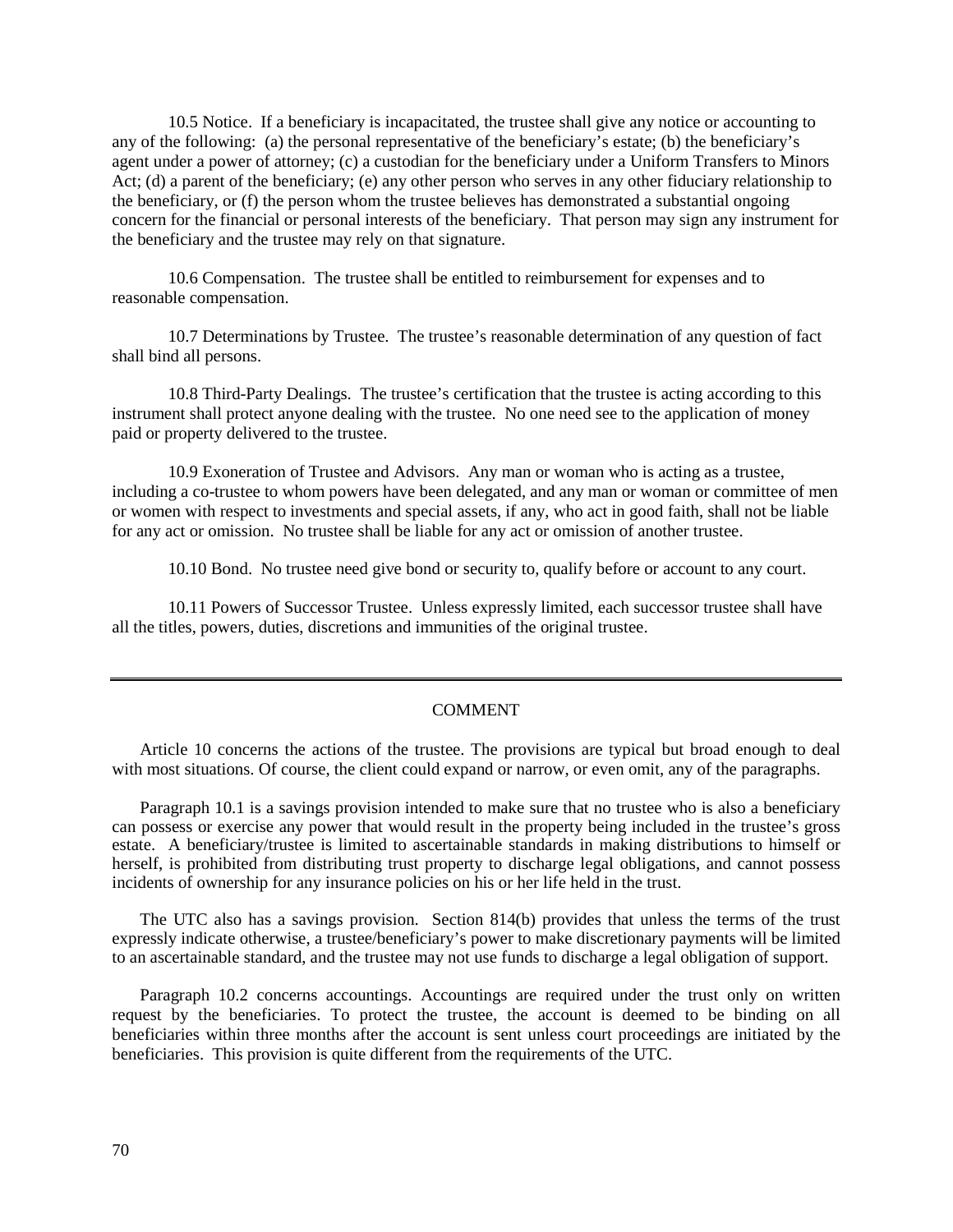10.5 Notice. If a beneficiary is incapacitated, the trustee shall give any notice or accounting to any of the following: (a) the personal representative of the beneficiary's estate; (b) the beneficiary's agent under a power of attorney; (c) a custodian for the beneficiary under a Uniform Transfers to Minors Act; (d) a parent of the beneficiary; (e) any other person who serves in any other fiduciary relationship to the beneficiary, or (f) the person whom the trustee believes has demonstrated a substantial ongoing concern for the financial or personal interests of the beneficiary. That person may sign any instrument for the beneficiary and the trustee may rely on that signature.

10.6 Compensation. The trustee shall be entitled to reimbursement for expenses and to reasonable compensation.

10.7 Determinations by Trustee. The trustee's reasonable determination of any question of fact shall bind all persons.

10.8 Third-Party Dealings. The trustee's certification that the trustee is acting according to this instrument shall protect anyone dealing with the trustee. No one need see to the application of money paid or property delivered to the trustee.

10.9 Exoneration of Trustee and Advisors. Any man or woman who is acting as a trustee, including a co-trustee to whom powers have been delegated, and any man or woman or committee of men or women with respect to investments and special assets, if any, who act in good faith, shall not be liable for any act or omission. No trustee shall be liable for any act or omission of another trustee.

10.10 Bond. No trustee need give bond or security to, qualify before or account to any court.

10.11 Powers of Successor Trustee. Unless expressly limited, each successor trustee shall have all the titles, powers, duties, discretions and immunities of the original trustee.

### **COMMENT**

Article 10 concerns the actions of the trustee. The provisions are typical but broad enough to deal with most situations. Of course, the client could expand or narrow, or even omit, any of the paragraphs.

Paragraph 10.1 is a savings provision intended to make sure that no trustee who is also a beneficiary can possess or exercise any power that would result in the property being included in the trustee's gross estate. A beneficiary/trustee is limited to ascertainable standards in making distributions to himself or herself, is prohibited from distributing trust property to discharge legal obligations, and cannot possess incidents of ownership for any insurance policies on his or her life held in the trust.

The UTC also has a savings provision. Section 814(b) provides that unless the terms of the trust expressly indicate otherwise, a trustee/beneficiary's power to make discretionary payments will be limited to an ascertainable standard, and the trustee may not use funds to discharge a legal obligation of support.

Paragraph 10.2 concerns accountings. Accountings are required under the trust only on written request by the beneficiaries. To protect the trustee, the account is deemed to be binding on all beneficiaries within three months after the account is sent unless court proceedings are initiated by the beneficiaries. This provision is quite different from the requirements of the UTC.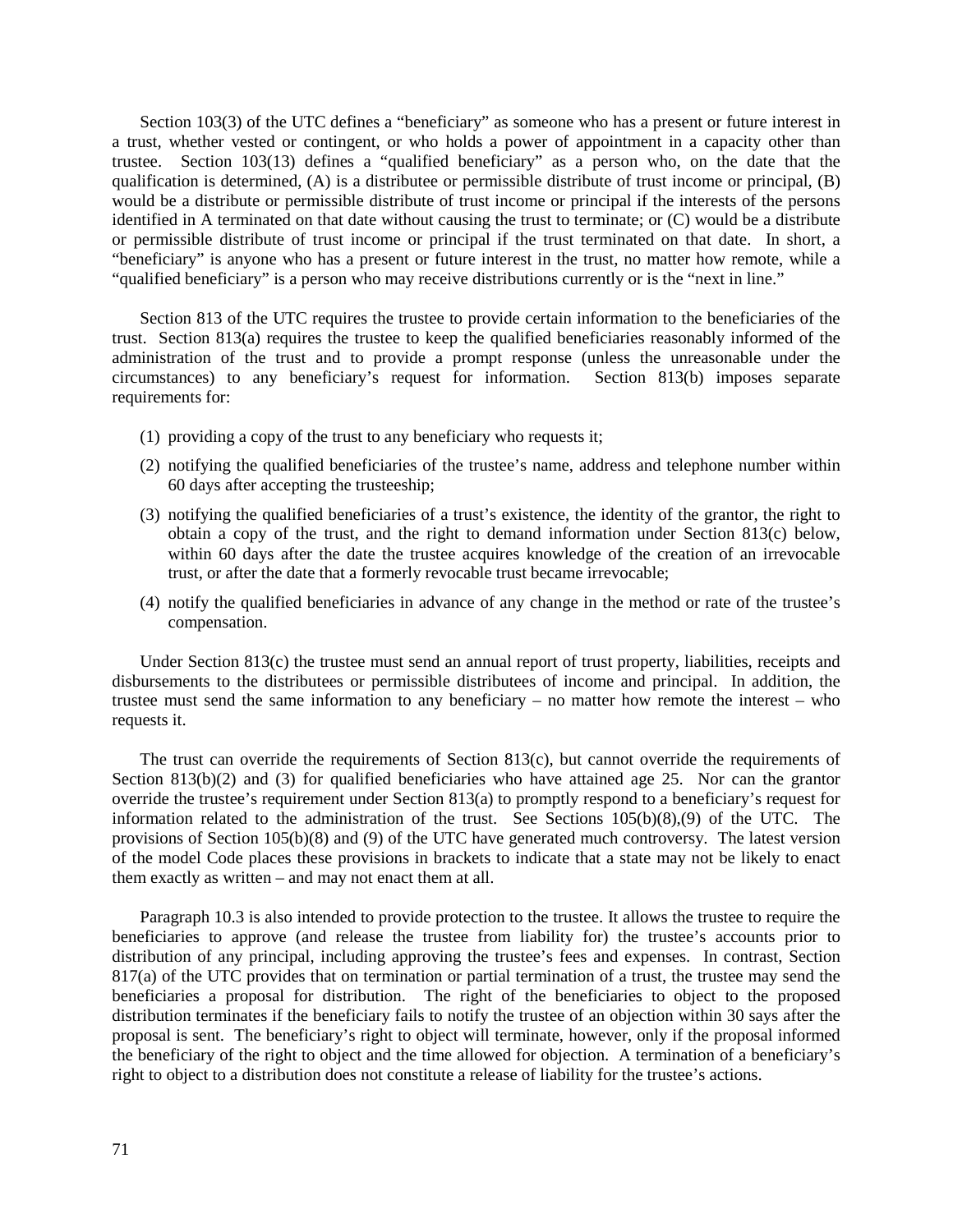Section 103(3) of the UTC defines a "beneficiary" as someone who has a present or future interest in a trust, whether vested or contingent, or who holds a power of appointment in a capacity other than trustee. Section 103(13) defines a "qualified beneficiary" as a person who, on the date that the qualification is determined, (A) is a distributee or permissible distribute of trust income or principal, (B) would be a distribute or permissible distribute of trust income or principal if the interests of the persons identified in A terminated on that date without causing the trust to terminate; or (C) would be a distribute or permissible distribute of trust income or principal if the trust terminated on that date. In short, a "beneficiary" is anyone who has a present or future interest in the trust, no matter how remote, while a "qualified beneficiary" is a person who may receive distributions currently or is the "next in line."

Section 813 of the UTC requires the trustee to provide certain information to the beneficiaries of the trust. Section 813(a) requires the trustee to keep the qualified beneficiaries reasonably informed of the administration of the trust and to provide a prompt response (unless the unreasonable under the circumstances) to any beneficiary's request for information. Section 813(b) imposes separate  $circumstances)$  to any beneficiary's request for information. requirements for:

- (1) providing a copy of the trust to any beneficiary who requests it;
- (2) notifying the qualified beneficiaries of the trustee's name, address and telephone number within 60 days after accepting the trusteeship;
- (3) notifying the qualified beneficiaries of a trust's existence, the identity of the grantor, the right to obtain a copy of the trust, and the right to demand information under Section 813(c) below, within 60 days after the date the trustee acquires knowledge of the creation of an irrevocable trust, or after the date that a formerly revocable trust became irrevocable;
- (4) notify the qualified beneficiaries in advance of any change in the method or rate of the trustee's compensation.

Under Section 813(c) the trustee must send an annual report of trust property, liabilities, receipts and disbursements to the distributees or permissible distributees of income and principal. In addition, the trustee must send the same information to any beneficiary – no matter how remote the interest – who requests it.

The trust can override the requirements of Section 813(c), but cannot override the requirements of Section 813(b)(2) and (3) for qualified beneficiaries who have attained age 25. Nor can the grantor override the trustee's requirement under Section 813(a) to promptly respond to a beneficiary's request for information related to the administration of the trust. See Sections  $105(b)(8),(9)$  of the UTC. The provisions of Section 105(b)(8) and (9) of the UTC have generated much controversy. The latest version of the model Code places these provisions in brackets to indicate that a state may not be likely to enact them exactly as written – and may not enact them at all.

Paragraph 10.3 is also intended to provide protection to the trustee. It allows the trustee to require the beneficiaries to approve (and release the trustee from liability for) the trustee's accounts prior to distribution of any principal, including approving the trustee's fees and expenses. In contrast, Section 817(a) of the UTC provides that on termination or partial termination of a trust, the trustee may send the beneficiaries a proposal for distribution. The right of the beneficiaries to object to the proposed distribution terminates if the beneficiary fails to notify the trustee of an objection within 30 says after the proposal is sent. The beneficiary's right to object will terminate, however, only if the proposal informed the beneficiary of the right to object and the time allowed for objection. A termination of a beneficiary's right to object to a distribution does not constitute a release of liability for the trustee's actions.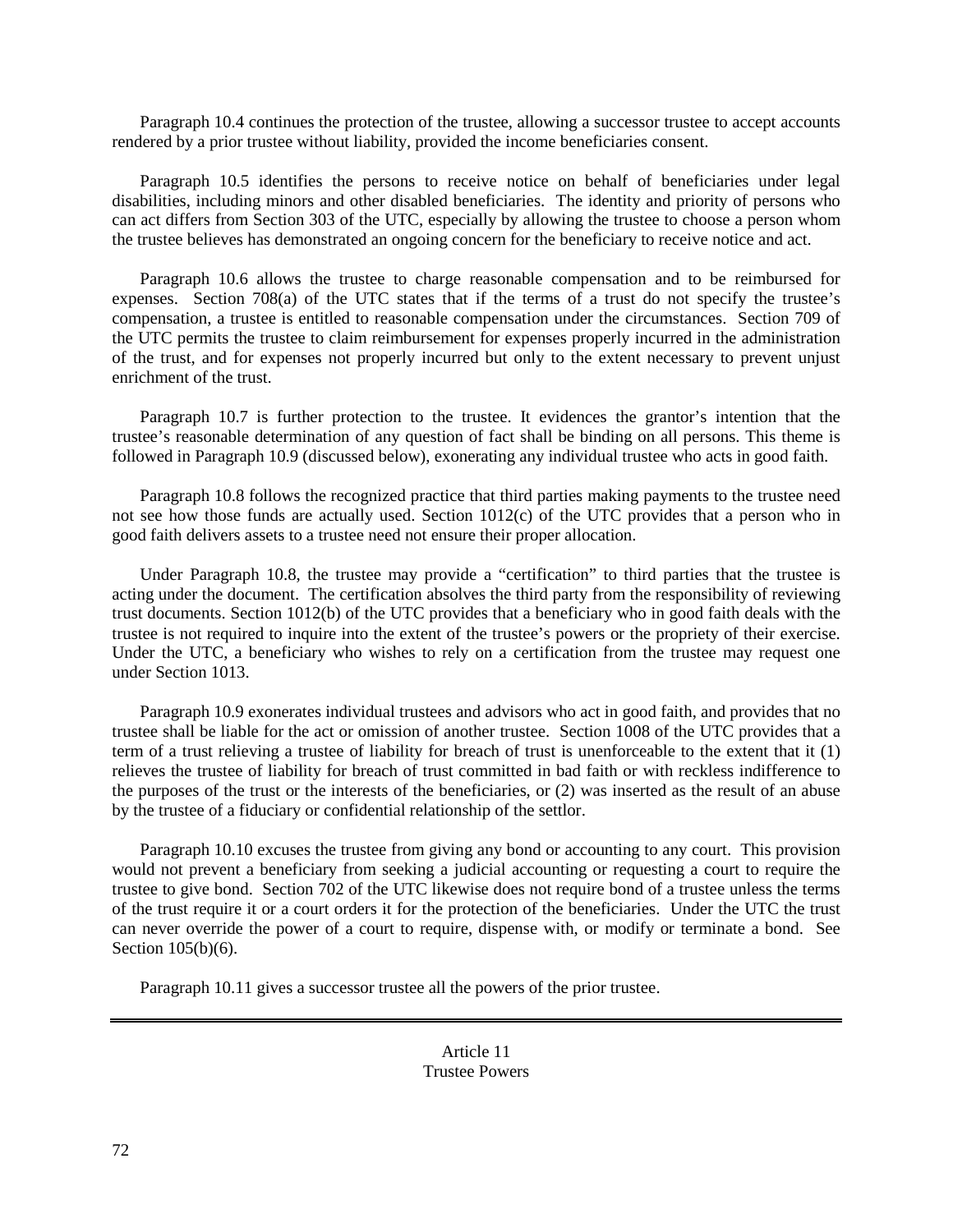Paragraph 10.4 continues the protection of the trustee, allowing a successor trustee to accept accounts rendered by a prior trustee without liability, provided the income beneficiaries consent.

Paragraph 10.5 identifies the persons to receive notice on behalf of beneficiaries under legal disabilities, including minors and other disabled beneficiaries. The identity and priority of persons who can act differs from Section 303 of the UTC, especially by allowing the trustee to choose a person whom the trustee believes has demonstrated an ongoing concern for the beneficiary to receive notice and act.

Paragraph 10.6 allows the trustee to charge reasonable compensation and to be reimbursed for expenses. Section 708(a) of the UTC states that if the terms of a trust do not specify the trustee's compensation, a trustee is entitled to reasonable compensation under the circumstances. Section 709 of the UTC permits the trustee to claim reimbursement for expenses properly incurred in the administration of the trust, and for expenses not properly incurred but only to the extent necessary to prevent unjust enrichment of the trust.

Paragraph 10.7 is further protection to the trustee. It evidences the grantor's intention that the trustee's reasonable determination of any question of fact shall be binding on all persons. This theme is followed in Paragraph 10.9 (discussed below), exonerating any individual trustee who acts in good faith.

Paragraph 10.8 follows the recognized practice that third parties making payments to the trustee need not see how those funds are actually used. Section 1012(c) of the UTC provides that a person who in good faith delivers assets to a trustee need not ensure their proper allocation.

Under Paragraph 10.8, the trustee may provide a "certification" to third parties that the trustee is acting under the document. The certification absolves the third party from the responsibility of reviewing trust documents. Section 1012(b) of the UTC provides that a beneficiary who in good faith deals with the trustee is not required to inquire into the extent of the trustee's powers or the propriety of their exercise. Under the UTC, a beneficiary who wishes to rely on a certification from the trustee may request one under Section 1013.

Paragraph 10.9 exonerates individual trustees and advisors who act in good faith, and provides that no trustee shall be liable for the act or omission of another trustee. Section 1008 of the UTC provides that a term of a trust relieving a trustee of liability for breach of trust is unenforceable to the extent that it (1) relieves the trustee of liability for breach of trust committed in bad faith or with reckless indifference to the purposes of the trust or the interests of the beneficiaries, or (2) was inserted as the result of an abuse by the trustee of a fiduciary or confidential relationship of the settlor.

Paragraph 10.10 excuses the trustee from giving any bond or accounting to any court. This provision would not prevent a beneficiary from seeking a judicial accounting or requesting a court to require the trustee to give bond. Section 702 of the UTC likewise does not require bond of a trustee unless the terms of the trust require it or a court orders it for the protection of the beneficiaries. Under the UTC the trust can never override the power of a court to require, dispense with, or modify or terminate a bond. See Section 105(b)(6).

Paragraph 10.11 gives a successor trustee all the powers of the prior trustee.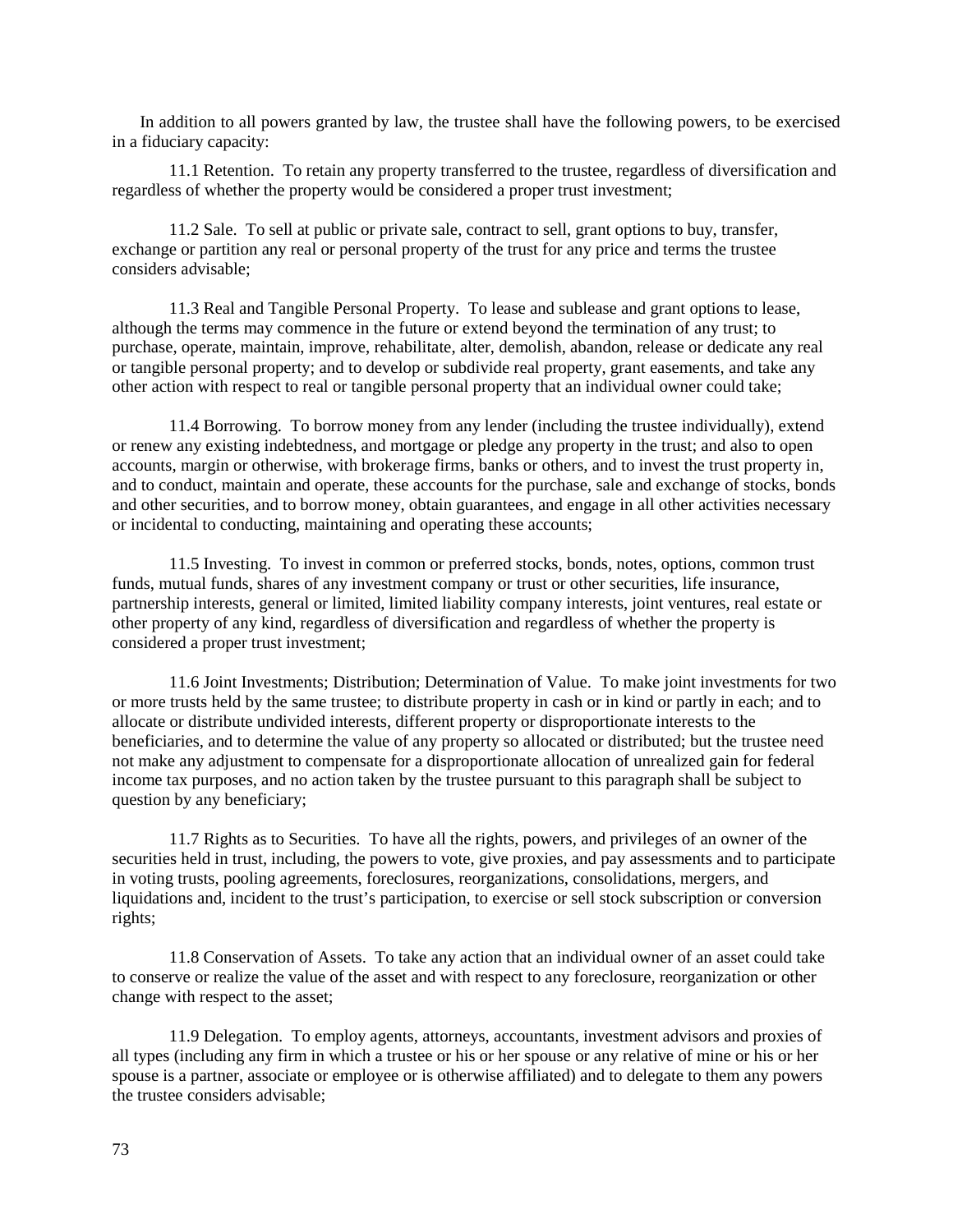In addition to all powers granted by law, the trustee shall have the following powers, to be exercised in a fiduciary capacity:

11.1 Retention. To retain any property transferred to the trustee, regardless of diversification and regardless of whether the property would be considered a proper trust investment;

11.2 Sale. To sell at public or private sale, contract to sell, grant options to buy, transfer, exchange or partition any real or personal property of the trust for any price and terms the trustee considers advisable;

11.3 Real and Tangible Personal Property. To lease and sublease and grant options to lease, although the terms may commence in the future or extend beyond the termination of any trust; to purchase, operate, maintain, improve, rehabilitate, alter, demolish, abandon, release or dedicate any real or tangible personal property; and to develop or subdivide real property, grant easements, and take any other action with respect to real or tangible personal property that an individual owner could take;

11.4 Borrowing. To borrow money from any lender (including the trustee individually), extend or renew any existing indebtedness, and mortgage or pledge any property in the trust; and also to open accounts, margin or otherwise, with brokerage firms, banks or others, and to invest the trust property in, and to conduct, maintain and operate, these accounts for the purchase, sale and exchange of stocks, bonds and other securities, and to borrow money, obtain guarantees, and engage in all other activities necessary or incidental to conducting, maintaining and operating these accounts;

11.5 Investing. To invest in common or preferred stocks, bonds, notes, options, common trust funds, mutual funds, shares of any investment company or trust or other securities, life insurance, partnership interests, general or limited, limited liability company interests, joint ventures, real estate or other property of any kind, regardless of diversification and regardless of whether the property is considered a proper trust investment;

11.6 Joint Investments; Distribution; Determination of Value. To make joint investments for two or more trusts held by the same trustee; to distribute property in cash or in kind or partly in each; and to allocate or distribute undivided interests, different property or disproportionate interests to the beneficiaries, and to determine the value of any property so allocated or distributed; but the trustee need not make any adjustment to compensate for a disproportionate allocation of unrealized gain for federal income tax purposes, and no action taken by the trustee pursuant to this paragraph shall be subject to question by any beneficiary;

11.7 Rights as to Securities. To have all the rights, powers, and privileges of an owner of the securities held in trust, including, the powers to vote, give proxies, and pay assessments and to participate in voting trusts, pooling agreements, foreclosures, reorganizations, consolidations, mergers, and liquidations and, incident to the trust's participation, to exercise or sell stock subscription or conversion rights;

11.8 Conservation of Assets. To take any action that an individual owner of an asset could take to conserve or realize the value of the asset and with respect to any foreclosure, reorganization or other change with respect to the asset;

11.9 Delegation. To employ agents, attorneys, accountants, investment advisors and proxies of all types (including any firm in which a trustee or his or her spouse or any relative of mine or his or her spouse is a partner, associate or employee or is otherwise affiliated) and to delegate to them any powers the trustee considers advisable;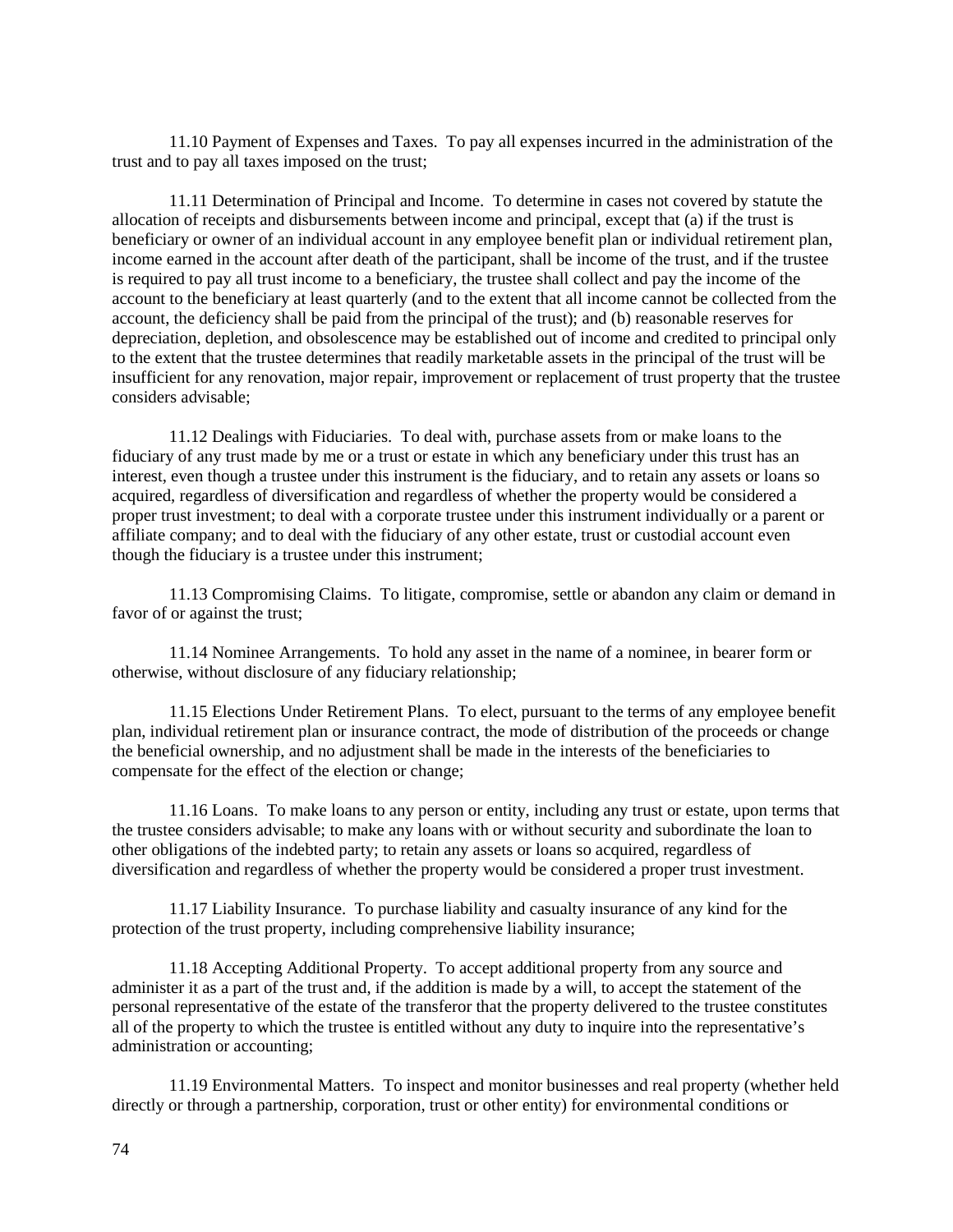11.10 Payment of Expenses and Taxes. To pay all expenses incurred in the administration of the trust and to pay all taxes imposed on the trust;

11.11 Determination of Principal and Income. To determine in cases not covered by statute the allocation of receipts and disbursements between income and principal, except that (a) if the trust is beneficiary or owner of an individual account in any employee benefit plan or individual retirement plan, income earned in the account after death of the participant, shall be income of the trust, and if the trustee is required to pay all trust income to a beneficiary, the trustee shall collect and pay the income of the account to the beneficiary at least quarterly (and to the extent that all income cannot be collected from the account, the deficiency shall be paid from the principal of the trust); and (b) reasonable reserves for depreciation, depletion, and obsolescence may be established out of income and credited to principal only to the extent that the trustee determines that readily marketable assets in the principal of the trust will be insufficient for any renovation, major repair, improvement or replacement of trust property that the trustee considers advisable;

11.12 Dealings with Fiduciaries. To deal with, purchase assets from or make loans to the fiduciary of any trust made by me or a trust or estate in which any beneficiary under this trust has an interest, even though a trustee under this instrument is the fiduciary, and to retain any assets or loans so acquired, regardless of diversification and regardless of whether the property would be considered a proper trust investment; to deal with a corporate trustee under this instrument individually or a parent or affiliate company; and to deal with the fiduciary of any other estate, trust or custodial account even though the fiduciary is a trustee under this instrument;

11.13 Compromising Claims. To litigate, compromise, settle or abandon any claim or demand in favor of or against the trust;

11.14 Nominee Arrangements. To hold any asset in the name of a nominee, in bearer form or otherwise, without disclosure of any fiduciary relationship;

11.15 Elections Under Retirement Plans. To elect, pursuant to the terms of any employee benefit plan, individual retirement plan or insurance contract, the mode of distribution of the proceeds or change the beneficial ownership, and no adjustment shall be made in the interests of the beneficiaries to compensate for the effect of the election or change;

11.16 Loans. To make loans to any person or entity, including any trust or estate, upon terms that the trustee considers advisable; to make any loans with or without security and subordinate the loan to other obligations of the indebted party; to retain any assets or loans so acquired, regardless of diversification and regardless of whether the property would be considered a proper trust investment.

11.17 Liability Insurance. To purchase liability and casualty insurance of any kind for the protection of the trust property, including comprehensive liability insurance;

11.18 Accepting Additional Property. To accept additional property from any source and administer it as a part of the trust and, if the addition is made by a will, to accept the statement of the personal representative of the estate of the transferor that the property delivered to the trustee constitutes all of the property to which the trustee is entitled without any duty to inquire into the representative's administration or accounting;

11.19 Environmental Matters. To inspect and monitor businesses and real property (whether held directly or through a partnership, corporation, trust or other entity) for environmental conditions or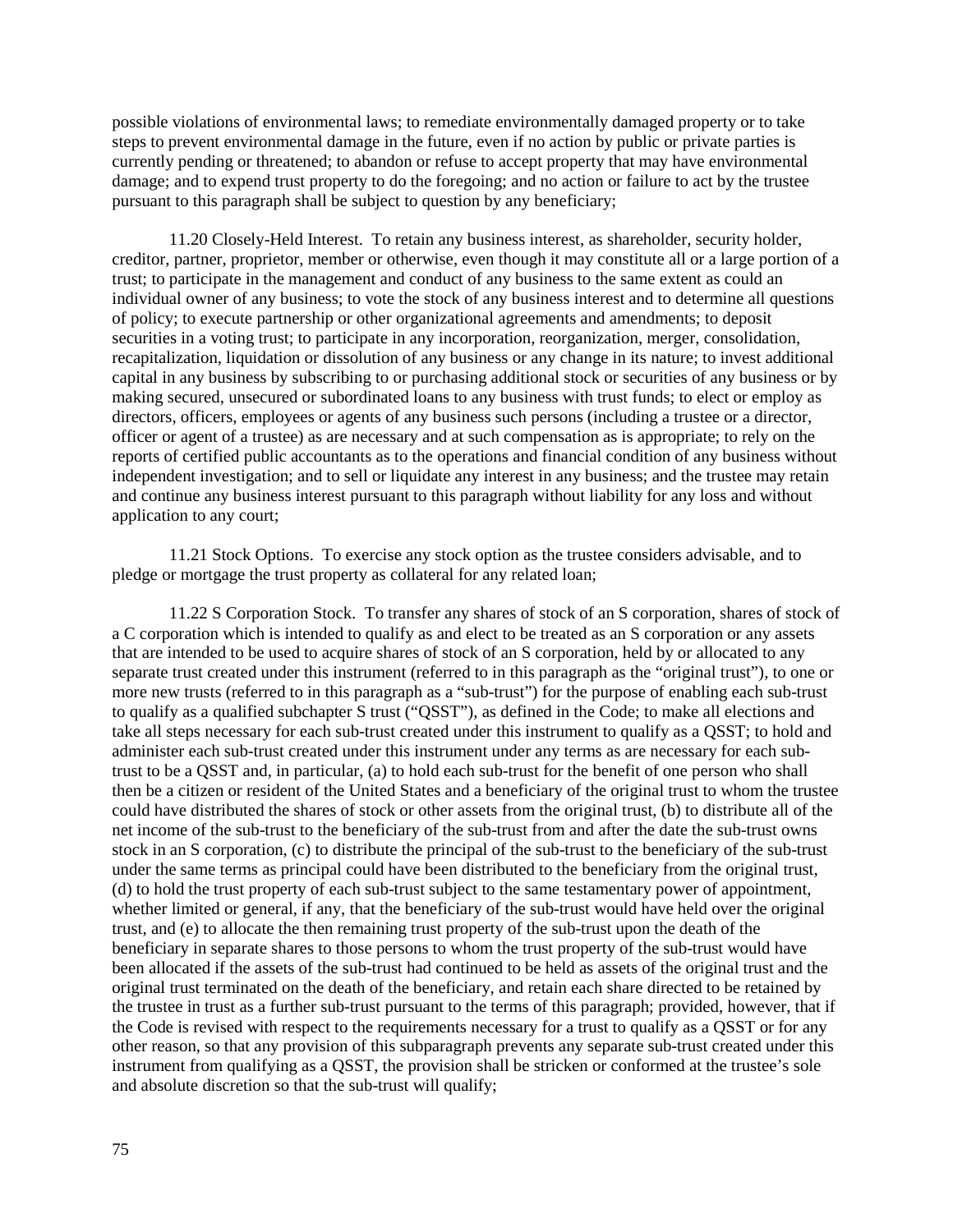possible violations of environmental laws; to remediate environmentally damaged property or to take steps to prevent environmental damage in the future, even if no action by public or private parties is currently pending or threatened; to abandon or refuse to accept property that may have environmental damage; and to expend trust property to do the foregoing; and no action or failure to act by the trustee pursuant to this paragraph shall be subject to question by any beneficiary;

11.20 Closely-Held Interest. To retain any business interest, as shareholder, security holder, creditor, partner, proprietor, member or otherwise, even though it may constitute all or a large portion of a trust; to participate in the management and conduct of any business to the same extent as could an individual owner of any business; to vote the stock of any business interest and to determine all questions of policy; to execute partnership or other organizational agreements and amendments; to deposit securities in a voting trust; to participate in any incorporation, reorganization, merger, consolidation, recapitalization, liquidation or dissolution of any business or any change in its nature; to invest additional capital in any business by subscribing to or purchasing additional stock or securities of any business or by making secured, unsecured or subordinated loans to any business with trust funds; to elect or employ as directors, officers, employees or agents of any business such persons (including a trustee or a director, officer or agent of a trustee) as are necessary and at such compensation as is appropriate; to rely on the reports of certified public accountants as to the operations and financial condition of any business without independent investigation; and to sell or liquidate any interest in any business; and the trustee may retain and continue any business interest pursuant to this paragraph without liability for any loss and without application to any court;

11.21 Stock Options. To exercise any stock option as the trustee considers advisable, and to pledge or mortgage the trust property as collateral for any related loan;

11.22 S Corporation Stock. To transfer any shares of stock of an S corporation, shares of stock of a C corporation which is intended to qualify as and elect to be treated as an S corporation or any assets that are intended to be used to acquire shares of stock of an S corporation, held by or allocated to any separate trust created under this instrument (referred to in this paragraph as the "original trust"), to one or more new trusts (referred to in this paragraph as a "sub-trust") for the purpose of enabling each sub-trust to qualify as a qualified subchapter S trust ("QSST"), as defined in the Code; to make all elections and take all steps necessary for each sub-trust created under this instrument to qualify as a QSST; to hold and administer each sub-trust created under this instrument under any terms as are necessary for each subtrust to be a QSST and, in particular, (a) to hold each sub-trust for the benefit of one person who shall then be a citizen or resident of the United States and a beneficiary of the original trust to whom the trustee could have distributed the shares of stock or other assets from the original trust, (b) to distribute all of the net income of the sub-trust to the beneficiary of the sub-trust from and after the date the sub-trust owns stock in an S corporation, (c) to distribute the principal of the sub-trust to the beneficiary of the sub-trust under the same terms as principal could have been distributed to the beneficiary from the original trust, (d) to hold the trust property of each sub-trust subject to the same testamentary power of appointment, whether limited or general, if any, that the beneficiary of the sub-trust would have held over the original trust, and (e) to allocate the then remaining trust property of the sub-trust upon the death of the beneficiary in separate shares to those persons to whom the trust property of the sub-trust would have been allocated if the assets of the sub-trust had continued to be held as assets of the original trust and the original trust terminated on the death of the beneficiary, and retain each share directed to be retained by the trustee in trust as a further sub-trust pursuant to the terms of this paragraph; provided, however, that if the Code is revised with respect to the requirements necessary for a trust to qualify as a QSST or for any other reason, so that any provision of this subparagraph prevents any separate sub-trust created under this instrument from qualifying as a QSST, the provision shall be stricken or conformed at the trustee's sole and absolute discretion so that the sub-trust will qualify;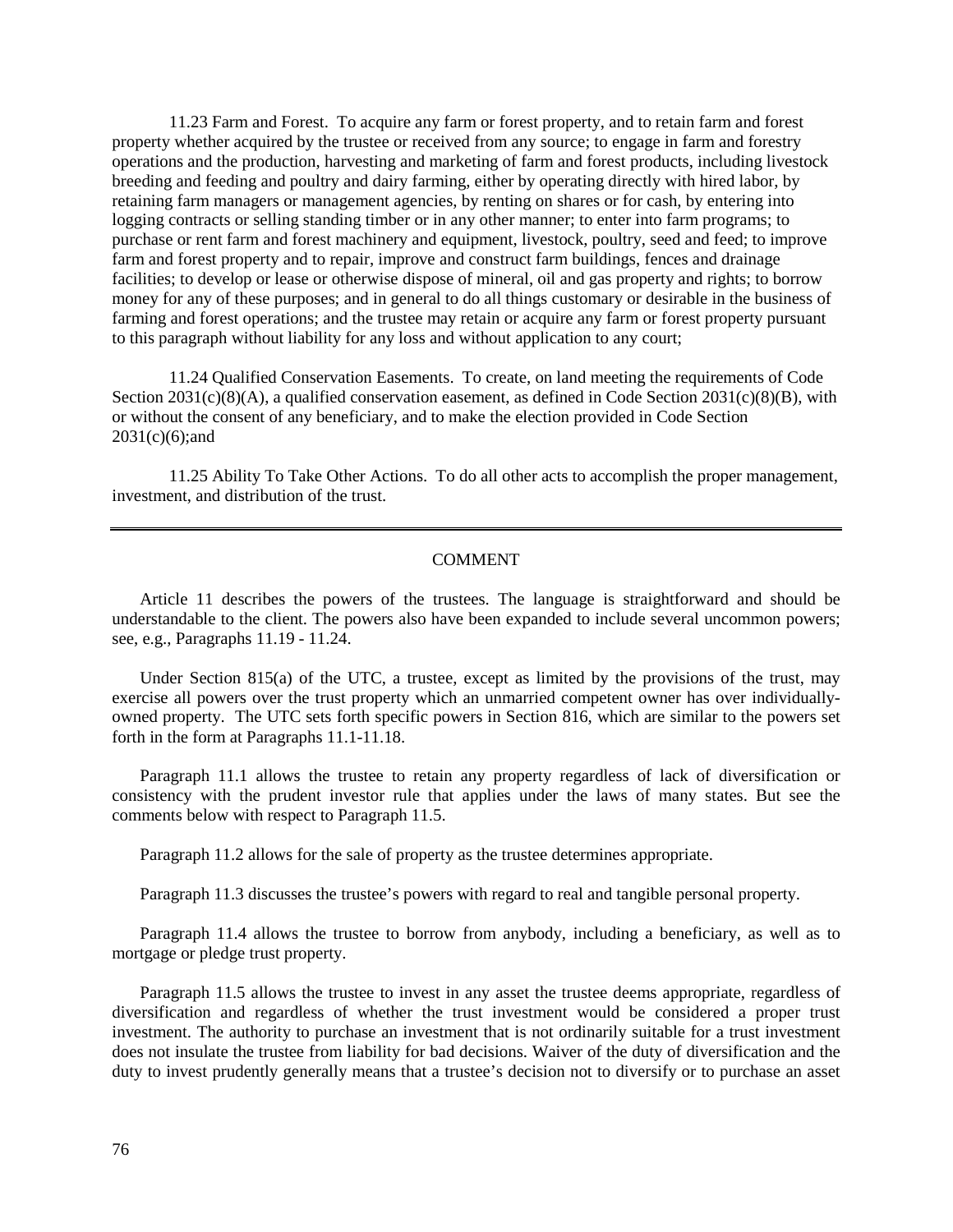11.23 Farm and Forest. To acquire any farm or forest property, and to retain farm and forest property whether acquired by the trustee or received from any source; to engage in farm and forestry operations and the production, harvesting and marketing of farm and forest products, including livestock breeding and feeding and poultry and dairy farming, either by operating directly with hired labor, by retaining farm managers or management agencies, by renting on shares or for cash, by entering into logging contracts or selling standing timber or in any other manner; to enter into farm programs; to purchase or rent farm and forest machinery and equipment, livestock, poultry, seed and feed; to improve farm and forest property and to repair, improve and construct farm buildings, fences and drainage facilities; to develop or lease or otherwise dispose of mineral, oil and gas property and rights; to borrow money for any of these purposes; and in general to do all things customary or desirable in the business of farming and forest operations; and the trustee may retain or acquire any farm or forest property pursuant to this paragraph without liability for any loss and without application to any court;

11.24 Qualified Conservation Easements. To create, on land meeting the requirements of Code Section  $2031(c)(8)(A)$ , a qualified conservation easement, as defined in Code Section  $2031(c)(8)(B)$ , with or without the consent of any beneficiary, and to make the election provided in Code Section  $2031(c)(6)$ ; and

11.25 Ability To Take Other Actions. To do all other acts to accomplish the proper management, investment, and distribution of the trust.

### COMMENT

Article 11 describes the powers of the trustees. The language is straightforward and should be understandable to the client. The powers also have been expanded to include several uncommon powers; see, e.g., Paragraphs 11.19 - 11.24.

Under Section 815(a) of the UTC, a trustee, except as limited by the provisions of the trust, may exercise all powers over the trust property which an unmarried competent owner has over individuallyowned property. The UTC sets forth specific powers in Section 816, which are similar to the powers set forth in the form at Paragraphs 11.1-11.18.

Paragraph 11.1 allows the trustee to retain any property regardless of lack of diversification or consistency with the prudent investor rule that applies under the laws of many states. But see the comments below with respect to Paragraph 11.5.

Paragraph 11.2 allows for the sale of property as the trustee determines appropriate.

Paragraph 11.3 discusses the trustee's powers with regard to real and tangible personal property.

Paragraph 11.4 allows the trustee to borrow from anybody, including a beneficiary, as well as to mortgage or pledge trust property.

Paragraph 11.5 allows the trustee to invest in any asset the trustee deems appropriate, regardless of diversification and regardless of whether the trust investment would be considered a proper trust investment. The authority to purchase an investment that is not ordinarily suitable for a trust investment does not insulate the trustee from liability for bad decisions. Waiver of the duty of diversification and the duty to invest prudently generally means that a trustee's decision not to diversify or to purchase an asset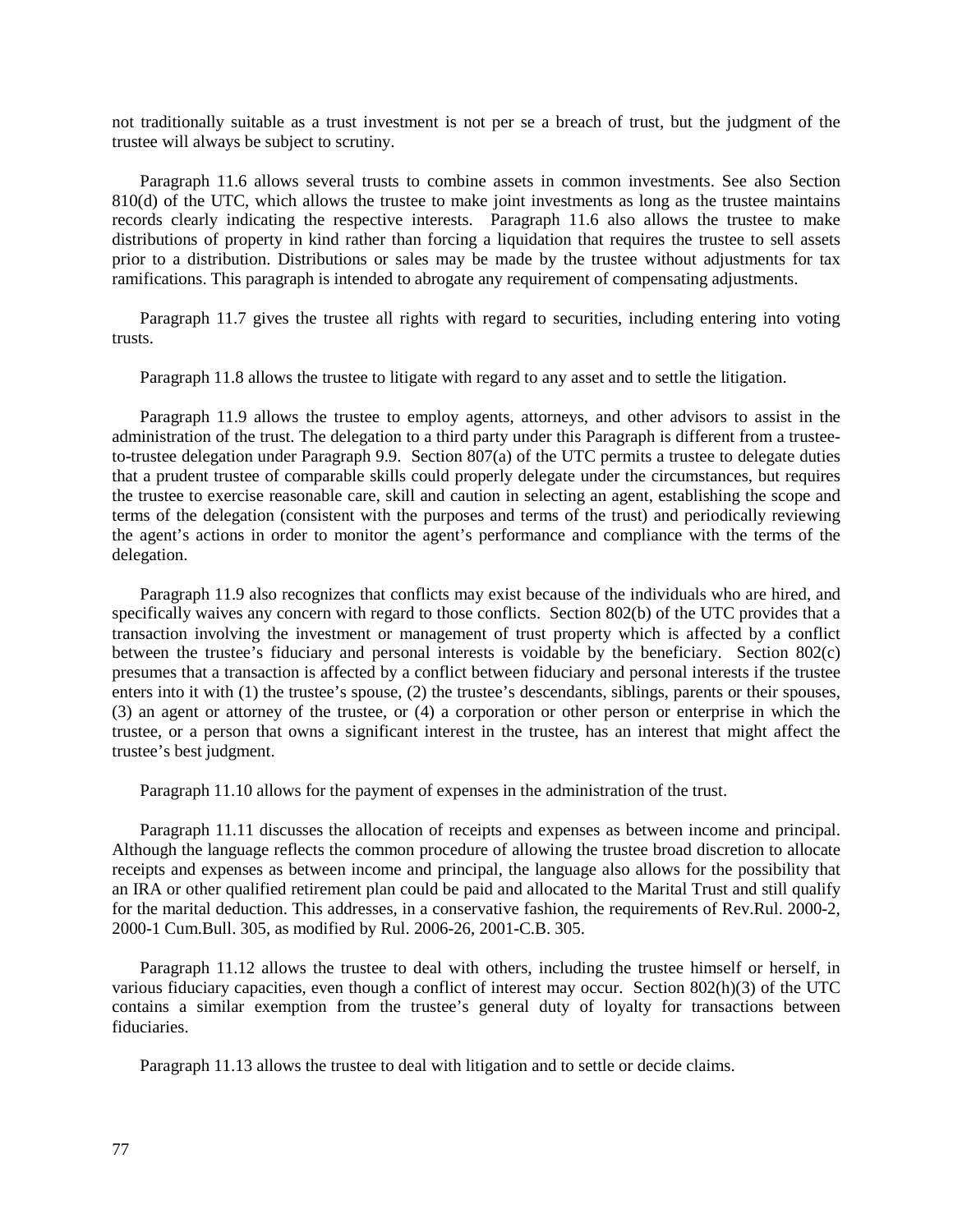not traditionally suitable as a trust investment is not per se a breach of trust, but the judgment of the trustee will always be subject to scrutiny.

Paragraph 11.6 allows several trusts to combine assets in common investments. See also Section 810(d) of the UTC, which allows the trustee to make joint investments as long as the trustee maintains records clearly indicating the respective interests. Paragraph 11.6 also allows the trustee to make distributions of property in kind rather than forcing a liquidation that requires the trustee to sell assets prior to a distribution. Distributions or sales may be made by the trustee without adjustments for tax ramifications. This paragraph is intended to abrogate any requirement of compensating adjustments.

Paragraph 11.7 gives the trustee all rights with regard to securities, including entering into voting trusts.

Paragraph 11.8 allows the trustee to litigate with regard to any asset and to settle the litigation.

Paragraph 11.9 allows the trustee to employ agents, attorneys, and other advisors to assist in the administration of the trust. The delegation to a third party under this Paragraph is different from a trusteeto-trustee delegation under Paragraph 9.9. Section 807(a) of the UTC permits a trustee to delegate duties that a prudent trustee of comparable skills could properly delegate under the circumstances, but requires the trustee to exercise reasonable care, skill and caution in selecting an agent, establishing the scope and terms of the delegation (consistent with the purposes and terms of the trust) and periodically reviewing the agent's actions in order to monitor the agent's performance and compliance with the terms of the delegation.

Paragraph 11.9 also recognizes that conflicts may exist because of the individuals who are hired, and specifically waives any concern with regard to those conflicts. Section 802(b) of the UTC provides that a transaction involving the investment or management of trust property which is affected by a conflict between the trustee's fiduciary and personal interests is voidable by the beneficiary. Section 802(c) presumes that a transaction is affected by a conflict between fiduciary and personal interests if the trustee enters into it with (1) the trustee's spouse, (2) the trustee's descendants, siblings, parents or their spouses, (3) an agent or attorney of the trustee, or (4) a corporation or other person or enterprise in which the trustee, or a person that owns a significant interest in the trustee, has an interest that might affect the trustee's best judgment.

Paragraph 11.10 allows for the payment of expenses in the administration of the trust.

Paragraph 11.11 discusses the allocation of receipts and expenses as between income and principal. Although the language reflects the common procedure of allowing the trustee broad discretion to allocate receipts and expenses as between income and principal, the language also allows for the possibility that an IRA or other qualified retirement plan could be paid and allocated to the Marital Trust and still qualify for the marital deduction. This addresses, in a conservative fashion, the requirements of Rev.Rul. 2000-2, 2000-1 Cum.Bull. 305, as modified by Rul. 2006-26, 2001-C.B. 305.

Paragraph 11.12 allows the trustee to deal with others, including the trustee himself or herself, in various fiduciary capacities, even though a conflict of interest may occur. Section 802(h)(3) of the UTC contains a similar exemption from the trustee's general duty of loyalty for transactions between fiduciaries.

Paragraph 11.13 allows the trustee to deal with litigation and to settle or decide claims.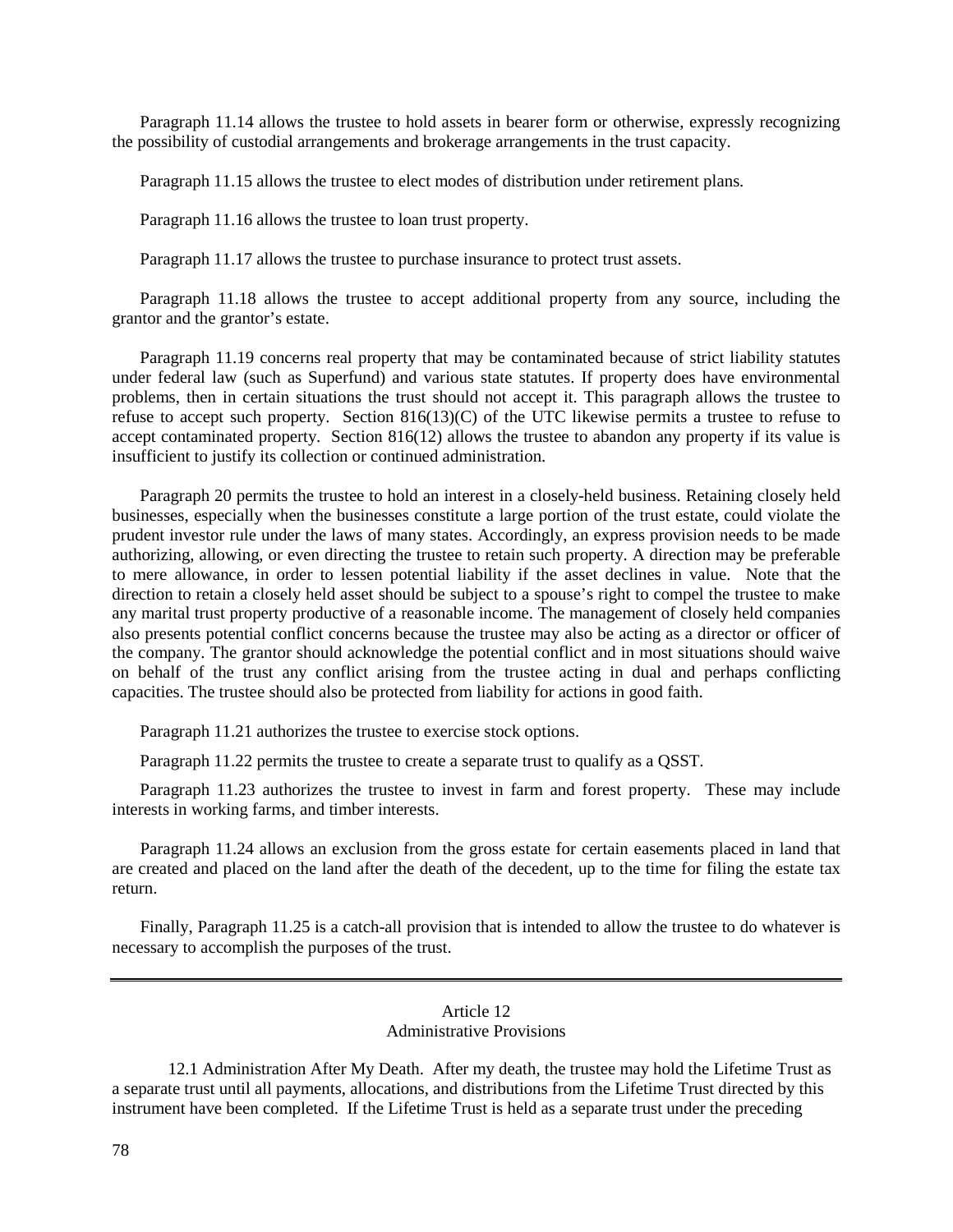Paragraph 11.14 allows the trustee to hold assets in bearer form or otherwise, expressly recognizing the possibility of custodial arrangements and brokerage arrangements in the trust capacity.

Paragraph 11.15 allows the trustee to elect modes of distribution under retirement plans.

Paragraph 11.16 allows the trustee to loan trust property.

Paragraph 11.17 allows the trustee to purchase insurance to protect trust assets.

Paragraph 11.18 allows the trustee to accept additional property from any source, including the grantor and the grantor's estate.

Paragraph 11.19 concerns real property that may be contaminated because of strict liability statutes under federal law (such as Superfund) and various state statutes. If property does have environmental problems, then in certain situations the trust should not accept it. This paragraph allows the trustee to refuse to accept such property. Section 816(13)(C) of the UTC likewise permits a trustee to refuse to accept contaminated property. Section 816(12) allows the trustee to abandon any property if its value is insufficient to justify its collection or continued administration.

Paragraph 20 permits the trustee to hold an interest in a closely-held business. Retaining closely held businesses, especially when the businesses constitute a large portion of the trust estate, could violate the prudent investor rule under the laws of many states. Accordingly, an express provision needs to be made authorizing, allowing, or even directing the trustee to retain such property. A direction may be preferable to mere allowance, in order to lessen potential liability if the asset declines in value. Note that the direction to retain a closely held asset should be subject to a spouse's right to compel the trustee to make any marital trust property productive of a reasonable income. The management of closely held companies also presents potential conflict concerns because the trustee may also be acting as a director or officer of the company. The grantor should acknowledge the potential conflict and in most situations should waive on behalf of the trust any conflict arising from the trustee acting in dual and perhaps conflicting capacities. The trustee should also be protected from liability for actions in good faith.

Paragraph 11.21 authorizes the trustee to exercise stock options.

Paragraph 11.22 permits the trustee to create a separate trust to qualify as a QSST.

Paragraph 11.23 authorizes the trustee to invest in farm and forest property. These may include interests in working farms, and timber interests.

Paragraph 11.24 allows an exclusion from the gross estate for certain easements placed in land that are created and placed on the land after the death of the decedent, up to the time for filing the estate tax return.

Finally, Paragraph 11.25 is a catch-all provision that is intended to allow the trustee to do whatever is necessary to accomplish the purposes of the trust.

# Article 12 Administrative Provisions

12.1 Administration After My Death. After my death, the trustee may hold the Lifetime Trust as a separate trust until all payments, allocations, and distributions from the Lifetime Trust directed by this instrument have been completed. If the Lifetime Trust is held as a separate trust under the preceding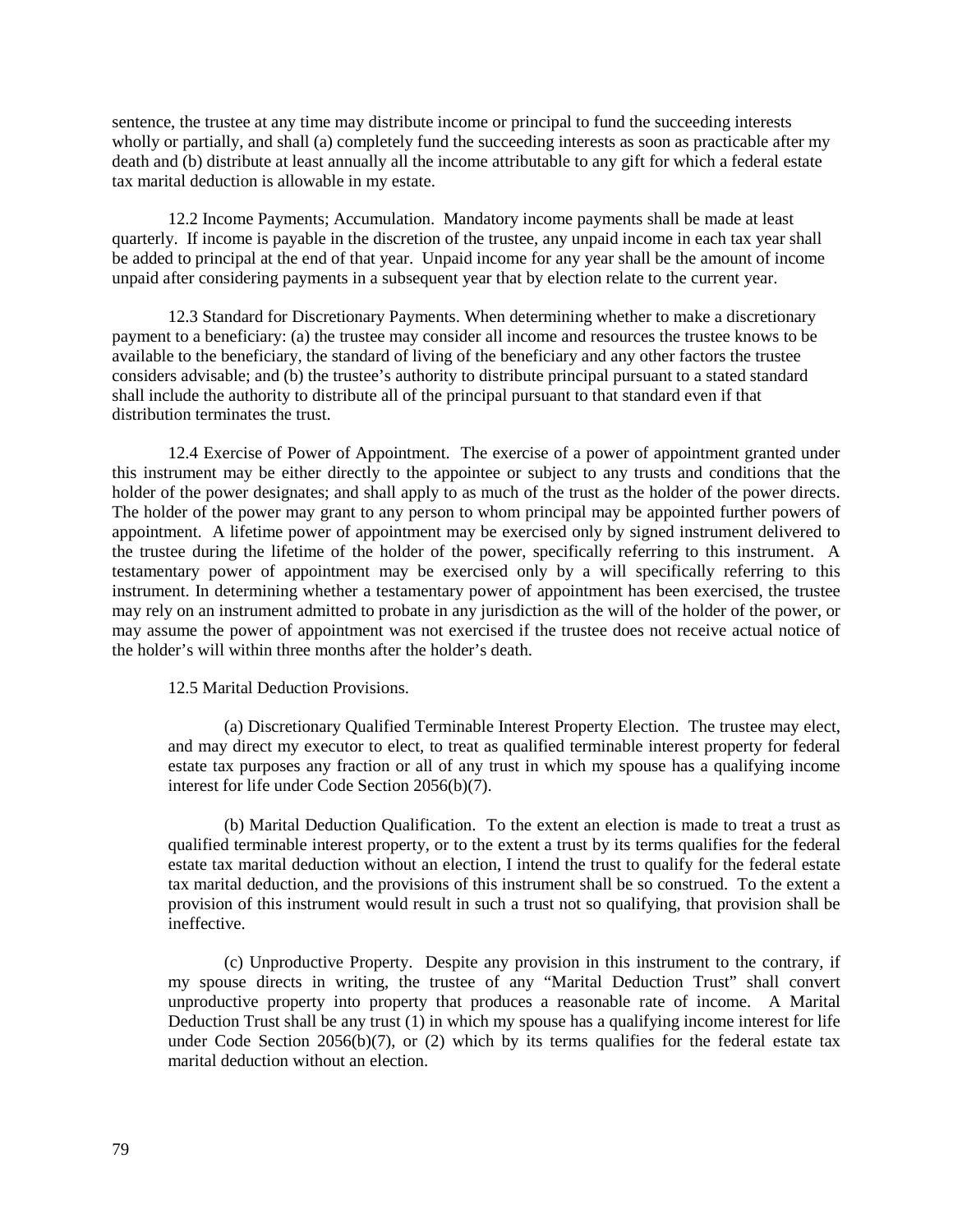sentence, the trustee at any time may distribute income or principal to fund the succeeding interests wholly or partially, and shall (a) completely fund the succeeding interests as soon as practicable after my death and (b) distribute at least annually all the income attributable to any gift for which a federal estate tax marital deduction is allowable in my estate.

12.2 Income Payments; Accumulation. Mandatory income payments shall be made at least quarterly. If income is payable in the discretion of the trustee, any unpaid income in each tax year shall be added to principal at the end of that year. Unpaid income for any year shall be the amount of income unpaid after considering payments in a subsequent year that by election relate to the current year.

12.3 Standard for Discretionary Payments. When determining whether to make a discretionary payment to a beneficiary: (a) the trustee may consider all income and resources the trustee knows to be available to the beneficiary, the standard of living of the beneficiary and any other factors the trustee considers advisable; and (b) the trustee's authority to distribute principal pursuant to a stated standard shall include the authority to distribute all of the principal pursuant to that standard even if that distribution terminates the trust.

12.4 Exercise of Power of Appointment. The exercise of a power of appointment granted under this instrument may be either directly to the appointee or subject to any trusts and conditions that the holder of the power designates; and shall apply to as much of the trust as the holder of the power directs. The holder of the power may grant to any person to whom principal may be appointed further powers of appointment. A lifetime power of appointment may be exercised only by signed instrument delivered to the trustee during the lifetime of the holder of the power, specifically referring to this instrument. A testamentary power of appointment may be exercised only by a will specifically referring to this instrument. In determining whether a testamentary power of appointment has been exercised, the trustee may rely on an instrument admitted to probate in any jurisdiction as the will of the holder of the power, or may assume the power of appointment was not exercised if the trustee does not receive actual notice of the holder's will within three months after the holder's death.

12.5 Marital Deduction Provisions.

(a) Discretionary Qualified Terminable Interest Property Election. The trustee may elect, and may direct my executor to elect, to treat as qualified terminable interest property for federal estate tax purposes any fraction or all of any trust in which my spouse has a qualifying income interest for life under Code Section 2056(b)(7).

(b) Marital Deduction Qualification. To the extent an election is made to treat a trust as qualified terminable interest property, or to the extent a trust by its terms qualifies for the federal estate tax marital deduction without an election, I intend the trust to qualify for the federal estate tax marital deduction, and the provisions of this instrument shall be so construed. To the extent a provision of this instrument would result in such a trust not so qualifying, that provision shall be ineffective.

(c) Unproductive Property. Despite any provision in this instrument to the contrary, if my spouse directs in writing, the trustee of any "Marital Deduction Trust" shall convert unproductive property into property that produces a reasonable rate of income. A Marital Deduction Trust shall be any trust (1) in which my spouse has a qualifying income interest for life under Code Section  $2056(b)(7)$ , or  $(2)$  which by its terms qualifies for the federal estate tax marital deduction without an election.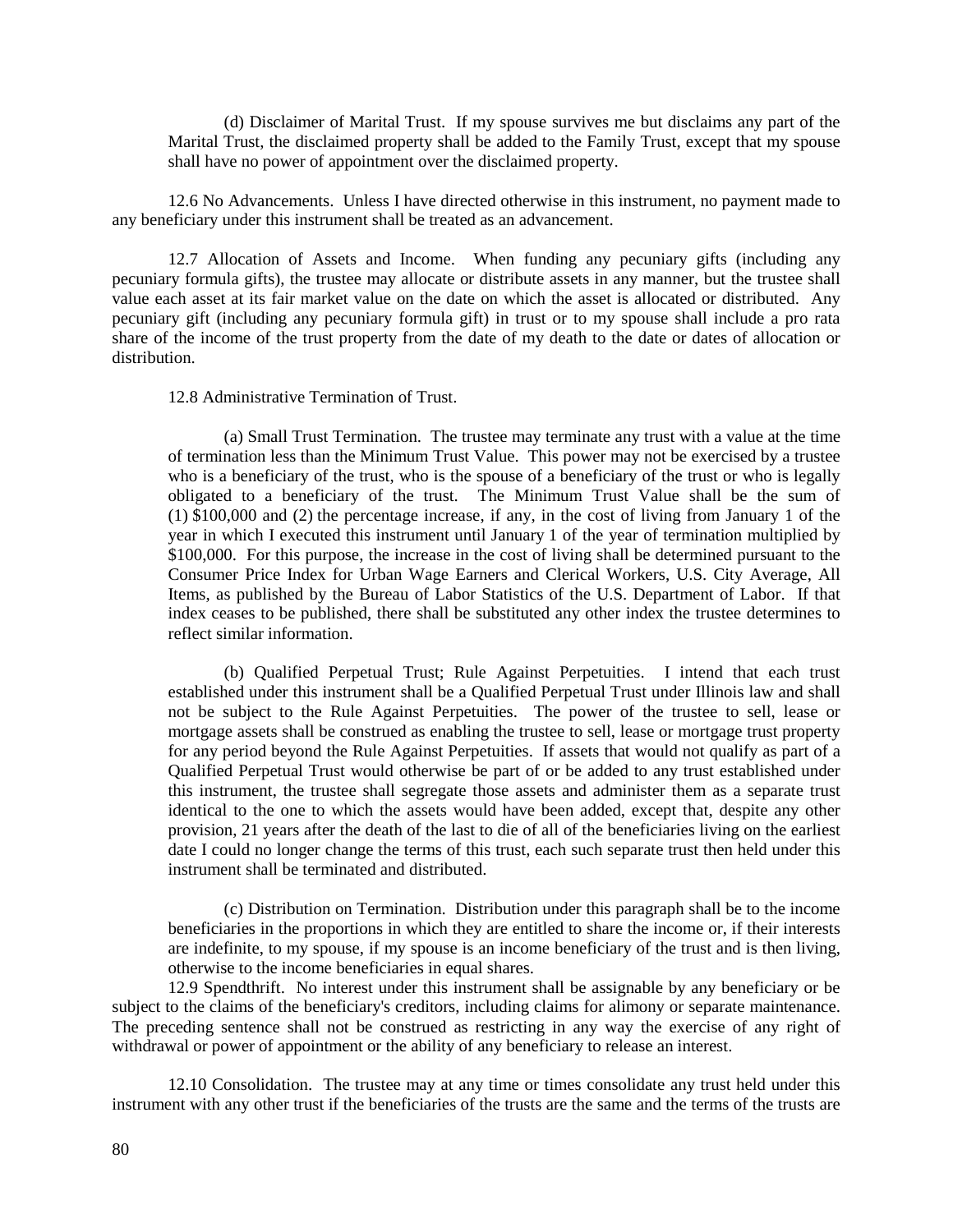(d) Disclaimer of Marital Trust. If my spouse survives me but disclaims any part of the Marital Trust, the disclaimed property shall be added to the Family Trust, except that my spouse shall have no power of appointment over the disclaimed property.

12.6 No Advancements. Unless I have directed otherwise in this instrument, no payment made to any beneficiary under this instrument shall be treated as an advancement.

12.7 Allocation of Assets and Income. When funding any pecuniary gifts (including any pecuniary formula gifts), the trustee may allocate or distribute assets in any manner, but the trustee shall value each asset at its fair market value on the date on which the asset is allocated or distributed. Any pecuniary gift (including any pecuniary formula gift) in trust or to my spouse shall include a pro rata share of the income of the trust property from the date of my death to the date or dates of allocation or distribution.

12.8 Administrative Termination of Trust.

(a) Small Trust Termination. The trustee may terminate any trust with a value at the time of termination less than the Minimum Trust Value. This power may not be exercised by a trustee who is a beneficiary of the trust, who is the spouse of a beneficiary of the trust or who is legally obligated to a beneficiary of the trust. The Minimum Trust Value shall be the sum of (1) \$100,000 and (2) the percentage increase, if any, in the cost of living from January 1 of the year in which I executed this instrument until January 1 of the year of termination multiplied by \$100,000. For this purpose, the increase in the cost of living shall be determined pursuant to the Consumer Price Index for Urban Wage Earners and Clerical Workers, U.S. City Average, All Items, as published by the Bureau of Labor Statistics of the U.S. Department of Labor. If that index ceases to be published, there shall be substituted any other index the trustee determines to reflect similar information.

(b) Qualified Perpetual Trust; Rule Against Perpetuities. I intend that each trust established under this instrument shall be a Qualified Perpetual Trust under Illinois law and shall not be subject to the Rule Against Perpetuities. The power of the trustee to sell, lease or mortgage assets shall be construed as enabling the trustee to sell, lease or mortgage trust property for any period beyond the Rule Against Perpetuities. If assets that would not qualify as part of a Qualified Perpetual Trust would otherwise be part of or be added to any trust established under this instrument, the trustee shall segregate those assets and administer them as a separate trust identical to the one to which the assets would have been added, except that, despite any other provision, 21 years after the death of the last to die of all of the beneficiaries living on the earliest date I could no longer change the terms of this trust, each such separate trust then held under this instrument shall be terminated and distributed.

(c) Distribution on Termination. Distribution under this paragraph shall be to the income beneficiaries in the proportions in which they are entitled to share the income or, if their interests are indefinite, to my spouse, if my spouse is an income beneficiary of the trust and is then living, otherwise to the income beneficiaries in equal shares.

12.9 Spendthrift. No interest under this instrument shall be assignable by any beneficiary or be subject to the claims of the beneficiary's creditors, including claims for alimony or separate maintenance. The preceding sentence shall not be construed as restricting in any way the exercise of any right of withdrawal or power of appointment or the ability of any beneficiary to release an interest.

12.10 Consolidation. The trustee may at any time or times consolidate any trust held under this instrument with any other trust if the beneficiaries of the trusts are the same and the terms of the trusts are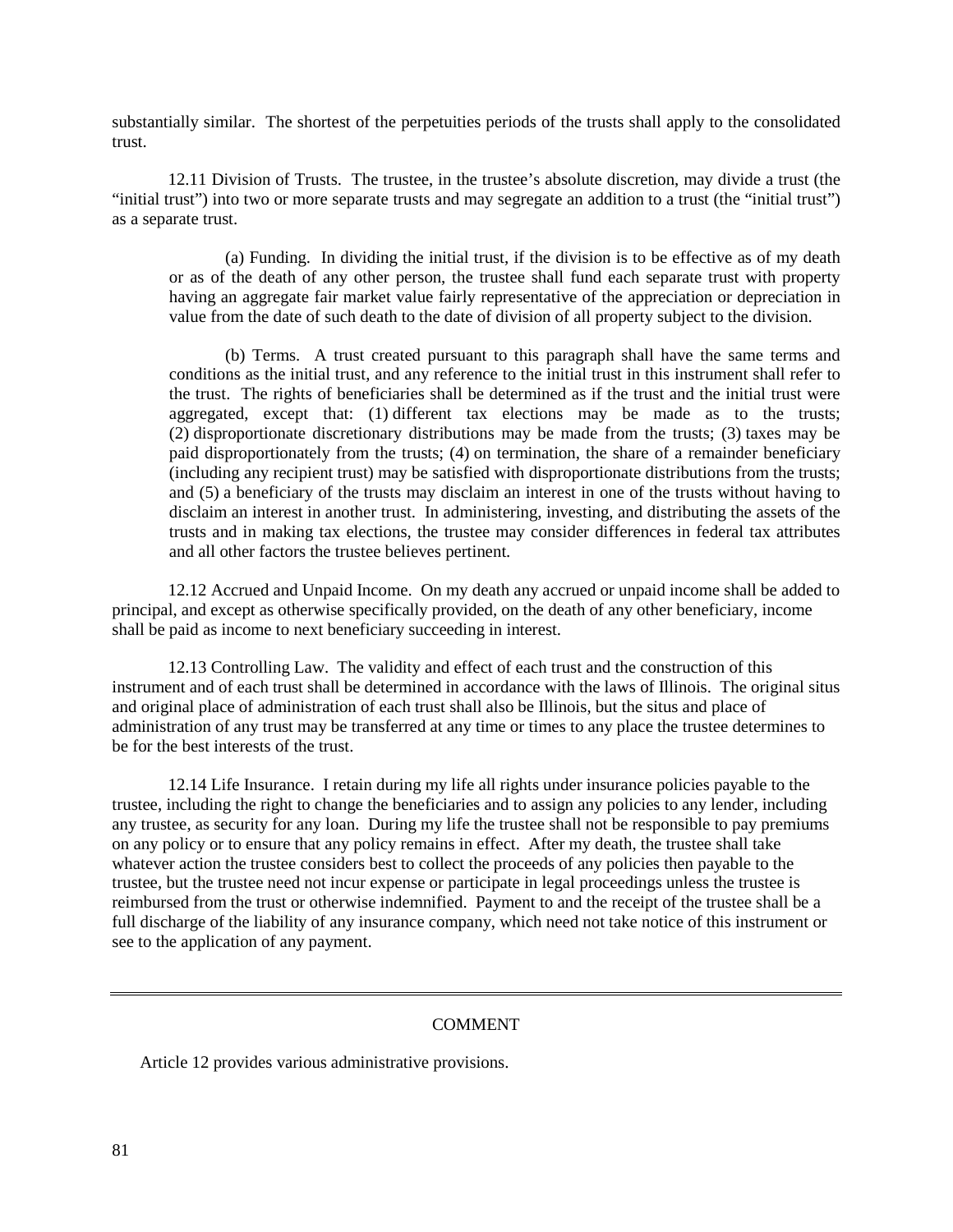substantially similar. The shortest of the perpetuities periods of the trusts shall apply to the consolidated trust.

12.11 Division of Trusts. The trustee, in the trustee's absolute discretion, may divide a trust (the "initial trust") into two or more separate trusts and may segregate an addition to a trust (the "initial trust") as a separate trust.

(a) Funding. In dividing the initial trust, if the division is to be effective as of my death or as of the death of any other person, the trustee shall fund each separate trust with property having an aggregate fair market value fairly representative of the appreciation or depreciation in value from the date of such death to the date of division of all property subject to the division.

(b) Terms. A trust created pursuant to this paragraph shall have the same terms and conditions as the initial trust, and any reference to the initial trust in this instrument shall refer to the trust. The rights of beneficiaries shall be determined as if the trust and the initial trust were aggregated, except that: (1) different tax elections may be made as to the trusts; (2) disproportionate discretionary distributions may be made from the trusts; (3) taxes may be paid disproportionately from the trusts; (4) on termination, the share of a remainder beneficiary (including any recipient trust) may be satisfied with disproportionate distributions from the trusts; and (5) a beneficiary of the trusts may disclaim an interest in one of the trusts without having to disclaim an interest in another trust. In administering, investing, and distributing the assets of the trusts and in making tax elections, the trustee may consider differences in federal tax attributes and all other factors the trustee believes pertinent.

12.12 Accrued and Unpaid Income. On my death any accrued or unpaid income shall be added to principal, and except as otherwise specifically provided, on the death of any other beneficiary, income shall be paid as income to next beneficiary succeeding in interest.

12.13 Controlling Law. The validity and effect of each trust and the construction of this instrument and of each trust shall be determined in accordance with the laws of Illinois. The original situs and original place of administration of each trust shall also be Illinois, but the situs and place of administration of any trust may be transferred at any time or times to any place the trustee determines to be for the best interests of the trust.

12.14 Life Insurance. I retain during my life all rights under insurance policies payable to the trustee, including the right to change the beneficiaries and to assign any policies to any lender, including any trustee, as security for any loan. During my life the trustee shall not be responsible to pay premiums on any policy or to ensure that any policy remains in effect. After my death, the trustee shall take whatever action the trustee considers best to collect the proceeds of any policies then payable to the trustee, but the trustee need not incur expense or participate in legal proceedings unless the trustee is reimbursed from the trust or otherwise indemnified. Payment to and the receipt of the trustee shall be a full discharge of the liability of any insurance company, which need not take notice of this instrument or see to the application of any payment.

### **COMMENT**

Article 12 provides various administrative provisions.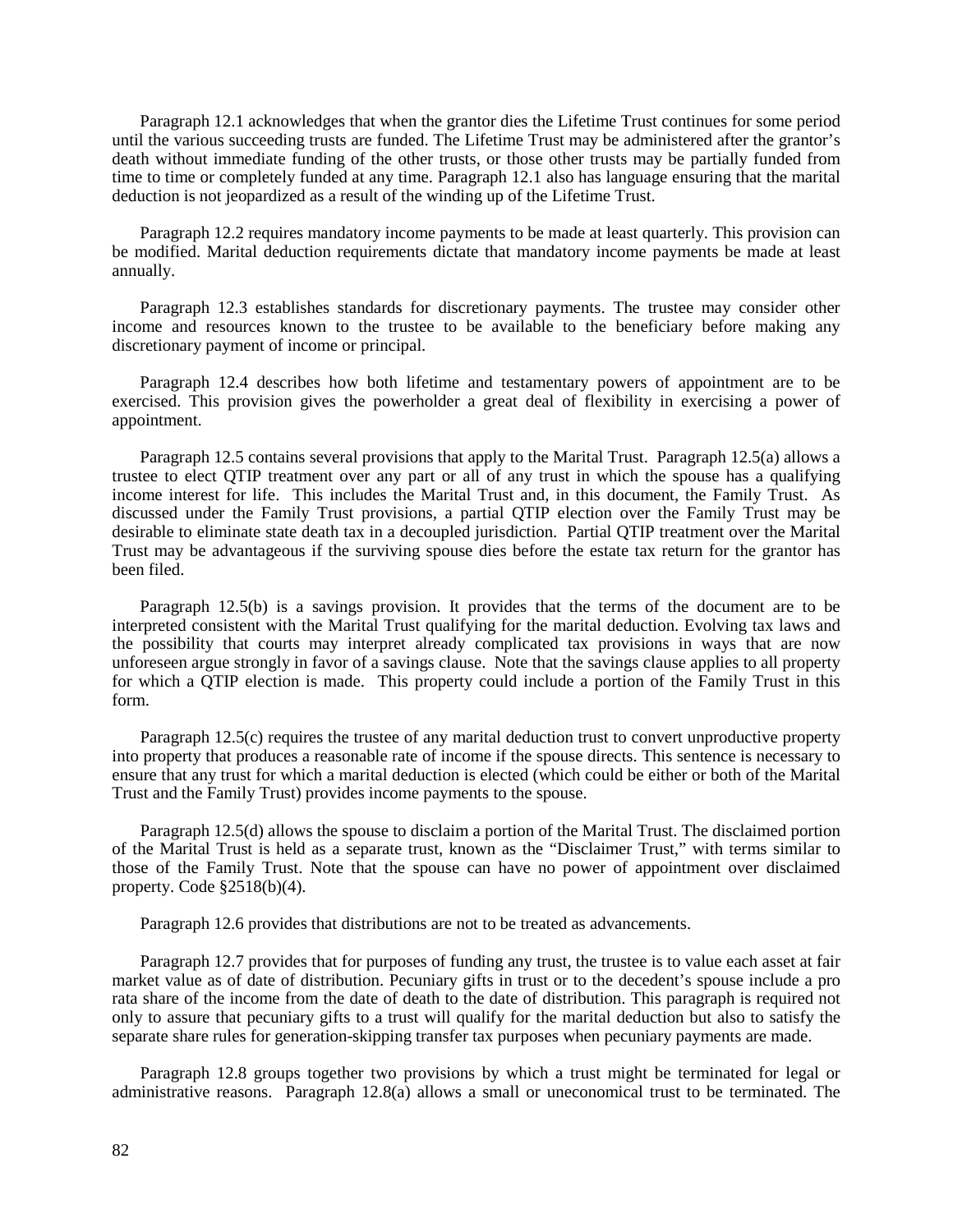Paragraph 12.1 acknowledges that when the grantor dies the Lifetime Trust continues for some period until the various succeeding trusts are funded. The Lifetime Trust may be administered after the grantor's death without immediate funding of the other trusts, or those other trusts may be partially funded from time to time or completely funded at any time. Paragraph 12.1 also has language ensuring that the marital deduction is not jeopardized as a result of the winding up of the Lifetime Trust.

Paragraph 12.2 requires mandatory income payments to be made at least quarterly. This provision can be modified. Marital deduction requirements dictate that mandatory income payments be made at least annually.

Paragraph 12.3 establishes standards for discretionary payments. The trustee may consider other income and resources known to the trustee to be available to the beneficiary before making any discretionary payment of income or principal.

Paragraph 12.4 describes how both lifetime and testamentary powers of appointment are to be exercised. This provision gives the powerholder a great deal of flexibility in exercising a power of appointment.

Paragraph 12.5 contains several provisions that apply to the Marital Trust. Paragraph 12.5(a) allows a trustee to elect QTIP treatment over any part or all of any trust in which the spouse has a qualifying income interest for life. This includes the Marital Trust and, in this document, the Family Trust. As discussed under the Family Trust provisions, a partial QTIP election over the Family Trust may be desirable to eliminate state death tax in a decoupled jurisdiction. Partial QTIP treatment over the Marital Trust may be advantageous if the surviving spouse dies before the estate tax return for the grantor has been filed.

Paragraph 12.5(b) is a savings provision. It provides that the terms of the document are to be interpreted consistent with the Marital Trust qualifying for the marital deduction. Evolving tax laws and the possibility that courts may interpret already complicated tax provisions in ways that are now unforeseen argue strongly in favor of a savings clause. Note that the savings clause applies to all property for which a QTIP election is made. This property could include a portion of the Family Trust in this form.

Paragraph 12.5(c) requires the trustee of any marital deduction trust to convert unproductive property into property that produces a reasonable rate of income if the spouse directs. This sentence is necessary to ensure that any trust for which a marital deduction is elected (which could be either or both of the Marital Trust and the Family Trust) provides income payments to the spouse.

Paragraph 12.5(d) allows the spouse to disclaim a portion of the Marital Trust. The disclaimed portion of the Marital Trust is held as a separate trust, known as the "Disclaimer Trust," with terms similar to those of the Family Trust. Note that the spouse can have no power of appointment over disclaimed property. Code §2518(b)(4).

Paragraph 12.6 provides that distributions are not to be treated as advancements.

Paragraph 12.7 provides that for purposes of funding any trust, the trustee is to value each asset at fair market value as of date of distribution. Pecuniary gifts in trust or to the decedent's spouse include a pro rata share of the income from the date of death to the date of distribution. This paragraph is required not only to assure that pecuniary gifts to a trust will qualify for the marital deduction but also to satisfy the separate share rules for generation-skipping transfer tax purposes when pecuniary payments are made.

Paragraph 12.8 groups together two provisions by which a trust might be terminated for legal or administrative reasons. Paragraph 12.8(a) allows a small or uneconomical trust to be terminated. The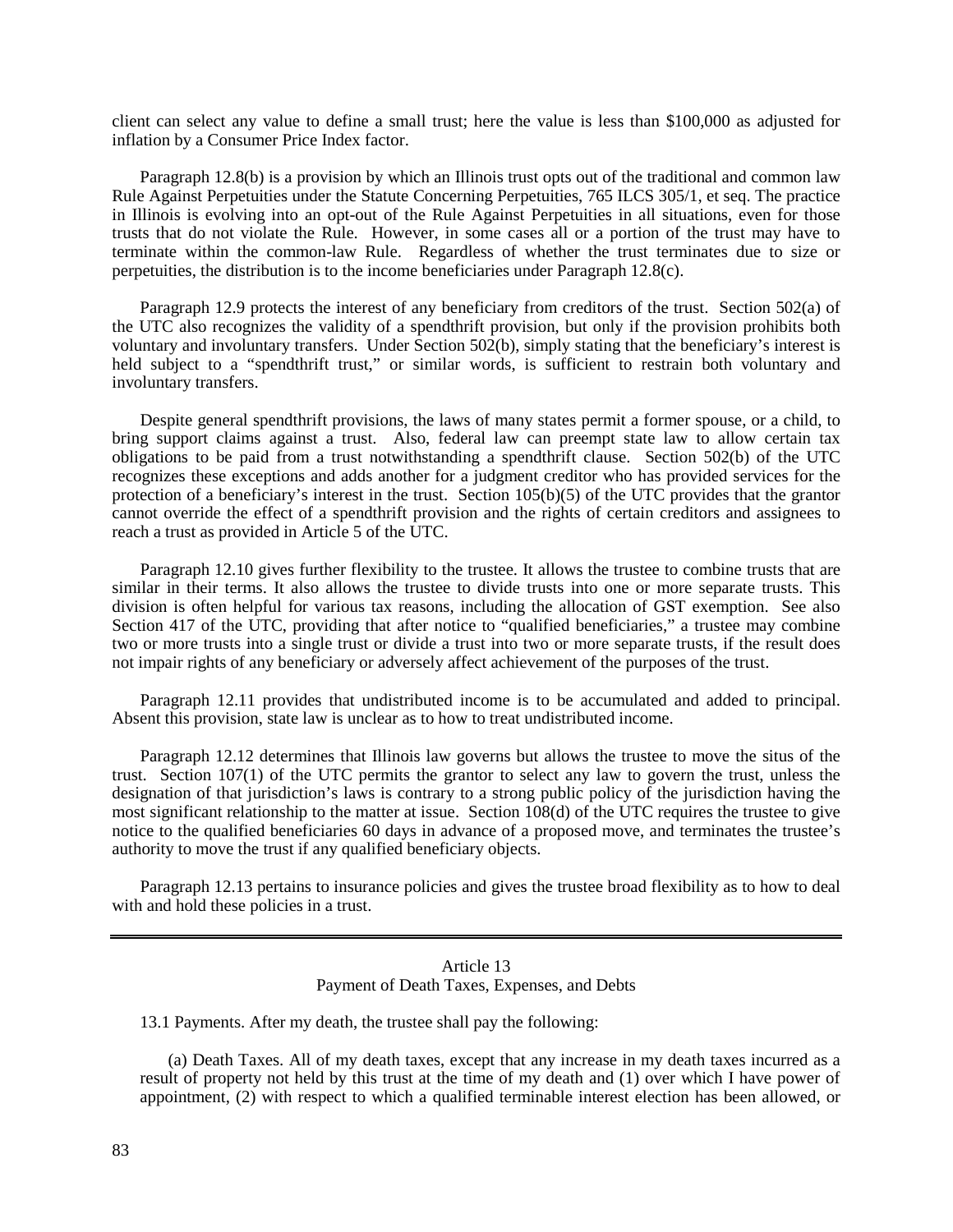client can select any value to define a small trust; here the value is less than \$100,000 as adjusted for inflation by a Consumer Price Index factor.

Paragraph 12.8(b) is a provision by which an Illinois trust opts out of the traditional and common law Rule Against Perpetuities under the Statute Concerning Perpetuities, 765 ILCS 305/1, et seq. The practice in Illinois is evolving into an opt-out of the Rule Against Perpetuities in all situations, even for those trusts that do not violate the Rule. However, in some cases all or a portion of the trust may have to terminate within the common-law Rule. Regardless of whether the trust terminates due to size or perpetuities, the distribution is to the income beneficiaries under Paragraph 12.8(c).

Paragraph 12.9 protects the interest of any beneficiary from creditors of the trust. Section 502(a) of the UTC also recognizes the validity of a spendthrift provision, but only if the provision prohibits both voluntary and involuntary transfers. Under Section 502(b), simply stating that the beneficiary's interest is held subject to a "spendthrift trust," or similar words, is sufficient to restrain both voluntary and involuntary transfers.

Despite general spendthrift provisions, the laws of many states permit a former spouse, or a child, to bring support claims against a trust. Also, federal law can preempt state law to allow certain tax obligations to be paid from a trust notwithstanding a spendthrift clause. Section 502(b) of the UTC recognizes these exceptions and adds another for a judgment creditor who has provided services for the protection of a beneficiary's interest in the trust. Section 105(b)(5) of the UTC provides that the grantor cannot override the effect of a spendthrift provision and the rights of certain creditors and assignees to reach a trust as provided in Article 5 of the UTC.

Paragraph 12.10 gives further flexibility to the trustee. It allows the trustee to combine trusts that are similar in their terms. It also allows the trustee to divide trusts into one or more separate trusts. This division is often helpful for various tax reasons, including the allocation of GST exemption. See also Section 417 of the UTC, providing that after notice to "qualified beneficiaries," a trustee may combine two or more trusts into a single trust or divide a trust into two or more separate trusts, if the result does not impair rights of any beneficiary or adversely affect achievement of the purposes of the trust.

Paragraph 12.11 provides that undistributed income is to be accumulated and added to principal. Absent this provision, state law is unclear as to how to treat undistributed income.

Paragraph 12.12 determines that Illinois law governs but allows the trustee to move the situs of the trust. Section 107(1) of the UTC permits the grantor to select any law to govern the trust, unless the designation of that jurisdiction's laws is contrary to a strong public policy of the jurisdiction having the most significant relationship to the matter at issue. Section 108(d) of the UTC requires the trustee to give notice to the qualified beneficiaries 60 days in advance of a proposed move, and terminates the trustee's authority to move the trust if any qualified beneficiary objects.

Paragraph 12.13 pertains to insurance policies and gives the trustee broad flexibility as to how to deal with and hold these policies in a trust.

### Article 13 Payment of Death Taxes, Expenses, and Debts

13.1 Payments. After my death, the trustee shall pay the following:

(a) Death Taxes. All of my death taxes, except that any increase in my death taxes incurred as a result of property not held by this trust at the time of my death and (1) over which I have power of appointment, (2) with respect to which a qualified terminable interest election has been allowed, or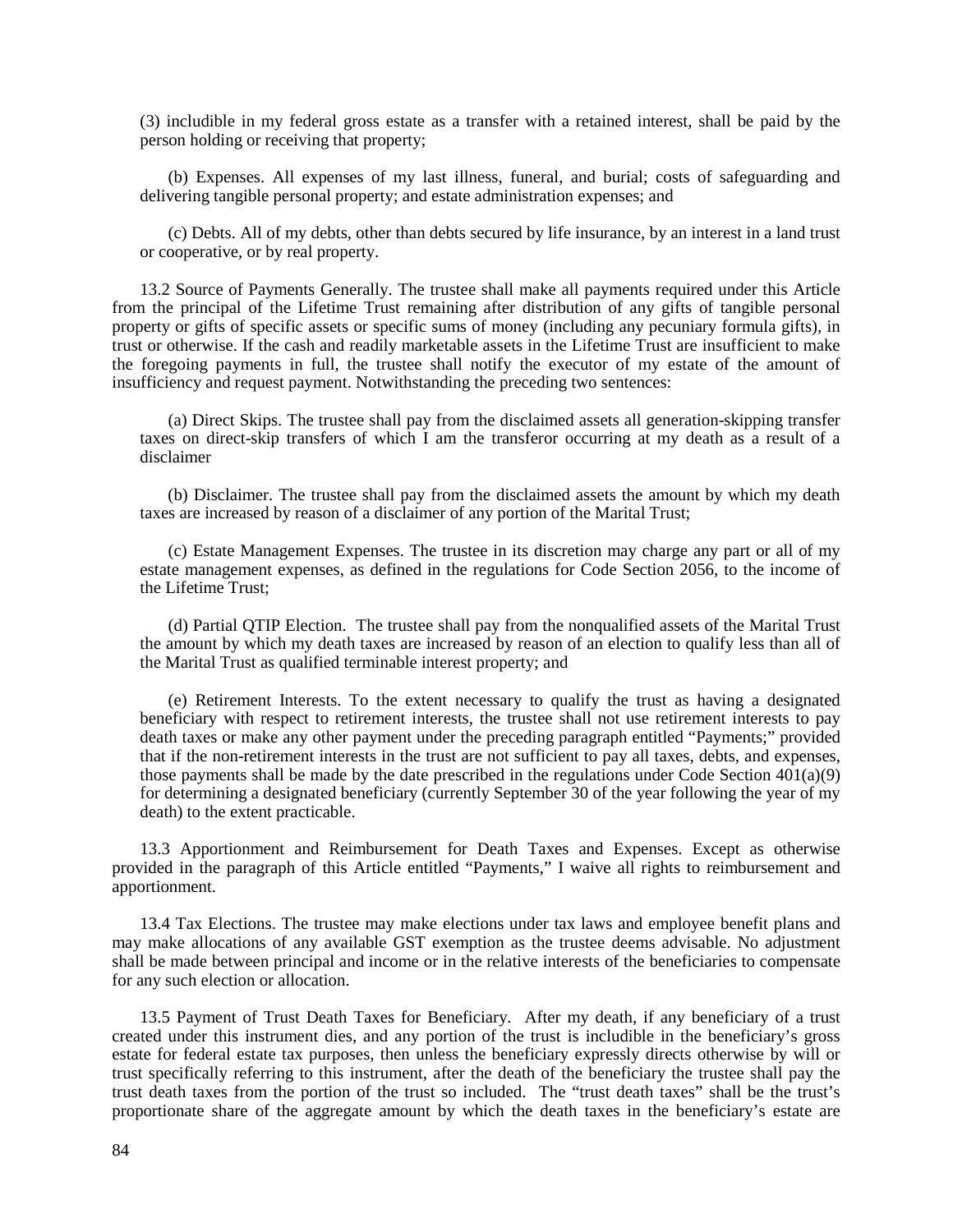(3) includible in my federal gross estate as a transfer with a retained interest, shall be paid by the person holding or receiving that property;

(b) Expenses. All expenses of my last illness, funeral, and burial; costs of safeguarding and delivering tangible personal property; and estate administration expenses; and

(c) Debts. All of my debts, other than debts secured by life insurance, by an interest in a land trust or cooperative, or by real property.

13.2 Source of Payments Generally. The trustee shall make all payments required under this Article from the principal of the Lifetime Trust remaining after distribution of any gifts of tangible personal property or gifts of specific assets or specific sums of money (including any pecuniary formula gifts), in trust or otherwise. If the cash and readily marketable assets in the Lifetime Trust are insufficient to make the foregoing payments in full, the trustee shall notify the executor of my estate of the amount of insufficiency and request payment. Notwithstanding the preceding two sentences:

(a) Direct Skips. The trustee shall pay from the disclaimed assets all generation-skipping transfer taxes on direct-skip transfers of which I am the transferor occurring at my death as a result of a disclaimer

(b) Disclaimer. The trustee shall pay from the disclaimed assets the amount by which my death taxes are increased by reason of a disclaimer of any portion of the Marital Trust;

(c) Estate Management Expenses. The trustee in its discretion may charge any part or all of my estate management expenses, as defined in the regulations for Code Section 2056, to the income of the Lifetime Trust;

(d) Partial QTIP Election. The trustee shall pay from the nonqualified assets of the Marital Trust the amount by which my death taxes are increased by reason of an election to qualify less than all of the Marital Trust as qualified terminable interest property; and

(e) Retirement Interests. To the extent necessary to qualify the trust as having a designated beneficiary with respect to retirement interests, the trustee shall not use retirement interests to pay death taxes or make any other payment under the preceding paragraph entitled "Payments;" provided that if the non-retirement interests in the trust are not sufficient to pay all taxes, debts, and expenses, those payments shall be made by the date prescribed in the regulations under Code Section  $401(a)(9)$ for determining a designated beneficiary (currently September 30 of the year following the year of my death) to the extent practicable.

13.3 Apportionment and Reimbursement for Death Taxes and Expenses. Except as otherwise provided in the paragraph of this Article entitled "Payments," I waive all rights to reimbursement and apportionment.

13.4 Tax Elections. The trustee may make elections under tax laws and employee benefit plans and may make allocations of any available GST exemption as the trustee deems advisable. No adjustment shall be made between principal and income or in the relative interests of the beneficiaries to compensate for any such election or allocation.

13.5 Payment of Trust Death Taxes for Beneficiary. After my death, if any beneficiary of a trust created under this instrument dies, and any portion of the trust is includible in the beneficiary's gross estate for federal estate tax purposes, then unless the beneficiary expressly directs otherwise by will or trust specifically referring to this instrument, after the death of the beneficiary the trustee shall pay the trust death taxes from the portion of the trust so included. The "trust death taxes" shall be the trust's proportionate share of the aggregate amount by which the death taxes in the beneficiary's estate are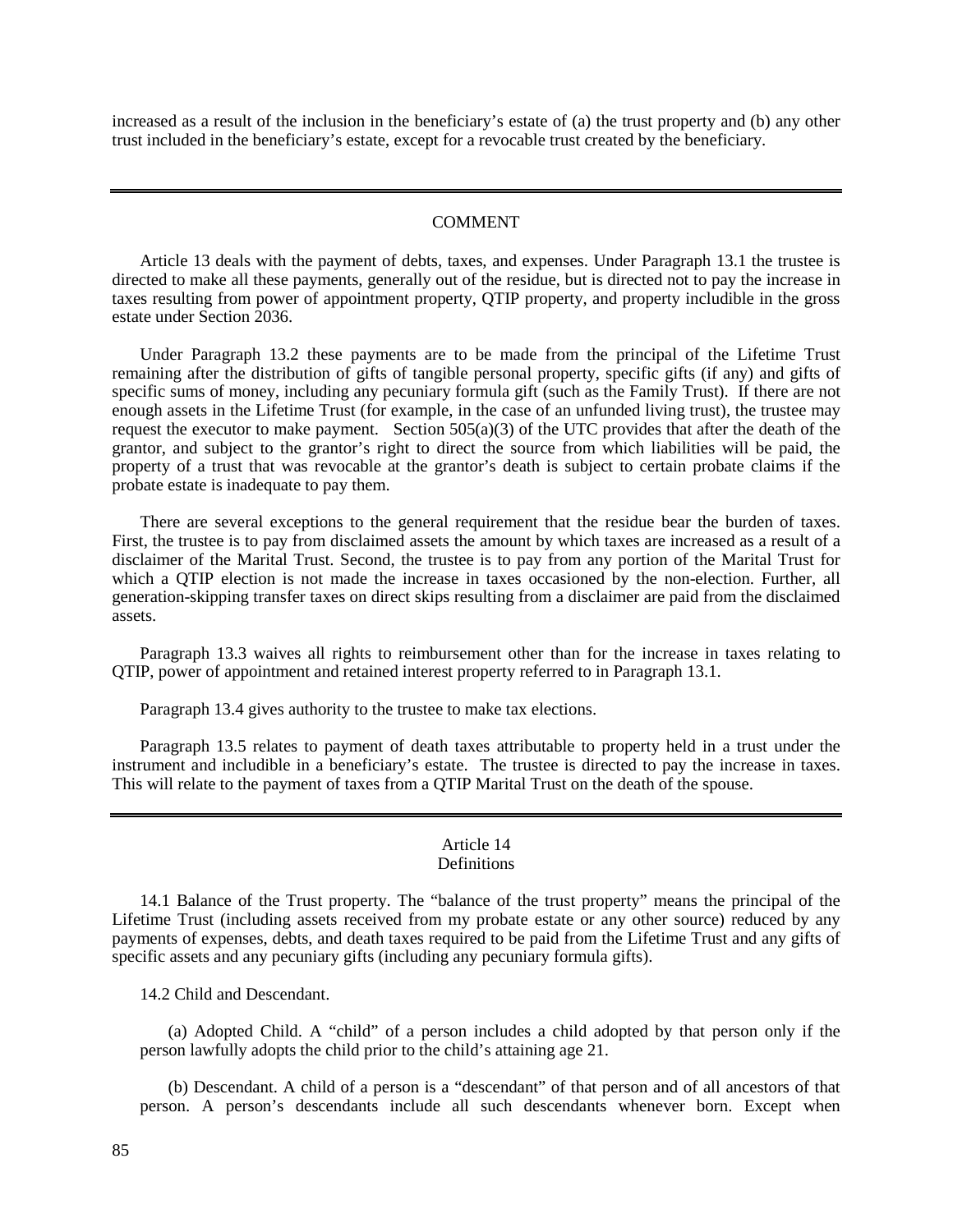increased as a result of the inclusion in the beneficiary's estate of (a) the trust property and (b) any other trust included in the beneficiary's estate, except for a revocable trust created by the beneficiary.

#### COMMENT

Article 13 deals with the payment of debts, taxes, and expenses. Under Paragraph 13.1 the trustee is directed to make all these payments, generally out of the residue, but is directed not to pay the increase in taxes resulting from power of appointment property, QTIP property, and property includible in the gross estate under Section 2036.

Under Paragraph 13.2 these payments are to be made from the principal of the Lifetime Trust remaining after the distribution of gifts of tangible personal property, specific gifts (if any) and gifts of specific sums of money, including any pecuniary formula gift (such as the Family Trust). If there are not enough assets in the Lifetime Trust (for example, in the case of an unfunded living trust), the trustee may request the executor to make payment. Section  $505(a)(3)$  of the UTC provides that after the death of the grantor, and subject to the grantor's right to direct the source from which liabilities will be paid, the property of a trust that was revocable at the grantor's death is subject to certain probate claims if the probate estate is inadequate to pay them.

There are several exceptions to the general requirement that the residue bear the burden of taxes. First, the trustee is to pay from disclaimed assets the amount by which taxes are increased as a result of a disclaimer of the Marital Trust. Second, the trustee is to pay from any portion of the Marital Trust for which a QTIP election is not made the increase in taxes occasioned by the non-election. Further, all generation-skipping transfer taxes on direct skips resulting from a disclaimer are paid from the disclaimed assets.

Paragraph 13.3 waives all rights to reimbursement other than for the increase in taxes relating to QTIP, power of appointment and retained interest property referred to in Paragraph 13.1.

Paragraph 13.4 gives authority to the trustee to make tax elections.

Paragraph 13.5 relates to payment of death taxes attributable to property held in a trust under the instrument and includible in a beneficiary's estate. The trustee is directed to pay the increase in taxes. This will relate to the payment of taxes from a QTIP Marital Trust on the death of the spouse.

#### Article 14 **Definitions**

14.1 Balance of the Trust property. The "balance of the trust property" means the principal of the Lifetime Trust (including assets received from my probate estate or any other source) reduced by any payments of expenses, debts, and death taxes required to be paid from the Lifetime Trust and any gifts of specific assets and any pecuniary gifts (including any pecuniary formula gifts).

14.2 Child and Descendant.

(a) Adopted Child. A "child" of a person includes a child adopted by that person only if the person lawfully adopts the child prior to the child's attaining age 21.

(b) Descendant. A child of a person is a "descendant" of that person and of all ancestors of that person. A person's descendants include all such descendants whenever born. Except when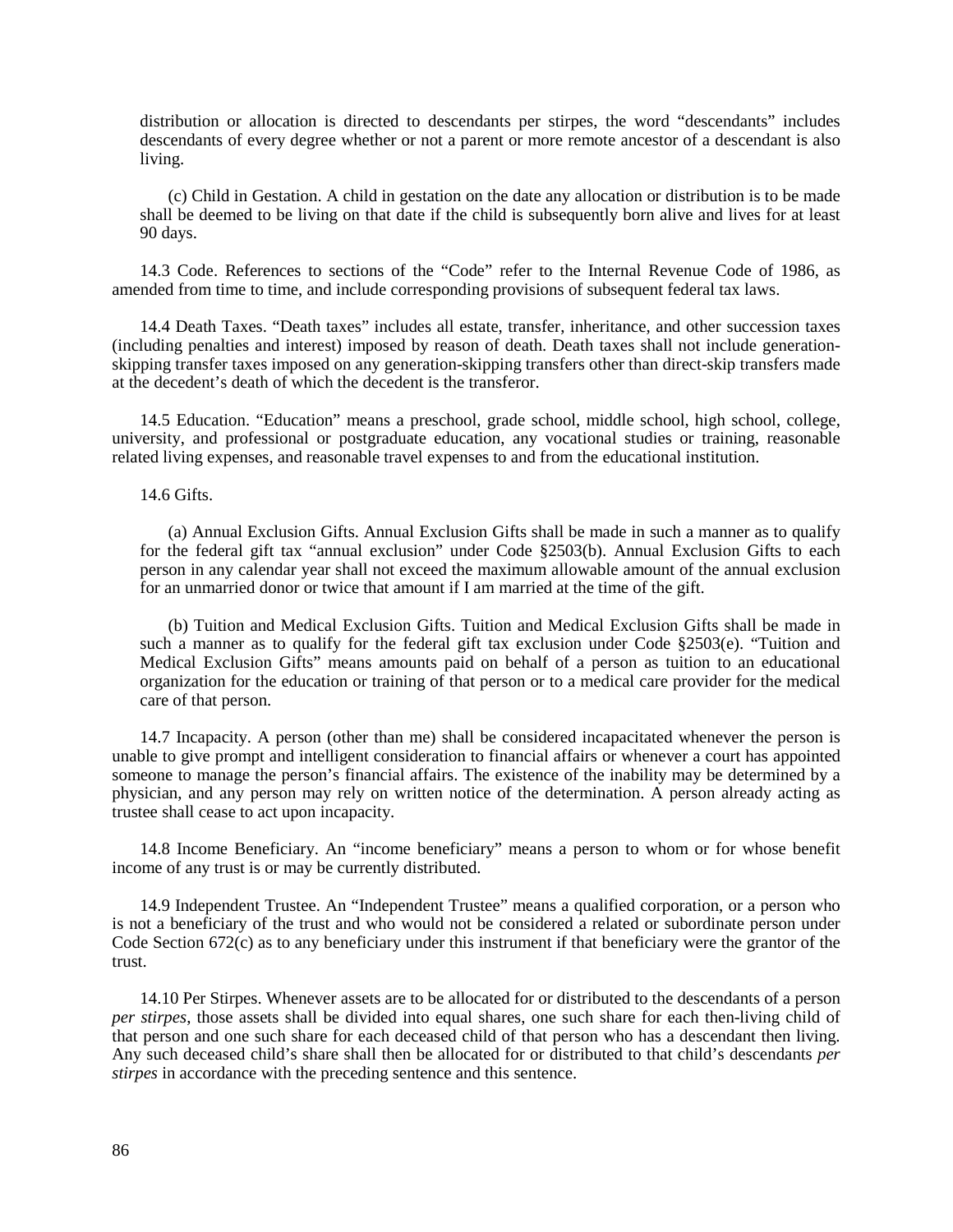distribution or allocation is directed to descendants per stirpes, the word "descendants" includes descendants of every degree whether or not a parent or more remote ancestor of a descendant is also living.

(c) Child in Gestation. A child in gestation on the date any allocation or distribution is to be made shall be deemed to be living on that date if the child is subsequently born alive and lives for at least 90 days.

14.3 Code. References to sections of the "Code" refer to the Internal Revenue Code of 1986, as amended from time to time, and include corresponding provisions of subsequent federal tax laws.

14.4 Death Taxes. "Death taxes" includes all estate, transfer, inheritance, and other succession taxes (including penalties and interest) imposed by reason of death. Death taxes shall not include generationskipping transfer taxes imposed on any generation-skipping transfers other than direct-skip transfers made at the decedent's death of which the decedent is the transferor.

14.5 Education. "Education" means a preschool, grade school, middle school, high school, college, university, and professional or postgraduate education, any vocational studies or training, reasonable related living expenses, and reasonable travel expenses to and from the educational institution.

14.6 Gifts.

(a) Annual Exclusion Gifts. Annual Exclusion Gifts shall be made in such a manner as to qualify for the federal gift tax "annual exclusion" under Code §2503(b). Annual Exclusion Gifts to each person in any calendar year shall not exceed the maximum allowable amount of the annual exclusion for an unmarried donor or twice that amount if I am married at the time of the gift.

(b) Tuition and Medical Exclusion Gifts. Tuition and Medical Exclusion Gifts shall be made in such a manner as to qualify for the federal gift tax exclusion under Code §2503(e). "Tuition and Medical Exclusion Gifts" means amounts paid on behalf of a person as tuition to an educational organization for the education or training of that person or to a medical care provider for the medical care of that person.

14.7 Incapacity. A person (other than me) shall be considered incapacitated whenever the person is unable to give prompt and intelligent consideration to financial affairs or whenever a court has appointed someone to manage the person's financial affairs. The existence of the inability may be determined by a physician, and any person may rely on written notice of the determination. A person already acting as trustee shall cease to act upon incapacity.

14.8 Income Beneficiary. An "income beneficiary" means a person to whom or for whose benefit income of any trust is or may be currently distributed.

14.9 Independent Trustee. An "Independent Trustee" means a qualified corporation, or a person who is not a beneficiary of the trust and who would not be considered a related or subordinate person under Code Section 672(c) as to any beneficiary under this instrument if that beneficiary were the grantor of the trust.

14.10 Per Stirpes. Whenever assets are to be allocated for or distributed to the descendants of a person *per stirpes*, those assets shall be divided into equal shares, one such share for each then-living child of that person and one such share for each deceased child of that person who has a descendant then living. Any such deceased child's share shall then be allocated for or distributed to that child's descendants *per stirpes* in accordance with the preceding sentence and this sentence.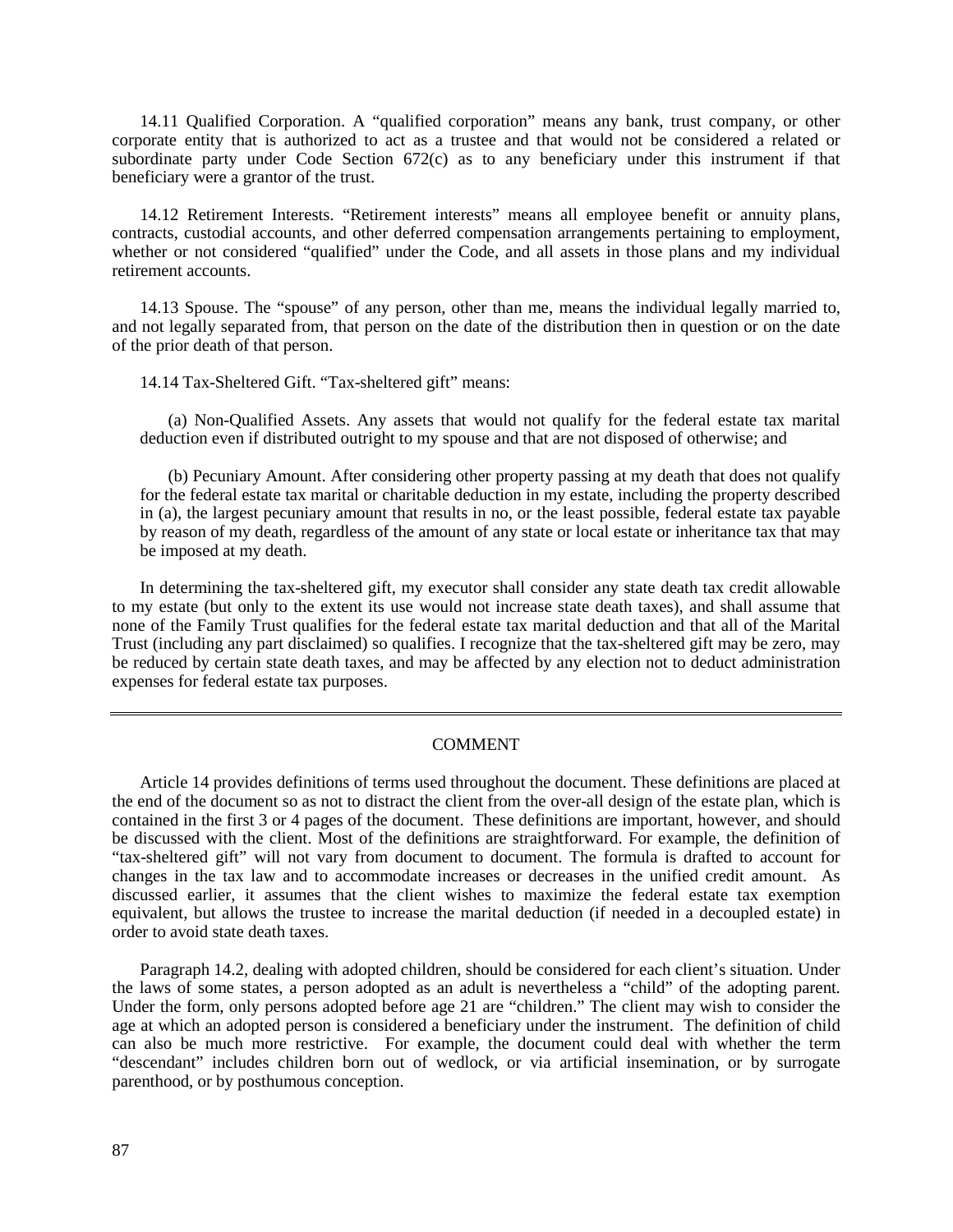14.11 Qualified Corporation. A "qualified corporation" means any bank, trust company, or other corporate entity that is authorized to act as a trustee and that would not be considered a related or subordinate party under Code Section  $672(c)$  as to any beneficiary under this instrument if that beneficiary were a grantor of the trust.

14.12 Retirement Interests. "Retirement interests" means all employee benefit or annuity plans, contracts, custodial accounts, and other deferred compensation arrangements pertaining to employment, whether or not considered "qualified" under the Code, and all assets in those plans and my individual retirement accounts.

14.13 Spouse. The "spouse" of any person, other than me, means the individual legally married to, and not legally separated from, that person on the date of the distribution then in question or on the date of the prior death of that person.

14.14 Tax-Sheltered Gift. "Tax-sheltered gift" means:

(a) Non-Qualified Assets. Any assets that would not qualify for the federal estate tax marital deduction even if distributed outright to my spouse and that are not disposed of otherwise; and

(b) Pecuniary Amount. After considering other property passing at my death that does not qualify for the federal estate tax marital or charitable deduction in my estate, including the property described in (a), the largest pecuniary amount that results in no, or the least possible, federal estate tax payable by reason of my death, regardless of the amount of any state or local estate or inheritance tax that may be imposed at my death.

In determining the tax-sheltered gift, my executor shall consider any state death tax credit allowable to my estate (but only to the extent its use would not increase state death taxes), and shall assume that none of the Family Trust qualifies for the federal estate tax marital deduction and that all of the Marital Trust (including any part disclaimed) so qualifies. I recognize that the tax-sheltered gift may be zero, may be reduced by certain state death taxes, and may be affected by any election not to deduct administration expenses for federal estate tax purposes.

### COMMENT

Article 14 provides definitions of terms used throughout the document. These definitions are placed at the end of the document so as not to distract the client from the over-all design of the estate plan, which is contained in the first 3 or 4 pages of the document. These definitions are important, however, and should be discussed with the client. Most of the definitions are straightforward. For example, the definition of "tax-sheltered gift" will not vary from document to document. The formula is drafted to account for changes in the tax law and to accommodate increases or decreases in the unified credit amount. As discussed earlier, it assumes that the client wishes to maximize the federal estate tax exemption equivalent, but allows the trustee to increase the marital deduction (if needed in a decoupled estate) in order to avoid state death taxes.

Paragraph 14.2, dealing with adopted children, should be considered for each client's situation. Under the laws of some states, a person adopted as an adult is nevertheless a "child" of the adopting parent. Under the form, only persons adopted before age 21 are "children." The client may wish to consider the age at which an adopted person is considered a beneficiary under the instrument. The definition of child can also be much more restrictive. For example, the document could deal with whether the term "descendant" includes children born out of wedlock, or via artificial insemination, or by surrogate parenthood, or by posthumous conception.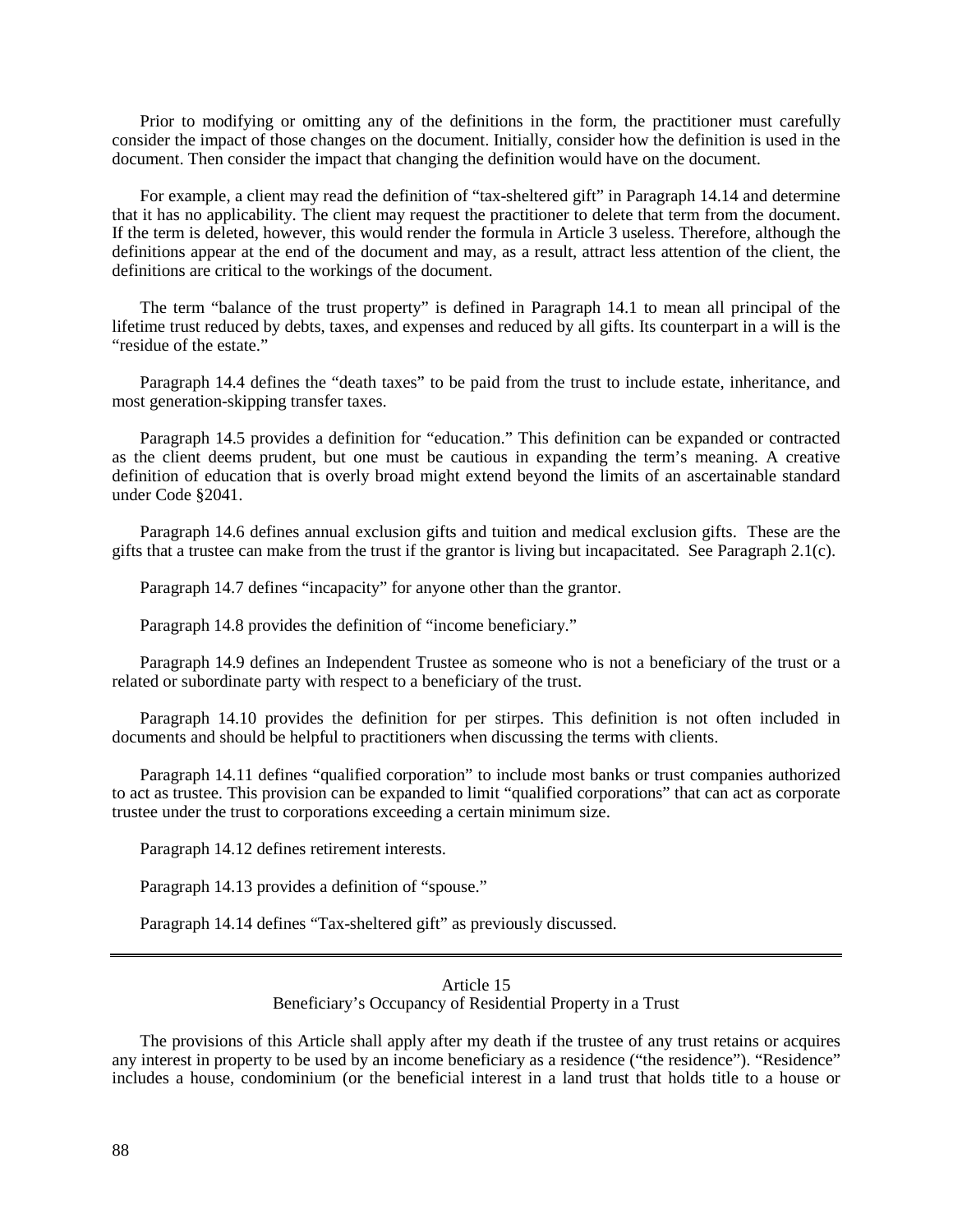Prior to modifying or omitting any of the definitions in the form, the practitioner must carefully consider the impact of those changes on the document. Initially, consider how the definition is used in the document. Then consider the impact that changing the definition would have on the document.

For example, a client may read the definition of "tax-sheltered gift" in Paragraph 14.14 and determine that it has no applicability. The client may request the practitioner to delete that term from the document. If the term is deleted, however, this would render the formula in Article 3 useless. Therefore, although the definitions appear at the end of the document and may, as a result, attract less attention of the client, the definitions are critical to the workings of the document.

The term "balance of the trust property" is defined in Paragraph 14.1 to mean all principal of the lifetime trust reduced by debts, taxes, and expenses and reduced by all gifts. Its counterpart in a will is the "residue of the estate."

Paragraph 14.4 defines the "death taxes" to be paid from the trust to include estate, inheritance, and most generation-skipping transfer taxes.

Paragraph 14.5 provides a definition for "education." This definition can be expanded or contracted as the client deems prudent, but one must be cautious in expanding the term's meaning. A creative definition of education that is overly broad might extend beyond the limits of an ascertainable standard under Code §2041.

Paragraph 14.6 defines annual exclusion gifts and tuition and medical exclusion gifts. These are the gifts that a trustee can make from the trust if the grantor is living but incapacitated. See Paragraph 2.1(c).

Paragraph 14.7 defines "incapacity" for anyone other than the grantor.

Paragraph 14.8 provides the definition of "income beneficiary."

Paragraph 14.9 defines an Independent Trustee as someone who is not a beneficiary of the trust or a related or subordinate party with respect to a beneficiary of the trust.

Paragraph 14.10 provides the definition for per stirpes. This definition is not often included in documents and should be helpful to practitioners when discussing the terms with clients.

Paragraph 14.11 defines "qualified corporation" to include most banks or trust companies authorized to act as trustee. This provision can be expanded to limit "qualified corporations" that can act as corporate trustee under the trust to corporations exceeding a certain minimum size.

Paragraph 14.12 defines retirement interests.

Paragraph 14.13 provides a definition of "spouse."

Paragraph 14.14 defines "Tax-sheltered gift" as previously discussed.

## Article 15 Beneficiary's Occupancy of Residential Property in a Trust

The provisions of this Article shall apply after my death if the trustee of any trust retains or acquires any interest in property to be used by an income beneficiary as a residence ("the residence"). "Residence" includes a house, condominium (or the beneficial interest in a land trust that holds title to a house or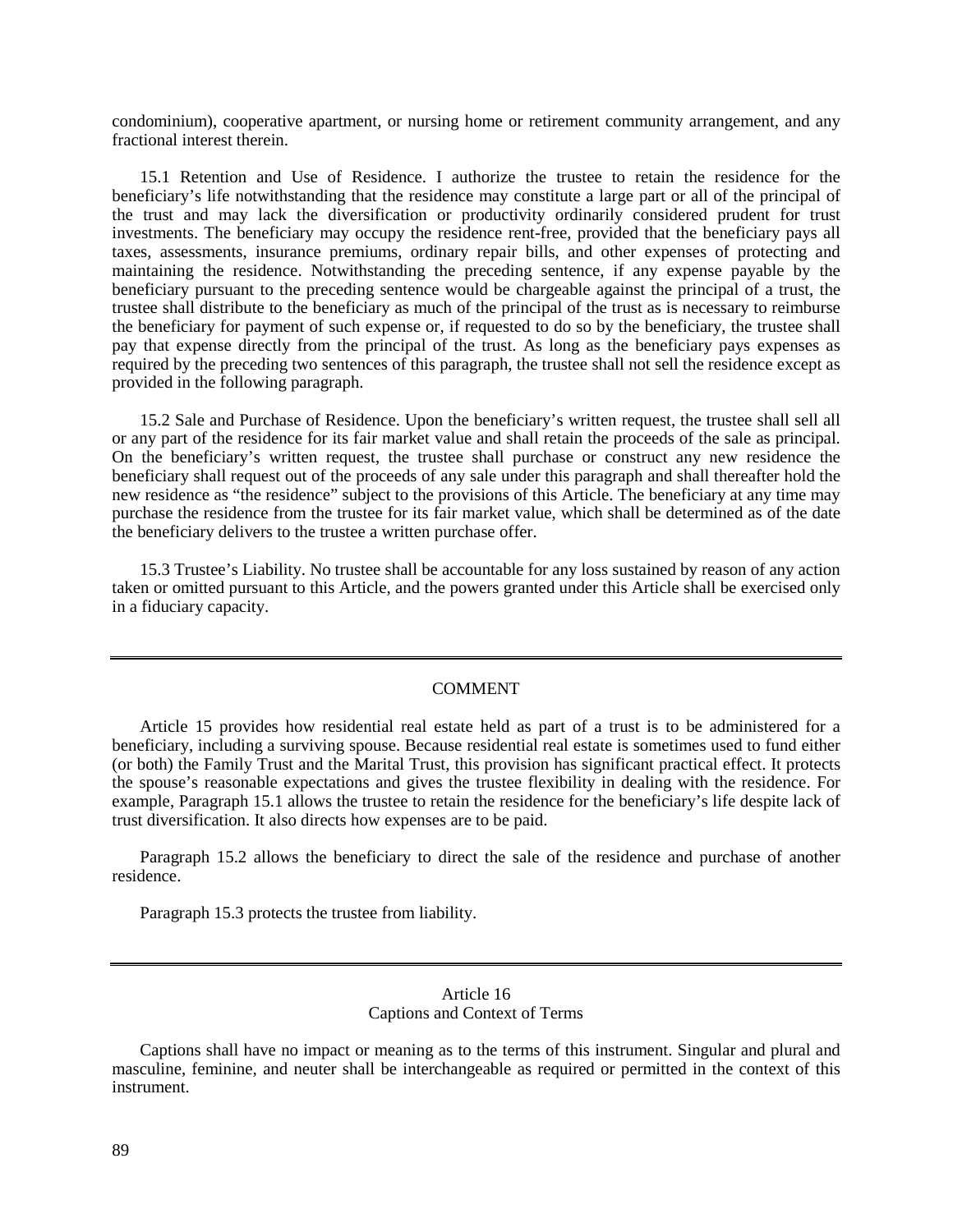condominium), cooperative apartment, or nursing home or retirement community arrangement, and any fractional interest therein.

15.1 Retention and Use of Residence. I authorize the trustee to retain the residence for the beneficiary's life notwithstanding that the residence may constitute a large part or all of the principal of the trust and may lack the diversification or productivity ordinarily considered prudent for trust investments. The beneficiary may occupy the residence rent-free, provided that the beneficiary pays all taxes, assessments, insurance premiums, ordinary repair bills, and other expenses of protecting and maintaining the residence. Notwithstanding the preceding sentence, if any expense payable by the beneficiary pursuant to the preceding sentence would be chargeable against the principal of a trust, the trustee shall distribute to the beneficiary as much of the principal of the trust as is necessary to reimburse the beneficiary for payment of such expense or, if requested to do so by the beneficiary, the trustee shall pay that expense directly from the principal of the trust. As long as the beneficiary pays expenses as required by the preceding two sentences of this paragraph, the trustee shall not sell the residence except as provided in the following paragraph.

15.2 Sale and Purchase of Residence. Upon the beneficiary's written request, the trustee shall sell all or any part of the residence for its fair market value and shall retain the proceeds of the sale as principal. On the beneficiary's written request, the trustee shall purchase or construct any new residence the beneficiary shall request out of the proceeds of any sale under this paragraph and shall thereafter hold the new residence as "the residence" subject to the provisions of this Article. The beneficiary at any time may purchase the residence from the trustee for its fair market value, which shall be determined as of the date the beneficiary delivers to the trustee a written purchase offer.

15.3 Trustee's Liability. No trustee shall be accountable for any loss sustained by reason of any action taken or omitted pursuant to this Article, and the powers granted under this Article shall be exercised only in a fiduciary capacity.

#### COMMENT

Article 15 provides how residential real estate held as part of a trust is to be administered for a beneficiary, including a surviving spouse. Because residential real estate is sometimes used to fund either (or both) the Family Trust and the Marital Trust, this provision has significant practical effect. It protects the spouse's reasonable expectations and gives the trustee flexibility in dealing with the residence. For example, Paragraph 15.1 allows the trustee to retain the residence for the beneficiary's life despite lack of trust diversification. It also directs how expenses are to be paid.

Paragraph 15.2 allows the beneficiary to direct the sale of the residence and purchase of another residence.

Paragraph 15.3 protects the trustee from liability.

### Article 16 Captions and Context of Terms

Captions shall have no impact or meaning as to the terms of this instrument. Singular and plural and masculine, feminine, and neuter shall be interchangeable as required or permitted in the context of this instrument.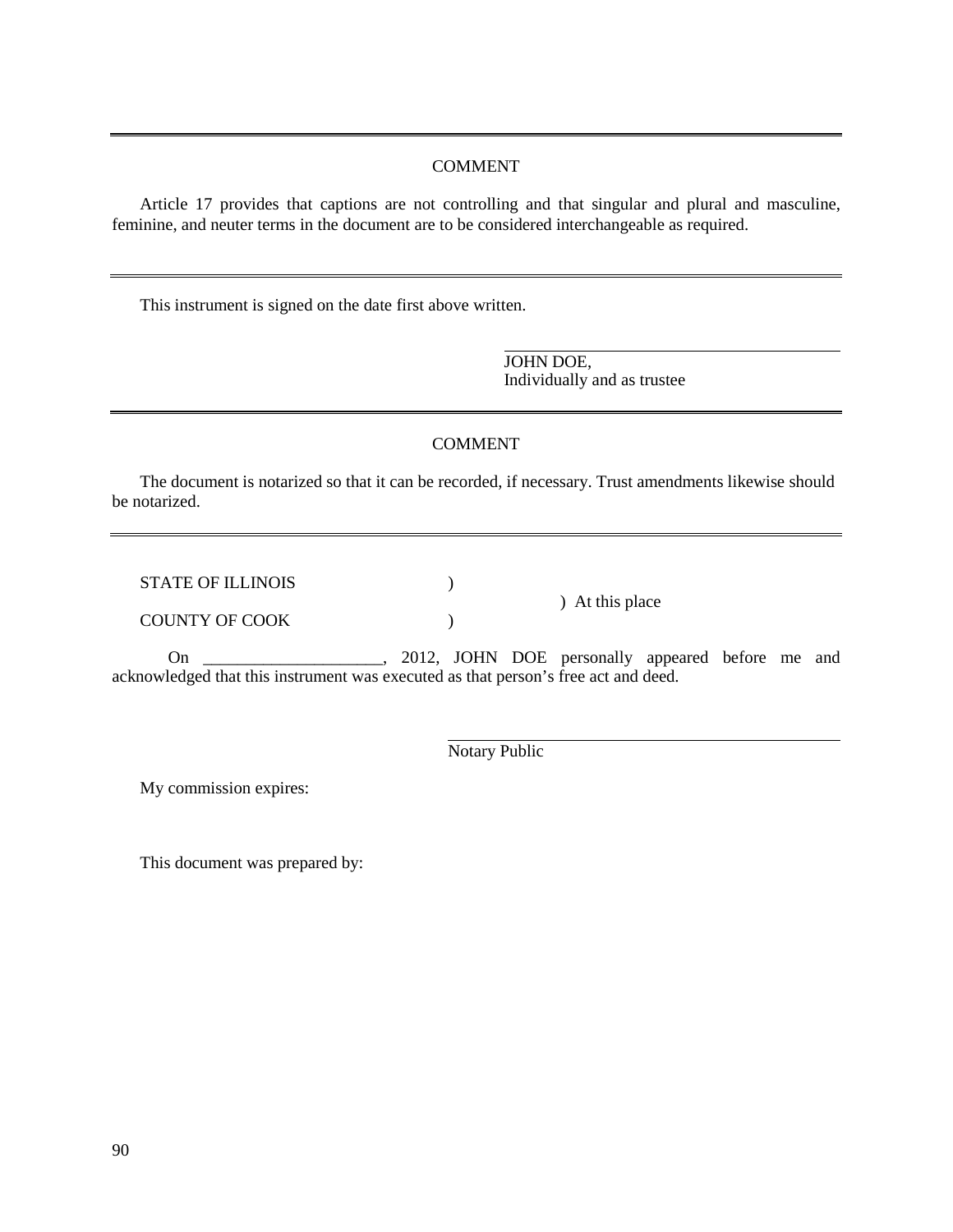## COMMENT

Article 17 provides that captions are not controlling and that singular and plural and masculine, feminine, and neuter terms in the document are to be considered interchangeable as required.

This instrument is signed on the date first above written.

JOHN DOE, Individually and as trustee

) At this place

# COMMENT

The document is notarized so that it can be recorded, if necessary. Trust amendments likewise should be notarized.

STATE OF ILLINOIS (1)

COUNTY OF COOK (2008)

On \_\_\_\_\_\_\_\_\_\_\_\_\_\_\_\_\_\_\_\_\_, 2012, JOHN DOE personally appeared before me and acknowledged that this instrument was executed as that person's free act and deed.

Notary Public

My commission expires:

This document was prepared by: